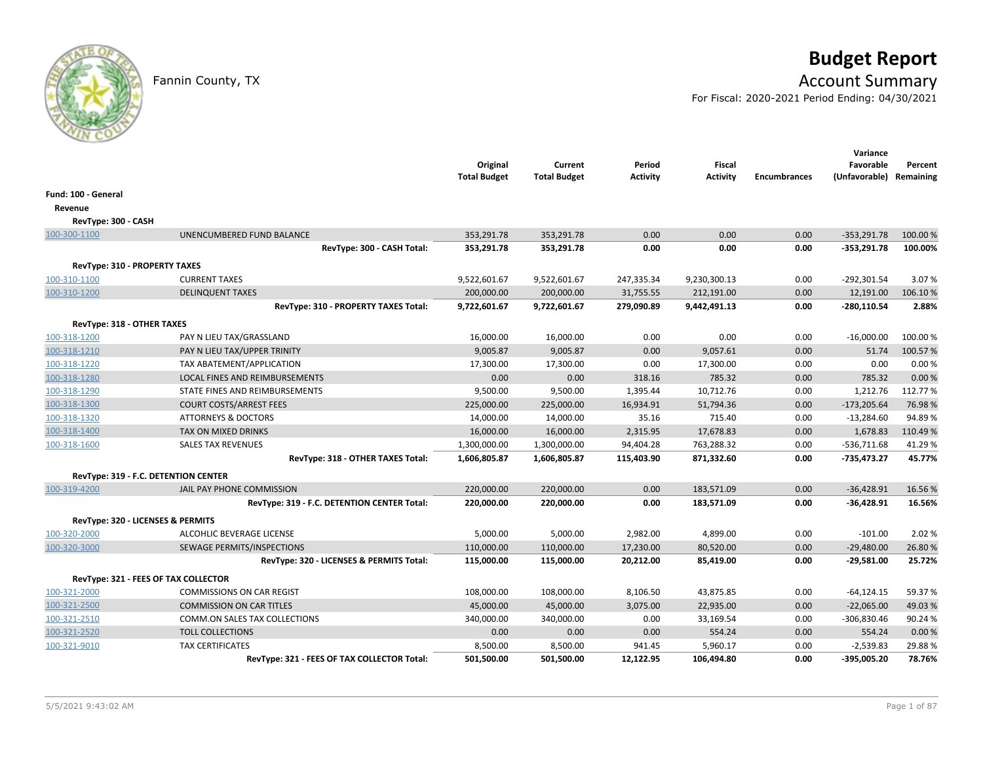# **Budget Report**

## Fannin County, TX **Account Summary**

For Fiscal: 2020-2021 Period Ending: 04/30/2021

|                                      |                                             | Original<br><b>Total Budget</b> | Current<br><b>Total Budget</b> | Period<br><b>Activity</b> | <b>Fiscal</b><br><b>Activity</b> | <b>Encumbrances</b> | Variance<br>Favorable<br>(Unfavorable) Remaining | Percent  |
|--------------------------------------|---------------------------------------------|---------------------------------|--------------------------------|---------------------------|----------------------------------|---------------------|--------------------------------------------------|----------|
| Fund: 100 - General                  |                                             |                                 |                                |                           |                                  |                     |                                                  |          |
| Revenue                              |                                             |                                 |                                |                           |                                  |                     |                                                  |          |
| RevType: 300 - CASH                  |                                             |                                 |                                |                           |                                  |                     |                                                  |          |
| 100-300-1100                         | UNENCUMBERED FUND BALANCE                   | 353,291.78                      | 353,291.78                     | 0.00                      | 0.00                             | 0.00                | $-353,291.78$                                    | 100.00 % |
|                                      | RevType: 300 - CASH Total:                  | 353,291.78                      | 353,291.78                     | 0.00                      | 0.00                             | 0.00                | $-353,291.78$                                    | 100.00%  |
| <b>RevType: 310 - PROPERTY TAXES</b> |                                             |                                 |                                |                           |                                  |                     |                                                  |          |
| 100-310-1100                         | <b>CURRENT TAXES</b>                        | 9,522,601.67                    | 9,522,601.67                   | 247,335.34                | 9,230,300.13                     | 0.00                | $-292,301.54$                                    | 3.07%    |
| 100-310-1200                         | <b>DELINQUENT TAXES</b>                     | 200,000.00                      | 200,000.00                     | 31,755.55                 | 212,191.00                       | 0.00                | 12,191.00                                        | 106.10%  |
|                                      | RevType: 310 - PROPERTY TAXES Total:        | 9,722,601.67                    | 9,722,601.67                   | 279,090.89                | 9,442,491.13                     | 0.00                | $-280,110.54$                                    | 2.88%    |
| RevType: 318 - OTHER TAXES           |                                             |                                 |                                |                           |                                  |                     |                                                  |          |
| 100-318-1200                         | PAY N LIEU TAX/GRASSLAND                    | 16,000.00                       | 16,000.00                      | 0.00                      | 0.00                             | 0.00                | $-16,000.00$                                     | 100.00 % |
| 100-318-1210                         | PAY N LIEU TAX/UPPER TRINITY                | 9,005.87                        | 9,005.87                       | 0.00                      | 9,057.61                         | 0.00                | 51.74                                            | 100.57%  |
| 100-318-1220                         | TAX ABATEMENT/APPLICATION                   | 17,300.00                       | 17,300.00                      | 0.00                      | 17,300.00                        | 0.00                | 0.00                                             | 0.00%    |
| 100-318-1280                         | LOCAL FINES AND REIMBURSEMENTS              | 0.00                            | 0.00                           | 318.16                    | 785.32                           | 0.00                | 785.32                                           | 0.00 %   |
| 100-318-1290                         | STATE FINES AND REIMBURSEMENTS              | 9,500.00                        | 9,500.00                       | 1,395.44                  | 10,712.76                        | 0.00                | 1,212.76                                         | 112.77%  |
| 100-318-1300                         | <b>COURT COSTS/ARREST FEES</b>              | 225,000.00                      | 225,000.00                     | 16,934.91                 | 51,794.36                        | 0.00                | $-173,205.64$                                    | 76.98%   |
| 100-318-1320                         | <b>ATTORNEYS &amp; DOCTORS</b>              | 14,000.00                       | 14,000.00                      | 35.16                     | 715.40                           | 0.00                | $-13,284.60$                                     | 94.89%   |
| 100-318-1400                         | TAX ON MIXED DRINKS                         | 16,000.00                       | 16,000.00                      | 2,315.95                  | 17,678.83                        | 0.00                | 1,678.83                                         | 110.49%  |
| 100-318-1600                         | <b>SALES TAX REVENUES</b>                   | 1,300,000.00                    | 1,300,000.00                   | 94,404.28                 | 763,288.32                       | 0.00                | $-536,711.68$                                    | 41.29%   |
|                                      | RevType: 318 - OTHER TAXES Total:           | 1,606,805.87                    | 1,606,805.87                   | 115,403.90                | 871,332.60                       | 0.00                | $-735,473.27$                                    | 45.77%   |
|                                      | RevType: 319 - F.C. DETENTION CENTER        |                                 |                                |                           |                                  |                     |                                                  |          |
| 100-319-4200                         | JAIL PAY PHONE COMMISSION                   | 220,000.00                      | 220,000.00                     | 0.00                      | 183,571.09                       | 0.00                | $-36,428.91$                                     | 16.56%   |
|                                      | RevType: 319 - F.C. DETENTION CENTER Total: | 220,000.00                      | 220,000.00                     | 0.00                      | 183,571.09                       | 0.00                | $-36,428.91$                                     | 16.56%   |
|                                      | RevType: 320 - LICENSES & PERMITS           |                                 |                                |                           |                                  |                     |                                                  |          |
| 100-320-2000                         | ALCOHLIC BEVERAGE LICENSE                   | 5,000.00                        | 5,000.00                       | 2,982.00                  | 4,899.00                         | 0.00                | $-101.00$                                        | 2.02%    |
| 100-320-3000                         | SEWAGE PERMITS/INSPECTIONS                  | 110,000.00                      | 110,000.00                     | 17,230.00                 | 80,520.00                        | 0.00                | $-29,480.00$                                     | 26.80%   |
|                                      | RevType: 320 - LICENSES & PERMITS Total:    | 115,000.00                      | 115,000.00                     | 20,212.00                 | 85,419.00                        | 0.00                | $-29,581.00$                                     | 25.72%   |
|                                      | RevType: 321 - FEES OF TAX COLLECTOR        |                                 |                                |                           |                                  |                     |                                                  |          |
| 100-321-2000                         | <b>COMMISSIONS ON CAR REGIST</b>            | 108,000.00                      | 108,000.00                     | 8,106.50                  | 43,875.85                        | 0.00                | $-64, 124.15$                                    | 59.37%   |
| 100-321-2500                         | <b>COMMISSION ON CAR TITLES</b>             | 45,000.00                       | 45,000.00                      | 3,075.00                  | 22,935.00                        | 0.00                | $-22,065.00$                                     | 49.03%   |
| 100-321-2510                         | COMM.ON SALES TAX COLLECTIONS               | 340,000.00                      | 340,000.00                     | 0.00                      | 33,169.54                        | 0.00                | $-306,830.46$                                    | 90.24%   |
| 100-321-2520                         | <b>TOLL COLLECTIONS</b>                     | 0.00                            | 0.00                           | 0.00                      | 554.24                           | 0.00                | 554.24                                           | 0.00%    |
| 100-321-9010                         | <b>TAX CERTIFICATES</b>                     | 8,500.00                        | 8,500.00                       | 941.45                    | 5,960.17                         | 0.00                | $-2,539.83$                                      | 29.88%   |
|                                      | RevType: 321 - FEES OF TAX COLLECTOR Total: | 501,500.00                      | 501,500.00                     | 12,122.95                 | 106,494.80                       | 0.00                | -395,005.20                                      | 78.76%   |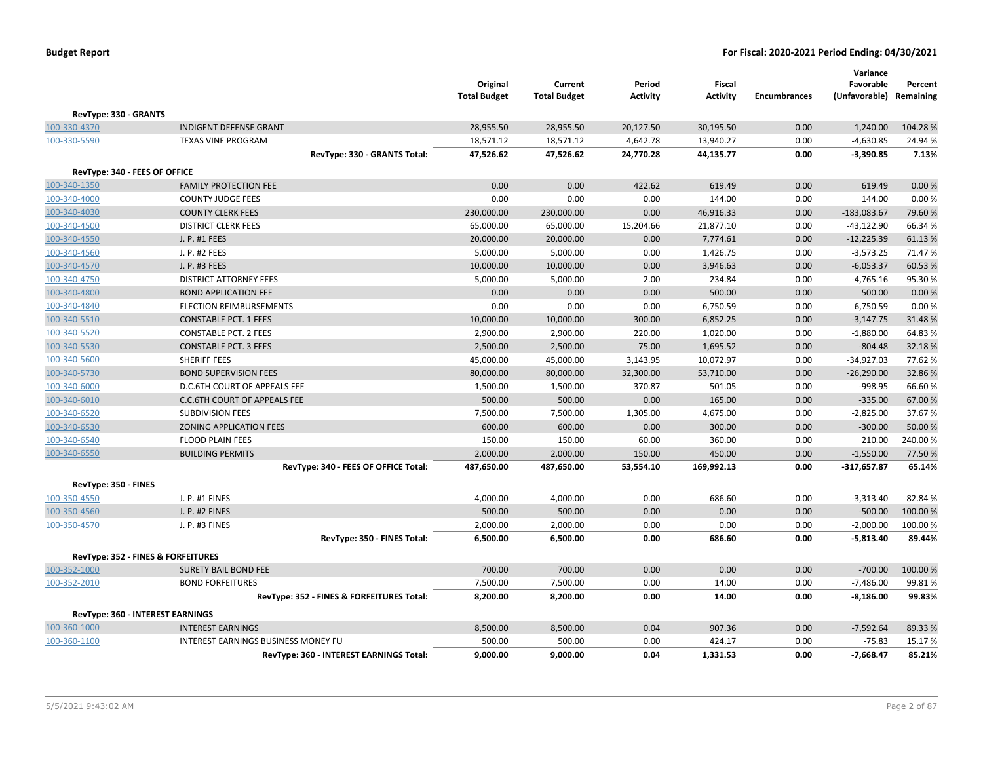|                                    |                                           | Original<br><b>Total Budget</b> | Current<br><b>Total Budget</b> | Period<br><b>Activity</b> | <b>Fiscal</b><br><b>Activity</b> | <b>Encumbrances</b> | Variance<br>Favorable<br>(Unfavorable) Remaining | Percent  |
|------------------------------------|-------------------------------------------|---------------------------------|--------------------------------|---------------------------|----------------------------------|---------------------|--------------------------------------------------|----------|
| RevType: 330 - GRANTS              |                                           |                                 |                                |                           |                                  |                     |                                                  |          |
| 100-330-4370                       | <b>INDIGENT DEFENSE GRANT</b>             | 28,955.50                       | 28,955.50                      | 20,127.50                 | 30,195.50                        | 0.00                | 1,240.00                                         | 104.28%  |
| 100-330-5590                       | <b>TEXAS VINE PROGRAM</b>                 | 18,571.12                       | 18,571.12                      | 4,642.78                  | 13,940.27                        | 0.00                | $-4,630.85$                                      | 24.94 %  |
|                                    | RevType: 330 - GRANTS Total:              | 47,526.62                       | 47,526.62                      | 24,770.28                 | 44,135.77                        | 0.00                | $-3,390.85$                                      | 7.13%    |
| RevType: 340 - FEES OF OFFICE      |                                           |                                 |                                |                           |                                  |                     |                                                  |          |
| 100-340-1350                       | <b>FAMILY PROTECTION FEE</b>              | 0.00                            | 0.00                           | 422.62                    | 619.49                           | 0.00                | 619.49                                           | 0.00%    |
| 100-340-4000                       | <b>COUNTY JUDGE FEES</b>                  | 0.00                            | 0.00                           | 0.00                      | 144.00                           | 0.00                | 144.00                                           | 0.00%    |
| 100-340-4030                       | <b>COUNTY CLERK FEES</b>                  | 230,000.00                      | 230,000.00                     | 0.00                      | 46,916.33                        | 0.00                | $-183,083.67$                                    | 79.60%   |
| 100-340-4500                       | <b>DISTRICT CLERK FEES</b>                | 65,000.00                       | 65,000.00                      | 15,204.66                 | 21,877.10                        | 0.00                | $-43,122.90$                                     | 66.34%   |
| 100-340-4550                       | J. P. #1 FEES                             | 20,000.00                       | 20,000.00                      | 0.00                      | 7,774.61                         | 0.00                | $-12,225.39$                                     | 61.13%   |
| 100-340-4560                       | J. P. #2 FEES                             | 5,000.00                        | 5,000.00                       | 0.00                      | 1,426.75                         | 0.00                | $-3,573.25$                                      | 71.47%   |
| 100-340-4570                       | J. P. #3 FEES                             | 10,000.00                       | 10,000.00                      | 0.00                      | 3,946.63                         | 0.00                | $-6,053.37$                                      | 60.53%   |
| 100-340-4750                       | <b>DISTRICT ATTORNEY FEES</b>             | 5,000.00                        | 5,000.00                       | 2.00                      | 234.84                           | 0.00                | $-4,765.16$                                      | 95.30%   |
| 100-340-4800                       | <b>BOND APPLICATION FEE</b>               | 0.00                            | 0.00                           | 0.00                      | 500.00                           | 0.00                | 500.00                                           | 0.00%    |
| 100-340-4840                       | <b>ELECTION REIMBURSEMENTS</b>            | 0.00                            | 0.00                           | 0.00                      | 6,750.59                         | 0.00                | 6,750.59                                         | 0.00%    |
| 100-340-5510                       | <b>CONSTABLE PCT. 1 FEES</b>              | 10,000.00                       | 10,000.00                      | 300.00                    | 6,852.25                         | 0.00                | $-3,147.75$                                      | 31.48%   |
| 100-340-5520                       | <b>CONSTABLE PCT. 2 FEES</b>              | 2,900.00                        | 2,900.00                       | 220.00                    | 1,020.00                         | 0.00                | $-1,880.00$                                      | 64.83%   |
| 100-340-5530                       | <b>CONSTABLE PCT. 3 FEES</b>              | 2,500.00                        | 2,500.00                       | 75.00                     | 1,695.52                         | 0.00                | $-804.48$                                        | 32.18%   |
| 100-340-5600                       | <b>SHERIFF FEES</b>                       | 45,000.00                       | 45,000.00                      | 3,143.95                  | 10,072.97                        | 0.00                | $-34,927.03$                                     | 77.62%   |
| 100-340-5730                       | <b>BOND SUPERVISION FEES</b>              | 80,000.00                       | 80,000.00                      | 32,300.00                 | 53,710.00                        | 0.00                | $-26,290.00$                                     | 32.86%   |
| 100-340-6000                       | D.C.6TH COURT OF APPEALS FEE              | 1,500.00                        | 1,500.00                       | 370.87                    | 501.05                           | 0.00                | $-998.95$                                        | 66.60%   |
| 100-340-6010                       | C.C.6TH COURT OF APPEALS FEE              | 500.00                          | 500.00                         | 0.00                      | 165.00                           | 0.00                | $-335.00$                                        | 67.00%   |
| 100-340-6520                       | <b>SUBDIVISION FEES</b>                   | 7,500.00                        | 7,500.00                       | 1,305.00                  | 4,675.00                         | 0.00                | $-2,825.00$                                      | 37.67%   |
| 100-340-6530                       | <b>ZONING APPLICATION FEES</b>            | 600.00                          | 600.00                         | 0.00                      | 300.00                           | 0.00                | $-300.00$                                        | 50.00%   |
| 100-340-6540                       | <b>FLOOD PLAIN FEES</b>                   | 150.00                          | 150.00                         | 60.00                     | 360.00                           | 0.00                | 210.00                                           | 240.00%  |
| 100-340-6550                       | <b>BUILDING PERMITS</b>                   | 2,000.00                        | 2,000.00                       | 150.00                    | 450.00                           | 0.00                | $-1,550.00$                                      | 77.50%   |
|                                    | RevType: 340 - FEES OF OFFICE Total:      | 487,650.00                      | 487,650.00                     | 53,554.10                 | 169,992.13                       | 0.00                | $-317,657.87$                                    | 65.14%   |
| RevType: 350 - FINES               |                                           |                                 |                                |                           |                                  |                     |                                                  |          |
| 100-350-4550                       | J. P. #1 FINES                            | 4,000.00                        | 4,000.00                       | 0.00                      | 686.60                           | 0.00                | $-3,313.40$                                      | 82.84%   |
| 100-350-4560                       | J. P. #2 FINES                            | 500.00                          | 500.00                         | 0.00                      | 0.00                             | 0.00                | $-500.00$                                        | 100.00%  |
| 100-350-4570                       | J. P. #3 FINES                            | 2,000.00                        | 2,000.00                       | 0.00                      | 0.00                             | 0.00                | $-2,000.00$                                      | 100.00%  |
|                                    | RevType: 350 - FINES Total:               | 6,500.00                        | 6,500.00                       | 0.00                      | 686.60                           | 0.00                | $-5,813.40$                                      | 89.44%   |
| RevType: 352 - FINES & FORFEITURES |                                           |                                 |                                |                           |                                  |                     |                                                  |          |
| 100-352-1000                       | SURETY BAIL BOND FEE                      | 700.00                          | 700.00                         | 0.00                      | 0.00                             | 0.00                | $-700.00$                                        | 100.00 % |
| 100-352-2010                       | <b>BOND FORFEITURES</b>                   | 7,500.00                        | 7,500.00                       | 0.00                      | 14.00                            | 0.00                | $-7,486.00$                                      | 99.81%   |
|                                    | RevType: 352 - FINES & FORFEITURES Total: | 8,200.00                        | 8,200.00                       | 0.00                      | 14.00                            | 0.00                | $-8,186.00$                                      | 99.83%   |
| RevType: 360 - INTEREST EARNINGS   |                                           |                                 |                                |                           |                                  |                     |                                                  |          |
| 100-360-1000                       | <b>INTEREST EARNINGS</b>                  | 8,500.00                        | 8,500.00                       | 0.04                      | 907.36                           | 0.00                | $-7,592.64$                                      | 89.33 %  |
| 100-360-1100                       | INTEREST EARNINGS BUSINESS MONEY FU       | 500.00                          | 500.00                         | 0.00                      | 424.17                           | 0.00                | $-75.83$                                         | 15.17%   |
|                                    | RevType: 360 - INTEREST EARNINGS Total:   | 9,000.00                        | 9,000.00                       | 0.04                      | 1,331.53                         | 0.00                | $-7,668.47$                                      | 85.21%   |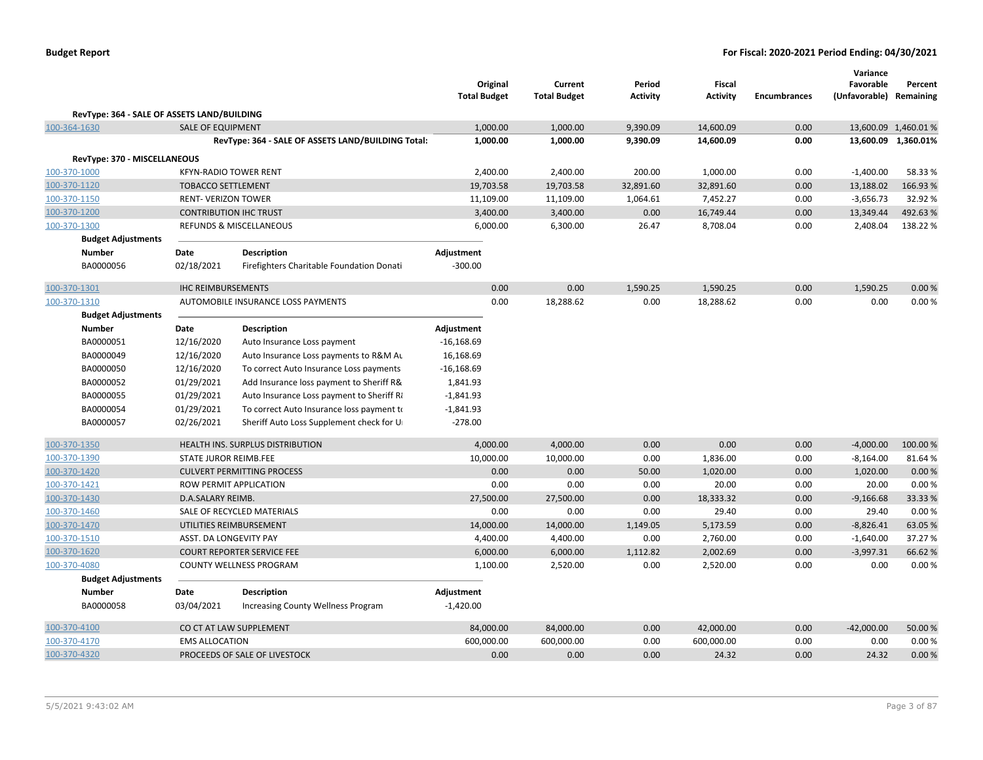|                                             |                              |                                                    | Original<br><b>Total Budget</b> | Current<br><b>Total Budget</b> | Period<br><b>Activity</b> | Fiscal<br><b>Activity</b> | <b>Encumbrances</b> | Variance<br>Favorable<br>(Unfavorable) Remaining | Percent              |
|---------------------------------------------|------------------------------|----------------------------------------------------|---------------------------------|--------------------------------|---------------------------|---------------------------|---------------------|--------------------------------------------------|----------------------|
| RevType: 364 - SALE OF ASSETS LAND/BUILDING |                              |                                                    |                                 |                                |                           |                           |                     |                                                  |                      |
| 100-364-1630                                | <b>SALE OF EQUIPMENT</b>     |                                                    | 1,000.00                        | 1,000.00                       | 9,390.09                  | 14,600.09                 | 0.00                |                                                  | 13,600.09 1,460.01 % |
|                                             |                              | RevType: 364 - SALE OF ASSETS LAND/BUILDING Total: | 1,000.00                        | 1,000.00                       | 9,390.09                  | 14,600.09                 | 0.00                |                                                  | 13,600.09 1,360.01%  |
| RevType: 370 - MISCELLANEOUS                |                              |                                                    |                                 |                                |                           |                           |                     |                                                  |                      |
| 100-370-1000                                |                              | <b>KFYN-RADIO TOWER RENT</b>                       | 2,400.00                        | 2,400.00                       | 200.00                    | 1,000.00                  | 0.00                | $-1,400.00$                                      | 58.33 %              |
| 100-370-1120                                | <b>TOBACCO SETTLEMENT</b>    |                                                    | 19,703.58                       | 19,703.58                      | 32,891.60                 | 32,891.60                 | 0.00                | 13,188.02                                        | 166.93%              |
| 100-370-1150                                | <b>RENT- VERIZON TOWER</b>   |                                                    | 11,109.00                       | 11,109.00                      | 1,064.61                  | 7,452.27                  | 0.00                | $-3,656.73$                                      | 32.92%               |
| 100-370-1200                                |                              | <b>CONTRIBUTION IHC TRUST</b>                      | 3,400.00                        | 3,400.00                       | 0.00                      | 16,749.44                 | 0.00                | 13,349.44                                        | 492.63%              |
| 100-370-1300                                |                              | REFUNDS & MISCELLANEOUS                            | 6,000.00                        | 6,300.00                       | 26.47                     | 8,708.04                  | 0.00                | 2,408.04                                         | 138.22%              |
| <b>Budget Adjustments</b>                   |                              |                                                    |                                 |                                |                           |                           |                     |                                                  |                      |
| <b>Number</b>                               | Date                         | <b>Description</b>                                 | Adjustment                      |                                |                           |                           |                     |                                                  |                      |
| BA0000056                                   | 02/18/2021                   | Firefighters Charitable Foundation Donati          | $-300.00$                       |                                |                           |                           |                     |                                                  |                      |
|                                             |                              |                                                    |                                 |                                |                           |                           |                     |                                                  |                      |
| 100-370-1301                                | <b>IHC REIMBURSEMENTS</b>    |                                                    | 0.00                            | 0.00                           | 1,590.25                  | 1,590.25                  | 0.00                | 1,590.25                                         | 0.00%                |
| 100-370-1310                                |                              | AUTOMOBILE INSURANCE LOSS PAYMENTS                 | 0.00                            | 18,288.62                      | 0.00                      | 18,288.62                 | 0.00                | 0.00                                             | 0.00%                |
| <b>Budget Adjustments</b>                   |                              |                                                    |                                 |                                |                           |                           |                     |                                                  |                      |
| Number                                      | Date                         | <b>Description</b>                                 | Adjustment                      |                                |                           |                           |                     |                                                  |                      |
| BA0000051                                   | 12/16/2020                   | Auto Insurance Loss payment                        | $-16,168.69$                    |                                |                           |                           |                     |                                                  |                      |
| BA0000049                                   | 12/16/2020                   | Auto Insurance Loss payments to R&M Au             | 16,168.69                       |                                |                           |                           |                     |                                                  |                      |
| BA0000050                                   | 12/16/2020                   | To correct Auto Insurance Loss payments            | $-16,168.69$                    |                                |                           |                           |                     |                                                  |                      |
| BA0000052                                   | 01/29/2021                   | Add Insurance loss payment to Sheriff R&           | 1,841.93                        |                                |                           |                           |                     |                                                  |                      |
| BA0000055                                   | 01/29/2021                   | Auto Insurance Loss payment to Sheriff R           | $-1,841.93$                     |                                |                           |                           |                     |                                                  |                      |
| BA0000054                                   | 01/29/2021                   | To correct Auto Insurance loss payment to          | $-1,841.93$                     |                                |                           |                           |                     |                                                  |                      |
| BA0000057                                   | 02/26/2021                   | Sheriff Auto Loss Supplement check for U           | $-278.00$                       |                                |                           |                           |                     |                                                  |                      |
| 100-370-1350                                |                              | <b>HEALTH INS. SURPLUS DISTRIBUTION</b>            | 4,000.00                        | 4,000.00                       | 0.00                      | 0.00                      | 0.00                | $-4,000.00$                                      | 100.00%              |
| 100-370-1390                                | <b>STATE JUROR REIMB.FEE</b> |                                                    | 10,000.00                       | 10,000.00                      | 0.00                      | 1,836.00                  | 0.00                | $-8,164.00$                                      | 81.64%               |
| 100-370-1420                                |                              | <b>CULVERT PERMITTING PROCESS</b>                  | 0.00                            | 0.00                           | 50.00                     | 1,020.00                  | 0.00                | 1,020.00                                         | 0.00%                |
| 100-370-1421                                |                              | ROW PERMIT APPLICATION                             | 0.00                            | 0.00                           | 0.00                      | 20.00                     | 0.00                | 20.00                                            | 0.00%                |
| 100-370-1430                                | D.A.SALARY REIMB.            |                                                    | 27,500.00                       | 27,500.00                      | 0.00                      | 18,333.32                 | 0.00                | $-9,166.68$                                      | 33.33%               |
| 100-370-1460                                |                              | SALE OF RECYCLED MATERIALS                         | 0.00                            | 0.00                           | 0.00                      | 29.40                     | 0.00                | 29.40                                            | 0.00%                |
| 100-370-1470                                |                              | UTILITIES REIMBURSEMENT                            | 14,000.00                       | 14,000.00                      | 1,149.05                  | 5,173.59                  | 0.00                | $-8,826.41$                                      | 63.05%               |
| 100-370-1510                                | ASST. DA LONGEVITY PAY       |                                                    | 4,400.00                        | 4,400.00                       | 0.00                      | 2,760.00                  | 0.00                | $-1,640.00$                                      | 37.27 %              |
| 100-370-1620                                |                              | <b>COURT REPORTER SERVICE FEE</b>                  | 6,000.00                        | 6,000.00                       | 1,112.82                  | 2,002.69                  | 0.00                | $-3,997.31$                                      | 66.62%               |
| 100-370-4080                                |                              | <b>COUNTY WELLNESS PROGRAM</b>                     | 1,100.00                        | 2,520.00                       | 0.00                      | 2,520.00                  | 0.00                | 0.00                                             | 0.00%                |
| <b>Budget Adjustments</b>                   |                              |                                                    |                                 |                                |                           |                           |                     |                                                  |                      |
| Number                                      | Date                         | Description                                        | Adjustment                      |                                |                           |                           |                     |                                                  |                      |
| BA0000058                                   | 03/04/2021                   | Increasing County Wellness Program                 | $-1,420.00$                     |                                |                           |                           |                     |                                                  |                      |
| 100-370-4100                                |                              | CO CT AT LAW SUPPLEMENT                            | 84,000.00                       | 84,000.00                      | 0.00                      | 42,000.00                 | 0.00                | $-42,000.00$                                     | 50.00 %              |
| 100-370-4170                                | <b>EMS ALLOCATION</b>        |                                                    | 600,000.00                      | 600,000.00                     | 0.00                      | 600,000.00                | 0.00                | 0.00                                             | 0.00%                |
| 100-370-4320                                |                              | PROCEEDS OF SALE OF LIVESTOCK                      | 0.00                            | 0.00                           | 0.00                      | 24.32                     | 0.00                | 24.32                                            | 0.00%                |
|                                             |                              |                                                    |                                 |                                |                           |                           |                     |                                                  |                      |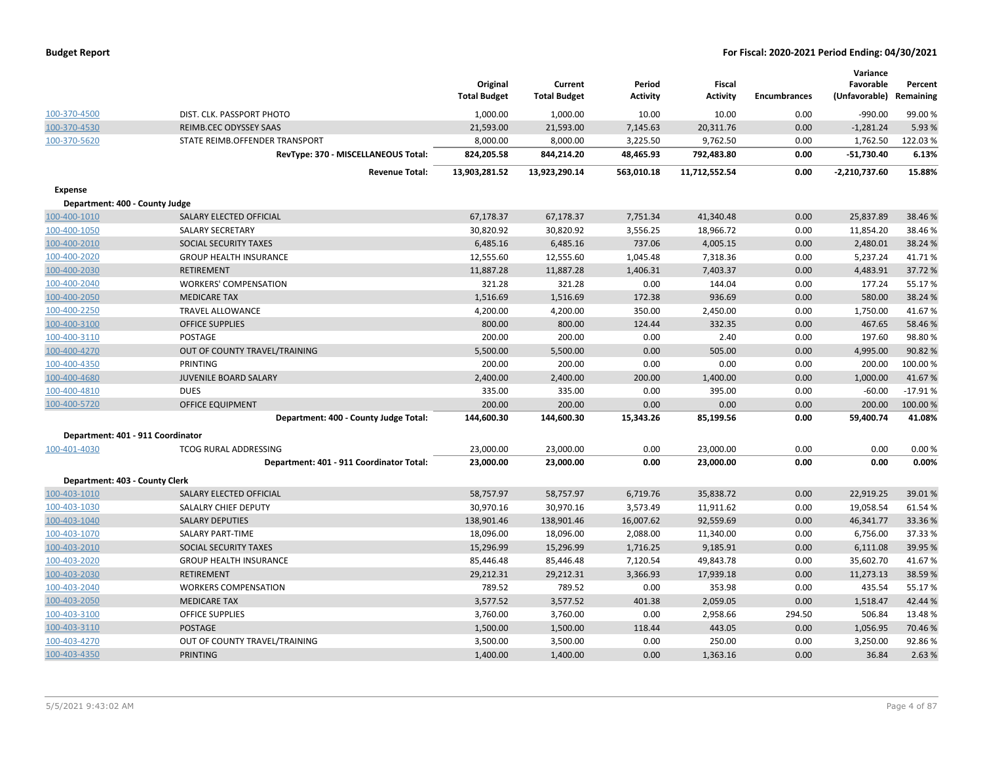| <b>Budget Report</b> |  |
|----------------------|--|
|----------------------|--|

|                                   |                                          | Original<br><b>Total Budget</b> | Current<br><b>Total Budget</b> | Period<br><b>Activity</b> | <b>Fiscal</b><br>Activity | <b>Encumbrances</b> | Variance<br>Favorable<br>(Unfavorable) | Percent<br>Remaining |
|-----------------------------------|------------------------------------------|---------------------------------|--------------------------------|---------------------------|---------------------------|---------------------|----------------------------------------|----------------------|
| 100-370-4500                      | DIST. CLK. PASSPORT PHOTO                | 1,000.00                        | 1,000.00                       | 10.00                     | 10.00                     | 0.00                | $-990.00$                              | 99.00%               |
| 100-370-4530                      | REIMB.CEC ODYSSEY SAAS                   | 21,593.00                       | 21,593.00                      | 7,145.63                  | 20,311.76                 | 0.00                | $-1,281.24$                            | 5.93%                |
| 100-370-5620                      | STATE REIMB.OFFENDER TRANSPORT           | 8,000.00                        | 8,000.00                       | 3,225.50                  | 9,762.50                  | 0.00                | 1,762.50                               | 122.03%              |
|                                   | RevType: 370 - MISCELLANEOUS Total:      | 824,205.58                      | 844,214.20                     | 48,465.93                 | 792,483.80                | 0.00                | $-51,730.40$                           | 6.13%                |
|                                   | <b>Revenue Total:</b>                    | 13,903,281.52                   | 13,923,290.14                  | 563,010.18                | 11,712,552.54             | 0.00                | $-2,210,737.60$                        | 15.88%               |
| <b>Expense</b>                    |                                          |                                 |                                |                           |                           |                     |                                        |                      |
| Department: 400 - County Judge    |                                          |                                 |                                |                           |                           |                     |                                        |                      |
| 100-400-1010                      | SALARY ELECTED OFFICIAL                  | 67,178.37                       | 67,178.37                      | 7,751.34                  | 41,340.48                 | 0.00                | 25,837.89                              | 38.46%               |
| 100-400-1050                      | <b>SALARY SECRETARY</b>                  | 30,820.92                       | 30,820.92                      | 3,556.25                  | 18,966.72                 | 0.00                | 11,854.20                              | 38.46%               |
| 100-400-2010                      | SOCIAL SECURITY TAXES                    | 6,485.16                        | 6,485.16                       | 737.06                    | 4,005.15                  | 0.00                | 2,480.01                               | 38.24 %              |
| 100-400-2020                      | <b>GROUP HEALTH INSURANCE</b>            | 12,555.60                       | 12,555.60                      | 1,045.48                  | 7,318.36                  | 0.00                | 5,237.24                               | 41.71%               |
| 100-400-2030                      | <b>RETIREMENT</b>                        | 11,887.28                       | 11,887.28                      | 1,406.31                  | 7,403.37                  | 0.00                | 4,483.91                               | 37.72%               |
| 100-400-2040                      | <b>WORKERS' COMPENSATION</b>             | 321.28                          | 321.28                         | 0.00                      | 144.04                    | 0.00                | 177.24                                 | 55.17%               |
| 100-400-2050                      | <b>MEDICARE TAX</b>                      | 1,516.69                        | 1,516.69                       | 172.38                    | 936.69                    | 0.00                | 580.00                                 | 38.24 %              |
| 100-400-2250                      | <b>TRAVEL ALLOWANCE</b>                  | 4,200.00                        | 4,200.00                       | 350.00                    | 2,450.00                  | 0.00                | 1,750.00                               | 41.67%               |
| 100-400-3100                      | <b>OFFICE SUPPLIES</b>                   | 800.00                          | 800.00                         | 124.44                    | 332.35                    | 0.00                | 467.65                                 | 58.46%               |
| 100-400-3110                      | POSTAGE                                  | 200.00                          | 200.00                         | 0.00                      | 2.40                      | 0.00                | 197.60                                 | 98.80%               |
| 100-400-4270                      | OUT OF COUNTY TRAVEL/TRAINING            | 5,500.00                        | 5,500.00                       | 0.00                      | 505.00                    | 0.00                | 4,995.00                               | 90.82%               |
| 100-400-4350                      | <b>PRINTING</b>                          | 200.00                          | 200.00                         | 0.00                      | 0.00                      | 0.00                | 200.00                                 | 100.00%              |
| 100-400-4680                      | <b>JUVENILE BOARD SALARY</b>             | 2,400.00                        | 2,400.00                       | 200.00                    | 1,400.00                  | 0.00                | 1,000.00                               | 41.67%               |
| 100-400-4810                      | <b>DUES</b>                              | 335.00                          | 335.00                         | 0.00                      | 395.00                    | 0.00                | $-60.00$                               | $-17.91%$            |
| 100-400-5720                      | <b>OFFICE EQUIPMENT</b>                  | 200.00                          | 200.00                         | 0.00                      | 0.00                      | 0.00                | 200.00                                 | 100.00%              |
|                                   | Department: 400 - County Judge Total:    | 144,600.30                      | 144,600.30                     | 15,343.26                 | 85,199.56                 | 0.00                | 59,400.74                              | 41.08%               |
| Department: 401 - 911 Coordinator |                                          |                                 |                                |                           |                           |                     |                                        |                      |
| 100-401-4030                      | <b>TCOG RURAL ADDRESSING</b>             | 23,000.00                       | 23,000.00                      | 0.00                      | 23,000.00                 | 0.00                | 0.00                                   | 0.00%                |
|                                   | Department: 401 - 911 Coordinator Total: | 23,000.00                       | 23,000.00                      | 0.00                      | 23,000.00                 | 0.00                | 0.00                                   | 0.00%                |
| Department: 403 - County Clerk    |                                          |                                 |                                |                           |                           |                     |                                        |                      |
| 100-403-1010                      | SALARY ELECTED OFFICIAL                  | 58,757.97                       | 58,757.97                      | 6,719.76                  | 35,838.72                 | 0.00                | 22,919.25                              | 39.01%               |
| 100-403-1030                      | <b>SALALRY CHIEF DEPUTY</b>              | 30,970.16                       | 30,970.16                      | 3,573.49                  | 11,911.62                 | 0.00                | 19,058.54                              | 61.54%               |
| 100-403-1040                      | <b>SALARY DEPUTIES</b>                   | 138,901.46                      | 138,901.46                     | 16,007.62                 | 92,559.69                 | 0.00                | 46,341.77                              | 33.36%               |
| 100-403-1070                      | SALARY PART-TIME                         | 18,096.00                       | 18,096.00                      | 2,088.00                  | 11,340.00                 | 0.00                | 6,756.00                               | 37.33 %              |
| 100-403-2010                      | SOCIAL SECURITY TAXES                    | 15,296.99                       | 15,296.99                      | 1,716.25                  | 9,185.91                  | 0.00                | 6,111.08                               | 39.95 %              |
| 100-403-2020                      | <b>GROUP HEALTH INSURANCE</b>            | 85,446.48                       | 85,446.48                      | 7,120.54                  | 49,843.78                 | 0.00                | 35,602.70                              | 41.67%               |
| 100-403-2030                      | <b>RETIREMENT</b>                        | 29,212.31                       | 29,212.31                      | 3,366.93                  | 17,939.18                 | 0.00                | 11,273.13                              | 38.59%               |
| 100-403-2040                      | <b>WORKERS COMPENSATION</b>              | 789.52                          | 789.52                         | 0.00                      | 353.98                    | 0.00                | 435.54                                 | 55.17%               |
| 100-403-2050                      | <b>MEDICARE TAX</b>                      | 3,577.52                        | 3,577.52                       | 401.38                    | 2,059.05                  | 0.00                | 1,518.47                               | 42.44 %              |
| 100-403-3100                      | <b>OFFICE SUPPLIES</b>                   | 3,760.00                        | 3,760.00                       | 0.00                      | 2,958.66                  | 294.50              | 506.84                                 | 13.48%               |
| 100-403-3110                      | <b>POSTAGE</b>                           | 1,500.00                        | 1,500.00                       | 118.44                    | 443.05                    | 0.00                | 1,056.95                               | 70.46%               |
| 100-403-4270                      | OUT OF COUNTY TRAVEL/TRAINING            | 3,500.00                        | 3,500.00                       | 0.00                      | 250.00                    | 0.00                | 3,250.00                               | 92.86%               |
| 100-403-4350                      | <b>PRINTING</b>                          | 1,400.00                        | 1,400.00                       | 0.00                      | 1,363.16                  | 0.00                | 36.84                                  | 2.63%                |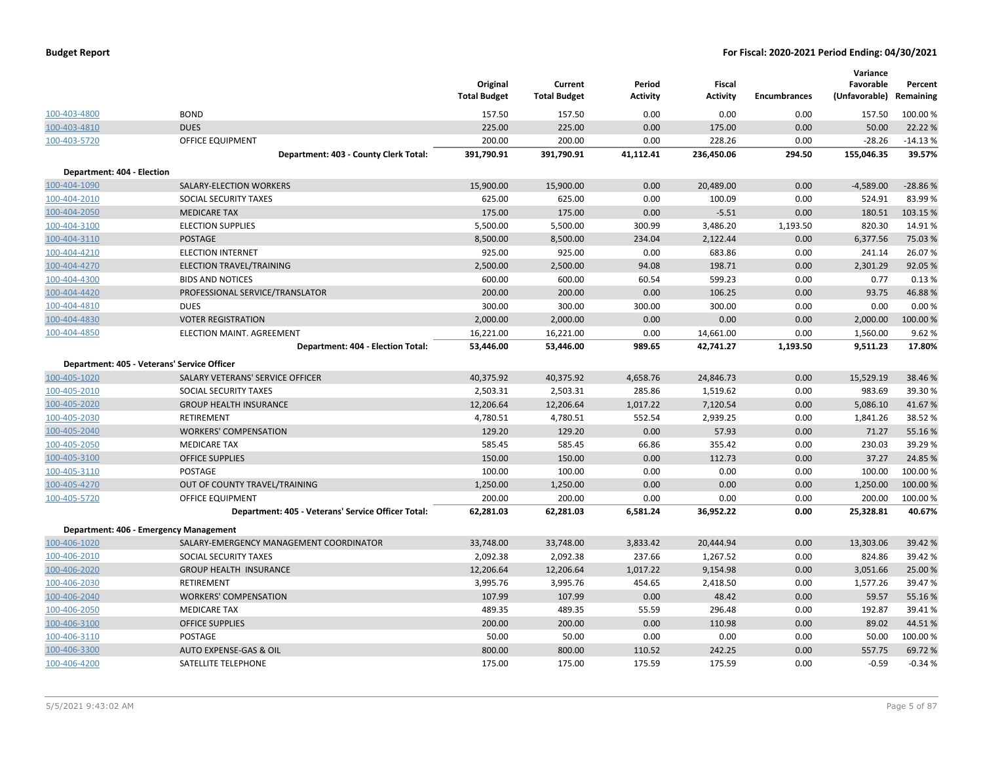| <b>Budget Report</b> |  |
|----------------------|--|
|----------------------|--|

|                            |                                                    | Original<br><b>Total Budget</b> | Current<br><b>Total Budget</b> | Period<br><b>Activity</b> | <b>Fiscal</b><br><b>Activity</b> | <b>Encumbrances</b> | Variance<br>Favorable<br>(Unfavorable) | Percent<br>Remaining |
|----------------------------|----------------------------------------------------|---------------------------------|--------------------------------|---------------------------|----------------------------------|---------------------|----------------------------------------|----------------------|
| 100-403-4800               | <b>BOND</b>                                        | 157.50                          | 157.50                         | 0.00                      | 0.00                             | 0.00                | 157.50                                 | 100.00%              |
| 100-403-4810               | <b>DUES</b>                                        | 225.00                          | 225.00                         | 0.00                      | 175.00                           | 0.00                | 50.00                                  | 22.22 %              |
| 100-403-5720               | <b>OFFICE EQUIPMENT</b>                            | 200.00                          | 200.00                         | 0.00                      | 228.26                           | 0.00                | $-28.26$                               | $-14.13%$            |
|                            | Department: 403 - County Clerk Total:              | 391,790.91                      | 391,790.91                     | 41,112.41                 | 236,450.06                       | 294.50              | 155,046.35                             | 39.57%               |
| Department: 404 - Election |                                                    |                                 |                                |                           |                                  |                     |                                        |                      |
| 100-404-1090               | SALARY-ELECTION WORKERS                            | 15,900.00                       | 15,900.00                      | 0.00                      | 20,489.00                        | 0.00                | $-4,589.00$                            | $-28.86%$            |
| 100-404-2010               | SOCIAL SECURITY TAXES                              | 625.00                          | 625.00                         | 0.00                      | 100.09                           | 0.00                | 524.91                                 | 83.99%               |
| 100-404-2050               | <b>MEDICARE TAX</b>                                | 175.00                          | 175.00                         | 0.00                      | $-5.51$                          | 0.00                | 180.51                                 | 103.15 %             |
| 100-404-3100               | <b>ELECTION SUPPLIES</b>                           | 5,500.00                        | 5,500.00                       | 300.99                    | 3,486.20                         | 1,193.50            | 820.30                                 | 14.91%               |
| 100-404-3110               | <b>POSTAGE</b>                                     | 8,500.00                        | 8,500.00                       | 234.04                    | 2,122.44                         | 0.00                | 6,377.56                               | 75.03 %              |
| 100-404-4210               | <b>ELECTION INTERNET</b>                           | 925.00                          | 925.00                         | 0.00                      | 683.86                           | 0.00                | 241.14                                 | 26.07%               |
| 100-404-4270               | ELECTION TRAVEL/TRAINING                           | 2,500.00                        | 2,500.00                       | 94.08                     | 198.71                           | 0.00                | 2,301.29                               | 92.05 %              |
| 100-404-4300               | <b>BIDS AND NOTICES</b>                            | 600.00                          | 600.00                         | 60.54                     | 599.23                           | 0.00                | 0.77                                   | 0.13%                |
| 100-404-4420               | PROFESSIONAL SERVICE/TRANSLATOR                    | 200.00                          | 200.00                         | 0.00                      | 106.25                           | 0.00                | 93.75                                  | 46.88%               |
| 100-404-4810               | <b>DUES</b>                                        | 300.00                          | 300.00                         | 300.00                    | 300.00                           | 0.00                | 0.00                                   | 0.00%                |
| 100-404-4830               | <b>VOTER REGISTRATION</b>                          | 2,000.00                        | 2,000.00                       | 0.00                      | 0.00                             | 0.00                | 2,000.00                               | 100.00%              |
| 100-404-4850               | ELECTION MAINT. AGREEMENT                          | 16,221.00                       | 16,221.00                      | 0.00                      | 14,661.00                        | 0.00                | 1,560.00                               | 9.62%                |
|                            | Department: 404 - Election Total:                  | 53,446.00                       | 53,446.00                      | 989.65                    | 42,741.27                        | 1,193.50            | 9,511.23                               | 17.80%               |
|                            |                                                    |                                 |                                |                           |                                  |                     |                                        |                      |
|                            | Department: 405 - Veterans' Service Officer        |                                 |                                |                           |                                  |                     |                                        |                      |
| 100-405-1020               | SALARY VETERANS' SERVICE OFFICER                   | 40,375.92                       | 40,375.92                      | 4,658.76                  | 24,846.73                        | 0.00                | 15,529.19                              | 38.46 %              |
| 100-405-2010               | SOCIAL SECURITY TAXES                              | 2,503.31                        | 2,503.31                       | 285.86                    | 1,519.62                         | 0.00                | 983.69                                 | 39.30%               |
| 100-405-2020               | <b>GROUP HEALTH INSURANCE</b>                      | 12,206.64                       | 12,206.64                      | 1,017.22                  | 7,120.54                         | 0.00                | 5,086.10                               | 41.67%               |
| 100-405-2030               | RETIREMENT                                         | 4,780.51                        | 4,780.51                       | 552.54                    | 2,939.25                         | 0.00                | 1,841.26                               | 38.52 %              |
| 100-405-2040               | <b>WORKERS' COMPENSATION</b>                       | 129.20                          | 129.20                         | 0.00                      | 57.93                            | 0.00                | 71.27                                  | 55.16%               |
| 100-405-2050               | <b>MEDICARE TAX</b>                                | 585.45                          | 585.45                         | 66.86                     | 355.42                           | 0.00                | 230.03                                 | 39.29 %              |
| 100-405-3100               | <b>OFFICE SUPPLIES</b>                             | 150.00                          | 150.00                         | 0.00                      | 112.73                           | 0.00                | 37.27                                  | 24.85 %              |
| 100-405-3110               | POSTAGE                                            | 100.00                          | 100.00                         | 0.00                      | 0.00                             | 0.00                | 100.00                                 | 100.00%              |
| 100-405-4270               | OUT OF COUNTY TRAVEL/TRAINING                      | 1,250.00                        | 1,250.00                       | 0.00                      | 0.00                             | 0.00                | 1,250.00                               | 100.00%              |
| 100-405-5720               | OFFICE EQUIPMENT                                   | 200.00                          | 200.00                         | 0.00                      | 0.00                             | 0.00                | 200.00                                 | 100.00%              |
|                            | Department: 405 - Veterans' Service Officer Total: | 62,281.03                       | 62,281.03                      | 6,581.24                  | 36,952.22                        | 0.00                | 25,328.81                              | 40.67%               |
|                            | Department: 406 - Emergency Management             |                                 |                                |                           |                                  |                     |                                        |                      |
| 100-406-1020               | SALARY-EMERGENCY MANAGEMENT COORDINATOR            | 33,748.00                       | 33,748.00                      | 3,833.42                  | 20,444.94                        | 0.00                | 13,303.06                              | 39.42 %              |
| 100-406-2010               | SOCIAL SECURITY TAXES                              | 2,092.38                        | 2,092.38                       | 237.66                    | 1,267.52                         | 0.00                | 824.86                                 | 39.42 %              |
| 100-406-2020               | <b>GROUP HEALTH INSURANCE</b>                      | 12,206.64                       | 12,206.64                      | 1,017.22                  | 9,154.98                         | 0.00                | 3,051.66                               | 25.00 %              |
| 100-406-2030               | <b>RETIREMENT</b>                                  | 3,995.76                        | 3,995.76                       | 454.65                    | 2,418.50                         | 0.00                | 1,577.26                               | 39.47%               |
| 100-406-2040               | <b>WORKERS' COMPENSATION</b>                       | 107.99                          | 107.99                         | 0.00                      | 48.42                            | 0.00                | 59.57                                  | 55.16%               |
| 100-406-2050               | <b>MEDICARE TAX</b>                                | 489.35                          | 489.35                         | 55.59                     | 296.48                           | 0.00                | 192.87                                 | 39.41%               |
| 100-406-3100               | <b>OFFICE SUPPLIES</b>                             | 200.00                          | 200.00                         | 0.00                      | 110.98                           | 0.00                | 89.02                                  | 44.51%               |
| 100-406-3110               | POSTAGE                                            | 50.00                           | 50.00                          | 0.00                      | 0.00                             | 0.00                | 50.00                                  | 100.00%              |
| 100-406-3300               | AUTO EXPENSE-GAS & OIL                             | 800.00                          | 800.00                         | 110.52                    | 242.25                           | 0.00                | 557.75                                 | 69.72%               |
| 100-406-4200               | SATELLITE TELEPHONE                                | 175.00                          | 175.00                         | 175.59                    | 175.59                           | 0.00                | $-0.59$                                | $-0.34%$             |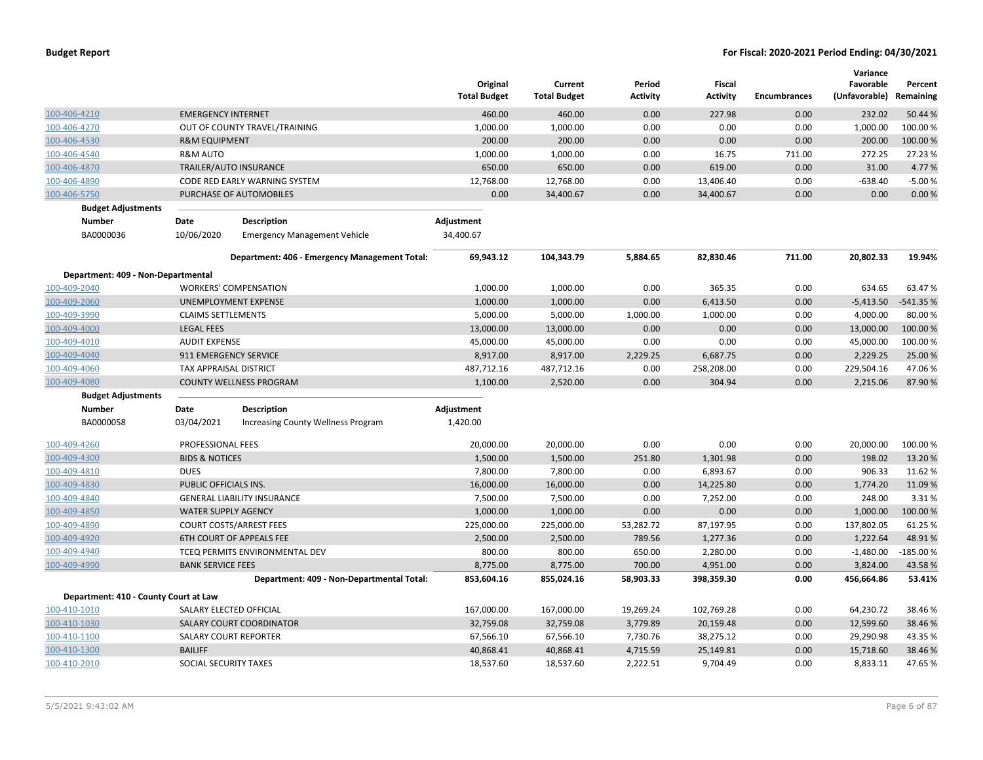|                                       |                            |                                               | Original<br><b>Total Budget</b> | Current<br><b>Total Budget</b> | Period<br><b>Activity</b> | Fiscal<br><b>Activity</b> | <b>Encumbrances</b> | Variance<br>Favorable<br>(Unfavorable) Remaining | Percent    |
|---------------------------------------|----------------------------|-----------------------------------------------|---------------------------------|--------------------------------|---------------------------|---------------------------|---------------------|--------------------------------------------------|------------|
| 100-406-4210                          | <b>EMERGENCY INTERNET</b>  |                                               | 460.00                          | 460.00                         | 0.00                      | 227.98                    | 0.00                | 232.02                                           | 50.44 %    |
| 100-406-4270                          |                            | OUT OF COUNTY TRAVEL/TRAINING                 | 1,000.00                        | 1,000.00                       | 0.00                      | 0.00                      | 0.00                | 1,000.00                                         | 100.00%    |
| 100-406-4530                          | <b>R&amp;M EQUIPMENT</b>   |                                               | 200.00                          | 200.00                         | 0.00                      | 0.00                      | 0.00                | 200.00                                           | 100.00%    |
| 100-406-4540                          | R&M AUTO                   |                                               | 1,000.00                        | 1,000.00                       | 0.00                      | 16.75                     | 711.00              | 272.25                                           | 27.23 %    |
| 100-406-4870                          |                            | TRAILER/AUTO INSURANCE                        | 650.00                          | 650.00                         | 0.00                      | 619.00                    | 0.00                | 31.00                                            | 4.77%      |
| 100-406-4890                          |                            | CODE RED EARLY WARNING SYSTEM                 | 12,768.00                       | 12,768.00                      | 0.00                      | 13,406.40                 | 0.00                | $-638.40$                                        | $-5.00%$   |
| 100-406-5750                          |                            | PURCHASE OF AUTOMOBILES                       | 0.00                            | 34,400.67                      | 0.00                      | 34,400.67                 | 0.00                | 0.00                                             | 0.00%      |
| <b>Budget Adjustments</b>             |                            |                                               |                                 |                                |                           |                           |                     |                                                  |            |
| <b>Number</b>                         | Date                       | <b>Description</b>                            | Adjustment                      |                                |                           |                           |                     |                                                  |            |
| BA0000036                             | 10/06/2020                 | <b>Emergency Management Vehicle</b>           | 34,400.67                       |                                |                           |                           |                     |                                                  |            |
|                                       |                            | Department: 406 - Emergency Management Total: | 69,943.12                       | 104,343.79                     | 5,884.65                  | 82,830.46                 | 711.00              | 20,802.33                                        | 19.94%     |
| Department: 409 - Non-Departmental    |                            |                                               |                                 |                                |                           |                           |                     |                                                  |            |
| 100-409-2040                          |                            | <b>WORKERS' COMPENSATION</b>                  | 1,000.00                        | 1,000.00                       | 0.00                      | 365.35                    | 0.00                | 634.65                                           | 63.47%     |
| 100-409-2060                          |                            | <b>UNEMPLOYMENT EXPENSE</b>                   | 1,000.00                        | 1,000.00                       | 0.00                      | 6,413.50                  | 0.00                | $-5,413.50$                                      | $-541.35%$ |
| 100-409-3990                          | <b>CLAIMS SETTLEMENTS</b>  |                                               | 5,000.00                        | 5,000.00                       | 1,000.00                  | 1,000.00                  | 0.00                | 4,000.00                                         | 80.00 %    |
| 100-409-4000                          | <b>LEGAL FEES</b>          |                                               | 13,000.00                       | 13,000.00                      | 0.00                      | 0.00                      | 0.00                | 13,000.00                                        | 100.00%    |
| 100-409-4010                          | <b>AUDIT EXPENSE</b>       |                                               | 45,000.00                       | 45,000.00                      | 0.00                      | 0.00                      | 0.00                | 45,000.00                                        | 100.00%    |
| 100-409-4040                          | 911 EMERGENCY SERVICE      |                                               | 8,917.00                        | 8,917.00                       | 2,229.25                  | 6,687.75                  | 0.00                | 2,229.25                                         | 25.00 %    |
| 100-409-4060                          | TAX APPRAISAL DISTRICT     |                                               | 487,712.16                      | 487,712.16                     | 0.00                      | 258,208.00                | 0.00                | 229,504.16                                       | 47.06%     |
| 100-409-4080                          |                            | <b>COUNTY WELLNESS PROGRAM</b>                | 1,100.00                        | 2,520.00                       | 0.00                      | 304.94                    | 0.00                | 2,215.06                                         | 87.90%     |
| <b>Budget Adjustments</b>             |                            |                                               |                                 |                                |                           |                           |                     |                                                  |            |
| <b>Number</b>                         | Date                       | Description                                   | Adjustment                      |                                |                           |                           |                     |                                                  |            |
| BA0000058                             | 03/04/2021                 | <b>Increasing County Wellness Program</b>     | 1,420.00                        |                                |                           |                           |                     |                                                  |            |
| 100-409-4260                          | PROFESSIONAL FEES          |                                               | 20,000.00                       | 20,000.00                      | 0.00                      | 0.00                      | 0.00                | 20,000.00                                        | 100.00 %   |
| 100-409-4300                          | <b>BIDS &amp; NOTICES</b>  |                                               | 1,500.00                        | 1,500.00                       | 251.80                    | 1,301.98                  | 0.00                | 198.02                                           | 13.20%     |
| 100-409-4810                          | <b>DUES</b>                |                                               | 7,800.00                        | 7,800.00                       | 0.00                      | 6,893.67                  | 0.00                | 906.33                                           | 11.62%     |
| 100-409-4830                          | PUBLIC OFFICIALS INS.      |                                               | 16,000.00                       | 16,000.00                      | 0.00                      | 14,225.80                 | 0.00                | 1,774.20                                         | 11.09%     |
| 100-409-4840                          |                            | <b>GENERAL LIABILITY INSURANCE</b>            | 7,500.00                        | 7,500.00                       | 0.00                      | 7,252.00                  | 0.00                | 248.00                                           | 3.31%      |
| 100-409-4850                          | <b>WATER SUPPLY AGENCY</b> |                                               | 1,000.00                        | 1,000.00                       | 0.00                      | 0.00                      | 0.00                | 1,000.00                                         | 100.00%    |
| 100-409-4890                          |                            | <b>COURT COSTS/ARREST FEES</b>                | 225,000.00                      | 225,000.00                     | 53,282.72                 | 87,197.95                 | 0.00                | 137,802.05                                       | 61.25%     |
| 100-409-4920                          |                            | <b>6TH COURT OF APPEALS FEE</b>               | 2,500.00                        | 2,500.00                       | 789.56                    | 1,277.36                  | 0.00                | 1,222.64                                         | 48.91%     |
| 100-409-4940                          |                            | TCEQ PERMITS ENVIRONMENTAL DEV                | 800.00                          | 800.00                         | 650.00                    | 2,280.00                  | 0.00                | $-1,480.00$                                      | $-185.00%$ |
| 100-409-4990                          | <b>BANK SERVICE FEES</b>   |                                               | 8,775.00                        | 8,775.00                       | 700.00                    | 4,951.00                  | 0.00                | 3,824.00                                         | 43.58%     |
|                                       |                            | Department: 409 - Non-Departmental Total:     | 853,604.16                      | 855,024.16                     | 58,903.33                 | 398,359.30                | 0.00                | 456,664.86                                       | 53.41%     |
| Department: 410 - County Court at Law |                            |                                               |                                 |                                |                           |                           |                     |                                                  |            |
| 100-410-1010                          |                            | SALARY ELECTED OFFICIAL                       | 167,000.00                      | 167,000.00                     | 19,269.24                 | 102,769.28                | 0.00                | 64,230.72                                        | 38.46%     |
| 100-410-1030                          |                            | SALARY COURT COORDINATOR                      | 32,759.08                       | 32,759.08                      | 3,779.89                  | 20,159.48                 | 0.00                | 12,599.60                                        | 38.46%     |
| 100-410-1100                          |                            | SALARY COURT REPORTER                         | 67,566.10                       | 67,566.10                      | 7,730.76                  | 38,275.12                 | 0.00                | 29,290.98                                        | 43.35 %    |
| 100-410-1300                          | <b>BAILIFF</b>             |                                               | 40,868.41                       | 40,868.41                      | 4,715.59                  | 25,149.81                 | 0.00                | 15,718.60                                        | 38.46%     |
| 100-410-2010                          | SOCIAL SECURITY TAXES      |                                               | 18,537.60                       | 18,537.60                      | 2,222.51                  | 9,704.49                  | 0.00                | 8,833.11                                         | 47.65%     |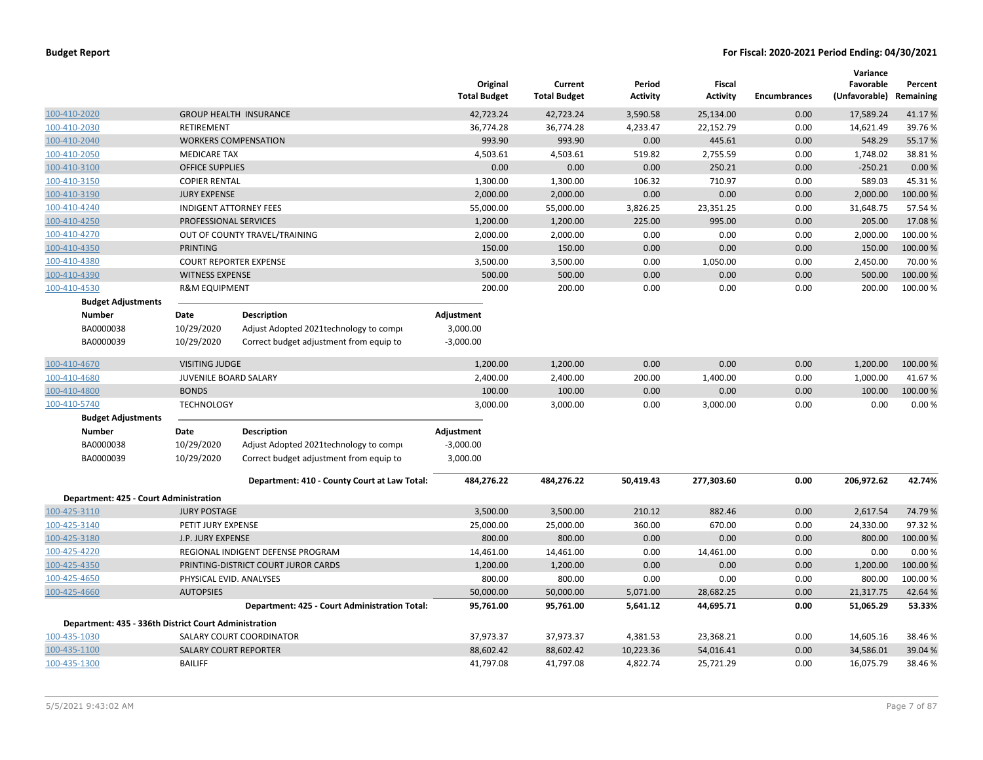|                                                       |                              |                                               | Original<br><b>Total Budget</b> | Current<br><b>Total Budget</b> | Period<br><b>Activity</b> | <b>Fiscal</b><br><b>Activity</b> | <b>Encumbrances</b> | Variance<br>Favorable<br>(Unfavorable) Remaining | Percent  |
|-------------------------------------------------------|------------------------------|-----------------------------------------------|---------------------------------|--------------------------------|---------------------------|----------------------------------|---------------------|--------------------------------------------------|----------|
| 100-410-2020                                          |                              | <b>GROUP HEALTH INSURANCE</b>                 | 42,723.24                       | 42,723.24                      | 3,590.58                  | 25,134.00                        | 0.00                | 17,589.24                                        | 41.17%   |
| 100-410-2030                                          | <b>RETIREMENT</b>            |                                               | 36,774.28                       | 36,774.28                      | 4,233.47                  | 22,152.79                        | 0.00                | 14,621.49                                        | 39.76%   |
| 100-410-2040                                          |                              | <b>WORKERS COMPENSATION</b>                   | 993.90                          | 993.90                         | 0.00                      | 445.61                           | 0.00                | 548.29                                           | 55.17%   |
| 100-410-2050                                          | <b>MEDICARE TAX</b>          |                                               | 4,503.61                        | 4,503.61                       | 519.82                    | 2,755.59                         | 0.00                | 1,748.02                                         | 38.81%   |
| 100-410-3100                                          | <b>OFFICE SUPPLIES</b>       |                                               | 0.00                            | 0.00                           | 0.00                      | 250.21                           | 0.00                | $-250.21$                                        | 0.00%    |
| 100-410-3150                                          | <b>COPIER RENTAL</b>         |                                               | 1,300.00                        | 1,300.00                       | 106.32                    | 710.97                           | 0.00                | 589.03                                           | 45.31%   |
| 100-410-3190                                          | <b>JURY EXPENSE</b>          |                                               | 2,000.00                        | 2,000.00                       | 0.00                      | 0.00                             | 0.00                | 2,000.00                                         | 100.00%  |
| 100-410-4240                                          |                              | <b>INDIGENT ATTORNEY FEES</b>                 | 55,000.00                       | 55,000.00                      | 3,826.25                  | 23,351.25                        | 0.00                | 31,648.75                                        | 57.54%   |
| 100-410-4250                                          | PROFESSIONAL SERVICES        |                                               | 1,200.00                        | 1,200.00                       | 225.00                    | 995.00                           | 0.00                | 205.00                                           | 17.08%   |
| 100-410-4270                                          |                              | OUT OF COUNTY TRAVEL/TRAINING                 | 2,000.00                        | 2,000.00                       | 0.00                      | 0.00                             | 0.00                | 2,000.00                                         | 100.00%  |
| 100-410-4350                                          | <b>PRINTING</b>              |                                               | 150.00                          | 150.00                         | 0.00                      | 0.00                             | 0.00                | 150.00                                           | 100.00%  |
| 100-410-4380                                          |                              | <b>COURT REPORTER EXPENSE</b>                 | 3,500.00                        | 3,500.00                       | 0.00                      | 1,050.00                         | 0.00                | 2,450.00                                         | 70.00%   |
| 100-410-4390                                          | <b>WITNESS EXPENSE</b>       |                                               | 500.00                          | 500.00                         | 0.00                      | 0.00                             | 0.00                | 500.00                                           | 100.00 % |
| 100-410-4530                                          | <b>R&amp;M EQUIPMENT</b>     |                                               | 200.00                          | 200.00                         | 0.00                      | 0.00                             | 0.00                | 200.00                                           | 100.00 % |
| <b>Budget Adjustments</b>                             |                              |                                               |                                 |                                |                           |                                  |                     |                                                  |          |
| Number                                                | Date                         | <b>Description</b>                            | Adjustment                      |                                |                           |                                  |                     |                                                  |          |
| BA0000038                                             | 10/29/2020                   | Adjust Adopted 2021technology to compi        | 3,000.00                        |                                |                           |                                  |                     |                                                  |          |
| BA0000039                                             | 10/29/2020                   | Correct budget adjustment from equip to       | $-3,000.00$                     |                                |                           |                                  |                     |                                                  |          |
| 100-410-4670                                          | <b>VISITING JUDGE</b>        |                                               | 1,200.00                        | 1,200.00                       | 0.00                      | 0.00                             | 0.00                | 1,200.00                                         | 100.00%  |
| 100-410-4680                                          | JUVENILE BOARD SALARY        |                                               | 2,400.00                        | 2,400.00                       | 200.00                    | 1,400.00                         | 0.00                | 1,000.00                                         | 41.67%   |
| 100-410-4800                                          | <b>BONDS</b>                 |                                               | 100.00                          | 100.00                         | 0.00                      | 0.00                             | 0.00                | 100.00                                           | 100.00%  |
| 100-410-5740                                          | <b>TECHNOLOGY</b>            |                                               | 3,000.00                        | 3,000.00                       | 0.00                      | 3,000.00                         | 0.00                | 0.00                                             | 0.00%    |
| <b>Budget Adjustments</b>                             |                              |                                               |                                 |                                |                           |                                  |                     |                                                  |          |
| <b>Number</b>                                         | Date                         | <b>Description</b>                            | Adjustment                      |                                |                           |                                  |                     |                                                  |          |
| BA0000038                                             | 10/29/2020                   | Adjust Adopted 2021technology to compi        | $-3,000.00$                     |                                |                           |                                  |                     |                                                  |          |
| BA0000039                                             | 10/29/2020                   | Correct budget adjustment from equip to       | 3,000.00                        |                                |                           |                                  |                     |                                                  |          |
|                                                       |                              | Department: 410 - County Court at Law Total:  | 484,276.22                      | 484,276.22                     | 50,419.43                 | 277,303.60                       | 0.00                | 206,972.62                                       | 42.74%   |
| Department: 425 - Court Administration                |                              |                                               |                                 |                                |                           |                                  |                     |                                                  |          |
| 100-425-3110                                          | <b>JURY POSTAGE</b>          |                                               | 3,500.00                        | 3,500.00                       | 210.12                    | 882.46                           | 0.00                | 2,617.54                                         | 74.79%   |
| 100-425-3140                                          | PETIT JURY EXPENSE           |                                               | 25,000.00                       | 25,000.00                      | 360.00                    | 670.00                           | 0.00                | 24,330.00                                        | 97.32%   |
| 100-425-3180                                          | <b>J.P. JURY EXPENSE</b>     |                                               | 800.00                          | 800.00                         | 0.00                      | 0.00                             | 0.00                | 800.00                                           | 100.00%  |
| 100-425-4220                                          |                              | REGIONAL INDIGENT DEFENSE PROGRAM             | 14,461.00                       | 14,461.00                      | 0.00                      | 14,461.00                        | 0.00                | 0.00                                             | 0.00%    |
| 100-425-4350                                          |                              | PRINTING-DISTRICT COURT JUROR CARDS           | 1,200.00                        | 1,200.00                       | 0.00                      | 0.00                             | 0.00                | 1,200.00                                         | 100.00%  |
| 100-425-4650                                          | PHYSICAL EVID. ANALYSES      |                                               | 800.00                          | 800.00                         | 0.00                      | 0.00                             | 0.00                | 800.00                                           | 100.00%  |
| 100-425-4660                                          | <b>AUTOPSIES</b>             |                                               | 50,000.00                       | 50,000.00                      | 5,071.00                  | 28,682.25                        | 0.00                | 21,317.75                                        | 42.64%   |
|                                                       |                              | Department: 425 - Court Administration Total: | 95,761.00                       | 95,761.00                      | 5,641.12                  | 44,695.71                        | 0.00                | 51,065.29                                        | 53.33%   |
| Department: 435 - 336th District Court Administration |                              |                                               |                                 |                                |                           |                                  |                     |                                                  |          |
| 100-435-1030                                          |                              | SALARY COURT COORDINATOR                      | 37,973.37                       | 37,973.37                      | 4,381.53                  | 23,368.21                        | 0.00                | 14,605.16                                        | 38.46%   |
| 100-435-1100                                          | <b>SALARY COURT REPORTER</b> |                                               | 88,602.42                       | 88,602.42                      | 10,223.36                 | 54,016.41                        | 0.00                | 34,586.01                                        | 39.04 %  |
| 100-435-1300                                          | <b>BAILIFF</b>               |                                               | 41,797.08                       | 41,797.08                      | 4,822.74                  | 25,721.29                        | 0.00                | 16,075.79                                        | 38.46%   |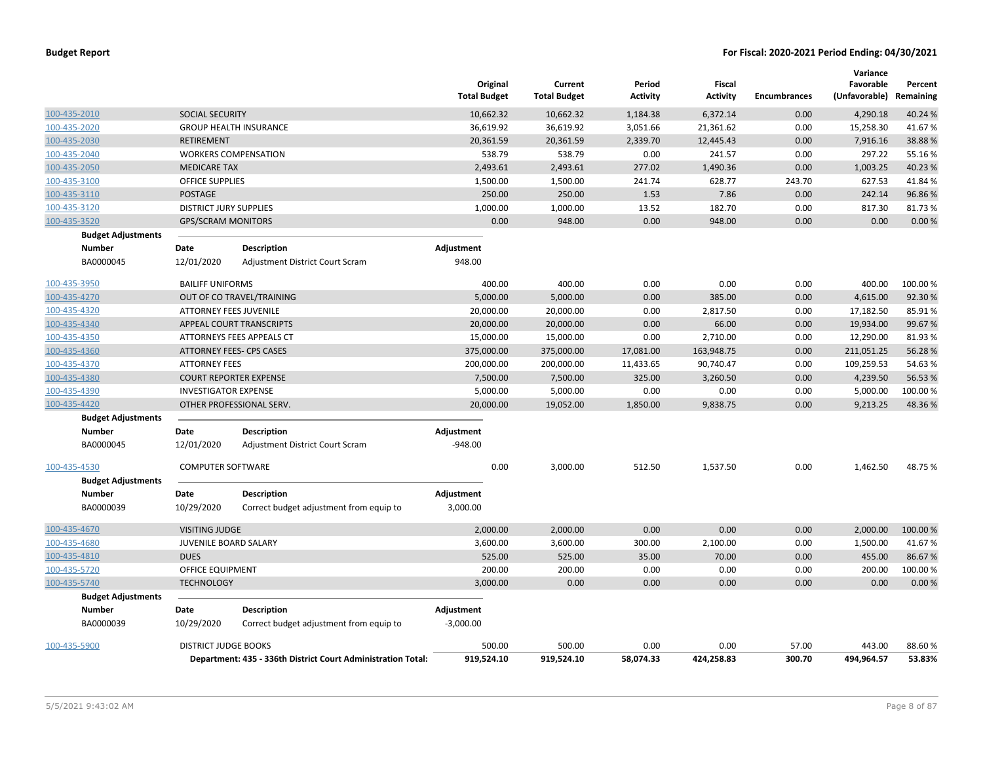|              |                           |                               |                                                              | Original<br><b>Total Budget</b> | Current<br><b>Total Budget</b> | Period<br><b>Activity</b> | Fiscal<br>Activity | <b>Encumbrances</b> | Variance<br>Favorable<br>(Unfavorable) | Percent<br>Remaining |
|--------------|---------------------------|-------------------------------|--------------------------------------------------------------|---------------------------------|--------------------------------|---------------------------|--------------------|---------------------|----------------------------------------|----------------------|
| 100-435-2010 |                           | SOCIAL SECURITY               |                                                              | 10,662.32                       | 10,662.32                      | 1,184.38                  | 6,372.14           | 0.00                | 4,290.18                               | 40.24 %              |
| 100-435-2020 |                           |                               | <b>GROUP HEALTH INSURANCE</b>                                | 36,619.92                       | 36,619.92                      | 3,051.66                  | 21,361.62          | 0.00                | 15,258.30                              | 41.67%               |
| 100-435-2030 |                           | <b>RETIREMENT</b>             |                                                              | 20,361.59                       | 20,361.59                      | 2,339.70                  | 12,445.43          | 0.00                | 7,916.16                               | 38.88%               |
| 100-435-2040 |                           |                               | <b>WORKERS COMPENSATION</b>                                  | 538.79                          | 538.79                         | 0.00                      | 241.57             | 0.00                | 297.22                                 | 55.16%               |
| 100-435-2050 |                           | <b>MEDICARE TAX</b>           |                                                              | 2,493.61                        | 2,493.61                       | 277.02                    | 1,490.36           | 0.00                | 1,003.25                               | 40.23 %              |
| 100-435-3100 |                           | <b>OFFICE SUPPLIES</b>        |                                                              | 1,500.00                        | 1,500.00                       | 241.74                    | 628.77             | 243.70              | 627.53                                 | 41.84%               |
| 100-435-3110 |                           | <b>POSTAGE</b>                |                                                              | 250.00                          | 250.00                         | 1.53                      | 7.86               | 0.00                | 242.14                                 | 96.86%               |
| 100-435-3120 |                           | <b>DISTRICT JURY SUPPLIES</b> |                                                              | 1,000.00                        | 1,000.00                       | 13.52                     | 182.70             | 0.00                | 817.30                                 | 81.73%               |
| 100-435-3520 |                           | <b>GPS/SCRAM MONITORS</b>     |                                                              | 0.00                            | 948.00                         | 0.00                      | 948.00             | 0.00                | 0.00                                   | 0.00%                |
|              | <b>Budget Adjustments</b> |                               |                                                              |                                 |                                |                           |                    |                     |                                        |                      |
|              | <b>Number</b>             | Date                          | Description                                                  | Adjustment                      |                                |                           |                    |                     |                                        |                      |
|              | BA0000045                 | 12/01/2020                    | Adjustment District Court Scram                              | 948.00                          |                                |                           |                    |                     |                                        |                      |
| 100-435-3950 |                           | <b>BAILIFF UNIFORMS</b>       |                                                              | 400.00                          | 400.00                         | 0.00                      | 0.00               | 0.00                | 400.00                                 | 100.00%              |
| 100-435-4270 |                           |                               | OUT OF CO TRAVEL/TRAINING                                    | 5,000.00                        | 5,000.00                       | 0.00                      | 385.00             | 0.00                | 4,615.00                               | 92.30%               |
| 100-435-4320 |                           | <b>ATTORNEY FEES JUVENILE</b> |                                                              | 20,000.00                       | 20,000.00                      | 0.00                      | 2,817.50           | 0.00                | 17,182.50                              | 85.91%               |
| 100-435-4340 |                           |                               | APPEAL COURT TRANSCRIPTS                                     | 20,000.00                       | 20,000.00                      | 0.00                      | 66.00              | 0.00                | 19,934.00                              | 99.67%               |
| 100-435-4350 |                           |                               | ATTORNEYS FEES APPEALS CT                                    | 15,000.00                       | 15,000.00                      | 0.00                      | 2,710.00           | 0.00                | 12,290.00                              | 81.93%               |
| 100-435-4360 |                           |                               | <b>ATTORNEY FEES- CPS CASES</b>                              | 375,000.00                      | 375,000.00                     | 17,081.00                 | 163,948.75         | 0.00                | 211,051.25                             | 56.28%               |
| 100-435-4370 |                           | <b>ATTORNEY FEES</b>          |                                                              | 200,000.00                      | 200,000.00                     | 11,433.65                 | 90,740.47          | 0.00                | 109,259.53                             | 54.63%               |
| 100-435-4380 |                           |                               | <b>COURT REPORTER EXPENSE</b>                                | 7,500.00                        | 7,500.00                       | 325.00                    | 3,260.50           | 0.00                | 4,239.50                               | 56.53 %              |
| 100-435-4390 |                           | <b>INVESTIGATOR EXPENSE</b>   |                                                              | 5,000.00                        | 5,000.00                       | 0.00                      | 0.00               | 0.00                | 5,000.00                               | 100.00%              |
| 100-435-4420 |                           |                               | OTHER PROFESSIONAL SERV.                                     | 20,000.00                       | 19,052.00                      | 1,850.00                  | 9,838.75           | 0.00                | 9,213.25                               | 48.36%               |
|              | <b>Budget Adjustments</b> |                               |                                                              |                                 |                                |                           |                    |                     |                                        |                      |
|              | <b>Number</b>             | Date                          | <b>Description</b>                                           | Adjustment                      |                                |                           |                    |                     |                                        |                      |
|              | BA0000045                 | 12/01/2020                    | Adjustment District Court Scram                              | $-948.00$                       |                                |                           |                    |                     |                                        |                      |
| 100-435-4530 |                           | <b>COMPUTER SOFTWARE</b>      |                                                              | 0.00                            | 3,000.00                       | 512.50                    | 1,537.50           | 0.00                | 1,462.50                               | 48.75%               |
|              | <b>Budget Adjustments</b> |                               |                                                              |                                 |                                |                           |                    |                     |                                        |                      |
|              | <b>Number</b>             | Date                          | <b>Description</b>                                           | Adjustment                      |                                |                           |                    |                     |                                        |                      |
|              | BA0000039                 | 10/29/2020                    | Correct budget adjustment from equip to                      | 3,000.00                        |                                |                           |                    |                     |                                        |                      |
| 100-435-4670 |                           | <b>VISITING JUDGE</b>         |                                                              | 2,000.00                        | 2,000.00                       | 0.00                      | 0.00               | 0.00                | 2,000.00                               | 100.00 %             |
| 100-435-4680 |                           | JUVENILE BOARD SALARY         |                                                              | 3,600.00                        | 3,600.00                       | 300.00                    | 2,100.00           | 0.00                | 1,500.00                               | 41.67%               |
| 100-435-4810 |                           | <b>DUES</b>                   |                                                              | 525.00                          | 525.00                         | 35.00                     | 70.00              | 0.00                | 455.00                                 | 86.67%               |
| 100-435-5720 |                           | OFFICE EQUIPMENT              |                                                              | 200.00                          | 200.00                         | 0.00                      | 0.00               | 0.00                | 200.00                                 | 100.00%              |
| 100-435-5740 |                           | <b>TECHNOLOGY</b>             |                                                              | 3,000.00                        | 0.00                           | 0.00                      | 0.00               | 0.00                | 0.00                                   | 0.00%                |
|              | <b>Budget Adjustments</b> |                               |                                                              |                                 |                                |                           |                    |                     |                                        |                      |
|              | Number                    | Date                          | Description                                                  | Adjustment                      |                                |                           |                    |                     |                                        |                      |
|              | BA0000039                 | 10/29/2020                    | Correct budget adjustment from equip to                      | $-3,000.00$                     |                                |                           |                    |                     |                                        |                      |
| 100-435-5900 |                           | <b>DISTRICT JUDGE BOOKS</b>   |                                                              | 500.00                          | 500.00                         | 0.00                      | 0.00               | 57.00               | 443.00                                 | 88.60%               |
|              |                           |                               | Department: 435 - 336th District Court Administration Total: | 919,524.10                      | 919,524.10                     | 58,074.33                 | 424,258.83         | 300.70              | 494,964.57                             | 53.83%               |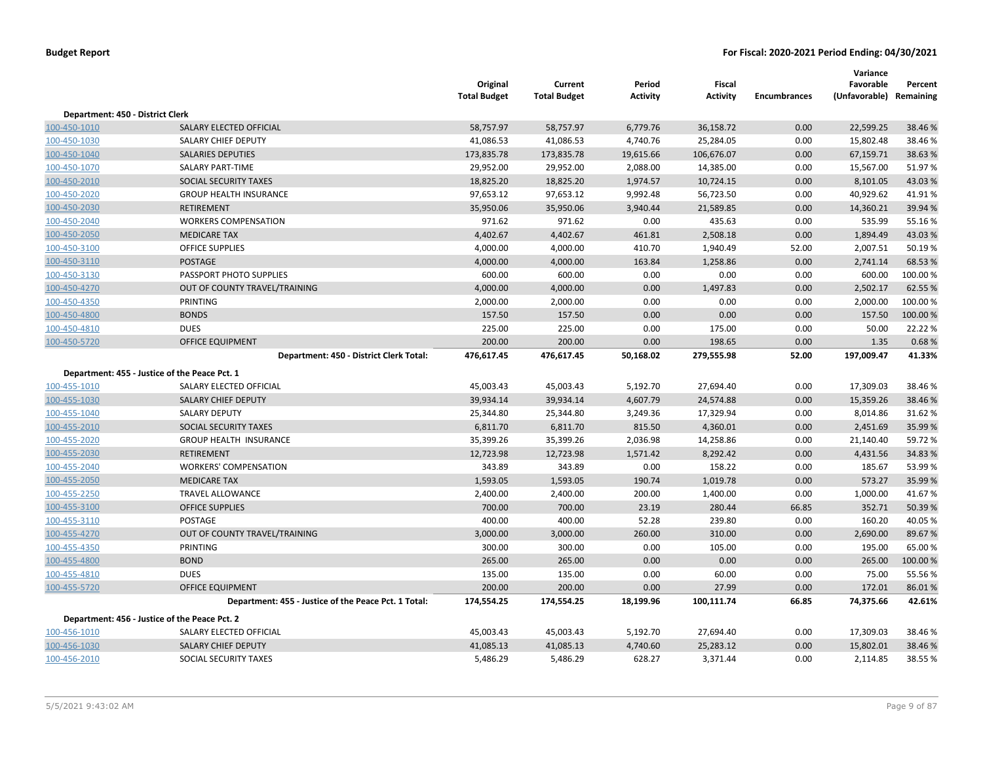|                                               |                                                      | Original<br><b>Total Budget</b> | Current<br><b>Total Budget</b> | Period<br><b>Activity</b> | Fiscal<br><b>Activity</b> | <b>Encumbrances</b> | Variance<br>Favorable<br>(Unfavorable) Remaining | Percent  |
|-----------------------------------------------|------------------------------------------------------|---------------------------------|--------------------------------|---------------------------|---------------------------|---------------------|--------------------------------------------------|----------|
| Department: 450 - District Clerk              |                                                      |                                 |                                |                           |                           |                     |                                                  |          |
| 100-450-1010                                  | SALARY ELECTED OFFICIAL                              | 58,757.97                       | 58,757.97                      | 6,779.76                  | 36,158.72                 | 0.00                | 22,599.25                                        | 38.46 %  |
| 100-450-1030                                  | SALARY CHIEF DEPUTY                                  | 41,086.53                       | 41,086.53                      | 4,740.76                  | 25,284.05                 | 0.00                | 15,802.48                                        | 38.46%   |
| 100-450-1040                                  | <b>SALARIES DEPUTIES</b>                             | 173,835.78                      | 173,835.78                     | 19,615.66                 | 106,676.07                | 0.00                | 67,159.71                                        | 38.63%   |
| 100-450-1070                                  | SALARY PART-TIME                                     | 29,952.00                       | 29,952.00                      | 2,088.00                  | 14,385.00                 | 0.00                | 15,567.00                                        | 51.97%   |
| 100-450-2010                                  | SOCIAL SECURITY TAXES                                | 18,825.20                       | 18,825.20                      | 1,974.57                  | 10,724.15                 | 0.00                | 8,101.05                                         | 43.03%   |
| 100-450-2020                                  | <b>GROUP HEALTH INSURANCE</b>                        | 97,653.12                       | 97,653.12                      | 9,992.48                  | 56,723.50                 | 0.00                | 40,929.62                                        | 41.91%   |
| 100-450-2030                                  | RETIREMENT                                           | 35,950.06                       | 35,950.06                      | 3,940.44                  | 21,589.85                 | 0.00                | 14,360.21                                        | 39.94 %  |
| 100-450-2040                                  | <b>WORKERS COMPENSATION</b>                          | 971.62                          | 971.62                         | 0.00                      | 435.63                    | 0.00                | 535.99                                           | 55.16%   |
| 100-450-2050                                  | <b>MEDICARE TAX</b>                                  | 4,402.67                        | 4,402.67                       | 461.81                    | 2,508.18                  | 0.00                | 1,894.49                                         | 43.03%   |
| 100-450-3100                                  | <b>OFFICE SUPPLIES</b>                               | 4,000.00                        | 4,000.00                       | 410.70                    | 1,940.49                  | 52.00               | 2,007.51                                         | 50.19%   |
| 100-450-3110                                  | POSTAGE                                              | 4,000.00                        | 4,000.00                       | 163.84                    | 1,258.86                  | 0.00                | 2,741.14                                         | 68.53%   |
| 100-450-3130                                  | PASSPORT PHOTO SUPPLIES                              | 600.00                          | 600.00                         | 0.00                      | 0.00                      | 0.00                | 600.00                                           | 100.00%  |
| 100-450-4270                                  | OUT OF COUNTY TRAVEL/TRAINING                        | 4,000.00                        | 4,000.00                       | 0.00                      | 1,497.83                  | 0.00                | 2,502.17                                         | 62.55%   |
| 100-450-4350                                  | PRINTING                                             | 2,000.00                        | 2,000.00                       | 0.00                      | 0.00                      | 0.00                | 2,000.00                                         | 100.00 % |
| 100-450-4800                                  | <b>BONDS</b>                                         | 157.50                          | 157.50                         | 0.00                      | 0.00                      | 0.00                | 157.50                                           | 100.00%  |
| 100-450-4810                                  | <b>DUES</b>                                          | 225.00                          | 225.00                         | 0.00                      | 175.00                    | 0.00                | 50.00                                            | 22.22%   |
| 100-450-5720                                  | <b>OFFICE EQUIPMENT</b>                              | 200.00                          | 200.00                         | 0.00                      | 198.65                    | 0.00                | 1.35                                             | 0.68%    |
|                                               | Department: 450 - District Clerk Total:              | 476,617.45                      | 476,617.45                     | 50,168.02                 | 279,555.98                | 52.00               | 197,009.47                                       | 41.33%   |
| Department: 455 - Justice of the Peace Pct. 1 |                                                      |                                 |                                |                           |                           |                     |                                                  |          |
| 100-455-1010                                  | SALARY ELECTED OFFICIAL                              | 45,003.43                       | 45,003.43                      | 5,192.70                  | 27,694.40                 | 0.00                | 17,309.03                                        | 38.46%   |
| 100-455-1030                                  | <b>SALARY CHIEF DEPUTY</b>                           | 39,934.14                       | 39,934.14                      | 4,607.79                  | 24,574.88                 | 0.00                | 15,359.26                                        | 38.46%   |
| 100-455-1040                                  | <b>SALARY DEPUTY</b>                                 | 25,344.80                       | 25,344.80                      | 3,249.36                  | 17,329.94                 | 0.00                | 8,014.86                                         | 31.62%   |
| 100-455-2010                                  | SOCIAL SECURITY TAXES                                | 6,811.70                        | 6,811.70                       | 815.50                    | 4,360.01                  | 0.00                | 2,451.69                                         | 35.99%   |
| 100-455-2020                                  | <b>GROUP HEALTH INSURANCE</b>                        | 35,399.26                       | 35,399.26                      | 2,036.98                  | 14,258.86                 | 0.00                | 21,140.40                                        | 59.72%   |
| 100-455-2030                                  | RETIREMENT                                           | 12,723.98                       | 12,723.98                      | 1,571.42                  | 8,292.42                  | 0.00                | 4,431.56                                         | 34.83%   |
| 100-455-2040                                  | <b>WORKERS' COMPENSATION</b>                         | 343.89                          | 343.89                         | 0.00                      | 158.22                    | 0.00                | 185.67                                           | 53.99%   |
| 100-455-2050                                  | <b>MEDICARE TAX</b>                                  | 1,593.05                        | 1,593.05                       | 190.74                    | 1,019.78                  | 0.00                | 573.27                                           | 35.99%   |
| 100-455-2250                                  | <b>TRAVEL ALLOWANCE</b>                              | 2,400.00                        | 2,400.00                       | 200.00                    | 1,400.00                  | 0.00                | 1,000.00                                         | 41.67%   |
| 100-455-3100                                  | <b>OFFICE SUPPLIES</b>                               | 700.00                          | 700.00                         | 23.19                     | 280.44                    | 66.85               | 352.71                                           | 50.39%   |
| 100-455-3110                                  | POSTAGE                                              | 400.00                          | 400.00                         | 52.28                     | 239.80                    | 0.00                | 160.20                                           | 40.05%   |
| 100-455-4270                                  | OUT OF COUNTY TRAVEL/TRAINING                        | 3,000.00                        | 3,000.00                       | 260.00                    | 310.00                    | 0.00                | 2,690.00                                         | 89.67%   |
| 100-455-4350                                  | PRINTING                                             | 300.00                          | 300.00                         | 0.00                      | 105.00                    | 0.00                | 195.00                                           | 65.00%   |
| 100-455-4800                                  | <b>BOND</b>                                          | 265.00                          | 265.00                         | 0.00                      | 0.00                      | 0.00                | 265.00                                           | 100.00%  |
| 100-455-4810                                  | <b>DUES</b>                                          | 135.00                          | 135.00                         | 0.00                      | 60.00                     | 0.00                | 75.00                                            | 55.56%   |
| 100-455-5720                                  | <b>OFFICE EQUIPMENT</b>                              | 200.00                          | 200.00                         | 0.00                      | 27.99                     | 0.00                | 172.01                                           | 86.01%   |
|                                               | Department: 455 - Justice of the Peace Pct. 1 Total: | 174,554.25                      | 174,554.25                     | 18,199.96                 | 100,111.74                | 66.85               | 74,375.66                                        | 42.61%   |
| Department: 456 - Justice of the Peace Pct. 2 |                                                      |                                 |                                |                           |                           |                     |                                                  |          |
| 100-456-1010                                  | SALARY ELECTED OFFICIAL                              | 45,003.43                       | 45,003.43                      | 5,192.70                  | 27,694.40                 | 0.00                | 17,309.03                                        | 38.46%   |
| 100-456-1030                                  | <b>SALARY CHIEF DEPUTY</b>                           | 41,085.13                       | 41,085.13                      | 4,740.60                  | 25,283.12                 | 0.00                | 15,802.01                                        | 38.46%   |
| 100-456-2010                                  | SOCIAL SECURITY TAXES                                | 5,486.29                        | 5,486.29                       | 628.27                    | 3,371.44                  | 0.00                | 2,114.85                                         | 38.55 %  |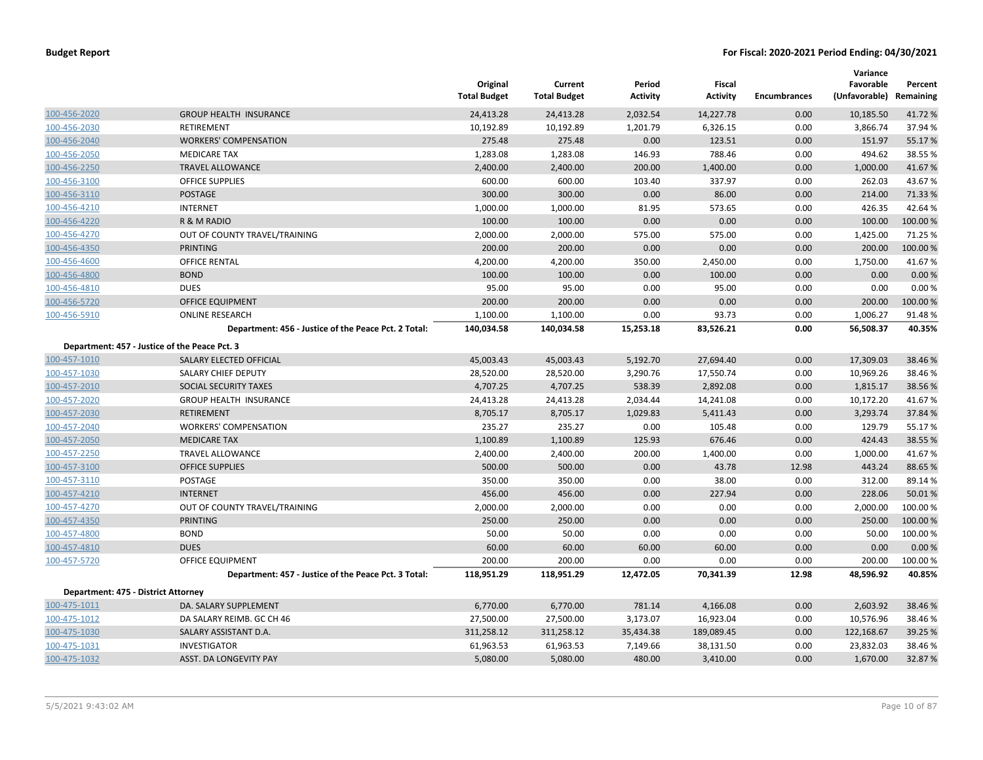|                                     |                                                      | Original<br><b>Total Budget</b> | Current<br><b>Total Budget</b> | Period<br><b>Activity</b> | <b>Fiscal</b><br><b>Activity</b> | <b>Encumbrances</b> | Variance<br>Favorable<br>(Unfavorable) Remaining | Percent  |
|-------------------------------------|------------------------------------------------------|---------------------------------|--------------------------------|---------------------------|----------------------------------|---------------------|--------------------------------------------------|----------|
| 100-456-2020                        | <b>GROUP HEALTH INSURANCE</b>                        | 24,413.28                       | 24,413.28                      | 2,032.54                  | 14,227.78                        | 0.00                | 10,185.50                                        | 41.72 %  |
| 100-456-2030                        | <b>RETIREMENT</b>                                    | 10,192.89                       | 10,192.89                      | 1,201.79                  | 6,326.15                         | 0.00                | 3,866.74                                         | 37.94 %  |
| 100-456-2040                        | <b>WORKERS' COMPENSATION</b>                         | 275.48                          | 275.48                         | 0.00                      | 123.51                           | 0.00                | 151.97                                           | 55.17%   |
| 100-456-2050                        | <b>MEDICARE TAX</b>                                  | 1,283.08                        | 1,283.08                       | 146.93                    | 788.46                           | 0.00                | 494.62                                           | 38.55 %  |
| 100-456-2250                        | <b>TRAVEL ALLOWANCE</b>                              | 2,400.00                        | 2,400.00                       | 200.00                    | 1,400.00                         | 0.00                | 1,000.00                                         | 41.67%   |
| 100-456-3100                        | <b>OFFICE SUPPLIES</b>                               | 600.00                          | 600.00                         | 103.40                    | 337.97                           | 0.00                | 262.03                                           | 43.67%   |
| 100-456-3110                        | <b>POSTAGE</b>                                       | 300.00                          | 300.00                         | 0.00                      | 86.00                            | 0.00                | 214.00                                           | 71.33 %  |
| 100-456-4210                        | <b>INTERNET</b>                                      | 1,000.00                        | 1,000.00                       | 81.95                     | 573.65                           | 0.00                | 426.35                                           | 42.64%   |
| 100-456-4220                        | R & M RADIO                                          | 100.00                          | 100.00                         | 0.00                      | 0.00                             | 0.00                | 100.00                                           | 100.00 % |
| 100-456-4270                        | OUT OF COUNTY TRAVEL/TRAINING                        | 2,000.00                        | 2,000.00                       | 575.00                    | 575.00                           | 0.00                | 1,425.00                                         | 71.25 %  |
| 100-456-4350                        | <b>PRINTING</b>                                      | 200.00                          | 200.00                         | 0.00                      | 0.00                             | 0.00                | 200.00                                           | 100.00 % |
| 100-456-4600                        | OFFICE RENTAL                                        | 4,200.00                        | 4,200.00                       | 350.00                    | 2,450.00                         | 0.00                | 1,750.00                                         | 41.67%   |
| 100-456-4800                        | <b>BOND</b>                                          | 100.00                          | 100.00                         | 0.00                      | 100.00                           | 0.00                | 0.00                                             | 0.00%    |
| 100-456-4810                        | <b>DUES</b>                                          | 95.00                           | 95.00                          | 0.00                      | 95.00                            | 0.00                | 0.00                                             | 0.00%    |
| 100-456-5720                        | OFFICE EQUIPMENT                                     | 200.00                          | 200.00                         | 0.00                      | 0.00                             | 0.00                | 200.00                                           | 100.00 % |
| 100-456-5910                        | <b>ONLINE RESEARCH</b>                               | 1,100.00                        | 1,100.00                       | 0.00                      | 93.73                            | 0.00                | 1,006.27                                         | 91.48%   |
|                                     | Department: 456 - Justice of the Peace Pct. 2 Total: | 140,034.58                      | 140,034.58                     | 15,253.18                 | 83,526.21                        | 0.00                | 56,508.37                                        | 40.35%   |
|                                     | Department: 457 - Justice of the Peace Pct. 3        |                                 |                                |                           |                                  |                     |                                                  |          |
| 100-457-1010                        | SALARY ELECTED OFFICIAL                              | 45,003.43                       | 45,003.43                      | 5,192.70                  | 27,694.40                        | 0.00                | 17,309.03                                        | 38.46 %  |
| 100-457-1030                        | SALARY CHIEF DEPUTY                                  | 28,520.00                       | 28,520.00                      | 3,290.76                  | 17,550.74                        | 0.00                | 10,969.26                                        | 38.46%   |
| 100-457-2010                        | SOCIAL SECURITY TAXES                                | 4,707.25                        | 4,707.25                       | 538.39                    | 2,892.08                         | 0.00                | 1,815.17                                         | 38.56 %  |
| 100-457-2020                        | <b>GROUP HEALTH INSURANCE</b>                        | 24,413.28                       | 24,413.28                      | 2,034.44                  | 14,241.08                        | 0.00                | 10,172.20                                        | 41.67%   |
| 100-457-2030                        | <b>RETIREMENT</b>                                    | 8,705.17                        | 8,705.17                       | 1,029.83                  | 5,411.43                         | 0.00                | 3,293.74                                         | 37.84 %  |
| 100-457-2040                        | <b>WORKERS' COMPENSATION</b>                         | 235.27                          | 235.27                         | 0.00                      | 105.48                           | 0.00                | 129.79                                           | 55.17%   |
| 100-457-2050                        | <b>MEDICARE TAX</b>                                  | 1,100.89                        | 1,100.89                       | 125.93                    | 676.46                           | 0.00                | 424.43                                           | 38.55 %  |
| 100-457-2250                        | <b>TRAVEL ALLOWANCE</b>                              | 2,400.00                        | 2,400.00                       | 200.00                    | 1,400.00                         | 0.00                | 1,000.00                                         | 41.67%   |
| 100-457-3100                        | <b>OFFICE SUPPLIES</b>                               | 500.00                          | 500.00                         | 0.00                      | 43.78                            | 12.98               | 443.24                                           | 88.65 %  |
| 100-457-3110                        | POSTAGE                                              | 350.00                          | 350.00                         | 0.00                      | 38.00                            | 0.00                | 312.00                                           | 89.14 %  |
| 100-457-4210                        | <b>INTERNET</b>                                      | 456.00                          | 456.00                         | 0.00                      | 227.94                           | 0.00                | 228.06                                           | 50.01%   |
| 100-457-4270                        | OUT OF COUNTY TRAVEL/TRAINING                        | 2,000.00                        | 2,000.00                       | 0.00                      | 0.00                             | 0.00                | 2,000.00                                         | 100.00 % |
| 100-457-4350                        | <b>PRINTING</b>                                      | 250.00                          | 250.00                         | 0.00                      | 0.00                             | 0.00                | 250.00                                           | 100.00 % |
| 100-457-4800                        | <b>BOND</b>                                          | 50.00                           | 50.00                          | 0.00                      | 0.00                             | 0.00                | 50.00                                            | 100.00%  |
| 100-457-4810                        | <b>DUES</b>                                          | 60.00                           | 60.00                          | 60.00                     | 60.00                            | 0.00                | 0.00                                             | 0.00%    |
| 100-457-5720                        | OFFICE EQUIPMENT                                     | 200.00                          | 200.00                         | 0.00                      | 0.00                             | 0.00                | 200.00                                           | 100.00%  |
|                                     | Department: 457 - Justice of the Peace Pct. 3 Total: | 118,951.29                      | 118,951.29                     | 12,472.05                 | 70,341.39                        | 12.98               | 48,596.92                                        | 40.85%   |
| Department: 475 - District Attorney |                                                      |                                 |                                |                           |                                  |                     |                                                  |          |
| 100-475-1011                        | DA. SALARY SUPPLEMENT                                | 6,770.00                        | 6,770.00                       | 781.14                    | 4,166.08                         | 0.00                | 2,603.92                                         | 38.46 %  |
| 100-475-1012                        | DA SALARY REIMB. GC CH 46                            | 27,500.00                       | 27,500.00                      | 3,173.07                  | 16,923.04                        | 0.00                | 10,576.96                                        | 38.46 %  |
| 100-475-1030                        | SALARY ASSISTANT D.A.                                | 311,258.12                      | 311,258.12                     | 35,434.38                 | 189,089.45                       | 0.00                | 122,168.67                                       | 39.25 %  |
| 100-475-1031                        | <b>INVESTIGATOR</b>                                  | 61,963.53                       | 61,963.53                      | 7,149.66                  | 38,131.50                        | 0.00                | 23,832.03                                        | 38.46%   |
| 100-475-1032                        | ASST. DA LONGEVITY PAY                               | 5,080.00                        | 5,080.00                       | 480.00                    | 3,410.00                         | 0.00                | 1,670.00                                         | 32.87%   |
|                                     |                                                      |                                 |                                |                           |                                  |                     |                                                  |          |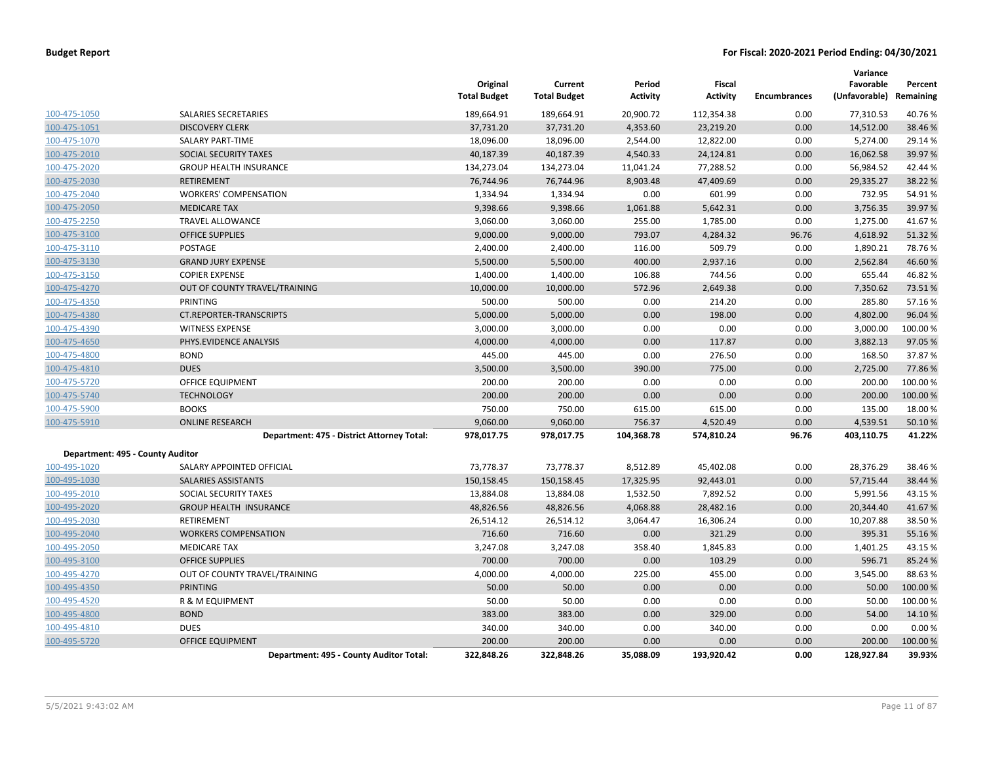|                                  |                                            | Original<br><b>Total Budget</b> | Current<br><b>Total Budget</b> | Period<br><b>Activity</b> | Fiscal<br><b>Activity</b> | <b>Encumbrances</b> | Variance<br>Favorable<br>(Unfavorable) | Percent<br>Remaining |
|----------------------------------|--------------------------------------------|---------------------------------|--------------------------------|---------------------------|---------------------------|---------------------|----------------------------------------|----------------------|
| 100-475-1050                     | SALARIES SECRETARIES                       | 189,664.91                      | 189,664.91                     | 20,900.72                 | 112,354.38                | 0.00                | 77,310.53                              | 40.76%               |
| 100-475-1051                     | <b>DISCOVERY CLERK</b>                     | 37,731.20                       | 37,731.20                      | 4,353.60                  | 23,219.20                 | 0.00                | 14,512.00                              | 38.46%               |
| 100-475-1070                     | SALARY PART-TIME                           | 18,096.00                       | 18,096.00                      | 2,544.00                  | 12,822.00                 | 0.00                | 5,274.00                               | 29.14 %              |
| 100-475-2010                     | <b>SOCIAL SECURITY TAXES</b>               | 40,187.39                       | 40,187.39                      | 4,540.33                  | 24,124.81                 | 0.00                | 16,062.58                              | 39.97 %              |
| 100-475-2020                     | <b>GROUP HEALTH INSURANCE</b>              | 134,273.04                      | 134,273.04                     | 11,041.24                 | 77,288.52                 | 0.00                | 56,984.52                              | 42.44 %              |
| 100-475-2030                     | <b>RETIREMENT</b>                          | 76,744.96                       | 76,744.96                      | 8,903.48                  | 47,409.69                 | 0.00                | 29,335.27                              | 38.22 %              |
| 100-475-2040                     | <b>WORKERS' COMPENSATION</b>               | 1,334.94                        | 1,334.94                       | 0.00                      | 601.99                    | 0.00                | 732.95                                 | 54.91%               |
| 100-475-2050                     | <b>MEDICARE TAX</b>                        | 9,398.66                        | 9,398.66                       | 1,061.88                  | 5,642.31                  | 0.00                | 3,756.35                               | 39.97 %              |
| 100-475-2250                     | <b>TRAVEL ALLOWANCE</b>                    | 3,060.00                        | 3,060.00                       | 255.00                    | 1,785.00                  | 0.00                | 1,275.00                               | 41.67%               |
| 100-475-3100                     | <b>OFFICE SUPPLIES</b>                     | 9,000.00                        | 9,000.00                       | 793.07                    | 4,284.32                  | 96.76               | 4,618.92                               | 51.32 %              |
| 100-475-3110                     | POSTAGE                                    | 2,400.00                        | 2,400.00                       | 116.00                    | 509.79                    | 0.00                | 1,890.21                               | 78.76%               |
| 100-475-3130                     | <b>GRAND JURY EXPENSE</b>                  | 5,500.00                        | 5,500.00                       | 400.00                    | 2,937.16                  | 0.00                | 2,562.84                               | 46.60%               |
| 100-475-3150                     | <b>COPIER EXPENSE</b>                      | 1,400.00                        | 1,400.00                       | 106.88                    | 744.56                    | 0.00                | 655.44                                 | 46.82%               |
| 100-475-4270                     | OUT OF COUNTY TRAVEL/TRAINING              | 10,000.00                       | 10,000.00                      | 572.96                    | 2,649.38                  | 0.00                | 7,350.62                               | 73.51%               |
| 100-475-4350                     | PRINTING                                   | 500.00                          | 500.00                         | 0.00                      | 214.20                    | 0.00                | 285.80                                 | 57.16%               |
| 100-475-4380                     | CT.REPORTER-TRANSCRIPTS                    | 5,000.00                        | 5,000.00                       | 0.00                      | 198.00                    | 0.00                | 4,802.00                               | 96.04 %              |
| 100-475-4390                     | <b>WITNESS EXPENSE</b>                     | 3,000.00                        | 3,000.00                       | 0.00                      | 0.00                      | 0.00                | 3,000.00                               | 100.00%              |
| 100-475-4650                     | PHYS.EVIDENCE ANALYSIS                     | 4,000.00                        | 4,000.00                       | 0.00                      | 117.87                    | 0.00                | 3,882.13                               | 97.05 %              |
| 100-475-4800                     | <b>BOND</b>                                | 445.00                          | 445.00                         | 0.00                      | 276.50                    | 0.00                | 168.50                                 | 37.87%               |
| 100-475-4810                     | <b>DUES</b>                                | 3,500.00                        | 3,500.00                       | 390.00                    | 775.00                    | 0.00                | 2,725.00                               | 77.86%               |
| 100-475-5720                     | OFFICE EQUIPMENT                           | 200.00                          | 200.00                         | 0.00                      | 0.00                      | 0.00                | 200.00                                 | 100.00%              |
| 100-475-5740                     | <b>TECHNOLOGY</b>                          | 200.00                          | 200.00                         | 0.00                      | 0.00                      | 0.00                | 200.00                                 | 100.00 %             |
| 100-475-5900                     | <b>BOOKS</b>                               | 750.00                          | 750.00                         | 615.00                    | 615.00                    | 0.00                | 135.00                                 | 18.00 %              |
| 100-475-5910                     | <b>ONLINE RESEARCH</b>                     | 9,060.00                        | 9,060.00                       | 756.37                    | 4,520.49                  | 0.00                | 4,539.51                               | 50.10%               |
|                                  | Department: 475 - District Attorney Total: | 978,017.75                      | 978,017.75                     | 104,368.78                | 574,810.24                | 96.76               | 403,110.75                             | 41.22%               |
| Department: 495 - County Auditor |                                            |                                 |                                |                           |                           |                     |                                        |                      |
| 100-495-1020                     | SALARY APPOINTED OFFICIAL                  | 73,778.37                       | 73,778.37                      | 8,512.89                  | 45,402.08                 | 0.00                | 28,376.29                              | 38.46%               |
| 100-495-1030                     | SALARIES ASSISTANTS                        | 150,158.45                      | 150,158.45                     | 17,325.95                 | 92,443.01                 | 0.00                | 57,715.44                              | 38.44 %              |
| <u>100-495-2010</u>              | SOCIAL SECURITY TAXES                      | 13,884.08                       | 13,884.08                      | 1,532.50                  | 7,892.52                  | 0.00                | 5,991.56                               | 43.15 %              |
| 100-495-2020                     | <b>GROUP HEALTH INSURANCE</b>              | 48,826.56                       | 48,826.56                      | 4,068.88                  | 28,482.16                 | 0.00                | 20,344.40                              | 41.67%               |
| 100-495-2030                     | RETIREMENT                                 | 26,514.12                       | 26,514.12                      | 3,064.47                  | 16,306.24                 | 0.00                | 10,207.88                              | 38.50%               |
| 100-495-2040                     | <b>WORKERS COMPENSATION</b>                | 716.60                          | 716.60                         | 0.00                      | 321.29                    | 0.00                | 395.31                                 | 55.16%               |
| 100-495-2050                     | <b>MEDICARE TAX</b>                        | 3,247.08                        | 3,247.08                       | 358.40                    | 1,845.83                  | 0.00                | 1,401.25                               | 43.15 %              |
| 100-495-3100                     | <b>OFFICE SUPPLIES</b>                     | 700.00                          | 700.00                         | 0.00                      | 103.29                    | 0.00                | 596.71                                 | 85.24 %              |
| 100-495-4270                     | OUT OF COUNTY TRAVEL/TRAINING              | 4,000.00                        | 4,000.00                       | 225.00                    | 455.00                    | 0.00                | 3,545.00                               | 88.63%               |
| 100-495-4350                     | <b>PRINTING</b>                            | 50.00                           | 50.00                          | 0.00                      | 0.00                      | 0.00                | 50.00                                  | 100.00%              |
| 100-495-4520                     | R & M EQUIPMENT                            | 50.00                           | 50.00                          | 0.00                      | 0.00                      | 0.00                | 50.00                                  | 100.00 %             |
| 100-495-4800                     | <b>BOND</b>                                | 383.00                          | 383.00                         | 0.00                      | 329.00                    | 0.00                | 54.00                                  | 14.10%               |
| 100-495-4810                     | <b>DUES</b>                                | 340.00                          | 340.00                         | 0.00                      | 340.00                    | 0.00                | 0.00                                   | 0.00%                |
| 100-495-5720                     | <b>OFFICE EQUIPMENT</b>                    | 200.00                          | 200.00                         | 0.00                      | 0.00                      | 0.00                | 200.00                                 | 100.00%              |
|                                  | Department: 495 - County Auditor Total:    | 322,848.26                      | 322,848.26                     | 35,088.09                 | 193,920.42                | 0.00                | 128,927.84                             | 39.93%               |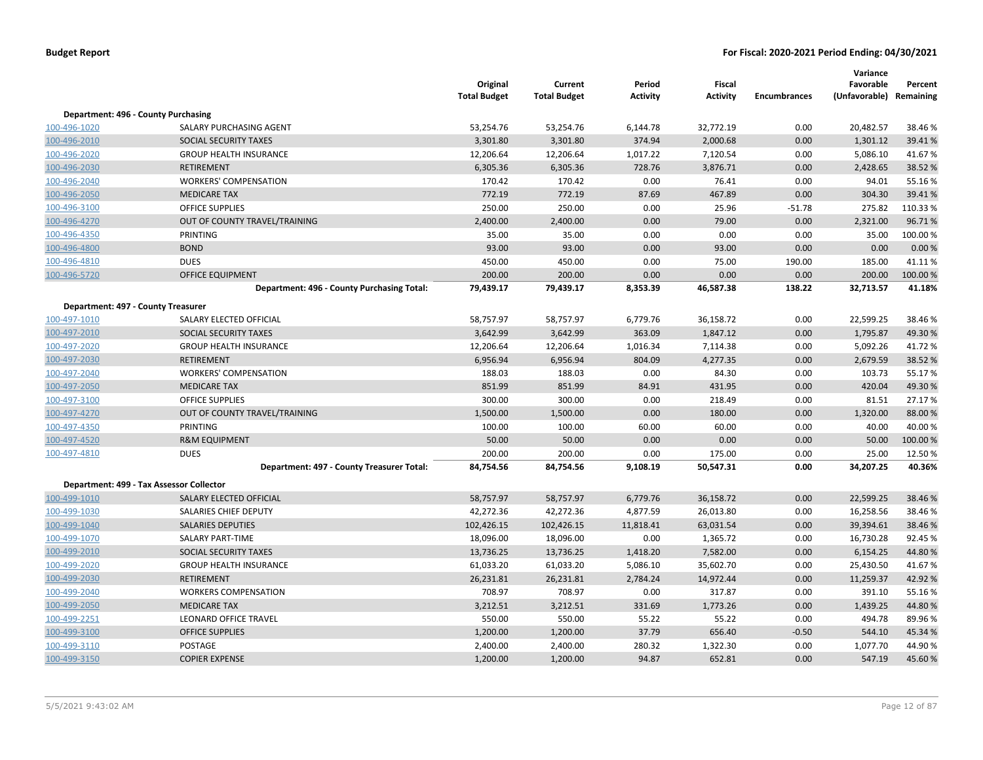|              |                                            | Original<br><b>Total Budget</b> | Current<br><b>Total Budget</b> | Period<br><b>Activity</b> | Fiscal<br><b>Activity</b> | <b>Encumbrances</b> | Variance<br>Favorable<br>(Unfavorable) Remaining | Percent  |
|--------------|--------------------------------------------|---------------------------------|--------------------------------|---------------------------|---------------------------|---------------------|--------------------------------------------------|----------|
|              | Department: 496 - County Purchasing        |                                 |                                |                           |                           |                     |                                                  |          |
| 100-496-1020 | SALARY PURCHASING AGENT                    | 53,254.76                       | 53,254.76                      | 6,144.78                  | 32,772.19                 | 0.00                | 20,482.57                                        | 38.46%   |
| 100-496-2010 | SOCIAL SECURITY TAXES                      | 3,301.80                        | 3,301.80                       | 374.94                    | 2,000.68                  | 0.00                | 1,301.12                                         | 39.41%   |
| 100-496-2020 | <b>GROUP HEALTH INSURANCE</b>              | 12,206.64                       | 12,206.64                      | 1,017.22                  | 7,120.54                  | 0.00                | 5,086.10                                         | 41.67%   |
| 100-496-2030 | <b>RETIREMENT</b>                          | 6,305.36                        | 6,305.36                       | 728.76                    | 3,876.71                  | 0.00                | 2,428.65                                         | 38.52 %  |
| 100-496-2040 | <b>WORKERS' COMPENSATION</b>               | 170.42                          | 170.42                         | 0.00                      | 76.41                     | 0.00                | 94.01                                            | 55.16%   |
| 100-496-2050 | <b>MEDICARE TAX</b>                        | 772.19                          | 772.19                         | 87.69                     | 467.89                    | 0.00                | 304.30                                           | 39.41%   |
| 100-496-3100 | OFFICE SUPPLIES                            | 250.00                          | 250.00                         | 0.00                      | 25.96                     | $-51.78$            | 275.82                                           | 110.33%  |
| 100-496-4270 | OUT OF COUNTY TRAVEL/TRAINING              | 2,400.00                        | 2,400.00                       | 0.00                      | 79.00                     | 0.00                | 2,321.00                                         | 96.71%   |
| 100-496-4350 | PRINTING                                   | 35.00                           | 35.00                          | 0.00                      | 0.00                      | 0.00                | 35.00                                            | 100.00%  |
| 100-496-4800 | <b>BOND</b>                                | 93.00                           | 93.00                          | 0.00                      | 93.00                     | 0.00                | 0.00                                             | 0.00 %   |
| 100-496-4810 | <b>DUES</b>                                | 450.00                          | 450.00                         | 0.00                      | 75.00                     | 190.00              | 185.00                                           | 41.11%   |
| 100-496-5720 | <b>OFFICE EQUIPMENT</b>                    | 200.00                          | 200.00                         | 0.00                      | 0.00                      | 0.00                | 200.00                                           | 100.00%  |
|              | Department: 496 - County Purchasing Total: | 79,439.17                       | 79,439.17                      | 8,353.39                  | 46,587.38                 | 138.22              | 32,713.57                                        | 41.18%   |
|              |                                            |                                 |                                |                           |                           |                     |                                                  |          |
|              | Department: 497 - County Treasurer         |                                 |                                |                           |                           |                     |                                                  |          |
| 100-497-1010 | SALARY ELECTED OFFICIAL                    | 58,757.97                       | 58,757.97                      | 6,779.76                  | 36,158.72                 | 0.00                | 22,599.25                                        | 38.46%   |
| 100-497-2010 | SOCIAL SECURITY TAXES                      | 3,642.99                        | 3,642.99                       | 363.09                    | 1,847.12                  | 0.00                | 1,795.87                                         | 49.30%   |
| 100-497-2020 | <b>GROUP HEALTH INSURANCE</b>              | 12,206.64                       | 12,206.64                      | 1,016.34                  | 7,114.38                  | 0.00                | 5,092.26                                         | 41.72%   |
| 100-497-2030 | <b>RETIREMENT</b>                          | 6,956.94                        | 6,956.94                       | 804.09                    | 4,277.35                  | 0.00                | 2,679.59                                         | 38.52 %  |
| 100-497-2040 | <b>WORKERS' COMPENSATION</b>               | 188.03                          | 188.03                         | 0.00                      | 84.30                     | 0.00                | 103.73                                           | 55.17%   |
| 100-497-2050 | <b>MEDICARE TAX</b>                        | 851.99                          | 851.99                         | 84.91                     | 431.95                    | 0.00                | 420.04                                           | 49.30%   |
| 100-497-3100 | <b>OFFICE SUPPLIES</b>                     | 300.00                          | 300.00                         | 0.00                      | 218.49                    | 0.00                | 81.51                                            | 27.17%   |
| 100-497-4270 | OUT OF COUNTY TRAVEL/TRAINING              | 1,500.00                        | 1,500.00                       | 0.00                      | 180.00                    | 0.00                | 1,320.00                                         | 88.00 %  |
| 100-497-4350 | PRINTING                                   | 100.00                          | 100.00                         | 60.00                     | 60.00                     | 0.00                | 40.00                                            | 40.00%   |
| 100-497-4520 | <b>R&amp;M EQUIPMENT</b>                   | 50.00                           | 50.00                          | 0.00                      | 0.00                      | 0.00                | 50.00                                            | 100.00 % |
| 100-497-4810 | <b>DUES</b>                                | 200.00                          | 200.00                         | 0.00                      | 175.00                    | 0.00                | 25.00                                            | 12.50%   |
|              | Department: 497 - County Treasurer Total:  | 84,754.56                       | 84,754.56                      | 9,108.19                  | 50,547.31                 | 0.00                | 34,207.25                                        | 40.36%   |
|              | Department: 499 - Tax Assessor Collector   |                                 |                                |                           |                           |                     |                                                  |          |
| 100-499-1010 | SALARY ELECTED OFFICIAL                    | 58,757.97                       | 58,757.97                      | 6,779.76                  | 36,158.72                 | 0.00                | 22,599.25                                        | 38.46%   |
| 100-499-1030 | SALARIES CHIEF DEPUTY                      | 42,272.36                       | 42,272.36                      | 4,877.59                  | 26,013.80                 | 0.00                | 16,258.56                                        | 38.46%   |
| 100-499-1040 | <b>SALARIES DEPUTIES</b>                   | 102,426.15                      | 102,426.15                     | 11,818.41                 | 63,031.54                 | 0.00                | 39,394.61                                        | 38.46%   |
| 100-499-1070 | <b>SALARY PART-TIME</b>                    | 18,096.00                       | 18,096.00                      | 0.00                      | 1,365.72                  | 0.00                | 16,730.28                                        | 92.45 %  |
| 100-499-2010 | <b>SOCIAL SECURITY TAXES</b>               | 13,736.25                       | 13,736.25                      | 1,418.20                  | 7,582.00                  | 0.00                | 6,154.25                                         | 44.80%   |
| 100-499-2020 | <b>GROUP HEALTH INSURANCE</b>              | 61,033.20                       | 61,033.20                      | 5,086.10                  | 35,602.70                 | 0.00                | 25,430.50                                        | 41.67%   |
| 100-499-2030 | <b>RETIREMENT</b>                          | 26,231.81                       | 26,231.81                      | 2,784.24                  | 14,972.44                 | 0.00                | 11,259.37                                        | 42.92 %  |
| 100-499-2040 | <b>WORKERS COMPENSATION</b>                | 708.97                          | 708.97                         | 0.00                      | 317.87                    | 0.00                | 391.10                                           | 55.16%   |
| 100-499-2050 | <b>MEDICARE TAX</b>                        | 3,212.51                        | 3,212.51                       | 331.69                    | 1,773.26                  | 0.00                | 1,439.25                                         | 44.80%   |
| 100-499-2251 | LEONARD OFFICE TRAVEL                      | 550.00                          | 550.00                         | 55.22                     | 55.22                     | 0.00                | 494.78                                           | 89.96%   |
| 100-499-3100 | <b>OFFICE SUPPLIES</b>                     | 1,200.00                        | 1,200.00                       | 37.79                     | 656.40                    | $-0.50$             | 544.10                                           | 45.34 %  |
| 100-499-3110 | <b>POSTAGE</b>                             | 2,400.00                        | 2,400.00                       | 280.32                    | 1,322.30                  | 0.00                | 1,077.70                                         | 44.90%   |
| 100-499-3150 | <b>COPIER EXPENSE</b>                      | 1,200.00                        | 1,200.00                       | 94.87                     | 652.81                    | 0.00                | 547.19                                           | 45.60%   |
|              |                                            |                                 |                                |                           |                           |                     |                                                  |          |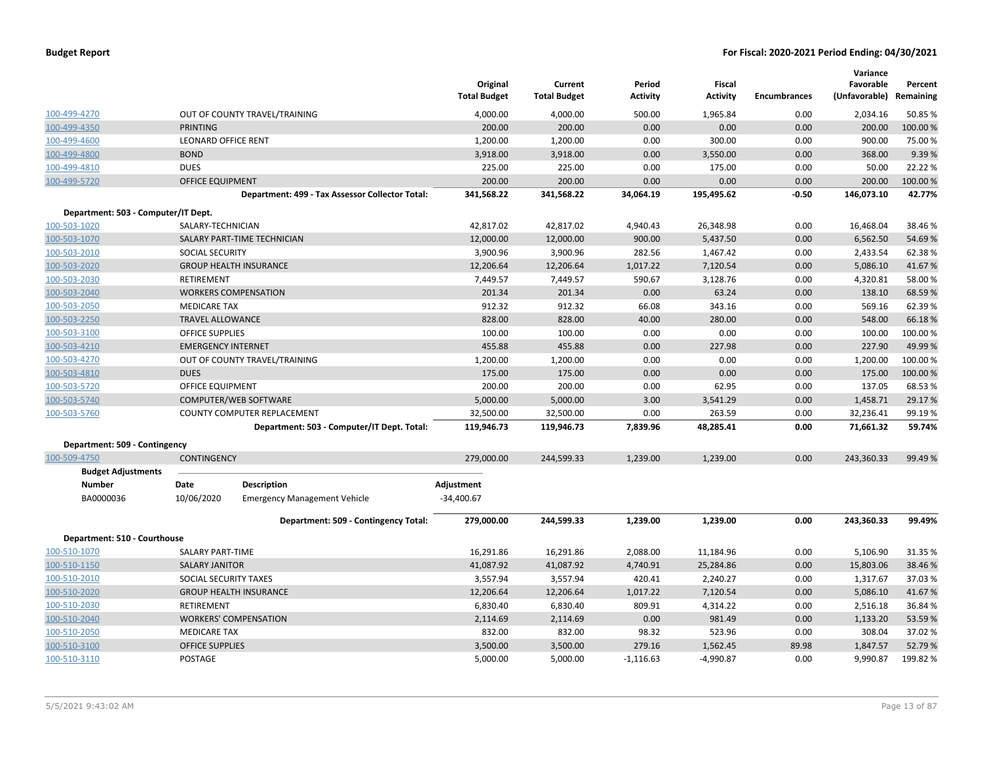|                                     |                            |                                                 | Original            | Current             | Period      | <b>Fiscal</b>   |                     | Variance<br>Favorable | Percent   |
|-------------------------------------|----------------------------|-------------------------------------------------|---------------------|---------------------|-------------|-----------------|---------------------|-----------------------|-----------|
|                                     |                            |                                                 | <b>Total Budget</b> | <b>Total Budget</b> | Activity    | <b>Activity</b> | <b>Encumbrances</b> | (Unfavorable)         | Remaining |
| 100-499-4270                        |                            | OUT OF COUNTY TRAVEL/TRAINING                   | 4,000.00            | 4,000.00            | 500.00      | 1,965.84        | 0.00                | 2,034.16              | 50.85%    |
| 100-499-4350                        | <b>PRINTING</b>            |                                                 | 200.00              | 200.00              | 0.00        | 0.00            | 0.00                | 200.00                | 100.00%   |
| 100-499-4600                        | <b>LEONARD OFFICE RENT</b> |                                                 | 1,200.00            | 1,200.00            | 0.00        | 300.00          | 0.00                | 900.00                | 75.00%    |
| 100-499-4800                        | <b>BOND</b>                |                                                 | 3,918.00            | 3,918.00            | 0.00        | 3,550.00        | 0.00                | 368.00                | 9.39%     |
| 100-499-4810                        | <b>DUES</b>                |                                                 | 225.00              | 225.00              | 0.00        | 175.00          | 0.00                | 50.00                 | 22.22%    |
| 100-499-5720                        | <b>OFFICE EQUIPMENT</b>    |                                                 | 200.00              | 200.00              | 0.00        | 0.00            | 0.00                | 200.00                | 100.00 %  |
|                                     |                            | Department: 499 - Tax Assessor Collector Total: | 341.568.22          | 341,568.22          | 34,064.19   | 195,495.62      | $-0.50$             | 146,073.10            | 42.77%    |
| Department: 503 - Computer/IT Dept. |                            |                                                 |                     |                     |             |                 |                     |                       |           |
| 100-503-1020                        | SALARY-TECHNICIAN          |                                                 | 42,817.02           | 42,817.02           | 4,940.43    | 26,348.98       | 0.00                | 16,468.04             | 38.46%    |
| 100-503-1070                        |                            | SALARY PART-TIME TECHNICIAN                     | 12,000.00           | 12,000.00           | 900.00      | 5,437.50        | 0.00                | 6,562.50              | 54.69%    |
| 100-503-2010                        | <b>SOCIAL SECURITY</b>     |                                                 | 3,900.96            | 3,900.96            | 282.56      | 1,467.42        | 0.00                | 2,433.54              | 62.38%    |
| 100-503-2020                        |                            | <b>GROUP HEALTH INSURANCE</b>                   | 12,206.64           | 12,206.64           | 1,017.22    | 7,120.54        | 0.00                | 5,086.10              | 41.67%    |
| 100-503-2030                        | <b>RETIREMENT</b>          |                                                 | 7,449.57            | 7,449.57            | 590.67      | 3,128.76        | 0.00                | 4,320.81              | 58.00%    |
| 100-503-2040                        |                            | <b>WORKERS COMPENSATION</b>                     | 201.34              | 201.34              | 0.00        | 63.24           | 0.00                | 138.10                | 68.59%    |
| 100-503-2050                        | <b>MEDICARE TAX</b>        |                                                 | 912.32              | 912.32              | 66.08       | 343.16          | 0.00                | 569.16                | 62.39%    |
| 100-503-2250                        | <b>TRAVEL ALLOWANCE</b>    |                                                 | 828.00              | 828.00              | 40.00       | 280.00          | 0.00                | 548.00                | 66.18%    |
| 100-503-3100                        | <b>OFFICE SUPPLIES</b>     |                                                 | 100.00              | 100.00              | 0.00        | 0.00            | 0.00                | 100.00                | 100.00%   |
| 100-503-4210                        | <b>EMERGENCY INTERNET</b>  |                                                 | 455.88              | 455.88              | 0.00        | 227.98          | 0.00                | 227.90                | 49.99%    |
| 100-503-4270                        |                            | OUT OF COUNTY TRAVEL/TRAINING                   | 1,200.00            | 1,200.00            | 0.00        | 0.00            | 0.00                | 1,200.00              | 100.00%   |
| 100-503-4810                        | <b>DUES</b>                |                                                 | 175.00              | 175.00              | 0.00        | 0.00            | 0.00                | 175.00                | 100.00%   |
| 100-503-5720                        | OFFICE EQUIPMENT           |                                                 | 200.00              | 200.00              | 0.00        | 62.95           | 0.00                | 137.05                | 68.53%    |
| 100-503-5740                        |                            | COMPUTER/WEB SOFTWARE                           | 5,000.00            | 5,000.00            | 3.00        | 3,541.29        | 0.00                | 1,458.71              | 29.17%    |
| 100-503-5760                        |                            | COUNTY COMPUTER REPLACEMENT                     | 32,500.00           | 32,500.00           | 0.00        | 263.59          | 0.00                | 32,236.41             | 99.19%    |
|                                     |                            | Department: 503 - Computer/IT Dept. Total:      | 119,946.73          | 119,946.73          | 7,839.96    | 48,285.41       | 0.00                | 71,661.32             | 59.74%    |
| Department: 509 - Contingency       |                            |                                                 |                     |                     |             |                 |                     |                       |           |
| 100-509-4750                        | <b>CONTINGENCY</b>         |                                                 | 279,000.00          | 244,599.33          | 1,239.00    | 1,239.00        | 0.00                | 243,360.33            | 99.49%    |
| <b>Budget Adjustments</b>           |                            |                                                 |                     |                     |             |                 |                     |                       |           |
| <b>Number</b>                       | Date                       | <b>Description</b>                              | Adjustment          |                     |             |                 |                     |                       |           |
| BA0000036                           | 10/06/2020                 | <b>Emergency Management Vehicle</b>             | $-34,400.67$        |                     |             |                 |                     |                       |           |
|                                     |                            | Department: 509 - Contingency Total:            | 279,000.00          | 244,599.33          | 1,239.00    | 1,239.00        | 0.00                | 243,360.33            | 99.49%    |
| Department: 510 - Courthouse        |                            |                                                 |                     |                     |             |                 |                     |                       |           |
| 100-510-1070                        | SALARY PART-TIME           |                                                 | 16,291.86           | 16,291.86           | 2,088.00    | 11,184.96       | 0.00                | 5,106.90              | 31.35 %   |
| 100-510-1150                        | <b>SALARY JANITOR</b>      |                                                 | 41,087.92           | 41,087.92           | 4,740.91    | 25,284.86       | 0.00                | 15,803.06             | 38.46%    |
| 100-510-2010                        | SOCIAL SECURITY TAXES      |                                                 | 3,557.94            | 3,557.94            | 420.41      | 2,240.27        | 0.00                | 1,317.67              | 37.03%    |
| 100-510-2020                        |                            | <b>GROUP HEALTH INSURANCE</b>                   | 12,206.64           | 12,206.64           | 1,017.22    | 7,120.54        | 0.00                | 5,086.10              | 41.67%    |
| 100-510-2030                        | RETIREMENT                 |                                                 | 6,830.40            | 6,830.40            | 809.91      | 4,314.22        | 0.00                | 2,516.18              | 36.84 %   |
| 100-510-2040                        |                            | <b>WORKERS' COMPENSATION</b>                    | 2,114.69            | 2,114.69            | 0.00        | 981.49          | 0.00                | 1,133.20              | 53.59%    |
| 100-510-2050                        | <b>MEDICARE TAX</b>        |                                                 | 832.00              | 832.00              | 98.32       | 523.96          | 0.00                | 308.04                | 37.02%    |
| 100-510-3100                        | <b>OFFICE SUPPLIES</b>     |                                                 | 3,500.00            | 3,500.00            | 279.16      | 1,562.45        | 89.98               | 1,847.57              | 52.79%    |
| 100-510-3110                        | POSTAGE                    |                                                 | 5,000.00            | 5,000.00            | $-1,116.63$ | $-4,990.87$     | 0.00                | 9,990.87              | 199.82%   |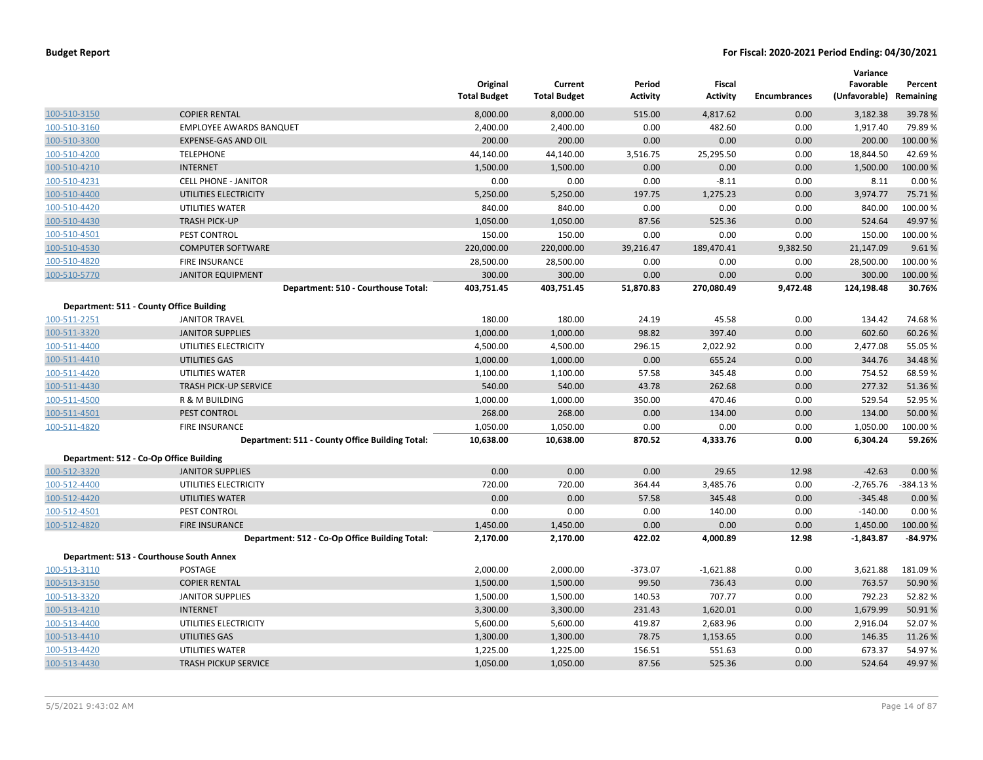|              |                                                 | Original<br><b>Total Budget</b> | Current<br><b>Total Budget</b> | Period<br><b>Activity</b> | Fiscal<br><b>Activity</b> | <b>Encumbrances</b> | Variance<br>Favorable<br>(Unfavorable) Remaining | Percent    |
|--------------|-------------------------------------------------|---------------------------------|--------------------------------|---------------------------|---------------------------|---------------------|--------------------------------------------------|------------|
| 100-510-3150 | <b>COPIER RENTAL</b>                            | 8,000.00                        | 8,000.00                       | 515.00                    | 4,817.62                  | 0.00                | 3,182.38                                         | 39.78%     |
| 100-510-3160 | <b>EMPLOYEE AWARDS BANQUET</b>                  | 2,400.00                        | 2,400.00                       | 0.00                      | 482.60                    | 0.00                | 1,917.40                                         | 79.89%     |
| 100-510-3300 | <b>EXPENSE-GAS AND OIL</b>                      | 200.00                          | 200.00                         | 0.00                      | 0.00                      | 0.00                | 200.00                                           | 100.00 %   |
| 100-510-4200 | <b>TELEPHONE</b>                                | 44,140.00                       | 44,140.00                      | 3,516.75                  | 25,295.50                 | 0.00                | 18,844.50                                        | 42.69%     |
| 100-510-4210 | <b>INTERNET</b>                                 | 1,500.00                        | 1,500.00                       | 0.00                      | 0.00                      | 0.00                | 1,500.00                                         | 100.00 %   |
| 100-510-4231 | <b>CELL PHONE - JANITOR</b>                     | 0.00                            | 0.00                           | 0.00                      | $-8.11$                   | 0.00                | 8.11                                             | 0.00%      |
| 100-510-4400 | UTILITIES ELECTRICITY                           | 5,250.00                        | 5,250.00                       | 197.75                    | 1,275.23                  | 0.00                | 3,974.77                                         | 75.71%     |
| 100-510-4420 | UTILITIES WATER                                 | 840.00                          | 840.00                         | 0.00                      | 0.00                      | 0.00                | 840.00                                           | 100.00 %   |
| 100-510-4430 | <b>TRASH PICK-UP</b>                            | 1,050.00                        | 1,050.00                       | 87.56                     | 525.36                    | 0.00                | 524.64                                           | 49.97%     |
| 100-510-4501 | PEST CONTROL                                    | 150.00                          | 150.00                         | 0.00                      | 0.00                      | 0.00                | 150.00                                           | 100.00 %   |
| 100-510-4530 | <b>COMPUTER SOFTWARE</b>                        | 220,000.00                      | 220,000.00                     | 39,216.47                 | 189,470.41                | 9,382.50            | 21,147.09                                        | 9.61%      |
| 100-510-4820 | <b>FIRE INSURANCE</b>                           | 28,500.00                       | 28,500.00                      | 0.00                      | 0.00                      | 0.00                | 28,500.00                                        | 100.00 %   |
| 100-510-5770 | <b>JANITOR EQUIPMENT</b>                        | 300.00                          | 300.00                         | 0.00                      | 0.00                      | 0.00                | 300.00                                           | 100.00 %   |
|              | Department: 510 - Courthouse Total:             | 403,751.45                      | 403,751.45                     | 51,870.83                 | 270,080.49                | 9,472.48            | 124,198.48                                       | 30.76%     |
|              | Department: 511 - County Office Building        |                                 |                                |                           |                           |                     |                                                  |            |
| 100-511-2251 | <b>JANITOR TRAVEL</b>                           | 180.00                          | 180.00                         | 24.19                     | 45.58                     | 0.00                | 134.42                                           | 74.68%     |
| 100-511-3320 | <b>JANITOR SUPPLIES</b>                         | 1,000.00                        | 1,000.00                       | 98.82                     | 397.40                    | 0.00                | 602.60                                           | 60.26 %    |
| 100-511-4400 | UTILITIES ELECTRICITY                           | 4,500.00                        | 4,500.00                       | 296.15                    | 2,022.92                  | 0.00                | 2,477.08                                         | 55.05 %    |
| 100-511-4410 | UTILITIES GAS                                   | 1,000.00                        | 1,000.00                       | 0.00                      | 655.24                    | 0.00                | 344.76                                           | 34.48%     |
| 100-511-4420 | UTILITIES WATER                                 | 1,100.00                        | 1,100.00                       | 57.58                     | 345.48                    | 0.00                | 754.52                                           | 68.59 %    |
| 100-511-4430 | <b>TRASH PICK-UP SERVICE</b>                    | 540.00                          | 540.00                         | 43.78                     | 262.68                    | 0.00                | 277.32                                           | 51.36%     |
| 100-511-4500 | R & M BUILDING                                  | 1,000.00                        | 1,000.00                       | 350.00                    | 470.46                    | 0.00                | 529.54                                           | 52.95 %    |
| 100-511-4501 | PEST CONTROL                                    | 268.00                          | 268.00                         | 0.00                      | 134.00                    | 0.00                | 134.00                                           | 50.00 %    |
| 100-511-4820 | <b>FIRE INSURANCE</b>                           | 1,050.00                        | 1,050.00                       | 0.00                      | 0.00                      | 0.00                | 1,050.00                                         | 100.00 %   |
|              | Department: 511 - County Office Building Total: | 10,638.00                       | 10,638.00                      | 870.52                    | 4,333.76                  | 0.00                | 6,304.24                                         | 59.26%     |
|              | Department: 512 - Co-Op Office Building         |                                 |                                |                           |                           |                     |                                                  |            |
| 100-512-3320 | <b>JANITOR SUPPLIES</b>                         | 0.00                            | 0.00                           | 0.00                      | 29.65                     | 12.98               | $-42.63$                                         | 0.00%      |
| 100-512-4400 | UTILITIES ELECTRICITY                           | 720.00                          | 720.00                         | 364.44                    | 3,485.76                  | 0.00                | $-2,765.76$                                      | $-384.13%$ |
| 100-512-4420 | UTILITIES WATER                                 | 0.00                            | 0.00                           | 57.58                     | 345.48                    | 0.00                | $-345.48$                                        | 0.00%      |
| 100-512-4501 | PEST CONTROL                                    | 0.00                            | 0.00                           | 0.00                      | 140.00                    | 0.00                | $-140.00$                                        | 0.00%      |
| 100-512-4820 | <b>FIRE INSURANCE</b>                           | 1,450.00                        | 1,450.00                       | 0.00                      | 0.00                      | 0.00                | 1,450.00                                         | 100.00 %   |
|              | Department: 512 - Co-Op Office Building Total:  | 2,170.00                        | 2,170.00                       | 422.02                    | 4,000.89                  | 12.98               | $-1,843.87$                                      | $-84.97%$  |
|              | Department: 513 - Courthouse South Annex        |                                 |                                |                           |                           |                     |                                                  |            |
| 100-513-3110 | POSTAGE                                         | 2,000.00                        | 2,000.00                       | $-373.07$                 | $-1,621.88$               | 0.00                | 3,621.88                                         | 181.09%    |
| 100-513-3150 | <b>COPIER RENTAL</b>                            | 1,500.00                        | 1,500.00                       | 99.50                     | 736.43                    | 0.00                | 763.57                                           | 50.90 %    |
| 100-513-3320 | <b>JANITOR SUPPLIES</b>                         | 1,500.00                        | 1,500.00                       | 140.53                    | 707.77                    | 0.00                | 792.23                                           | 52.82 %    |
| 100-513-4210 | <b>INTERNET</b>                                 | 3,300.00                        | 3,300.00                       | 231.43                    | 1,620.01                  | 0.00                | 1,679.99                                         | 50.91%     |
| 100-513-4400 | UTILITIES ELECTRICITY                           | 5,600.00                        | 5,600.00                       | 419.87                    | 2,683.96                  | 0.00                | 2,916.04                                         | 52.07%     |
| 100-513-4410 | UTILITIES GAS                                   | 1,300.00                        | 1,300.00                       | 78.75                     | 1,153.65                  | 0.00                | 146.35                                           | 11.26 %    |
| 100-513-4420 | <b>UTILITIES WATER</b>                          | 1,225.00                        | 1,225.00                       | 156.51                    | 551.63                    | 0.00                | 673.37                                           | 54.97%     |
| 100-513-4430 | <b>TRASH PICKUP SERVICE</b>                     | 1,050.00                        | 1,050.00                       | 87.56                     | 525.36                    | 0.00                | 524.64                                           | 49.97%     |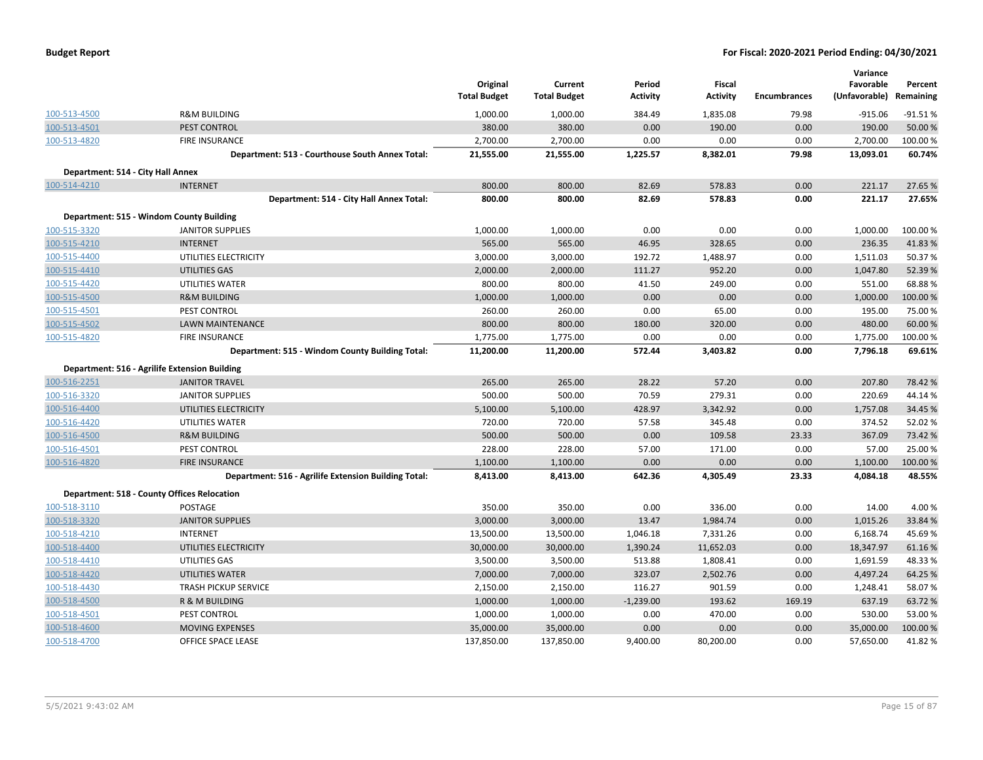| <b>Budget Report</b> |  |
|----------------------|--|
|----------------------|--|

|                                   |                                                      | Original<br><b>Total Budget</b> | Current<br><b>Total Budget</b> | Period<br><b>Activity</b> | Fiscal<br><b>Activity</b> | <b>Encumbrances</b> | Variance<br>Favorable<br>(Unfavorable) | Percent<br>Remaining |
|-----------------------------------|------------------------------------------------------|---------------------------------|--------------------------------|---------------------------|---------------------------|---------------------|----------------------------------------|----------------------|
| 100-513-4500                      | <b>R&amp;M BUILDING</b>                              | 1,000.00                        | 1,000.00                       | 384.49                    | 1,835.08                  | 79.98               | $-915.06$                              | $-91.51%$            |
| 100-513-4501                      | PEST CONTROL                                         | 380.00                          | 380.00                         | 0.00                      | 190.00                    | 0.00                | 190.00                                 | 50.00 %              |
| 100-513-4820                      | <b>FIRE INSURANCE</b>                                | 2,700.00                        | 2,700.00                       | 0.00                      | 0.00                      | 0.00                | 2,700.00                               | 100.00 %             |
|                                   | Department: 513 - Courthouse South Annex Total:      | 21,555.00                       | 21,555.00                      | 1,225.57                  | 8,382.01                  | 79.98               | 13,093.01                              | 60.74%               |
| Department: 514 - City Hall Annex |                                                      |                                 |                                |                           |                           |                     |                                        |                      |
| 100-514-4210                      | <b>INTERNET</b>                                      | 800.00                          | 800.00                         | 82.69                     | 578.83                    | 0.00                | 221.17                                 | 27.65%               |
|                                   | Department: 514 - City Hall Annex Total:             | 800.00                          | 800.00                         | 82.69                     | 578.83                    | 0.00                | 221.17                                 | 27.65%               |
|                                   | Department: 515 - Windom County Building             |                                 |                                |                           |                           |                     |                                        |                      |
| 100-515-3320                      | <b>JANITOR SUPPLIES</b>                              | 1,000.00                        | 1,000.00                       | 0.00                      | 0.00                      | 0.00                | 1,000.00                               | 100.00 %             |
| 100-515-4210                      | <b>INTERNET</b>                                      | 565.00                          | 565.00                         | 46.95                     | 328.65                    | 0.00                | 236.35                                 | 41.83%               |
| 100-515-4400                      | UTILITIES ELECTRICITY                                | 3,000.00                        | 3,000.00                       | 192.72                    | 1,488.97                  | 0.00                | 1,511.03                               | 50.37%               |
| 100-515-4410                      | UTILITIES GAS                                        | 2,000.00                        | 2,000.00                       | 111.27                    | 952.20                    | 0.00                | 1,047.80                               | 52.39 %              |
| 100-515-4420                      | UTILITIES WATER                                      | 800.00                          | 800.00                         | 41.50                     | 249.00                    | 0.00                | 551.00                                 | 68.88%               |
| 100-515-4500                      | <b>R&amp;M BUILDING</b>                              | 1,000.00                        | 1,000.00                       | 0.00                      | 0.00                      | 0.00                | 1,000.00                               | 100.00 %             |
| 100-515-4501                      | <b>PEST CONTROL</b>                                  | 260.00                          | 260.00                         | 0.00                      | 65.00                     | 0.00                | 195.00                                 | 75.00 %              |
| 100-515-4502                      | <b>LAWN MAINTENANCE</b>                              | 800.00                          | 800.00                         | 180.00                    | 320.00                    | 0.00                | 480.00                                 | 60.00 %              |
| 100-515-4820                      | <b>FIRE INSURANCE</b>                                | 1,775.00                        | 1,775.00                       | 0.00                      | 0.00                      | 0.00                | 1,775.00                               | 100.00 %             |
|                                   | Department: 515 - Windom County Building Total:      | 11,200.00                       | 11,200.00                      | 572.44                    | 3,403.82                  | 0.00                | 7,796.18                               | 69.61%               |
|                                   | Department: 516 - Agrilife Extension Building        |                                 |                                |                           |                           |                     |                                        |                      |
| 100-516-2251                      | <b>JANITOR TRAVEL</b>                                | 265.00                          | 265.00                         | 28.22                     | 57.20                     | 0.00                | 207.80                                 | 78.42%               |
| 100-516-3320                      | <b>JANITOR SUPPLIES</b>                              | 500.00                          | 500.00                         | 70.59                     | 279.31                    | 0.00                | 220.69                                 | 44.14%               |
| 100-516-4400                      | UTILITIES ELECTRICITY                                | 5,100.00                        | 5,100.00                       | 428.97                    | 3,342.92                  | 0.00                | 1,757.08                               | 34.45 %              |
| 100-516-4420                      | UTILITIES WATER                                      | 720.00                          | 720.00                         | 57.58                     | 345.48                    | 0.00                | 374.52                                 | 52.02%               |
| 100-516-4500                      | <b>R&amp;M BUILDING</b>                              | 500.00                          | 500.00                         | 0.00                      | 109.58                    | 23.33               | 367.09                                 | 73.42 %              |
| 100-516-4501                      | PEST CONTROL                                         | 228.00                          | 228.00                         | 57.00                     | 171.00                    | 0.00                | 57.00                                  | 25.00 %              |
| 100-516-4820                      | <b>FIRE INSURANCE</b>                                | 1,100.00                        | 1,100.00                       | 0.00                      | 0.00                      | 0.00                | 1,100.00                               | 100.00%              |
|                                   | Department: 516 - Agrilife Extension Building Total: | 8,413.00                        | 8,413.00                       | 642.36                    | 4,305.49                  | 23.33               | 4,084.18                               | 48.55%               |
|                                   | <b>Department: 518 - County Offices Relocation</b>   |                                 |                                |                           |                           |                     |                                        |                      |
| 100-518-3110                      | <b>POSTAGE</b>                                       | 350.00                          | 350.00                         | 0.00                      | 336.00                    | 0.00                | 14.00                                  | 4.00%                |
| 100-518-3320                      | <b>JANITOR SUPPLIES</b>                              | 3,000.00                        | 3,000.00                       | 13.47                     | 1,984.74                  | 0.00                | 1,015.26                               | 33.84 %              |
| 100-518-4210                      | <b>INTERNET</b>                                      | 13,500.00                       | 13,500.00                      | 1,046.18                  | 7,331.26                  | 0.00                | 6,168.74                               | 45.69%               |
| 100-518-4400                      | UTILITIES ELECTRICITY                                | 30,000.00                       | 30,000.00                      | 1,390.24                  | 11,652.03                 | 0.00                | 18,347.97                              | 61.16%               |
| 100-518-4410                      | UTILITIES GAS                                        | 3,500.00                        | 3,500.00                       | 513.88                    | 1,808.41                  | 0.00                | 1,691.59                               | 48.33%               |
| 100-518-4420                      | UTILITIES WATER                                      | 7,000.00                        | 7,000.00                       | 323.07                    | 2,502.76                  | 0.00                | 4,497.24                               | 64.25 %              |
| 100-518-4430                      | <b>TRASH PICKUP SERVICE</b>                          | 2,150.00                        | 2,150.00                       | 116.27                    | 901.59                    | 0.00                | 1,248.41                               | 58.07%               |
| 100-518-4500                      | R & M BUILDING                                       | 1,000.00                        | 1,000.00                       | $-1,239.00$               | 193.62                    | 169.19              | 637.19                                 | 63.72 %              |
| 100-518-4501                      | PEST CONTROL                                         | 1,000.00                        | 1,000.00                       | 0.00                      | 470.00                    | 0.00                | 530.00                                 | 53.00 %              |
| 100-518-4600                      | <b>MOVING EXPENSES</b>                               | 35,000.00                       | 35,000.00                      | 0.00                      | 0.00                      | 0.00                | 35,000.00                              | 100.00 %             |
| 100-518-4700                      | OFFICE SPACE LEASE                                   | 137,850.00                      | 137,850.00                     | 9,400.00                  | 80,200.00                 | 0.00                | 57,650.00                              | 41.82%               |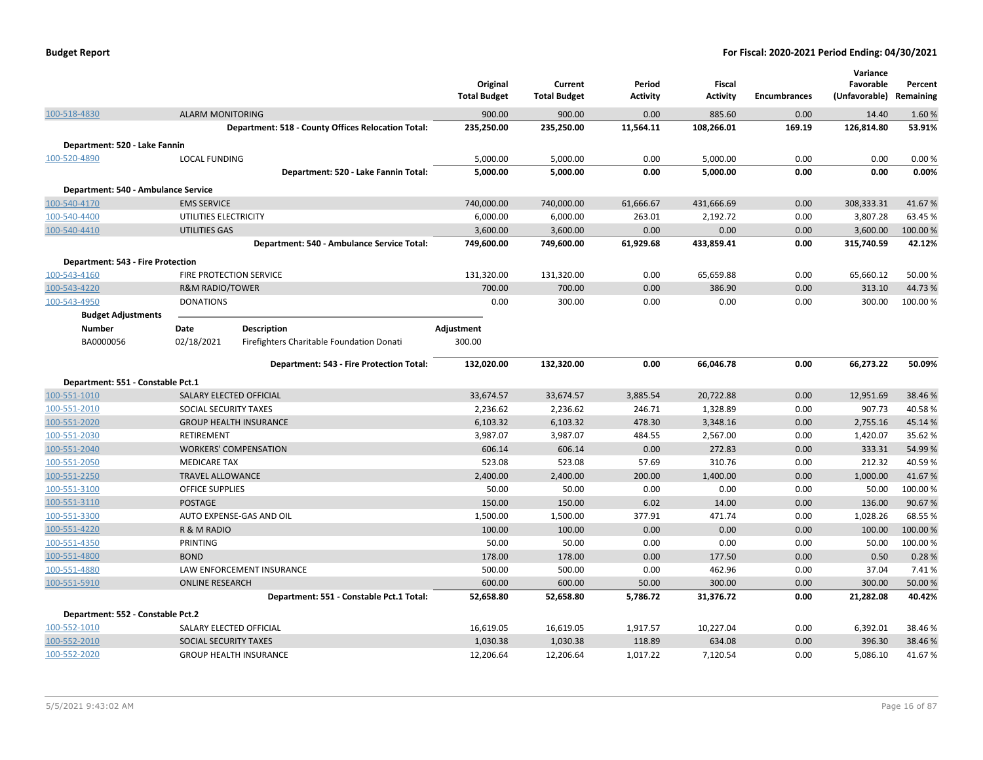|                                          |                                               |                                                    | Original<br><b>Total Budget</b> | Current<br><b>Total Budget</b> | Period<br><b>Activity</b> | <b>Fiscal</b><br><b>Activity</b> | <b>Encumbrances</b> | Variance<br>Favorable<br>(Unfavorable) Remaining | Percent            |
|------------------------------------------|-----------------------------------------------|----------------------------------------------------|---------------------------------|--------------------------------|---------------------------|----------------------------------|---------------------|--------------------------------------------------|--------------------|
| 100-518-4830                             | <b>ALARM MONITORING</b>                       |                                                    | 900.00                          | 900.00                         | 0.00                      | 885.60                           | 0.00                | 14.40                                            | 1.60%              |
|                                          |                                               | Department: 518 - County Offices Relocation Total: | 235,250.00                      | 235,250.00                     | 11,564.11                 | 108,266.01                       | 169.19              | 126,814.80                                       | 53.91%             |
| Department: 520 - Lake Fannin            |                                               |                                                    |                                 |                                |                           |                                  |                     |                                                  |                    |
| 100-520-4890                             | <b>LOCAL FUNDING</b>                          |                                                    | 5,000.00                        | 5,000.00                       | 0.00                      | 5,000.00                         | 0.00                | 0.00                                             | 0.00%              |
|                                          |                                               | Department: 520 - Lake Fannin Total:               | 5,000.00                        | 5,000.00                       | 0.00                      | 5,000.00                         | 0.00                | 0.00                                             | 0.00%              |
|                                          |                                               |                                                    |                                 |                                |                           |                                  |                     |                                                  |                    |
| Department: 540 - Ambulance Service      |                                               |                                                    |                                 |                                |                           |                                  |                     |                                                  |                    |
| 100-540-4170                             | <b>EMS SERVICE</b>                            |                                                    | 740,000.00                      | 740,000.00                     | 61,666.67                 | 431,666.69                       | 0.00                | 308,333.31                                       | 41.67%             |
| 100-540-4400<br>100-540-4410             | UTILITIES ELECTRICITY<br><b>UTILITIES GAS</b> |                                                    | 6,000.00<br>3,600.00            | 6,000.00<br>3,600.00           | 263.01<br>0.00            | 2,192.72<br>0.00                 | 0.00<br>0.00        | 3,807.28<br>3,600.00                             | 63.45 %<br>100.00% |
|                                          |                                               | Department: 540 - Ambulance Service Total:         | 749,600.00                      | 749,600.00                     | 61,929.68                 | 433,859.41                       | 0.00                | 315,740.59                                       | 42.12%             |
|                                          |                                               |                                                    |                                 |                                |                           |                                  |                     |                                                  |                    |
| <b>Department: 543 - Fire Protection</b> |                                               |                                                    |                                 |                                |                           |                                  |                     |                                                  |                    |
| 100-543-4160                             | FIRE PROTECTION SERVICE                       |                                                    | 131,320.00                      | 131,320.00                     | 0.00                      | 65,659.88                        | 0.00                | 65,660.12                                        | 50.00%             |
| 100-543-4220                             | <b>R&amp;M RADIO/TOWER</b>                    |                                                    | 700.00                          | 700.00                         | 0.00                      | 386.90                           | 0.00                | 313.10                                           | 44.73%             |
| 100-543-4950                             | <b>DONATIONS</b>                              |                                                    | 0.00                            | 300.00                         | 0.00                      | 0.00                             | 0.00                | 300.00                                           | 100.00%            |
| <b>Budget Adjustments</b>                |                                               |                                                    |                                 |                                |                           |                                  |                     |                                                  |                    |
| <b>Number</b>                            | Date                                          | Description                                        | Adjustment                      |                                |                           |                                  |                     |                                                  |                    |
| BA0000056                                | 02/18/2021                                    | Firefighters Charitable Foundation Donati          | 300.00                          |                                |                           |                                  |                     |                                                  |                    |
|                                          |                                               | Department: 543 - Fire Protection Total:           | 132,020.00                      | 132,320.00                     | 0.00                      | 66,046.78                        | 0.00                | 66,273.22                                        | 50.09%             |
| Department: 551 - Constable Pct.1        |                                               |                                                    |                                 |                                |                           |                                  |                     |                                                  |                    |
| 100-551-1010                             | SALARY ELECTED OFFICIAL                       |                                                    | 33,674.57                       | 33,674.57                      | 3,885.54                  | 20,722.88                        | 0.00                | 12,951.69                                        | 38.46%             |
| 100-551-2010                             | SOCIAL SECURITY TAXES                         |                                                    | 2,236.62                        | 2,236.62                       | 246.71                    | 1,328.89                         | 0.00                | 907.73                                           | 40.58%             |
| 100-551-2020                             |                                               | <b>GROUP HEALTH INSURANCE</b>                      | 6,103.32                        | 6,103.32                       | 478.30                    | 3,348.16                         | 0.00                | 2,755.16                                         | 45.14%             |
| 100-551-2030                             | RETIREMENT                                    |                                                    | 3,987.07                        | 3,987.07                       | 484.55                    | 2,567.00                         | 0.00                | 1,420.07                                         | 35.62%             |
| 100-551-2040                             | <b>WORKERS' COMPENSATION</b>                  |                                                    | 606.14                          | 606.14                         | 0.00                      | 272.83                           | 0.00                | 333.31                                           | 54.99%             |
| 100-551-2050                             | <b>MEDICARE TAX</b>                           |                                                    | 523.08                          | 523.08                         | 57.69                     | 310.76                           | 0.00                | 212.32                                           | 40.59%             |
| 100-551-2250                             | <b>TRAVEL ALLOWANCE</b>                       |                                                    | 2,400.00                        | 2,400.00                       | 200.00                    | 1,400.00                         | 0.00                | 1,000.00                                         | 41.67%             |
| 100-551-3100                             | <b>OFFICE SUPPLIES</b>                        |                                                    | 50.00                           | 50.00                          | 0.00                      | 0.00                             | 0.00                | 50.00                                            | 100.00%            |
| 100-551-3110                             | <b>POSTAGE</b>                                |                                                    | 150.00                          | 150.00                         | 6.02                      | 14.00                            | 0.00                | 136.00                                           | 90.67%             |
| 100-551-3300                             |                                               | AUTO EXPENSE-GAS AND OIL                           | 1,500.00                        | 1,500.00                       | 377.91                    | 471.74                           | 0.00                | 1,028.26                                         | 68.55%             |
| 100-551-4220                             | R & M RADIO                                   |                                                    | 100.00                          | 100.00                         | 0.00                      | 0.00                             | 0.00                | 100.00                                           | 100.00 %           |
| 100-551-4350                             | PRINTING                                      |                                                    | 50.00                           | 50.00                          | 0.00                      | 0.00                             | 0.00                | 50.00                                            | 100.00%            |
| 100-551-4800                             | <b>BOND</b>                                   |                                                    | 178.00                          | 178.00                         | 0.00                      | 177.50                           | 0.00                | 0.50                                             | 0.28%              |
| 100-551-4880                             |                                               | LAW ENFORCEMENT INSURANCE                          | 500.00                          | 500.00                         | 0.00                      | 462.96                           | 0.00                | 37.04                                            | 7.41%              |
| 100-551-5910                             | <b>ONLINE RESEARCH</b>                        |                                                    | 600.00                          | 600.00                         | 50.00                     | 300.00                           | 0.00                | 300.00                                           | 50.00 %            |
|                                          |                                               | Department: 551 - Constable Pct.1 Total:           | 52,658.80                       | 52,658.80                      | 5,786.72                  | 31,376.72                        | 0.00                | 21,282.08                                        | 40.42%             |
| Department: 552 - Constable Pct.2        |                                               |                                                    |                                 |                                |                           |                                  |                     |                                                  |                    |
| 100-552-1010                             | SALARY ELECTED OFFICIAL                       |                                                    | 16,619.05                       | 16,619.05                      | 1,917.57                  | 10,227.04                        | 0.00                | 6,392.01                                         | 38.46%             |
| 100-552-2010                             | SOCIAL SECURITY TAXES                         |                                                    | 1,030.38                        | 1,030.38                       | 118.89                    | 634.08                           | 0.00                | 396.30                                           | 38.46 %            |
| 100-552-2020                             |                                               | <b>GROUP HEALTH INSURANCE</b>                      | 12,206.64                       | 12,206.64                      | 1,017.22                  | 7,120.54                         | 0.00                | 5,086.10                                         | 41.67%             |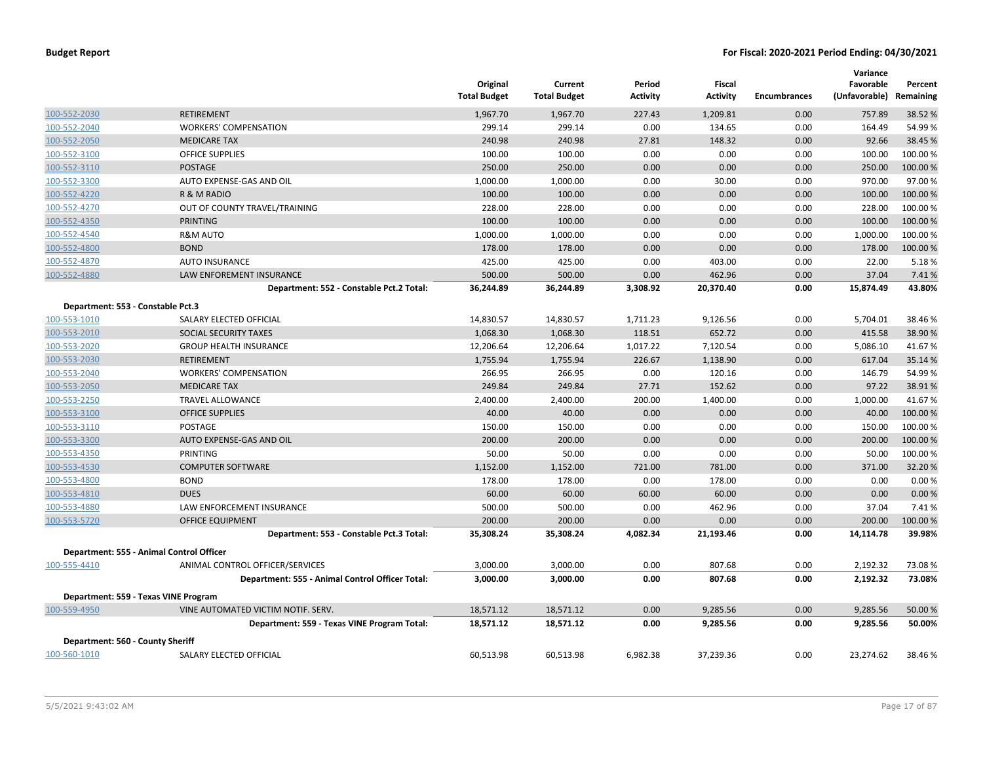|                                   |                                                 | Original<br><b>Total Budget</b> | Current<br><b>Total Budget</b> | Period<br>Activity | Fiscal<br><b>Activity</b> | <b>Encumbrances</b> | Variance<br>Favorable<br>(Unfavorable) | Percent<br>Remaining |
|-----------------------------------|-------------------------------------------------|---------------------------------|--------------------------------|--------------------|---------------------------|---------------------|----------------------------------------|----------------------|
| 100-552-2030                      | <b>RETIREMENT</b>                               | 1,967.70                        | 1,967.70                       | 227.43             | 1,209.81                  | 0.00                | 757.89                                 | 38.52 %              |
| 100-552-2040                      | <b>WORKERS' COMPENSATION</b>                    | 299.14                          | 299.14                         | 0.00               | 134.65                    | 0.00                | 164.49                                 | 54.99%               |
| 100-552-2050                      | <b>MEDICARE TAX</b>                             | 240.98                          | 240.98                         | 27.81              | 148.32                    | 0.00                | 92.66                                  | 38.45 %              |
| 100-552-3100                      | <b>OFFICE SUPPLIES</b>                          | 100.00                          | 100.00                         | 0.00               | 0.00                      | 0.00                | 100.00                                 | 100.00%              |
| 100-552-3110                      | <b>POSTAGE</b>                                  | 250.00                          | 250.00                         | 0.00               | 0.00                      | 0.00                | 250.00                                 | 100.00 %             |
| 100-552-3300                      | AUTO EXPENSE-GAS AND OIL                        | 1,000.00                        | 1,000.00                       | 0.00               | 30.00                     | 0.00                | 970.00                                 | 97.00%               |
| 100-552-4220                      | R & M RADIO                                     | 100.00                          | 100.00                         | 0.00               | 0.00                      | 0.00                | 100.00                                 | 100.00 %             |
| 100-552-4270                      | OUT OF COUNTY TRAVEL/TRAINING                   | 228.00                          | 228.00                         | 0.00               | 0.00                      | 0.00                | 228.00                                 | 100.00%              |
| 100-552-4350                      | PRINTING                                        | 100.00                          | 100.00                         | 0.00               | 0.00                      | 0.00                | 100.00                                 | 100.00%              |
| 100-552-4540                      | <b>R&amp;M AUTO</b>                             | 1,000.00                        | 1,000.00                       | 0.00               | 0.00                      | 0.00                | 1,000.00                               | 100.00%              |
| 100-552-4800                      | <b>BOND</b>                                     | 178.00                          | 178.00                         | 0.00               | 0.00                      | 0.00                | 178.00                                 | 100.00 %             |
| 100-552-4870                      | <b>AUTO INSURANCE</b>                           | 425.00                          | 425.00                         | 0.00               | 403.00                    | 0.00                | 22.00                                  | 5.18%                |
| 100-552-4880                      | LAW ENFOREMENT INSURANCE                        | 500.00                          | 500.00                         | 0.00               | 462.96                    | 0.00                | 37.04                                  | 7.41%                |
|                                   | Department: 552 - Constable Pct.2 Total:        | 36,244.89                       | 36,244.89                      | 3,308.92           | 20,370.40                 | 0.00                | 15,874.49                              | 43.80%               |
| Department: 553 - Constable Pct.3 |                                                 |                                 |                                |                    |                           |                     |                                        |                      |
| 100-553-1010                      | SALARY ELECTED OFFICIAL                         | 14,830.57                       | 14,830.57                      | 1,711.23           | 9,126.56                  | 0.00                | 5,704.01                               | 38.46%               |
| 100-553-2010                      | SOCIAL SECURITY TAXES                           | 1,068.30                        | 1,068.30                       | 118.51             | 652.72                    | 0.00                | 415.58                                 | 38.90 %              |
| 100-553-2020                      | <b>GROUP HEALTH INSURANCE</b>                   | 12,206.64                       | 12,206.64                      | 1,017.22           | 7,120.54                  | 0.00                | 5,086.10                               | 41.67%               |
| 100-553-2030                      | <b>RETIREMENT</b>                               | 1,755.94                        | 1,755.94                       | 226.67             | 1,138.90                  | 0.00                | 617.04                                 | 35.14 %              |
| 100-553-2040                      | <b>WORKERS' COMPENSATION</b>                    | 266.95                          | 266.95                         | 0.00               | 120.16                    | 0.00                | 146.79                                 | 54.99%               |
| 100-553-2050                      | <b>MEDICARE TAX</b>                             | 249.84                          | 249.84                         | 27.71              | 152.62                    | 0.00                | 97.22                                  | 38.91%               |
| 100-553-2250                      | TRAVEL ALLOWANCE                                | 2,400.00                        | 2,400.00                       | 200.00             | 1,400.00                  | 0.00                | 1,000.00                               | 41.67%               |
| 100-553-3100                      | <b>OFFICE SUPPLIES</b>                          | 40.00                           | 40.00                          | 0.00               | 0.00                      | 0.00                | 40.00                                  | 100.00%              |
| 100-553-3110                      | <b>POSTAGE</b>                                  | 150.00                          | 150.00                         | 0.00               | 0.00                      | 0.00                | 150.00                                 | 100.00%              |
| 100-553-3300                      | AUTO EXPENSE-GAS AND OIL                        | 200.00                          | 200.00                         | 0.00               | 0.00                      | 0.00                | 200.00                                 | 100.00%              |
| 100-553-4350                      | PRINTING                                        | 50.00                           | 50.00                          | 0.00               | 0.00                      | 0.00                | 50.00                                  | 100.00 %             |
| 100-553-4530                      | <b>COMPUTER SOFTWARE</b>                        | 1,152.00                        | 1,152.00                       | 721.00             | 781.00                    | 0.00                | 371.00                                 | 32.20%               |
| 100-553-4800                      | <b>BOND</b>                                     | 178.00                          | 178.00                         | 0.00               | 178.00                    | 0.00                | 0.00                                   | 0.00%                |
| 100-553-4810                      | <b>DUES</b>                                     | 60.00                           | 60.00                          | 60.00              | 60.00                     | 0.00                | 0.00                                   | 0.00%                |
| 100-553-4880                      | LAW ENFORCEMENT INSURANCE                       | 500.00                          | 500.00                         | 0.00               | 462.96                    | 0.00                | 37.04                                  | 7.41%                |
| 100-553-5720                      | <b>OFFICE EQUIPMENT</b>                         | 200.00                          | 200.00                         | 0.00               | 0.00                      | 0.00                | 200.00                                 | 100.00%              |
|                                   | Department: 553 - Constable Pct.3 Total:        | 35,308.24                       | 35,308.24                      | 4,082.34           | 21,193.46                 | 0.00                | 14,114.78                              | 39.98%               |
|                                   | Department: 555 - Animal Control Officer        |                                 |                                |                    |                           |                     |                                        |                      |
| 100-555-4410                      | ANIMAL CONTROL OFFICER/SERVICES                 | 3,000.00                        | 3,000.00                       | 0.00               | 807.68                    | 0.00                | 2,192.32                               | 73.08%               |
|                                   | Department: 555 - Animal Control Officer Total: | 3,000.00                        | 3,000.00                       | 0.00               | 807.68                    | 0.00                | 2,192.32                               | 73.08%               |
|                                   | Department: 559 - Texas VINE Program            |                                 |                                |                    |                           |                     |                                        |                      |
| 100-559-4950                      | VINE AUTOMATED VICTIM NOTIF. SERV.              | 18,571.12                       | 18,571.12                      | 0.00               | 9,285.56                  | 0.00                | 9,285.56                               | 50.00 %              |
|                                   | Department: 559 - Texas VINE Program Total:     | 18,571.12                       | 18,571.12                      | 0.00               | 9,285.56                  | 0.00                | 9,285.56                               | 50.00%               |
| Department: 560 - County Sheriff  |                                                 |                                 |                                |                    |                           |                     |                                        |                      |
| 100-560-1010                      | SALARY ELECTED OFFICIAL                         | 60,513.98                       | 60,513.98                      | 6,982.38           | 37,239.36                 | 0.00                | 23,274.62                              | 38.46%               |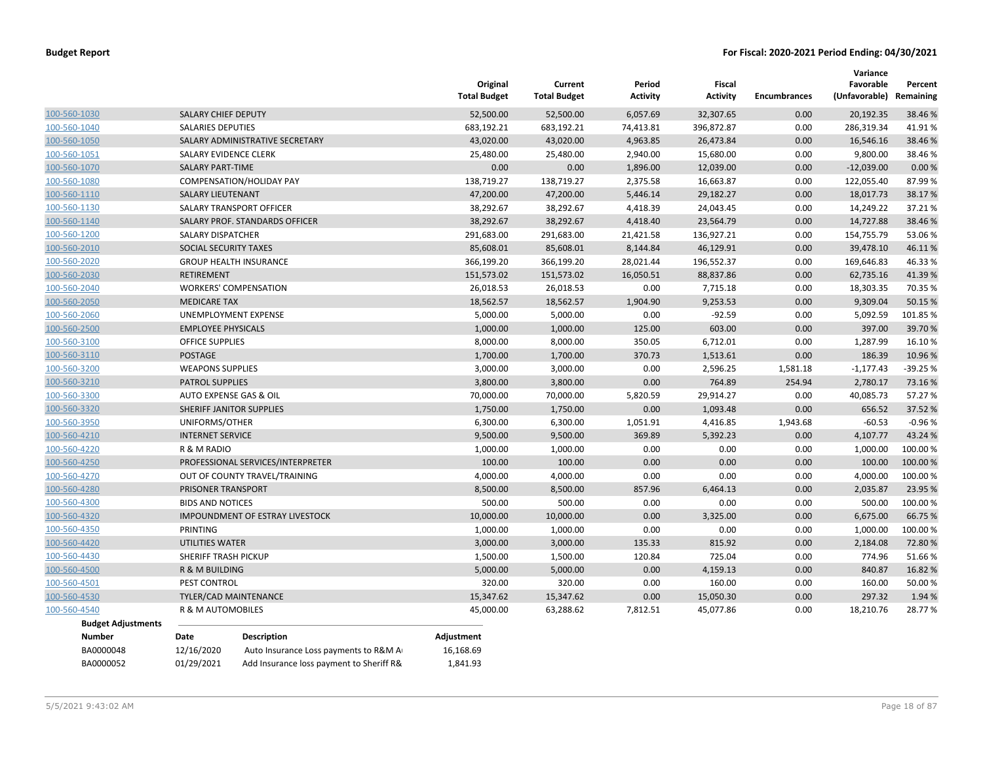|                                           |                           |                                          | Original<br><b>Total Budget</b> | Current<br><b>Total Budget</b> | Period<br><b>Activity</b> | <b>Fiscal</b><br><b>Activity</b> | <b>Encumbrances</b> | Variance<br>Favorable<br>(Unfavorable) | Percent<br>Remaining |
|-------------------------------------------|---------------------------|------------------------------------------|---------------------------------|--------------------------------|---------------------------|----------------------------------|---------------------|----------------------------------------|----------------------|
| 100-560-1030                              | SALARY CHIEF DEPUTY       |                                          | 52,500.00                       | 52,500.00                      | 6,057.69                  | 32,307.65                        | 0.00                | 20,192.35                              | 38.46%               |
| 100-560-1040                              | <b>SALARIES DEPUTIES</b>  |                                          | 683,192.21                      | 683,192.21                     | 74,413.81                 | 396,872.87                       | 0.00                | 286,319.34                             | 41.91%               |
| 100-560-1050                              |                           | SALARY ADMINISTRATIVE SECRETARY          | 43,020.00                       | 43,020.00                      | 4,963.85                  | 26,473.84                        | 0.00                | 16,546.16                              | 38.46%               |
| 100-560-1051                              | SALARY EVIDENCE CLERK     |                                          | 25,480.00                       | 25,480.00                      | 2,940.00                  | 15,680.00                        | 0.00                | 9,800.00                               | 38.46%               |
| 100-560-1070                              | <b>SALARY PART-TIME</b>   |                                          | 0.00                            | 0.00                           | 1,896.00                  | 12,039.00                        | 0.00                | $-12,039.00$                           | 0.00%                |
| 100-560-1080                              |                           | <b>COMPENSATION/HOLIDAY PAY</b>          | 138,719.27                      | 138,719.27                     | 2,375.58                  | 16,663.87                        | 0.00                | 122,055.40                             | 87.99%               |
| 100-560-1110                              | <b>SALARY LIEUTENANT</b>  |                                          | 47,200.00                       | 47,200.00                      | 5,446.14                  | 29,182.27                        | 0.00                | 18,017.73                              | 38.17%               |
| 100-560-1130                              |                           | SALARY TRANSPORT OFFICER                 | 38,292.67                       | 38,292.67                      | 4,418.39                  | 24,043.45                        | 0.00                | 14,249.22                              | 37.21%               |
| 100-560-1140                              |                           | SALARY PROF. STANDARDS OFFICER           | 38,292.67                       | 38,292.67                      | 4,418.40                  | 23,564.79                        | 0.00                | 14,727.88                              | 38.46%               |
| 100-560-1200                              | <b>SALARY DISPATCHER</b>  |                                          | 291,683.00                      | 291,683.00                     | 21,421.58                 | 136,927.21                       | 0.00                | 154,755.79                             | 53.06%               |
| 100-560-2010                              | SOCIAL SECURITY TAXES     |                                          | 85,608.01                       | 85,608.01                      | 8,144.84                  | 46,129.91                        | 0.00                | 39,478.10                              | 46.11%               |
| 100-560-2020                              |                           | <b>GROUP HEALTH INSURANCE</b>            | 366,199.20                      | 366,199.20                     | 28,021.44                 | 196,552.37                       | 0.00                | 169,646.83                             | 46.33%               |
| 100-560-2030                              | RETIREMENT                |                                          | 151,573.02                      | 151,573.02                     | 16,050.51                 | 88,837.86                        | 0.00                | 62,735.16                              | 41.39%               |
| 100-560-2040                              |                           | <b>WORKERS' COMPENSATION</b>             | 26,018.53                       | 26,018.53                      | 0.00                      | 7,715.18                         | 0.00                | 18,303.35                              | 70.35 %              |
| 100-560-2050                              | <b>MEDICARE TAX</b>       |                                          | 18,562.57                       | 18,562.57                      | 1,904.90                  | 9,253.53                         | 0.00                | 9,309.04                               | 50.15 %              |
| 100-560-2060                              |                           | UNEMPLOYMENT EXPENSE                     | 5,000.00                        | 5,000.00                       | 0.00                      | $-92.59$                         | 0.00                | 5,092.59                               | 101.85%              |
| 100-560-2500                              | <b>EMPLOYEE PHYSICALS</b> |                                          | 1,000.00                        | 1,000.00                       | 125.00                    | 603.00                           | 0.00                | 397.00                                 | 39.70%               |
| 100-560-3100                              | <b>OFFICE SUPPLIES</b>    |                                          | 8,000.00                        | 8,000.00                       | 350.05                    | 6,712.01                         | 0.00                | 1,287.99                               | 16.10%               |
| 100-560-3110                              | <b>POSTAGE</b>            |                                          | 1,700.00                        | 1,700.00                       | 370.73                    | 1,513.61                         | 0.00                | 186.39                                 | 10.96%               |
| 100-560-3200                              | <b>WEAPONS SUPPLIES</b>   |                                          | 3,000.00                        | 3,000.00                       | 0.00                      | 2,596.25                         | 1,581.18            | $-1,177.43$                            | $-39.25%$            |
| 100-560-3210                              | <b>PATROL SUPPLIES</b>    |                                          | 3,800.00                        | 3,800.00                       | 0.00                      | 764.89                           | 254.94              | 2,780.17                               | 73.16%               |
| 100-560-3300                              | AUTO EXPENSE GAS & OIL    |                                          | 70,000.00                       | 70,000.00                      | 5,820.59                  | 29,914.27                        | 0.00                | 40,085.73                              | 57.27 %              |
| 100-560-3320                              |                           | SHERIFF JANITOR SUPPLIES                 | 1,750.00                        | 1,750.00                       | 0.00                      | 1,093.48                         | 0.00                | 656.52                                 | 37.52 %              |
| 100-560-3950                              | UNIFORMS/OTHER            |                                          | 6,300.00                        | 6,300.00                       | 1,051.91                  | 4,416.85                         | 1,943.68            | $-60.53$                               | $-0.96%$             |
| 100-560-4210                              | <b>INTERNET SERVICE</b>   |                                          | 9,500.00                        | 9,500.00                       | 369.89                    | 5,392.23                         | 0.00                | 4,107.77                               | 43.24 %              |
| 100-560-4220                              | R & M RADIO               |                                          | 1,000.00                        | 1,000.00                       | 0.00                      | 0.00                             | 0.00                | 1,000.00                               | 100.00%              |
| 100-560-4250                              |                           | PROFESSIONAL SERVICES/INTERPRETER        | 100.00                          | 100.00                         | 0.00                      | 0.00                             | 0.00                | 100.00                                 | 100.00%              |
| 100-560-4270                              |                           | OUT OF COUNTY TRAVEL/TRAINING            | 4,000.00                        | 4,000.00                       | 0.00                      | 0.00                             | 0.00                | 4,000.00                               | 100.00%              |
| 100-560-4280                              | PRISONER TRANSPORT        |                                          | 8,500.00                        | 8,500.00                       | 857.96                    | 6,464.13                         | 0.00                | 2,035.87                               | 23.95 %              |
| 100-560-4300                              | <b>BIDS AND NOTICES</b>   |                                          | 500.00                          | 500.00                         | 0.00                      | 0.00                             | 0.00                | 500.00                                 | 100.00%              |
| 100-560-4320                              |                           | IMPOUNDMENT OF ESTRAY LIVESTOCK          | 10,000.00                       | 10,000.00                      | 0.00                      | 3,325.00                         | 0.00                | 6,675.00                               | 66.75%               |
| 100-560-4350                              | PRINTING                  |                                          | 1,000.00                        | 1,000.00                       | 0.00                      | 0.00                             | 0.00                | 1,000.00                               | 100.00%              |
| 100-560-4420                              | <b>UTILITIES WATER</b>    |                                          | 3,000.00                        | 3,000.00                       | 135.33                    | 815.92                           | 0.00                | 2,184.08                               | 72.80%               |
| 100-560-4430                              | SHERIFF TRASH PICKUP      |                                          | 1,500.00                        | 1,500.00                       | 120.84                    | 725.04                           | 0.00                | 774.96                                 | 51.66%               |
| 100-560-4500                              | R & M BUILDING            |                                          | 5,000.00                        | 5,000.00                       | 0.00                      | 4,159.13                         | 0.00                | 840.87                                 | 16.82 %              |
| 100-560-4501                              | PEST CONTROL              |                                          | 320.00                          | 320.00                         | 0.00                      | 160.00                           | 0.00                | 160.00                                 | 50.00%               |
| 100-560-4530                              |                           | TYLER/CAD MAINTENANCE                    | 15,347.62                       | 15,347.62                      | 0.00                      | 15,050.30                        | 0.00                | 297.32                                 | 1.94 %               |
| 100-560-4540<br><b>Budget Adjustments</b> | R & M AUTOMOBILES         |                                          | 45,000.00                       | 63,288.62                      | 7,812.51                  | 45,077.86                        | 0.00                | 18,210.76                              | 28.77%               |
| Number                                    | Date                      | <b>Description</b>                       | Adjustment                      |                                |                           |                                  |                     |                                        |                      |
| BA0000048                                 | 12/16/2020                | Auto Insurance Loss payments to R&M A    | 16,168.69                       |                                |                           |                                  |                     |                                        |                      |
| BA0000052                                 | 01/29/2021                | Add Insurance loss payment to Sheriff R& | 1,841.93                        |                                |                           |                                  |                     |                                        |                      |
|                                           |                           |                                          |                                 |                                |                           |                                  |                     |                                        |                      |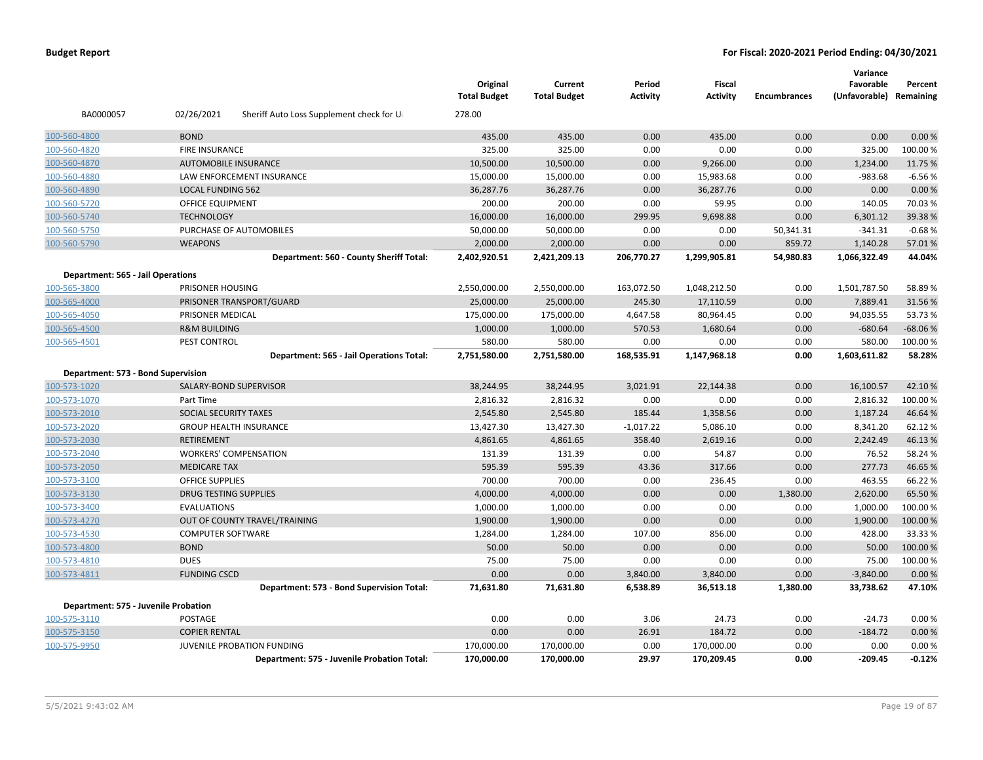|                                          |                                                        | Original<br><b>Total Budget</b> | Current<br><b>Total Budget</b> | Period<br><b>Activity</b> | <b>Fiscal</b><br><b>Activity</b> | <b>Encumbrances</b> | Variance<br>Favorable<br>(Unfavorable) Remaining | Percent   |
|------------------------------------------|--------------------------------------------------------|---------------------------------|--------------------------------|---------------------------|----------------------------------|---------------------|--------------------------------------------------|-----------|
| BA0000057                                | 02/26/2021<br>Sheriff Auto Loss Supplement check for U | 278.00                          |                                |                           |                                  |                     |                                                  |           |
| 100-560-4800                             | <b>BOND</b>                                            | 435.00                          | 435.00                         | 0.00                      | 435.00                           | 0.00                | 0.00                                             | 0.00%     |
| 100-560-4820                             | <b>FIRE INSURANCE</b>                                  | 325.00                          | 325.00                         | 0.00                      | 0.00                             | 0.00                | 325.00                                           | 100.00%   |
| 100-560-4870                             | <b>AUTOMOBILE INSURANCE</b>                            | 10,500.00                       | 10,500.00                      | 0.00                      | 9,266.00                         | 0.00                | 1,234.00                                         | 11.75 %   |
| 100-560-4880                             | LAW ENFORCEMENT INSURANCE                              | 15,000.00                       | 15,000.00                      | 0.00                      | 15,983.68                        | 0.00                | $-983.68$                                        | $-6.56%$  |
| 100-560-4890                             | <b>LOCAL FUNDING 562</b>                               | 36,287.76                       | 36,287.76                      | 0.00                      | 36,287.76                        | 0.00                | 0.00                                             | 0.00%     |
| 100-560-5720                             | OFFICE EQUIPMENT                                       | 200.00                          | 200.00                         | 0.00                      | 59.95                            | 0.00                | 140.05                                           | 70.03%    |
| 100-560-5740                             | <b>TECHNOLOGY</b>                                      | 16,000.00                       | 16,000.00                      | 299.95                    | 9,698.88                         | 0.00                | 6,301.12                                         | 39.38%    |
| 100-560-5750                             | PURCHASE OF AUTOMOBILES                                | 50,000.00                       | 50,000.00                      | 0.00                      | 0.00                             | 50,341.31           | $-341.31$                                        | $-0.68%$  |
| 100-560-5790                             | <b>WEAPONS</b>                                         | 2,000.00                        | 2,000.00                       | 0.00                      | 0.00                             | 859.72              | 1,140.28                                         | 57.01%    |
|                                          | Department: 560 - County Sheriff Total:                | 2,402,920.51                    | 2,421,209.13                   | 206,770.27                | 1,299,905.81                     | 54,980.83           | 1,066,322.49                                     | 44.04%    |
| <b>Department: 565 - Jail Operations</b> |                                                        |                                 |                                |                           |                                  |                     |                                                  |           |
| 100-565-3800                             | PRISONER HOUSING                                       | 2,550,000.00                    | 2,550,000.00                   | 163,072.50                | 1,048,212.50                     | 0.00                | 1,501,787.50                                     | 58.89%    |
| 100-565-4000                             | PRISONER TRANSPORT/GUARD                               | 25,000.00                       | 25,000.00                      | 245.30                    | 17,110.59                        | 0.00                | 7,889.41                                         | 31.56%    |
| 100-565-4050                             | PRISONER MEDICAL                                       | 175,000.00                      | 175,000.00                     | 4,647.58                  | 80,964.45                        | 0.00                | 94,035.55                                        | 53.73%    |
| 100-565-4500                             | <b>R&amp;M BUILDING</b>                                | 1,000.00                        | 1,000.00                       | 570.53                    | 1,680.64                         | 0.00                | $-680.64$                                        | $-68.06%$ |
| 100-565-4501                             | PEST CONTROL                                           | 580.00                          | 580.00                         | 0.00                      | 0.00                             | 0.00                | 580.00                                           | 100.00 %  |
|                                          | Department: 565 - Jail Operations Total:               | 2,751,580.00                    | 2,751,580.00                   | 168,535.91                | 1,147,968.18                     | 0.00                | 1,603,611.82                                     | 58.28%    |
| Department: 573 - Bond Supervision       |                                                        |                                 |                                |                           |                                  |                     |                                                  |           |
| 100-573-1020                             | SALARY-BOND SUPERVISOR                                 | 38,244.95                       | 38,244.95                      | 3,021.91                  | 22,144.38                        | 0.00                | 16,100.57                                        | 42.10%    |
| 100-573-1070                             | Part Time                                              | 2,816.32                        | 2,816.32                       | 0.00                      | 0.00                             | 0.00                | 2,816.32                                         | 100.00%   |
| 100-573-2010                             | SOCIAL SECURITY TAXES                                  | 2,545.80                        | 2,545.80                       | 185.44                    | 1,358.56                         | 0.00                | 1,187.24                                         | 46.64 %   |
| 100-573-2020                             | <b>GROUP HEALTH INSURANCE</b>                          | 13,427.30                       | 13,427.30                      | $-1,017.22$               | 5,086.10                         | 0.00                | 8,341.20                                         | 62.12%    |
| 100-573-2030                             | <b>RETIREMENT</b>                                      | 4,861.65                        | 4,861.65                       | 358.40                    | 2,619.16                         | 0.00                | 2,242.49                                         | 46.13%    |
| 100-573-2040                             | <b>WORKERS' COMPENSATION</b>                           | 131.39                          | 131.39                         | 0.00                      | 54.87                            | 0.00                | 76.52                                            | 58.24 %   |
| 100-573-2050                             | <b>MEDICARE TAX</b>                                    | 595.39                          | 595.39                         | 43.36                     | 317.66                           | 0.00                | 277.73                                           | 46.65%    |
| 100-573-3100                             | <b>OFFICE SUPPLIES</b>                                 | 700.00                          | 700.00                         | 0.00                      | 236.45                           | 0.00                | 463.55                                           | 66.22%    |
| 100-573-3130                             | <b>DRUG TESTING SUPPLIES</b>                           | 4,000.00                        | 4,000.00                       | 0.00                      | 0.00                             | 1,380.00            | 2,620.00                                         | 65.50%    |
| 100-573-3400                             | <b>EVALUATIONS</b>                                     | 1,000.00                        | 1,000.00                       | 0.00                      | 0.00                             | 0.00                | 1,000.00                                         | 100.00%   |
| 100-573-4270                             | OUT OF COUNTY TRAVEL/TRAINING                          | 1,900.00                        | 1,900.00                       | 0.00                      | 0.00                             | 0.00                | 1,900.00                                         | 100.00 %  |
| 100-573-4530                             | <b>COMPUTER SOFTWARE</b>                               | 1,284.00                        | 1,284.00                       | 107.00                    | 856.00                           | 0.00                | 428.00                                           | 33.33 %   |
| 100-573-4800                             | <b>BOND</b>                                            | 50.00                           | 50.00                          | 0.00                      | 0.00                             | 0.00                | 50.00                                            | 100.00 %  |
| 100-573-4810                             | <b>DUES</b>                                            | 75.00                           | 75.00                          | 0.00                      | 0.00                             | 0.00                | 75.00                                            | 100.00%   |
| 100-573-4811                             | <b>FUNDING CSCD</b>                                    | 0.00                            | 0.00                           | 3,840.00                  | 3,840.00                         | 0.00                | $-3,840.00$                                      | 0.00%     |
|                                          | Department: 573 - Bond Supervision Total:              | 71,631.80                       | 71,631.80                      | 6,538.89                  | 36,513.18                        | 1,380.00            | 33,738.62                                        | 47.10%    |
| Department: 575 - Juvenile Probation     |                                                        |                                 |                                |                           |                                  |                     |                                                  |           |
| 100-575-3110                             | POSTAGE                                                | 0.00                            | 0.00                           | 3.06                      | 24.73                            | 0.00                | $-24.73$                                         | 0.00%     |
| 100-575-3150                             | <b>COPIER RENTAL</b>                                   | 0.00                            | 0.00                           | 26.91                     | 184.72                           | 0.00                | $-184.72$                                        | 0.00%     |
| 100-575-9950                             | JUVENILE PROBATION FUNDING                             | 170,000.00                      | 170,000.00                     | 0.00                      | 170,000.00                       | 0.00                | 0.00                                             | 0.00%     |
|                                          | Department: 575 - Juvenile Probation Total:            | 170,000.00                      | 170,000.00                     | 29.97                     | 170,209.45                       | 0.00                | $-209.45$                                        | $-0.12%$  |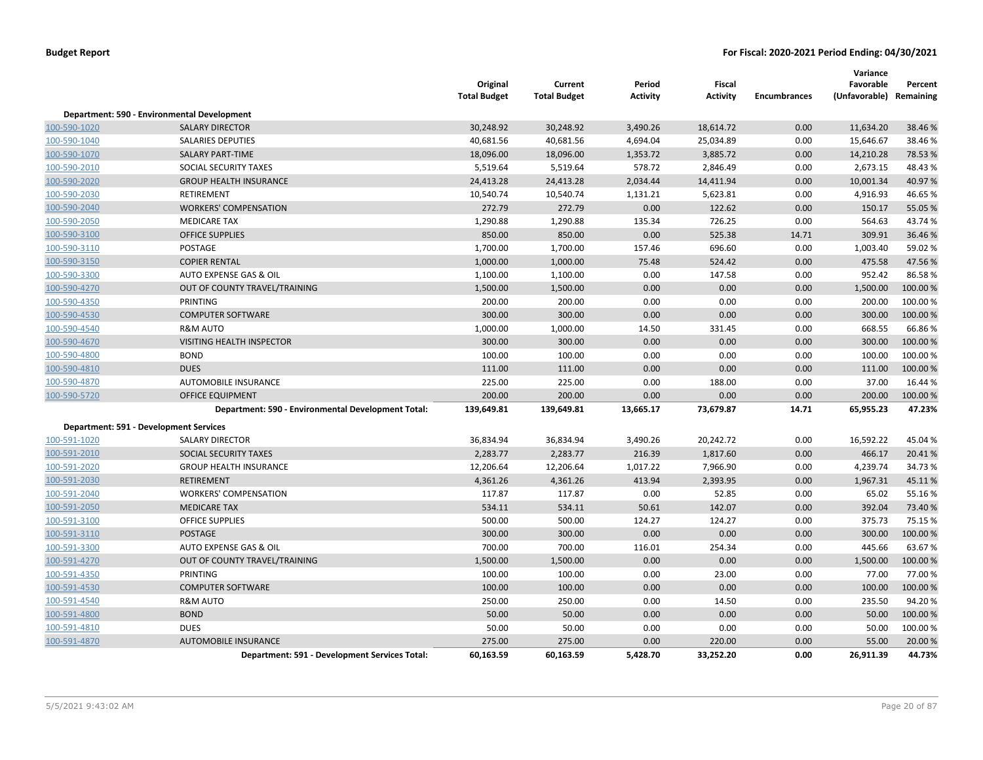|              |                                                    | Original<br><b>Total Budget</b> | Current<br><b>Total Budget</b> | Period<br><b>Activity</b> | <b>Fiscal</b><br><b>Activity</b> | <b>Encumbrances</b> | Variance<br>Favorable<br>(Unfavorable) Remaining | Percent  |
|--------------|----------------------------------------------------|---------------------------------|--------------------------------|---------------------------|----------------------------------|---------------------|--------------------------------------------------|----------|
|              | Department: 590 - Environmental Development        |                                 |                                |                           |                                  |                     |                                                  |          |
| 100-590-1020 | <b>SALARY DIRECTOR</b>                             | 30,248.92                       | 30,248.92                      | 3,490.26                  | 18,614.72                        | 0.00                | 11,634.20                                        | 38.46%   |
| 100-590-1040 | <b>SALARIES DEPUTIES</b>                           | 40,681.56                       | 40,681.56                      | 4,694.04                  | 25,034.89                        | 0.00                | 15,646.67                                        | 38.46%   |
| 100-590-1070 | <b>SALARY PART-TIME</b>                            | 18,096.00                       | 18,096.00                      | 1,353.72                  | 3,885.72                         | 0.00                | 14,210.28                                        | 78.53%   |
| 100-590-2010 | SOCIAL SECURITY TAXES                              | 5,519.64                        | 5,519.64                       | 578.72                    | 2,846.49                         | 0.00                | 2,673.15                                         | 48.43%   |
| 100-590-2020 | <b>GROUP HEALTH INSURANCE</b>                      | 24,413.28                       | 24,413.28                      | 2,034.44                  | 14,411.94                        | 0.00                | 10,001.34                                        | 40.97%   |
| 100-590-2030 | <b>RETIREMENT</b>                                  | 10,540.74                       | 10,540.74                      | 1,131.21                  | 5,623.81                         | 0.00                | 4,916.93                                         | 46.65%   |
| 100-590-2040 | <b>WORKERS' COMPENSATION</b>                       | 272.79                          | 272.79                         | 0.00                      | 122.62                           | 0.00                | 150.17                                           | 55.05 %  |
| 100-590-2050 | <b>MEDICARE TAX</b>                                | 1,290.88                        | 1,290.88                       | 135.34                    | 726.25                           | 0.00                | 564.63                                           | 43.74%   |
| 100-590-3100 | <b>OFFICE SUPPLIES</b>                             | 850.00                          | 850.00                         | 0.00                      | 525.38                           | 14.71               | 309.91                                           | 36.46%   |
| 100-590-3110 | POSTAGE                                            | 1,700.00                        | 1,700.00                       | 157.46                    | 696.60                           | 0.00                | 1,003.40                                         | 59.02 %  |
| 100-590-3150 | <b>COPIER RENTAL</b>                               | 1,000.00                        | 1,000.00                       | 75.48                     | 524.42                           | 0.00                | 475.58                                           | 47.56%   |
| 100-590-3300 | AUTO EXPENSE GAS & OIL                             | 1,100.00                        | 1,100.00                       | 0.00                      | 147.58                           | 0.00                | 952.42                                           | 86.58%   |
| 100-590-4270 | OUT OF COUNTY TRAVEL/TRAINING                      | 1,500.00                        | 1,500.00                       | 0.00                      | 0.00                             | 0.00                | 1,500.00                                         | 100.00 % |
| 100-590-4350 | PRINTING                                           | 200.00                          | 200.00                         | 0.00                      | 0.00                             | 0.00                | 200.00                                           | 100.00%  |
| 100-590-4530 | <b>COMPUTER SOFTWARE</b>                           | 300.00                          | 300.00                         | 0.00                      | 0.00                             | 0.00                | 300.00                                           | 100.00 % |
| 100-590-4540 | <b>R&amp;M AUTO</b>                                | 1,000.00                        | 1,000.00                       | 14.50                     | 331.45                           | 0.00                | 668.55                                           | 66.86%   |
| 100-590-4670 | <b>VISITING HEALTH INSPECTOR</b>                   | 300.00                          | 300.00                         | 0.00                      | 0.00                             | 0.00                | 300.00                                           | 100.00 % |
| 100-590-4800 | <b>BOND</b>                                        | 100.00                          | 100.00                         | 0.00                      | 0.00                             | 0.00                | 100.00                                           | 100.00%  |
| 100-590-4810 | <b>DUES</b>                                        | 111.00                          | 111.00                         | 0.00                      | 0.00                             | 0.00                | 111.00                                           | 100.00 % |
| 100-590-4870 | AUTOMOBILE INSURANCE                               | 225.00                          | 225.00                         | 0.00                      | 188.00                           | 0.00                | 37.00                                            | 16.44 %  |
| 100-590-5720 | <b>OFFICE EQUIPMENT</b>                            | 200.00                          | 200.00                         | 0.00                      | 0.00                             | 0.00                | 200.00                                           | 100.00%  |
|              | Department: 590 - Environmental Development Total: | 139,649.81                      | 139,649.81                     | 13,665.17                 | 73,679.87                        | 14.71               | 65,955.23                                        | 47.23%   |
|              | Department: 591 - Development Services             |                                 |                                |                           |                                  |                     |                                                  |          |
| 100-591-1020 | <b>SALARY DIRECTOR</b>                             | 36,834.94                       | 36,834.94                      | 3,490.26                  | 20,242.72                        | 0.00                | 16,592.22                                        | 45.04%   |
| 100-591-2010 | SOCIAL SECURITY TAXES                              | 2,283.77                        | 2,283.77                       | 216.39                    | 1,817.60                         | 0.00                | 466.17                                           | 20.41%   |
| 100-591-2020 | <b>GROUP HEALTH INSURANCE</b>                      | 12,206.64                       | 12,206.64                      | 1,017.22                  | 7,966.90                         | 0.00                | 4,239.74                                         | 34.73%   |
| 100-591-2030 | <b>RETIREMENT</b>                                  | 4,361.26                        | 4,361.26                       | 413.94                    | 2,393.95                         | 0.00                | 1,967.31                                         | 45.11%   |
| 100-591-2040 | <b>WORKERS' COMPENSATION</b>                       | 117.87                          | 117.87                         | 0.00                      | 52.85                            | 0.00                | 65.02                                            | 55.16%   |
| 100-591-2050 | <b>MEDICARE TAX</b>                                | 534.11                          | 534.11                         | 50.61                     | 142.07                           | 0.00                | 392.04                                           | 73.40%   |
| 100-591-3100 | <b>OFFICE SUPPLIES</b>                             | 500.00                          | 500.00                         | 124.27                    | 124.27                           | 0.00                | 375.73                                           | 75.15 %  |
| 100-591-3110 | <b>POSTAGE</b>                                     | 300.00                          | 300.00                         | 0.00                      | 0.00                             | 0.00                | 300.00                                           | 100.00%  |
| 100-591-3300 | AUTO EXPENSE GAS & OIL                             | 700.00                          | 700.00                         | 116.01                    | 254.34                           | 0.00                | 445.66                                           | 63.67%   |
| 100-591-4270 | OUT OF COUNTY TRAVEL/TRAINING                      | 1,500.00                        | 1,500.00                       | 0.00                      | 0.00                             | 0.00                | 1,500.00                                         | 100.00%  |
| 100-591-4350 | PRINTING                                           | 100.00                          | 100.00                         | 0.00                      | 23.00                            | 0.00                | 77.00                                            | 77.00 %  |
| 100-591-4530 | <b>COMPUTER SOFTWARE</b>                           | 100.00                          | 100.00                         | 0.00                      | 0.00                             | 0.00                | 100.00                                           | 100.00%  |
| 100-591-4540 | <b>R&amp;M AUTO</b>                                | 250.00                          | 250.00                         | 0.00                      | 14.50                            | 0.00                | 235.50                                           | 94.20%   |
| 100-591-4800 | <b>BOND</b>                                        | 50.00                           | 50.00                          | 0.00                      | 0.00                             | 0.00                | 50.00                                            | 100.00 % |
| 100-591-4810 | <b>DUES</b>                                        | 50.00                           | 50.00                          | 0.00                      | 0.00                             | 0.00                | 50.00                                            | 100.00%  |
| 100-591-4870 | <b>AUTOMOBILE INSURANCE</b>                        | 275.00                          | 275.00                         | 0.00                      | 220.00                           | 0.00                | 55.00                                            | 20.00 %  |
|              | Department: 591 - Development Services Total:      | 60,163.59                       | 60,163.59                      | 5,428.70                  | 33,252.20                        | 0.00                | 26,911.39                                        | 44.73%   |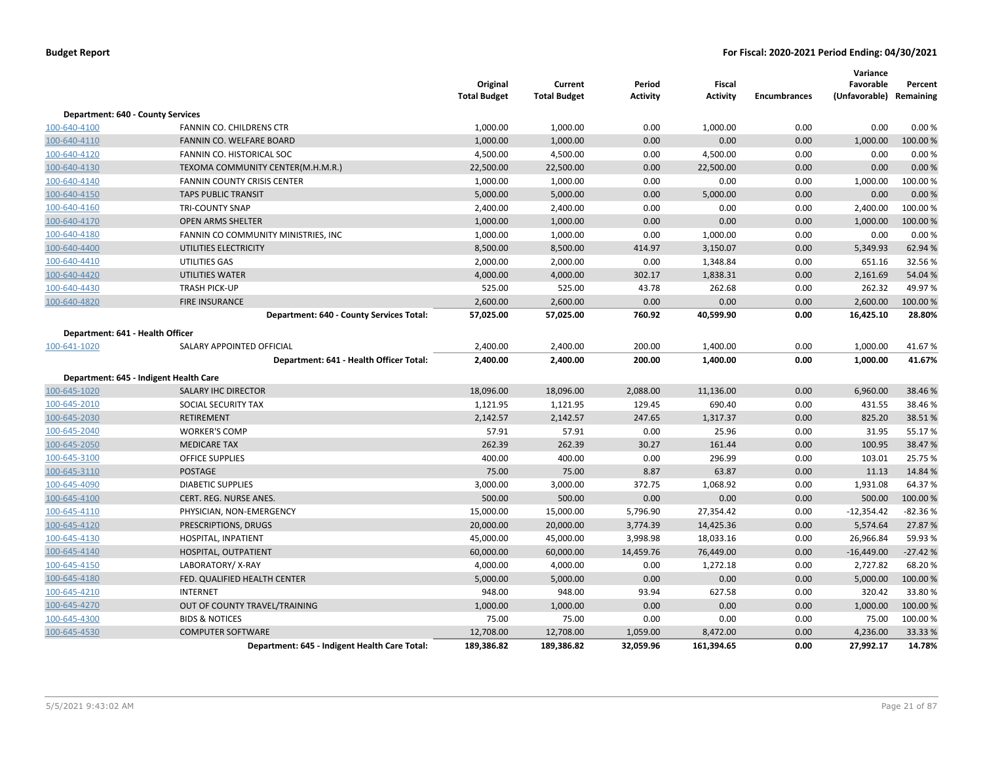|                                          |                                               | Original<br><b>Total Budget</b> | Current<br><b>Total Budget</b> | Period<br><b>Activity</b> | Fiscal<br><b>Activity</b> | <b>Encumbrances</b> | Variance<br>Favorable<br>(Unfavorable) Remaining | Percent   |
|------------------------------------------|-----------------------------------------------|---------------------------------|--------------------------------|---------------------------|---------------------------|---------------------|--------------------------------------------------|-----------|
| <b>Department: 640 - County Services</b> |                                               |                                 |                                |                           |                           |                     |                                                  |           |
| 100-640-4100                             | FANNIN CO. CHILDRENS CTR                      | 1,000.00                        | 1,000.00                       | 0.00                      | 1,000.00                  | 0.00                | 0.00                                             | 0.00%     |
| 100-640-4110                             | FANNIN CO. WELFARE BOARD                      | 1,000.00                        | 1,000.00                       | 0.00                      | 0.00                      | 0.00                | 1,000.00                                         | 100.00%   |
| 100-640-4120                             | FANNIN CO. HISTORICAL SOC                     | 4,500.00                        | 4,500.00                       | 0.00                      | 4,500.00                  | 0.00                | 0.00                                             | 0.00%     |
| 100-640-4130                             | TEXOMA COMMUNITY CENTER(M.H.M.R.)             | 22,500.00                       | 22,500.00                      | 0.00                      | 22,500.00                 | 0.00                | 0.00                                             | 0.00%     |
| 100-640-4140                             | <b>FANNIN COUNTY CRISIS CENTER</b>            | 1,000.00                        | 1,000.00                       | 0.00                      | 0.00                      | 0.00                | 1,000.00                                         | 100.00%   |
| 100-640-4150                             | <b>TAPS PUBLIC TRANSIT</b>                    | 5,000.00                        | 5,000.00                       | 0.00                      | 5,000.00                  | 0.00                | 0.00                                             | 0.00%     |
| 100-640-4160                             | <b>TRI-COUNTY SNAP</b>                        | 2,400.00                        | 2,400.00                       | 0.00                      | 0.00                      | 0.00                | 2,400.00                                         | 100.00%   |
| 100-640-4170                             | <b>OPEN ARMS SHELTER</b>                      | 1,000.00                        | 1,000.00                       | 0.00                      | 0.00                      | 0.00                | 1,000.00                                         | 100.00 %  |
| 100-640-4180                             | FANNIN CO COMMUNITY MINISTRIES, INC           | 1,000.00                        | 1,000.00                       | 0.00                      | 1,000.00                  | 0.00                | 0.00                                             | 0.00%     |
| 100-640-4400                             | UTILITIES ELECTRICITY                         | 8,500.00                        | 8,500.00                       | 414.97                    | 3,150.07                  | 0.00                | 5,349.93                                         | 62.94 %   |
| 100-640-4410                             | UTILITIES GAS                                 | 2,000.00                        | 2,000.00                       | 0.00                      | 1,348.84                  | 0.00                | 651.16                                           | 32.56%    |
| 100-640-4420                             | UTILITIES WATER                               | 4,000.00                        | 4,000.00                       | 302.17                    | 1,838.31                  | 0.00                | 2,161.69                                         | 54.04 %   |
| 100-640-4430                             | <b>TRASH PICK-UP</b>                          | 525.00                          | 525.00                         | 43.78                     | 262.68                    | 0.00                | 262.32                                           | 49.97%    |
| 100-640-4820                             | <b>FIRE INSURANCE</b>                         | 2,600.00                        | 2,600.00                       | 0.00                      | 0.00                      | 0.00                | 2,600.00                                         | 100.00 %  |
|                                          | Department: 640 - County Services Total:      | 57,025.00                       | 57,025.00                      | 760.92                    | 40,599.90                 | 0.00                | 16,425.10                                        | 28.80%    |
| Department: 641 - Health Officer         |                                               |                                 |                                |                           |                           |                     |                                                  |           |
| 100-641-1020                             | SALARY APPOINTED OFFICIAL                     | 2,400.00                        | 2,400.00                       | 200.00                    | 1,400.00                  | 0.00                | 1,000.00                                         | 41.67%    |
|                                          | Department: 641 - Health Officer Total:       | 2,400.00                        | 2,400.00                       | 200.00                    | 1,400.00                  | 0.00                | 1,000.00                                         | 41.67%    |
|                                          | Department: 645 - Indigent Health Care        |                                 |                                |                           |                           |                     |                                                  |           |
| 100-645-1020                             | <b>SALARY IHC DIRECTOR</b>                    | 18,096.00                       | 18,096.00                      | 2,088.00                  | 11,136.00                 | 0.00                | 6,960.00                                         | 38.46%    |
| 100-645-2010                             | SOCIAL SECURITY TAX                           | 1,121.95                        | 1,121.95                       | 129.45                    | 690.40                    | 0.00                | 431.55                                           | 38.46%    |
| 100-645-2030                             | <b>RETIREMENT</b>                             | 2,142.57                        | 2,142.57                       | 247.65                    | 1,317.37                  | 0.00                | 825.20                                           | 38.51%    |
| 100-645-2040                             | <b>WORKER'S COMP</b>                          | 57.91                           | 57.91                          | 0.00                      | 25.96                     | 0.00                | 31.95                                            | 55.17%    |
| 100-645-2050                             | <b>MEDICARE TAX</b>                           | 262.39                          | 262.39                         | 30.27                     | 161.44                    | 0.00                | 100.95                                           | 38.47%    |
| 100-645-3100                             | <b>OFFICE SUPPLIES</b>                        | 400.00                          | 400.00                         | 0.00                      | 296.99                    | 0.00                | 103.01                                           | 25.75 %   |
| 100-645-3110                             | <b>POSTAGE</b>                                | 75.00                           | 75.00                          | 8.87                      | 63.87                     | 0.00                | 11.13                                            | 14.84 %   |
| 100-645-4090                             | <b>DIABETIC SUPPLIES</b>                      | 3,000.00                        | 3,000.00                       | 372.75                    | 1,068.92                  | 0.00                | 1,931.08                                         | 64.37%    |
| 100-645-4100                             | CERT. REG. NURSE ANES.                        | 500.00                          | 500.00                         | 0.00                      | 0.00                      | 0.00                | 500.00                                           | 100.00 %  |
| 100-645-4110                             | PHYSICIAN, NON-EMERGENCY                      | 15,000.00                       | 15,000.00                      | 5,796.90                  | 27,354.42                 | 0.00                | $-12,354.42$                                     | $-82.36%$ |
| 100-645-4120                             | PRESCRIPTIONS, DRUGS                          | 20,000.00                       | 20,000.00                      | 3,774.39                  | 14,425.36                 | 0.00                | 5,574.64                                         | 27.87 %   |
| 100-645-4130                             | HOSPITAL, INPATIENT                           | 45,000.00                       | 45,000.00                      | 3,998.98                  | 18,033.16                 | 0.00                | 26,966.84                                        | 59.93 %   |
| 100-645-4140                             | HOSPITAL, OUTPATIENT                          | 60,000.00                       | 60,000.00                      | 14,459.76                 | 76,449.00                 | 0.00                | $-16,449.00$                                     | $-27.42%$ |
| 100-645-4150                             | LABORATORY/X-RAY                              | 4,000.00                        | 4,000.00                       | 0.00                      | 1,272.18                  | 0.00                | 2,727.82                                         | 68.20%    |
| 100-645-4180                             | FED. QUALIFIED HEALTH CENTER                  | 5,000.00                        | 5,000.00                       | 0.00                      | 0.00                      | 0.00                | 5,000.00                                         | 100.00 %  |
| 100-645-4210                             | <b>INTERNET</b>                               | 948.00                          | 948.00                         | 93.94                     | 627.58                    | 0.00                | 320.42                                           | 33.80%    |
| 100-645-4270                             | OUT OF COUNTY TRAVEL/TRAINING                 | 1,000.00                        | 1,000.00                       | 0.00                      | 0.00                      | 0.00                | 1,000.00                                         | 100.00 %  |
| 100-645-4300                             | <b>BIDS &amp; NOTICES</b>                     | 75.00                           | 75.00                          | 0.00                      | 0.00                      | 0.00                | 75.00                                            | 100.00%   |
| 100-645-4530                             | <b>COMPUTER SOFTWARE</b>                      | 12,708.00                       | 12,708.00                      | 1,059.00                  | 8,472.00                  | 0.00                | 4,236.00                                         | 33.33 %   |
|                                          | Department: 645 - Indigent Health Care Total: | 189,386.82                      | 189,386.82                     | 32,059.96                 | 161,394.65                | 0.00                | 27,992.17                                        | 14.78%    |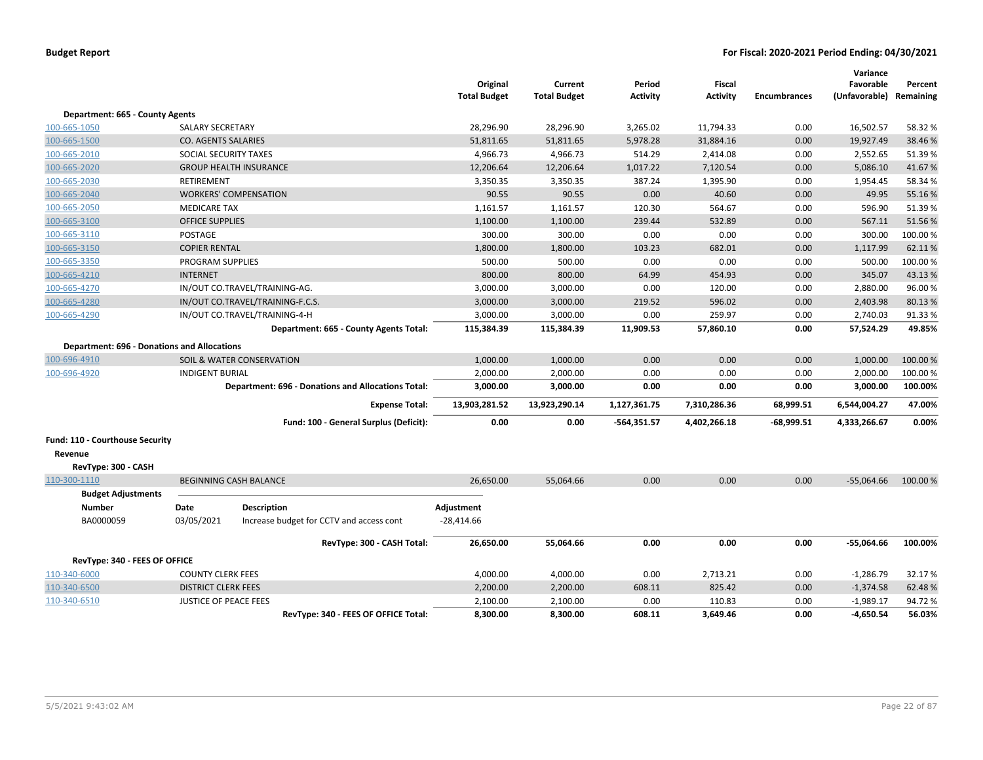|                                                    |                              |                                                           | Original<br><b>Total Budget</b> | Current<br><b>Total Budget</b> | Period<br><b>Activity</b> | Fiscal<br><b>Activity</b> | <b>Encumbrances</b> | Variance<br>Favorable<br>(Unfavorable) Remaining | Percent  |
|----------------------------------------------------|------------------------------|-----------------------------------------------------------|---------------------------------|--------------------------------|---------------------------|---------------------------|---------------------|--------------------------------------------------|----------|
| Department: 665 - County Agents                    |                              |                                                           |                                 |                                |                           |                           |                     |                                                  |          |
| 100-665-1050                                       | <b>SALARY SECRETARY</b>      |                                                           | 28,296.90                       | 28,296.90                      | 3,265.02                  | 11,794.33                 | 0.00                | 16,502.57                                        | 58.32 %  |
| 100-665-1500                                       | <b>CO. AGENTS SALARIES</b>   |                                                           | 51,811.65                       | 51,811.65                      | 5,978.28                  | 31,884.16                 | 0.00                | 19,927.49                                        | 38.46 %  |
| 100-665-2010                                       | SOCIAL SECURITY TAXES        |                                                           | 4,966.73                        | 4,966.73                       | 514.29                    | 2,414.08                  | 0.00                | 2,552.65                                         | 51.39%   |
| 100-665-2020                                       |                              | <b>GROUP HEALTH INSURANCE</b>                             | 12,206.64                       | 12,206.64                      | 1,017.22                  | 7,120.54                  | 0.00                | 5,086.10                                         | 41.67%   |
| 100-665-2030                                       | RETIREMENT                   |                                                           | 3,350.35                        | 3,350.35                       | 387.24                    | 1,395.90                  | 0.00                | 1,954.45                                         | 58.34 %  |
| 100-665-2040                                       |                              | <b>WORKERS' COMPENSATION</b>                              | 90.55                           | 90.55                          | 0.00                      | 40.60                     | 0.00                | 49.95                                            | 55.16%   |
| 100-665-2050                                       | <b>MEDICARE TAX</b>          |                                                           | 1,161.57                        | 1,161.57                       | 120.30                    | 564.67                    | 0.00                | 596.90                                           | 51.39%   |
| 100-665-3100                                       | <b>OFFICE SUPPLIES</b>       |                                                           | 1,100.00                        | 1,100.00                       | 239.44                    | 532.89                    | 0.00                | 567.11                                           | 51.56%   |
| 100-665-3110                                       | POSTAGE                      |                                                           | 300.00                          | 300.00                         | 0.00                      | 0.00                      | 0.00                | 300.00                                           | 100.00%  |
| 100-665-3150                                       | <b>COPIER RENTAL</b>         |                                                           | 1,800.00                        | 1,800.00                       | 103.23                    | 682.01                    | 0.00                | 1,117.99                                         | 62.11%   |
| 100-665-3350                                       | PROGRAM SUPPLIES             |                                                           | 500.00                          | 500.00                         | 0.00                      | 0.00                      | 0.00                | 500.00                                           | 100.00%  |
| 100-665-4210                                       | <b>INTERNET</b>              |                                                           | 800.00                          | 800.00                         | 64.99                     | 454.93                    | 0.00                | 345.07                                           | 43.13%   |
| 100-665-4270                                       |                              | IN/OUT CO.TRAVEL/TRAINING-AG.                             | 3,000.00                        | 3,000.00                       | 0.00                      | 120.00                    | 0.00                | 2,880.00                                         | 96.00%   |
| 100-665-4280                                       |                              | IN/OUT CO.TRAVEL/TRAINING-F.C.S.                          | 3,000.00                        | 3,000.00                       | 219.52                    | 596.02                    | 0.00                | 2,403.98                                         | 80.13%   |
| 100-665-4290                                       |                              | IN/OUT CO.TRAVEL/TRAINING-4-H                             | 3,000.00                        | 3,000.00                       | 0.00                      | 259.97                    | 0.00                | 2,740.03                                         | 91.33%   |
|                                                    |                              | Department: 665 - County Agents Total:                    | 115,384.39                      | 115,384.39                     | 11,909.53                 | 57,860.10                 | 0.00                | 57,524.29                                        | 49.85%   |
| <b>Department: 696 - Donations and Allocations</b> |                              |                                                           |                                 |                                |                           |                           |                     |                                                  |          |
| 100-696-4910                                       |                              | SOIL & WATER CONSERVATION                                 | 1,000.00                        | 1,000.00                       | 0.00                      | 0.00                      | 0.00                | 1,000.00                                         | 100.00 % |
| 100-696-4920                                       | <b>INDIGENT BURIAL</b>       |                                                           | 2,000.00                        | 2,000.00                       | 0.00                      | 0.00                      | 0.00                | 2,000.00                                         | 100.00%  |
|                                                    |                              | <b>Department: 696 - Donations and Allocations Total:</b> | 3,000.00                        | 3,000.00                       | 0.00                      | 0.00                      | 0.00                | 3,000.00                                         | 100.00%  |
|                                                    |                              | <b>Expense Total:</b>                                     | 13,903,281.52                   | 13,923,290.14                  | 1,127,361.75              | 7,310,286.36              | 68,999.51           | 6,544,004.27                                     | 47.00%   |
|                                                    |                              | Fund: 100 - General Surplus (Deficit):                    | 0.00                            | 0.00                           | $-564,351.57$             | 4,402,266.18              | $-68.999.51$        | 4,333,266.67                                     | $0.00\%$ |
| Fund: 110 - Courthouse Security                    |                              |                                                           |                                 |                                |                           |                           |                     |                                                  |          |
| Revenue                                            |                              |                                                           |                                 |                                |                           |                           |                     |                                                  |          |
| RevType: 300 - CASH                                |                              |                                                           |                                 |                                |                           |                           |                     |                                                  |          |
| 110-300-1110                                       |                              | <b>BEGINNING CASH BALANCE</b>                             | 26,650.00                       | 55,064.66                      | 0.00                      | 0.00                      | 0.00                | $-55,064.66$                                     | 100.00 % |
| <b>Budget Adjustments</b>                          |                              |                                                           |                                 |                                |                           |                           |                     |                                                  |          |
| <b>Number</b>                                      | Date                         | <b>Description</b>                                        | Adjustment                      |                                |                           |                           |                     |                                                  |          |
| BA0000059                                          | 03/05/2021                   | Increase budget for CCTV and access cont                  | $-28,414.66$                    |                                |                           |                           |                     |                                                  |          |
|                                                    |                              | RevType: 300 - CASH Total:                                | 26,650.00                       | 55,064.66                      | 0.00                      | 0.00                      | 0.00                | $-55,064.66$                                     | 100.00%  |
| RevType: 340 - FEES OF OFFICE                      |                              |                                                           |                                 |                                |                           |                           |                     |                                                  |          |
| 110-340-6000                                       | <b>COUNTY CLERK FEES</b>     |                                                           | 4,000.00                        | 4,000.00                       | 0.00                      | 2,713.21                  | 0.00                | $-1,286.79$                                      | 32.17%   |
| 110-340-6500                                       | <b>DISTRICT CLERK FEES</b>   |                                                           | 2,200.00                        | 2,200.00                       | 608.11                    | 825.42                    | 0.00                | $-1,374.58$                                      | 62.48%   |
| 110-340-6510                                       | <b>JUSTICE OF PEACE FEES</b> |                                                           | 2,100.00                        | 2,100.00                       | 0.00                      | 110.83                    | 0.00                | $-1,989.17$                                      | 94.72%   |
|                                                    |                              | RevType: 340 - FEES OF OFFICE Total:                      | 8,300.00                        | 8,300.00                       | 608.11                    | 3,649.46                  | 0.00                | -4,650.54                                        | 56.03%   |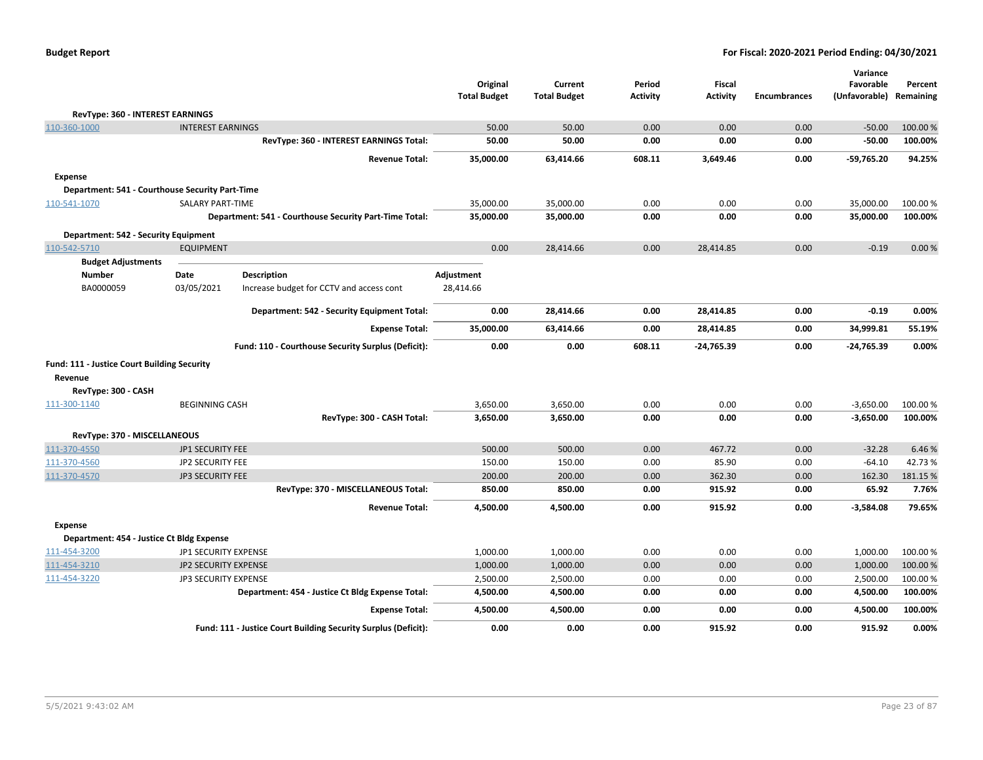| <b>Budget Report</b> |  |
|----------------------|--|
|----------------------|--|

|                                                        |                          |                                                                | Original            | Current             | Period          | <b>Fiscal</b>   |                     | Variance<br>Favorable   | Percent  |
|--------------------------------------------------------|--------------------------|----------------------------------------------------------------|---------------------|---------------------|-----------------|-----------------|---------------------|-------------------------|----------|
|                                                        |                          |                                                                | <b>Total Budget</b> | <b>Total Budget</b> | <b>Activity</b> | <b>Activity</b> | <b>Encumbrances</b> | (Unfavorable) Remaining |          |
| RevType: 360 - INTEREST EARNINGS                       |                          |                                                                |                     |                     |                 |                 |                     |                         |          |
| 110-360-1000                                           | <b>INTEREST EARNINGS</b> |                                                                | 50.00               | 50.00               | 0.00            | 0.00            | 0.00                | $-50.00$                | 100.00 % |
|                                                        |                          | RevType: 360 - INTEREST EARNINGS Total:                        | 50.00               | 50.00               | 0.00            | 0.00            | 0.00                | $-50.00$                | 100.00%  |
|                                                        |                          | <b>Revenue Total:</b>                                          | 35,000.00           | 63,414.66           | 608.11          | 3,649.46        | 0.00                | $-59,765.20$            | 94.25%   |
| <b>Expense</b>                                         |                          |                                                                |                     |                     |                 |                 |                     |                         |          |
| Department: 541 - Courthouse Security Part-Time        |                          |                                                                |                     |                     |                 |                 |                     |                         |          |
| 110-541-1070                                           | <b>SALARY PART-TIME</b>  |                                                                | 35,000.00           | 35,000.00           | 0.00            | 0.00            | 0.00                | 35,000.00               | 100.00%  |
|                                                        |                          | Department: 541 - Courthouse Security Part-Time Total:         | 35,000.00           | 35,000.00           | 0.00            | 0.00            | 0.00                | 35,000.00               | 100.00%  |
| <b>Department: 542 - Security Equipment</b>            |                          |                                                                |                     |                     |                 |                 |                     |                         |          |
| 110-542-5710                                           | <b>EQUIPMENT</b>         |                                                                | 0.00                | 28,414.66           | 0.00            | 28,414.85       | 0.00                | $-0.19$                 | 0.00%    |
| <b>Budget Adjustments</b>                              |                          |                                                                |                     |                     |                 |                 |                     |                         |          |
| <b>Number</b>                                          | Date                     | <b>Description</b>                                             | <b>Adjustment</b>   |                     |                 |                 |                     |                         |          |
| BA0000059                                              | 03/05/2021               | Increase budget for CCTV and access cont                       | 28,414.66           |                     |                 |                 |                     |                         |          |
|                                                        |                          | Department: 542 - Security Equipment Total:                    | 0.00                | 28,414.66           | 0.00            | 28,414.85       | 0.00                | $-0.19$                 | 0.00%    |
|                                                        |                          | <b>Expense Total:</b>                                          | 35,000.00           | 63,414.66           | 0.00            | 28,414.85       | 0.00                | 34,999.81               | 55.19%   |
|                                                        |                          | Fund: 110 - Courthouse Security Surplus (Deficit):             | 0.00                | 0.00                | 608.11          | $-24,765.39$    | 0.00                | $-24,765.39$            | 0.00%    |
| Fund: 111 - Justice Court Building Security<br>Revenue |                          |                                                                |                     |                     |                 |                 |                     |                         |          |
| RevType: 300 - CASH                                    |                          |                                                                |                     |                     |                 |                 |                     |                         |          |
| 111-300-1140                                           | <b>BEGINNING CASH</b>    |                                                                | 3,650.00            | 3,650.00            | 0.00            | 0.00            | 0.00                | $-3,650.00$             | 100.00 % |
|                                                        |                          | RevType: 300 - CASH Total:                                     | 3,650.00            | 3,650.00            | 0.00            | 0.00            | 0.00                | $-3,650.00$             | 100.00%  |
| RevType: 370 - MISCELLANEOUS                           |                          |                                                                |                     |                     |                 |                 |                     |                         |          |
| 111-370-4550                                           | <b>JP1 SECURITY FEE</b>  |                                                                | 500.00              | 500.00              | 0.00            | 467.72          | 0.00                | $-32.28$                | 6.46%    |
| 111-370-4560                                           | JP2 SECURITY FEE         |                                                                | 150.00              | 150.00              | 0.00            | 85.90           | 0.00                | $-64.10$                | 42.73%   |
| 111-370-4570                                           | <b>JP3 SECURITY FEE</b>  |                                                                | 200.00              | 200.00              | 0.00            | 362.30          | 0.00                | 162.30                  | 181.15 % |
|                                                        |                          | RevType: 370 - MISCELLANEOUS Total:                            | 850.00              | 850.00              | 0.00            | 915.92          | 0.00                | 65.92                   | 7.76%    |
|                                                        |                          | <b>Revenue Total:</b>                                          | 4,500.00            | 4,500.00            | 0.00            | 915.92          | 0.00                | $-3,584.08$             | 79.65%   |
| Expense                                                |                          |                                                                |                     |                     |                 |                 |                     |                         |          |
| Department: 454 - Justice Ct Bldg Expense              |                          |                                                                |                     |                     |                 |                 |                     |                         |          |
| 111-454-3200                                           | JP1 SECURITY EXPENSE     |                                                                | 1,000.00            | 1,000.00            | 0.00            | 0.00            | 0.00                | 1,000.00                | 100.00 % |
| 111-454-3210                                           | JP2 SECURITY EXPENSE     |                                                                | 1,000.00            | 1,000.00            | 0.00            | 0.00            | 0.00                | 1,000.00                | 100.00%  |
| 111-454-3220                                           | JP3 SECURITY EXPENSE     |                                                                | 2,500.00            | 2,500.00            | 0.00            | 0.00            | 0.00                | 2,500.00                | 100.00 % |
|                                                        |                          | Department: 454 - Justice Ct Bldg Expense Total:               | 4,500.00            | 4,500.00            | 0.00            | 0.00            | 0.00                | 4,500.00                | 100.00%  |
|                                                        |                          | <b>Expense Total:</b>                                          | 4,500.00            | 4,500.00            | 0.00            | 0.00            | 0.00                | 4,500.00                | 100.00%  |
|                                                        |                          | Fund: 111 - Justice Court Building Security Surplus (Deficit): | 0.00                | 0.00                | 0.00            | 915.92          | 0.00                | 915.92                  | 0.00%    |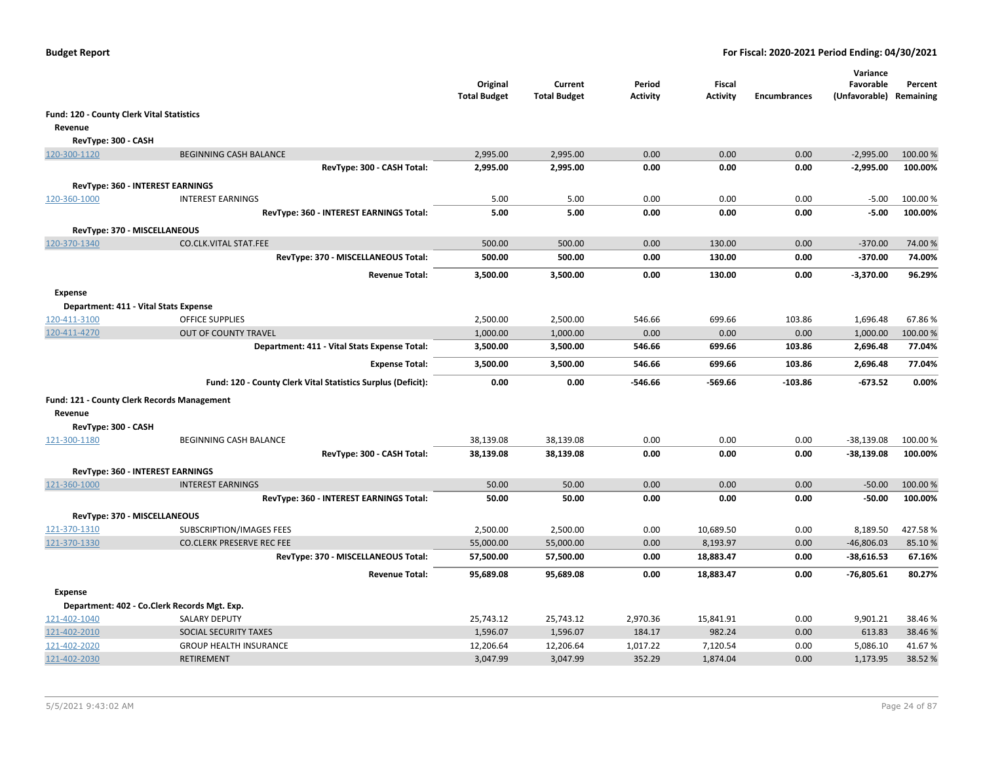|                                           |                                                              | Original<br><b>Total Budget</b> | Current<br><b>Total Budget</b> | Period<br>Activity | <b>Fiscal</b><br><b>Activity</b> | <b>Encumbrances</b> | Variance<br>Favorable<br>(Unfavorable) Remaining | Percent  |
|-------------------------------------------|--------------------------------------------------------------|---------------------------------|--------------------------------|--------------------|----------------------------------|---------------------|--------------------------------------------------|----------|
| Fund: 120 - County Clerk Vital Statistics |                                                              |                                 |                                |                    |                                  |                     |                                                  |          |
| Revenue                                   |                                                              |                                 |                                |                    |                                  |                     |                                                  |          |
| RevType: 300 - CASH                       |                                                              |                                 |                                |                    |                                  |                     |                                                  |          |
| 120-300-1120                              | <b>BEGINNING CASH BALANCE</b>                                | 2,995.00                        | 2,995.00                       | 0.00               | 0.00                             | 0.00                | $-2,995.00$                                      | 100.00 % |
|                                           | RevType: 300 - CASH Total:                                   | 2,995.00                        | 2,995.00                       | 0.00               | 0.00                             | 0.00                | $-2,995.00$                                      | 100.00%  |
|                                           |                                                              |                                 |                                |                    |                                  |                     |                                                  |          |
|                                           | RevType: 360 - INTEREST EARNINGS<br><b>INTEREST EARNINGS</b> |                                 |                                | 0.00               |                                  |                     |                                                  |          |
| 120-360-1000                              |                                                              | 5.00                            | 5.00                           |                    | 0.00                             | 0.00                | $-5.00$<br>$-5.00$                               | 100.00 % |
|                                           | RevType: 360 - INTEREST EARNINGS Total:                      | 5.00                            | 5.00                           | 0.00               | 0.00                             | 0.00                |                                                  | 100.00%  |
|                                           | RevType: 370 - MISCELLANEOUS                                 |                                 |                                |                    |                                  |                     |                                                  |          |
| 120-370-1340                              | CO.CLK.VITAL STAT.FEE                                        | 500.00                          | 500.00                         | 0.00               | 130.00                           | 0.00                | $-370.00$                                        | 74.00 %  |
|                                           | RevType: 370 - MISCELLANEOUS Total:                          | 500.00                          | 500.00                         | 0.00               | 130.00                           | 0.00                | $-370.00$                                        | 74.00%   |
|                                           | <b>Revenue Total:</b>                                        | 3,500.00                        | 3,500.00                       | 0.00               | 130.00                           | 0.00                | $-3,370.00$                                      | 96.29%   |
| <b>Expense</b>                            |                                                              |                                 |                                |                    |                                  |                     |                                                  |          |
|                                           | Department: 411 - Vital Stats Expense                        |                                 |                                |                    |                                  |                     |                                                  |          |
| 120-411-3100                              | <b>OFFICE SUPPLIES</b>                                       | 2,500.00                        | 2,500.00                       | 546.66             | 699.66                           | 103.86              | 1,696.48                                         | 67.86%   |
| 120-411-4270                              | OUT OF COUNTY TRAVEL                                         | 1,000.00                        | 1,000.00                       | 0.00               | 0.00                             | 0.00                | 1,000.00                                         | 100.00 % |
|                                           | Department: 411 - Vital Stats Expense Total:                 | 3,500.00                        | 3,500.00                       | 546.66             | 699.66                           | 103.86              | 2,696.48                                         | 77.04%   |
|                                           | <b>Expense Total:</b>                                        | 3,500.00                        | 3,500.00                       | 546.66             | 699.66                           | 103.86              | 2,696.48                                         | 77.04%   |
|                                           | Fund: 120 - County Clerk Vital Statistics Surplus (Deficit): | 0.00                            | 0.00                           | $-546.66$          | $-569.66$                        | $-103.86$           | $-673.52$                                        | 0.00%    |
|                                           | Fund: 121 - County Clerk Records Management                  |                                 |                                |                    |                                  |                     |                                                  |          |
| Revenue                                   |                                                              |                                 |                                |                    |                                  |                     |                                                  |          |
| RevType: 300 - CASH                       |                                                              |                                 |                                |                    |                                  |                     |                                                  |          |
| 121-300-1180                              | BEGINNING CASH BALANCE                                       | 38,139.08                       | 38,139.08                      | 0.00               | 0.00                             | 0.00                | $-38,139.08$                                     | 100.00 % |
|                                           | RevType: 300 - CASH Total:                                   | 38,139.08                       | 38,139.08                      | 0.00               | 0.00                             | 0.00                | -38,139.08                                       | 100.00%  |
|                                           | <b>RevType: 360 - INTEREST EARNINGS</b>                      |                                 |                                |                    |                                  |                     |                                                  |          |
| 121-360-1000                              | <b>INTEREST EARNINGS</b>                                     | 50.00                           | 50.00                          | 0.00               | 0.00                             | 0.00                | $-50.00$                                         | 100.00 % |
|                                           | RevType: 360 - INTEREST EARNINGS Total:                      | 50.00                           | 50.00                          | 0.00               | 0.00                             | 0.00                | $-50.00$                                         | 100.00%  |
| RevType: 370 - MISCELLANEOUS              |                                                              |                                 |                                |                    |                                  |                     |                                                  |          |
| 121-370-1310                              | SUBSCRIPTION/IMAGES FEES                                     | 2,500.00                        | 2,500.00                       | 0.00               | 10,689.50                        | 0.00                | 8,189.50                                         | 427.58%  |
| 121-370-1330                              | <b>CO.CLERK PRESERVE REC FEE</b>                             | 55,000.00                       | 55,000.00                      | 0.00               | 8,193.97                         | 0.00                | $-46,806.03$                                     | 85.10%   |
|                                           | RevType: 370 - MISCELLANEOUS Total:                          | 57,500.00                       | 57,500.00                      | 0.00               | 18,883.47                        | 0.00                | $-38,616.53$                                     | 67.16%   |
|                                           | <b>Revenue Total:</b>                                        | 95,689.08                       | 95,689.08                      | 0.00               | 18.883.47                        | 0.00                | $-76,805.61$                                     | 80.27%   |
| <b>Expense</b>                            |                                                              |                                 |                                |                    |                                  |                     |                                                  |          |
|                                           | Department: 402 - Co.Clerk Records Mgt. Exp.                 |                                 |                                |                    |                                  |                     |                                                  |          |
| 121-402-1040                              | SALARY DEPUTY                                                | 25,743.12                       | 25,743.12                      | 2,970.36           | 15,841.91                        | 0.00                | 9,901.21                                         | 38.46%   |
| 121-402-2010                              | SOCIAL SECURITY TAXES                                        | 1,596.07                        | 1,596.07                       | 184.17             | 982.24                           | 0.00                | 613.83                                           | 38.46%   |
| 121-402-2020                              | <b>GROUP HEALTH INSURANCE</b>                                | 12,206.64                       | 12,206.64                      | 1,017.22           | 7,120.54                         | 0.00                | 5,086.10                                         | 41.67%   |
| 121-402-2030                              | <b>RETIREMENT</b>                                            | 3,047.99                        | 3,047.99                       | 352.29             | 1,874.04                         | 0.00                | 1,173.95                                         | 38.52 %  |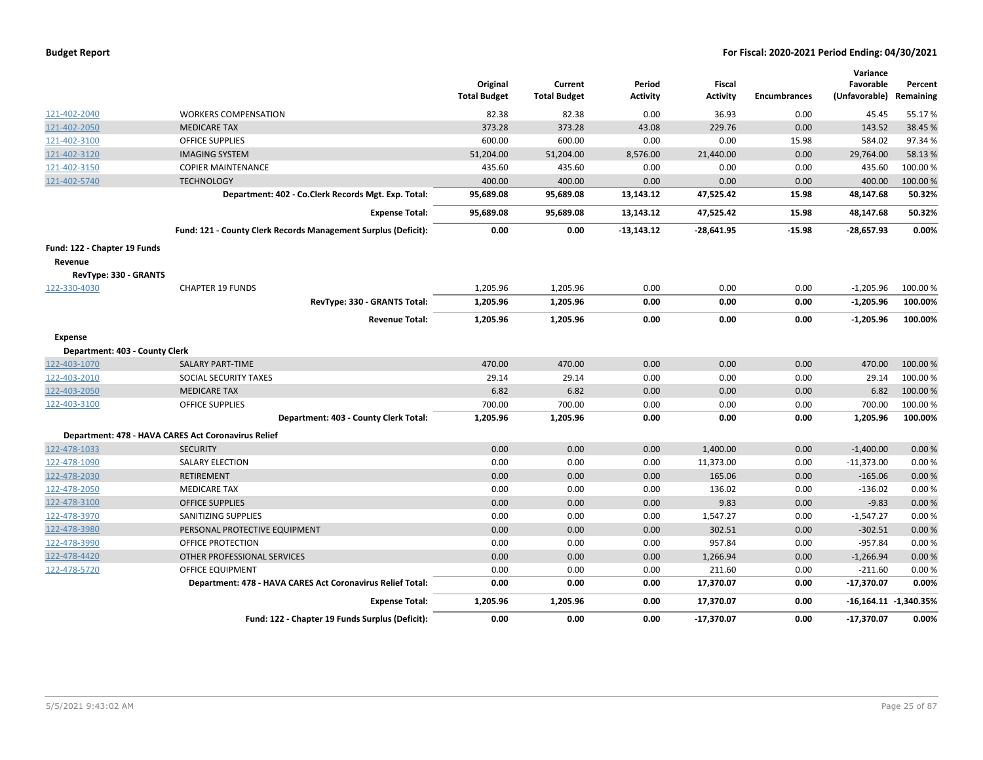| <b>Budget Report</b> |  |
|----------------------|--|
|----------------------|--|

|                                |                                                                | Original<br><b>Total Budget</b> | Current<br><b>Total Budget</b> | Period<br><b>Activity</b> | <b>Fiscal</b><br><b>Activity</b> | <b>Encumbrances</b> | Variance<br>Favorable<br>(Unfavorable) | Percent<br>Remaining      |
|--------------------------------|----------------------------------------------------------------|---------------------------------|--------------------------------|---------------------------|----------------------------------|---------------------|----------------------------------------|---------------------------|
| 121-402-2040                   | <b>WORKERS COMPENSATION</b>                                    | 82.38                           | 82.38                          | 0.00                      | 36.93                            | 0.00                | 45.45                                  | 55.17%                    |
| 121-402-2050                   | <b>MEDICARE TAX</b>                                            | 373.28                          | 373.28                         | 43.08                     | 229.76                           | 0.00                | 143.52                                 | 38.45 %                   |
| 121-402-3100                   | <b>OFFICE SUPPLIES</b>                                         | 600.00                          | 600.00                         | 0.00                      | 0.00                             | 15.98               | 584.02                                 | 97.34%                    |
| 121-402-3120                   | <b>IMAGING SYSTEM</b>                                          | 51,204.00                       | 51,204.00                      | 8,576.00                  | 21,440.00                        | 0.00                | 29,764.00                              | 58.13%                    |
| 121-402-3150                   | <b>COPIER MAINTENANCE</b>                                      | 435.60                          | 435.60                         | 0.00                      | 0.00                             | 0.00                | 435.60                                 | 100.00%                   |
| 121-402-5740                   | <b>TECHNOLOGY</b>                                              | 400.00                          | 400.00                         | 0.00                      | 0.00                             | 0.00                | 400.00                                 | 100.00 %                  |
|                                | Department: 402 - Co.Clerk Records Mgt. Exp. Total:            | 95,689.08                       | 95,689.08                      | 13,143.12                 | 47,525.42                        | 15.98               | 48,147.68                              | 50.32%                    |
|                                | <b>Expense Total:</b>                                          | 95,689.08                       | 95,689.08                      | 13,143.12                 | 47,525.42                        | 15.98               | 48,147.68                              | 50.32%                    |
|                                | Fund: 121 - County Clerk Records Management Surplus (Deficit): | 0.00                            | 0.00                           | -13,143.12                | $-28,641.95$                     | $-15.98$            | $-28,657.93$                           | 0.00%                     |
| Fund: 122 - Chapter 19 Funds   |                                                                |                                 |                                |                           |                                  |                     |                                        |                           |
| Revenue                        |                                                                |                                 |                                |                           |                                  |                     |                                        |                           |
| RevType: 330 - GRANTS          |                                                                |                                 |                                |                           |                                  |                     |                                        |                           |
| 122-330-4030                   | <b>CHAPTER 19 FUNDS</b>                                        | 1,205.96                        | 1,205.96                       | 0.00                      | 0.00                             | 0.00                | $-1,205.96$                            | 100.00 %                  |
|                                | RevType: 330 - GRANTS Total:                                   | 1,205.96                        | 1,205.96                       | 0.00                      | 0.00                             | 0.00                | $-1,205.96$                            | 100.00%                   |
|                                | <b>Revenue Total:</b>                                          | 1,205.96                        | 1,205.96                       | 0.00                      | 0.00                             | 0.00                | $-1,205.96$                            | 100.00%                   |
| <b>Expense</b>                 |                                                                |                                 |                                |                           |                                  |                     |                                        |                           |
| Department: 403 - County Clerk |                                                                |                                 |                                |                           |                                  |                     |                                        |                           |
| 122-403-1070                   | <b>SALARY PART-TIME</b>                                        | 470.00                          | 470.00                         | 0.00                      | 0.00                             | 0.00                | 470.00                                 | 100.00%                   |
| 122-403-2010                   | SOCIAL SECURITY TAXES                                          | 29.14                           | 29.14                          | 0.00                      | 0.00                             | 0.00                | 29.14                                  | 100.00%                   |
| 122-403-2050                   | <b>MEDICARE TAX</b>                                            | 6.82                            | 6.82                           | 0.00                      | 0.00                             | 0.00                | 6.82                                   | 100.00 %                  |
| 122-403-3100                   | <b>OFFICE SUPPLIES</b>                                         | 700.00                          | 700.00                         | 0.00                      | 0.00                             | 0.00                | 700.00                                 | 100.00%                   |
|                                | Department: 403 - County Clerk Total:                          | 1,205.96                        | 1,205.96                       | 0.00                      | 0.00                             | 0.00                | 1,205.96                               | 100.00%                   |
|                                | Department: 478 - HAVA CARES Act Coronavirus Relief            |                                 |                                |                           |                                  |                     |                                        |                           |
| 122-478-1033                   | <b>SECURITY</b>                                                | 0.00                            | 0.00                           | 0.00                      | 1,400.00                         | 0.00                | $-1,400.00$                            | 0.00 %                    |
| 122-478-1090                   | <b>SALARY ELECTION</b>                                         | 0.00                            | 0.00                           | 0.00                      | 11,373.00                        | 0.00                | $-11,373.00$                           | 0.00%                     |
| 122-478-2030                   | <b>RETIREMENT</b>                                              | 0.00                            | 0.00                           | 0.00                      | 165.06                           | 0.00                | $-165.06$                              | 0.00%                     |
| 122-478-2050                   | <b>MEDICARE TAX</b>                                            | 0.00                            | 0.00                           | 0.00                      | 136.02                           | 0.00                | $-136.02$                              | 0.00%                     |
| 122-478-3100                   | <b>OFFICE SUPPLIES</b>                                         | 0.00                            | 0.00                           | 0.00                      | 9.83                             | 0.00                | $-9.83$                                | 0.00%                     |
| 122-478-3970                   | SANITIZING SUPPLIES                                            | 0.00                            | 0.00                           | 0.00                      | 1,547.27                         | 0.00                | $-1,547.27$                            | 0.00%                     |
| 122-478-3980                   | PERSONAL PROTECTIVE EQUIPMENT                                  | 0.00                            | 0.00                           | 0.00                      | 302.51                           | 0.00                | $-302.51$                              | 0.00%                     |
| 122-478-3990                   | OFFICE PROTECTION                                              | 0.00                            | 0.00                           | 0.00                      | 957.84                           | 0.00                | $-957.84$                              | 0.00%                     |
| 122-478-4420                   | OTHER PROFESSIONAL SERVICES                                    | 0.00                            | 0.00                           | 0.00                      | 1,266.94                         | 0.00                | $-1,266.94$                            | 0.00%                     |
| 122-478-5720                   | OFFICE EQUIPMENT                                               | 0.00                            | 0.00                           | 0.00                      | 211.60                           | 0.00                | $-211.60$                              | 0.00%                     |
|                                | Department: 478 - HAVA CARES Act Coronavirus Relief Total:     | 0.00                            | 0.00                           | 0.00                      | 17,370.07                        | 0.00                | $-17,370.07$                           | 0.00%                     |
|                                | <b>Expense Total:</b>                                          | 1,205.96                        | 1,205.96                       | 0.00                      | 17,370.07                        | 0.00                |                                        | $-16,164.11$ $-1,340.35%$ |
|                                | Fund: 122 - Chapter 19 Funds Surplus (Deficit):                | 0.00                            | 0.00                           | 0.00                      | $-17,370.07$                     | 0.00                | $-17,370.07$                           | 0.00%                     |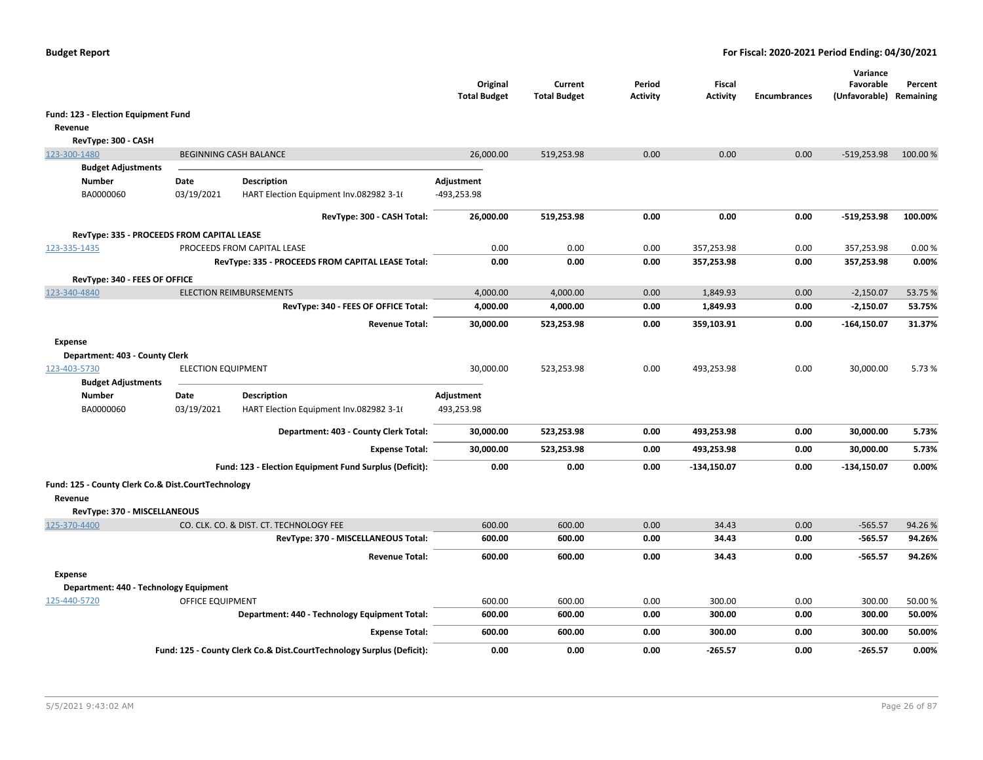|                                                    |                           |                                                                       | Original<br><b>Total Budget</b> | Current<br><b>Total Budget</b> | Period<br><b>Activity</b> | Fiscal<br><b>Activity</b> | <b>Encumbrances</b> | Variance<br>Favorable<br>(Unfavorable) Remaining | Percent |
|----------------------------------------------------|---------------------------|-----------------------------------------------------------------------|---------------------------------|--------------------------------|---------------------------|---------------------------|---------------------|--------------------------------------------------|---------|
| Fund: 123 - Election Equipment Fund                |                           |                                                                       |                                 |                                |                           |                           |                     |                                                  |         |
| Revenue                                            |                           |                                                                       |                                 |                                |                           |                           |                     |                                                  |         |
| RevType: 300 - CASH                                |                           |                                                                       |                                 |                                |                           |                           |                     |                                                  |         |
| 123-300-1480                                       |                           | <b>BEGINNING CASH BALANCE</b>                                         | 26,000.00                       | 519,253.98                     | 0.00                      | 0.00                      | 0.00                | $-519,253.98$                                    | 100.00% |
| <b>Budget Adjustments</b>                          |                           |                                                                       |                                 |                                |                           |                           |                     |                                                  |         |
| <b>Number</b>                                      | Date                      | <b>Description</b>                                                    | Adjustment                      |                                |                           |                           |                     |                                                  |         |
| BA0000060                                          | 03/19/2021                | HART Election Equipment Inv.082982 3-16                               | -493,253.98                     |                                |                           |                           |                     |                                                  |         |
|                                                    |                           | RevType: 300 - CASH Total:                                            | 26,000.00                       | 519,253.98                     | 0.00                      | 0.00                      | 0.00                | $-519,253.98$                                    | 100.00% |
| RevType: 335 - PROCEEDS FROM CAPITAL LEASE         |                           |                                                                       |                                 |                                |                           |                           |                     |                                                  |         |
| 123-335-1435                                       |                           | PROCEEDS FROM CAPITAL LEASE                                           | 0.00                            | 0.00                           | 0.00                      | 357,253.98                | 0.00                | 357,253.98                                       | 0.00%   |
|                                                    |                           | RevType: 335 - PROCEEDS FROM CAPITAL LEASE Total:                     | 0.00                            | 0.00                           | 0.00                      | 357,253.98                | 0.00                | 357,253.98                                       | 0.00%   |
| RevType: 340 - FEES OF OFFICE                      |                           |                                                                       |                                 |                                |                           |                           |                     |                                                  |         |
| 123-340-4840                                       |                           | <b>ELECTION REIMBURSEMENTS</b>                                        | 4,000.00                        | 4,000.00                       | 0.00                      | 1,849.93                  | 0.00                | $-2,150.07$                                      | 53.75 % |
|                                                    |                           | RevType: 340 - FEES OF OFFICE Total:                                  | 4,000.00                        | 4,000.00                       | 0.00                      | 1,849.93                  | 0.00                | $-2,150.07$                                      | 53.75%  |
|                                                    |                           | <b>Revenue Total:</b>                                                 | 30,000.00                       | 523,253.98                     | 0.00                      | 359,103.91                | 0.00                | $-164, 150.07$                                   | 31.37%  |
| Expense                                            |                           |                                                                       |                                 |                                |                           |                           |                     |                                                  |         |
| Department: 403 - County Clerk                     |                           |                                                                       |                                 |                                |                           |                           |                     |                                                  |         |
| 123-403-5730                                       | <b>ELECTION EQUIPMENT</b> |                                                                       | 30,000.00                       | 523,253.98                     | 0.00                      | 493,253.98                | 0.00                | 30,000.00                                        | 5.73%   |
| <b>Budget Adjustments</b><br><b>Number</b>         | Date                      | <b>Description</b>                                                    | Adjustment                      |                                |                           |                           |                     |                                                  |         |
| BA0000060                                          | 03/19/2021                | HART Election Equipment Inv.082982 3-16                               | 493,253.98                      |                                |                           |                           |                     |                                                  |         |
|                                                    |                           | Department: 403 - County Clerk Total:                                 | 30,000.00                       | 523,253.98                     | 0.00                      | 493,253.98                | 0.00                | 30,000.00                                        | 5.73%   |
|                                                    |                           | <b>Expense Total:</b>                                                 | 30,000.00                       | 523,253.98                     | 0.00                      | 493,253.98                | 0.00                | 30,000.00                                        | 5.73%   |
|                                                    |                           | Fund: 123 - Election Equipment Fund Surplus (Deficit):                | 0.00                            | 0.00                           | 0.00                      | $-134,150.07$             | 0.00                | $-134,150.07$                                    | 0.00%   |
| Fund: 125 - County Clerk Co.& Dist.CourtTechnology |                           |                                                                       |                                 |                                |                           |                           |                     |                                                  |         |
| Revenue                                            |                           |                                                                       |                                 |                                |                           |                           |                     |                                                  |         |
| RevType: 370 - MISCELLANEOUS                       |                           |                                                                       |                                 |                                |                           |                           |                     |                                                  |         |
| 125-370-4400                                       |                           | CO. CLK. CO. & DIST. CT. TECHNOLOGY FEE                               | 600.00                          | 600.00                         | 0.00                      | 34.43                     | 0.00                | $-565.57$                                        | 94.26%  |
|                                                    |                           | RevType: 370 - MISCELLANEOUS Total:                                   | 600.00                          | 600.00                         | 0.00                      | 34.43                     | 0.00                | $-565.57$                                        | 94.26%  |
|                                                    |                           | <b>Revenue Total:</b>                                                 | 600.00                          | 600.00                         | 0.00                      | 34.43                     | 0.00                | $-565.57$                                        | 94.26%  |
| <b>Expense</b>                                     |                           |                                                                       |                                 |                                |                           |                           |                     |                                                  |         |
| Department: 440 - Technology Equipment             |                           |                                                                       |                                 |                                |                           |                           |                     |                                                  |         |
| 125-440-5720                                       | OFFICE EQUIPMENT          |                                                                       | 600.00                          | 600.00                         | 0.00                      | 300.00                    | 0.00                | 300.00                                           | 50.00 % |
|                                                    |                           | Department: 440 - Technology Equipment Total:                         | 600.00                          | 600.00                         | 0.00                      | 300.00                    | 0.00                | 300.00                                           | 50.00%  |
|                                                    |                           | <b>Expense Total:</b>                                                 | 600.00                          | 600.00                         | 0.00                      | 300.00                    | 0.00                | 300.00                                           | 50.00%  |
|                                                    |                           | Fund: 125 - County Clerk Co.& Dist.CourtTechnology Surplus (Deficit): | 0.00                            | 0.00                           | 0.00                      | $-265.57$                 | 0.00                | $-265.57$                                        | 0.00%   |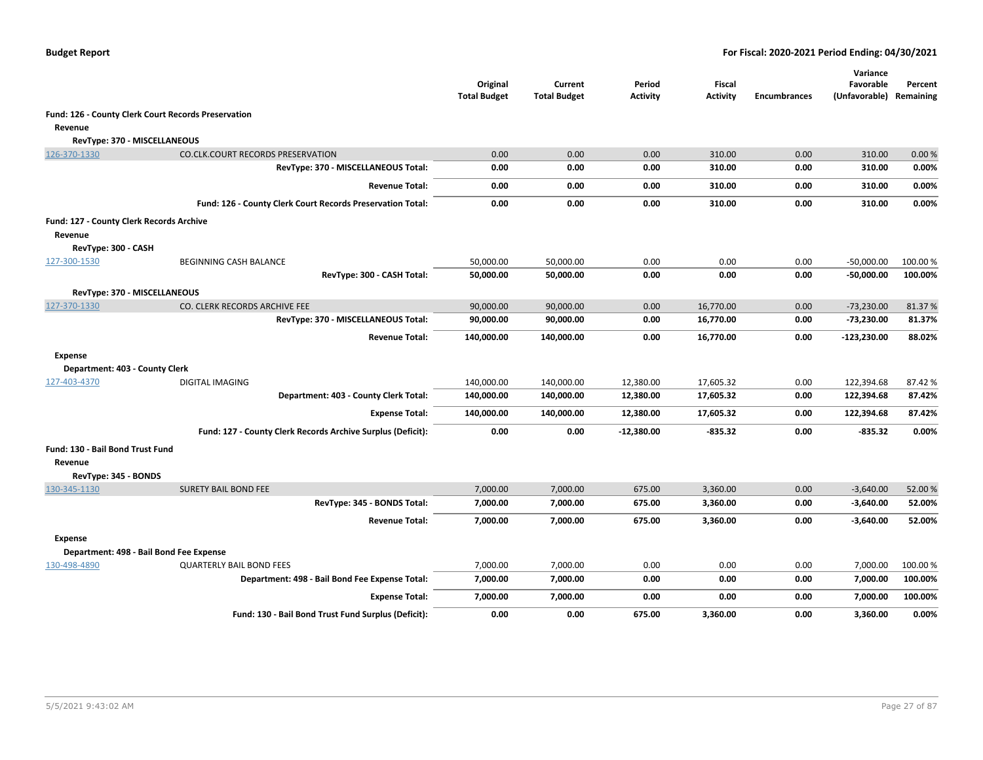|                                          |                                                             | Original<br><b>Total Budget</b> | Current<br><b>Total Budget</b> | Period<br><b>Activity</b> | Fiscal<br><b>Activity</b> | <b>Encumbrances</b> | Variance<br>Favorable<br>(Unfavorable) | Percent<br>Remaining |
|------------------------------------------|-------------------------------------------------------------|---------------------------------|--------------------------------|---------------------------|---------------------------|---------------------|----------------------------------------|----------------------|
|                                          | Fund: 126 - County Clerk Court Records Preservation         |                                 |                                |                           |                           |                     |                                        |                      |
| Revenue                                  |                                                             |                                 |                                |                           |                           |                     |                                        |                      |
| RevType: 370 - MISCELLANEOUS             |                                                             |                                 |                                |                           |                           |                     |                                        |                      |
| 126-370-1330                             | <b>CO.CLK.COURT RECORDS PRESERVATION</b>                    | 0.00                            | 0.00                           | 0.00                      | 310.00                    | 0.00                | 310.00                                 | 0.00%                |
|                                          | RevType: 370 - MISCELLANEOUS Total:                         | 0.00                            | 0.00                           | 0.00                      | 310.00                    | 0.00                | 310.00                                 | 0.00%                |
|                                          | <b>Revenue Total:</b>                                       | 0.00                            | 0.00                           | 0.00                      | 310.00                    | 0.00                | 310.00                                 | 0.00%                |
|                                          | Fund: 126 - County Clerk Court Records Preservation Total:  | 0.00                            | 0.00                           | 0.00                      | 310.00                    | 0.00                | 310.00                                 | 0.00%                |
| Fund: 127 - County Clerk Records Archive |                                                             |                                 |                                |                           |                           |                     |                                        |                      |
| Revenue                                  |                                                             |                                 |                                |                           |                           |                     |                                        |                      |
| RevType: 300 - CASH                      |                                                             |                                 |                                |                           |                           |                     |                                        |                      |
| 127-300-1530                             | <b>BEGINNING CASH BALANCE</b>                               | 50,000.00                       | 50,000.00                      | 0.00                      | 0.00                      | 0.00                | $-50,000.00$                           | 100.00 %             |
|                                          | RevType: 300 - CASH Total:                                  | 50,000.00                       | 50,000.00                      | 0.00                      | 0.00                      | 0.00                | $-50,000.00$                           | 100.00%              |
| RevType: 370 - MISCELLANEOUS             |                                                             |                                 |                                |                           |                           |                     |                                        |                      |
| 127-370-1330                             | CO. CLERK RECORDS ARCHIVE FEE                               | 90,000.00                       | 90,000.00                      | 0.00                      | 16,770.00                 | 0.00                | $-73,230.00$                           | 81.37%               |
|                                          | RevType: 370 - MISCELLANEOUS Total:                         | 90,000.00                       | 90,000.00                      | 0.00                      | 16,770.00                 | 0.00                | -73,230.00                             | 81.37%               |
|                                          | <b>Revenue Total:</b>                                       | 140,000.00                      | 140,000.00                     | 0.00                      | 16,770.00                 | 0.00                | -123,230.00                            | 88.02%               |
| <b>Expense</b>                           |                                                             |                                 |                                |                           |                           |                     |                                        |                      |
| Department: 403 - County Clerk           |                                                             |                                 |                                |                           |                           |                     |                                        |                      |
| 127-403-4370                             | <b>DIGITAL IMAGING</b>                                      | 140,000.00                      | 140,000.00                     | 12,380.00                 | 17,605.32                 | 0.00                | 122,394.68                             | 87.42%               |
|                                          | Department: 403 - County Clerk Total:                       | 140,000.00                      | 140,000.00                     | 12,380.00                 | 17,605.32                 | 0.00                | 122,394.68                             | 87.42%               |
|                                          | <b>Expense Total:</b>                                       | 140,000.00                      | 140,000.00                     | 12,380.00                 | 17,605.32                 | 0.00                | 122,394.68                             | 87.42%               |
|                                          | Fund: 127 - County Clerk Records Archive Surplus (Deficit): | 0.00                            | 0.00                           | $-12,380.00$              | $-835.32$                 | 0.00                | -835.32                                | $0.00\%$             |
| Fund: 130 - Bail Bond Trust Fund         |                                                             |                                 |                                |                           |                           |                     |                                        |                      |
| Revenue                                  |                                                             |                                 |                                |                           |                           |                     |                                        |                      |
| RevType: 345 - BONDS                     |                                                             |                                 |                                |                           |                           |                     |                                        |                      |
| 130-345-1130                             | <b>SURETY BAIL BOND FEE</b>                                 | 7,000.00                        | 7,000.00                       | 675.00                    | 3,360.00                  | 0.00                | $-3,640.00$                            | 52.00%               |
|                                          | RevType: 345 - BONDS Total:                                 | 7,000.00                        | 7,000.00                       | 675.00                    | 3,360.00                  | 0.00                | $-3,640.00$                            | 52.00%               |
|                                          | <b>Revenue Total:</b>                                       | 7,000.00                        | 7,000.00                       | 675.00                    | 3,360.00                  | 0.00                | $-3,640.00$                            | 52.00%               |
| <b>Expense</b>                           |                                                             |                                 |                                |                           |                           |                     |                                        |                      |
|                                          | Department: 498 - Bail Bond Fee Expense                     |                                 |                                |                           |                           |                     |                                        |                      |
| 130-498-4890                             | <b>QUARTERLY BAIL BOND FEES</b>                             | 7,000.00                        | 7,000.00                       | 0.00                      | 0.00                      | 0.00                | 7,000.00                               | 100.00%              |
|                                          | Department: 498 - Bail Bond Fee Expense Total:              | 7,000.00                        | 7,000.00                       | 0.00                      | 0.00                      | 0.00                | 7,000.00                               | 100.00%              |
|                                          | <b>Expense Total:</b>                                       | 7,000.00                        | 7,000.00                       | 0.00                      | 0.00                      | 0.00                | 7,000.00                               | 100.00%              |
|                                          | Fund: 130 - Bail Bond Trust Fund Surplus (Deficit):         | 0.00                            | 0.00                           | 675.00                    | 3,360.00                  | 0.00                | 3,360.00                               | 0.00%                |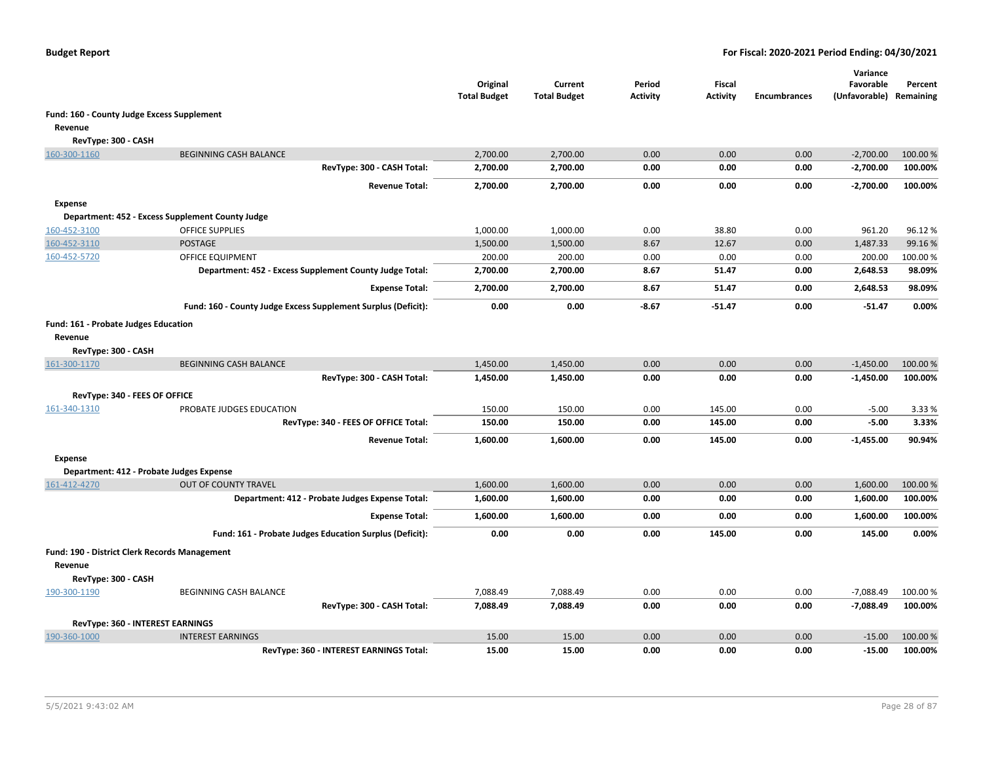|                                                      |                                                                  | Original<br><b>Total Budget</b> | Current<br><b>Total Budget</b> | Period<br>Activity | <b>Fiscal</b><br>Activity | <b>Encumbrances</b> | Variance<br>Favorable<br>(Unfavorable) Remaining | Percent         |
|------------------------------------------------------|------------------------------------------------------------------|---------------------------------|--------------------------------|--------------------|---------------------------|---------------------|--------------------------------------------------|-----------------|
| Fund: 160 - County Judge Excess Supplement           |                                                                  |                                 |                                |                    |                           |                     |                                                  |                 |
| Revenue                                              |                                                                  |                                 |                                |                    |                           |                     |                                                  |                 |
| RevType: 300 - CASH                                  |                                                                  |                                 |                                |                    |                           |                     |                                                  |                 |
| 160-300-1160                                         | <b>BEGINNING CASH BALANCE</b>                                    | 2,700.00                        | 2,700.00                       | 0.00               | 0.00                      | 0.00                | $-2,700.00$                                      | 100.00 %        |
|                                                      | RevType: 300 - CASH Total:                                       | 2,700.00                        | 2,700.00                       | 0.00               | 0.00                      | 0.00                | $-2,700.00$                                      | 100.00%         |
|                                                      | <b>Revenue Total:</b>                                            | 2,700.00                        | 2,700.00                       | 0.00               | 0.00                      | 0.00                | $-2,700.00$                                      | 100.00%         |
| <b>Expense</b>                                       |                                                                  |                                 |                                |                    |                           |                     |                                                  |                 |
|                                                      | Department: 452 - Excess Supplement County Judge                 |                                 |                                |                    |                           |                     |                                                  |                 |
| 160-452-3100                                         | <b>OFFICE SUPPLIES</b>                                           | 1,000.00                        | 1,000.00                       | 0.00               | 38.80                     | 0.00                | 961.20                                           | 96.12%          |
| 160-452-3110                                         | <b>POSTAGE</b>                                                   | 1,500.00                        | 1,500.00                       | 8.67               | 12.67                     | 0.00                | 1,487.33                                         | 99.16%          |
| 160-452-5720                                         | <b>OFFICE EQUIPMENT</b>                                          | 200.00                          | 200.00                         | 0.00               | 0.00                      | 0.00                | 200.00                                           | 100.00%         |
|                                                      | Department: 452 - Excess Supplement County Judge Total:          | 2,700.00                        | 2,700.00                       | 8.67               | 51.47                     | 0.00                | 2,648.53                                         | 98.09%          |
|                                                      | <b>Expense Total:</b>                                            | 2,700.00                        | 2,700.00                       | 8.67               | 51.47                     | 0.00                | 2,648.53                                         | 98.09%          |
|                                                      | Fund: 160 - County Judge Excess Supplement Surplus (Deficit):    | 0.00                            | 0.00                           | $-8.67$            | $-51.47$                  | 0.00                | $-51.47$                                         | 0.00%           |
|                                                      |                                                                  |                                 |                                |                    |                           |                     |                                                  |                 |
| Fund: 161 - Probate Judges Education<br>Revenue      |                                                                  |                                 |                                |                    |                           |                     |                                                  |                 |
| RevType: 300 - CASH                                  |                                                                  |                                 |                                |                    |                           |                     |                                                  |                 |
| 161-300-1170                                         | <b>BEGINNING CASH BALANCE</b>                                    | 1,450.00                        | 1,450.00                       | 0.00               | 0.00                      | 0.00                | $-1,450.00$                                      | 100.00%         |
|                                                      | RevType: 300 - CASH Total:                                       | 1,450.00                        | 1,450.00                       | 0.00               | 0.00                      | 0.00                | $-1,450.00$                                      | 100.00%         |
|                                                      |                                                                  |                                 |                                |                    |                           |                     |                                                  |                 |
| RevType: 340 - FEES OF OFFICE<br>161-340-1310        |                                                                  |                                 |                                |                    |                           |                     |                                                  |                 |
|                                                      | PROBATE JUDGES EDUCATION<br>RevType: 340 - FEES OF OFFICE Total: | 150.00<br>150.00                | 150.00<br>150.00               | 0.00<br>0.00       | 145.00<br>145.00          | 0.00<br>0.00        | $-5.00$<br>$-5.00$                               | 3.33 %<br>3.33% |
|                                                      |                                                                  |                                 |                                |                    |                           |                     |                                                  |                 |
|                                                      | <b>Revenue Total:</b>                                            | 1,600.00                        | 1,600.00                       | 0.00               | 145.00                    | 0.00                | $-1,455.00$                                      | 90.94%          |
| Expense                                              |                                                                  |                                 |                                |                    |                           |                     |                                                  |                 |
|                                                      | Department: 412 - Probate Judges Expense                         |                                 |                                |                    |                           |                     |                                                  |                 |
| 161-412-4270                                         | <b>OUT OF COUNTY TRAVEL</b>                                      | 1,600.00                        | 1,600.00                       | 0.00               | 0.00                      | 0.00                | 1,600.00                                         | 100.00%         |
|                                                      | Department: 412 - Probate Judges Expense Total:                  | 1,600.00                        | 1,600.00                       | 0.00               | 0.00                      | 0.00                | 1,600.00                                         | 100.00%         |
|                                                      | <b>Expense Total:</b>                                            | 1,600.00                        | 1,600.00                       | 0.00               | 0.00                      | 0.00                | 1,600.00                                         | 100.00%         |
|                                                      | Fund: 161 - Probate Judges Education Surplus (Deficit):          | 0.00                            | 0.00                           | 0.00               | 145.00                    | 0.00                | 145.00                                           | 0.00%           |
| <b>Fund: 190 - District Clerk Records Management</b> |                                                                  |                                 |                                |                    |                           |                     |                                                  |                 |
| Revenue                                              |                                                                  |                                 |                                |                    |                           |                     |                                                  |                 |
| RevType: 300 - CASH                                  |                                                                  |                                 |                                |                    |                           |                     |                                                  |                 |
| 190-300-1190                                         | <b>BEGINNING CASH BALANCE</b>                                    | 7,088.49                        | 7,088.49                       | 0.00               | 0.00                      | 0.00                | $-7,088.49$                                      | 100.00 %        |
|                                                      | RevType: 300 - CASH Total:                                       | 7,088.49                        | 7,088.49                       | 0.00               | 0.00                      | 0.00                | $-7,088.49$                                      | 100.00%         |
| RevType: 360 - INTEREST EARNINGS                     |                                                                  |                                 |                                |                    |                           |                     |                                                  |                 |
| 190-360-1000                                         | <b>INTEREST EARNINGS</b>                                         | 15.00                           | 15.00                          | 0.00               | 0.00                      | 0.00                | $-15.00$                                         | 100.00 %        |
|                                                      | RevType: 360 - INTEREST EARNINGS Total:                          | 15.00                           | 15.00                          | 0.00               | 0.00                      | 0.00                | $-15.00$                                         | 100.00%         |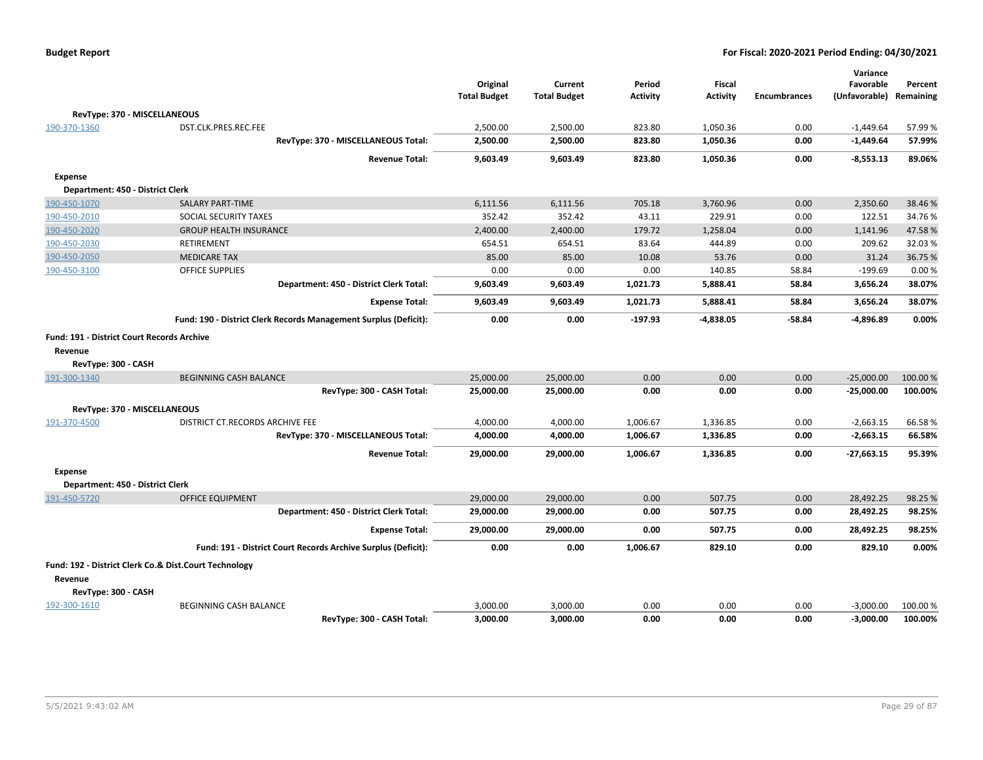|                                                   |                                                                  | Original<br><b>Total Budget</b> | Current<br><b>Total Budget</b> | Period<br><b>Activity</b> | Fiscal<br><b>Activity</b> | <b>Encumbrances</b> | Variance<br>Favorable<br>(Unfavorable) | Percent<br>Remaining |
|---------------------------------------------------|------------------------------------------------------------------|---------------------------------|--------------------------------|---------------------------|---------------------------|---------------------|----------------------------------------|----------------------|
|                                                   | RevType: 370 - MISCELLANEOUS                                     |                                 |                                |                           |                           |                     |                                        |                      |
| 190-370-1360                                      | DST.CLK.PRES.REC.FEE                                             | 2,500.00                        | 2,500.00                       | 823.80                    | 1,050.36                  | 0.00                | $-1,449.64$                            | 57.99%               |
|                                                   | RevType: 370 - MISCELLANEOUS Total:                              | 2,500.00                        | 2,500.00                       | 823.80                    | 1,050.36                  | 0.00                | $-1,449.64$                            | 57.99%               |
|                                                   | <b>Revenue Total:</b>                                            | 9,603.49                        | 9,603.49                       | 823.80                    | 1,050.36                  | 0.00                | $-8,553.13$                            | 89.06%               |
| <b>Expense</b>                                    |                                                                  |                                 |                                |                           |                           |                     |                                        |                      |
| Department: 450 - District Clerk                  |                                                                  |                                 |                                |                           |                           |                     |                                        |                      |
| 190-450-1070                                      | <b>SALARY PART-TIME</b>                                          | 6,111.56                        | 6,111.56                       | 705.18                    | 3,760.96                  | 0.00                | 2,350.60                               | 38.46%               |
| 190-450-2010                                      | SOCIAL SECURITY TAXES                                            | 352.42                          | 352.42                         | 43.11                     | 229.91                    | 0.00                | 122.51                                 | 34.76%               |
| 190-450-2020                                      | <b>GROUP HEALTH INSURANCE</b>                                    | 2,400.00                        | 2,400.00                       | 179.72                    | 1,258.04                  | 0.00                | 1,141.96                               | 47.58%               |
| 190-450-2030                                      | RETIREMENT                                                       | 654.51                          | 654.51                         | 83.64                     | 444.89                    | 0.00                | 209.62                                 | 32.03%               |
| 190-450-2050                                      | <b>MEDICARE TAX</b>                                              | 85.00                           | 85.00                          | 10.08                     | 53.76                     | 0.00                | 31.24                                  | 36.75 %              |
| 190-450-3100                                      | <b>OFFICE SUPPLIES</b>                                           | 0.00                            | 0.00                           | 0.00                      | 140.85                    | 58.84               | $-199.69$                              | 0.00%                |
|                                                   | Department: 450 - District Clerk Total:                          | 9,603.49                        | 9,603.49                       | 1,021.73                  | 5,888.41                  | 58.84               | 3,656.24                               | 38.07%               |
|                                                   | <b>Expense Total:</b>                                            | 9,603.49                        | 9,603.49                       | 1,021.73                  | 5,888.41                  | 58.84               | 3,656.24                               | 38.07%               |
|                                                   | Fund: 190 - District Clerk Records Management Surplus (Deficit): | 0.00                            | 0.00                           | $-197.93$                 | $-4,838.05$               | $-58.84$            | $-4,896.89$                            | 0.00%                |
| <b>Fund: 191 - District Court Records Archive</b> |                                                                  |                                 |                                |                           |                           |                     |                                        |                      |
| Revenue                                           |                                                                  |                                 |                                |                           |                           |                     |                                        |                      |
| RevType: 300 - CASH                               |                                                                  |                                 |                                |                           |                           |                     |                                        |                      |
| 191-300-1340                                      | <b>BEGINNING CASH BALANCE</b>                                    | 25,000.00                       | 25,000.00                      | 0.00                      | 0.00                      | 0.00                | $-25,000.00$                           | 100.00 %             |
|                                                   | RevType: 300 - CASH Total:                                       | 25,000.00                       | 25,000.00                      | 0.00                      | 0.00                      | 0.00                | $-25,000.00$                           | 100.00%              |
|                                                   |                                                                  |                                 |                                |                           |                           |                     |                                        |                      |
| RevType: 370 - MISCELLANEOUS<br>191-370-4500      | DISTRICT CT.RECORDS ARCHIVE FEE                                  | 4,000.00                        |                                | 1,006.67                  | 1,336.85                  | 0.00                | $-2,663.15$                            | 66.58%               |
|                                                   |                                                                  |                                 | 4,000.00                       |                           |                           |                     |                                        |                      |
|                                                   | RevType: 370 - MISCELLANEOUS Total:                              | 4,000.00                        | 4,000.00                       | 1,006.67                  | 1,336.85                  | 0.00                | $-2,663.15$                            | 66.58%               |
|                                                   | <b>Revenue Total:</b>                                            | 29,000.00                       | 29,000.00                      | 1,006.67                  | 1,336.85                  | 0.00                | $-27,663.15$                           | 95.39%               |
| <b>Expense</b>                                    |                                                                  |                                 |                                |                           |                           |                     |                                        |                      |
| Department: 450 - District Clerk                  |                                                                  |                                 |                                |                           |                           |                     |                                        |                      |
| 191-450-5720                                      | OFFICE EQUIPMENT                                                 | 29,000.00                       | 29,000.00                      | 0.00                      | 507.75                    | 0.00                | 28,492.25                              | 98.25 %              |
|                                                   | Department: 450 - District Clerk Total:                          | 29,000.00                       | 29,000.00                      | 0.00                      | 507.75                    | 0.00                | 28,492.25                              | 98.25%               |
|                                                   | <b>Expense Total:</b>                                            | 29,000.00                       | 29,000.00                      | 0.00                      | 507.75                    | 0.00                | 28,492.25                              | 98.25%               |
|                                                   | Fund: 191 - District Court Records Archive Surplus (Deficit):    | 0.00                            | 0.00                           | 1,006.67                  | 829.10                    | 0.00                | 829.10                                 | 0.00%                |
|                                                   | Fund: 192 - District Clerk Co.& Dist.Court Technology            |                                 |                                |                           |                           |                     |                                        |                      |
| Revenue                                           |                                                                  |                                 |                                |                           |                           |                     |                                        |                      |
| RevType: 300 - CASH                               |                                                                  |                                 |                                |                           |                           |                     |                                        |                      |
| 192-300-1610                                      | <b>BEGINNING CASH BALANCE</b>                                    | 3,000.00                        | 3,000.00                       | 0.00                      | 0.00                      | 0.00                | $-3,000.00$                            | 100.00 %             |
|                                                   | RevTvpe: 300 - CASH Total:                                       | 3,000.00                        | 3.000.00                       | 0.00                      | 0.00                      | 0.00                | $-3.000.00$                            | 100.00%              |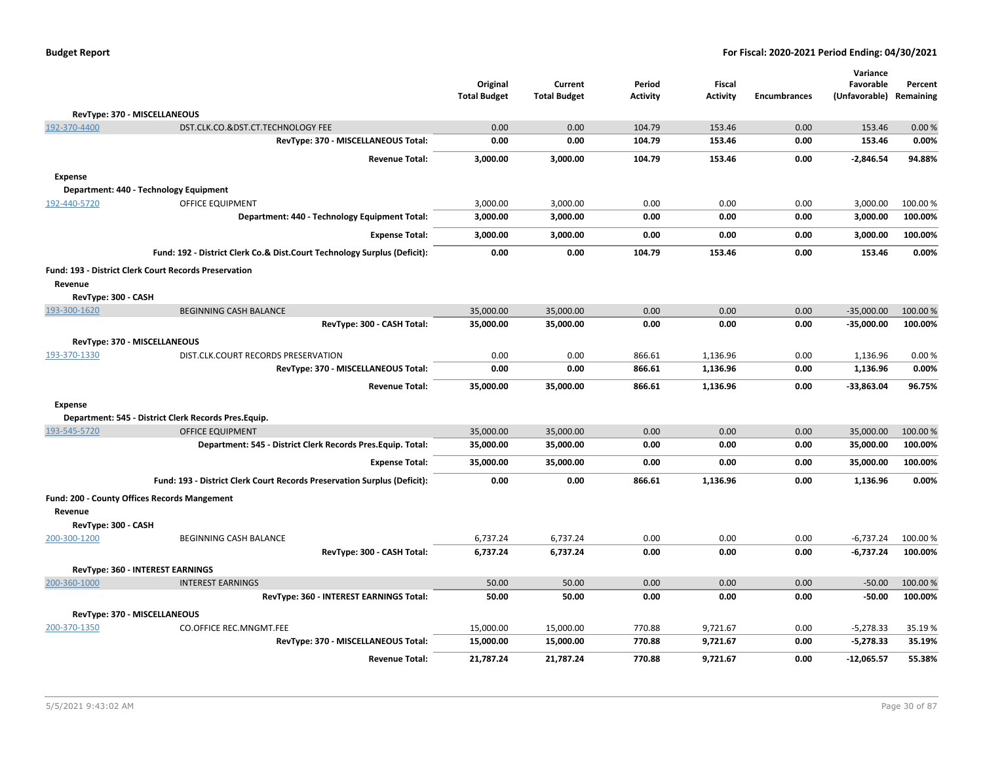| <b>Budget Report</b> |  |
|----------------------|--|
|----------------------|--|

|                     |                                                                          | Original               | Current                | Period           | <b>Fiscal</b>        |                     | Variance<br>Favorable      |                      |
|---------------------|--------------------------------------------------------------------------|------------------------|------------------------|------------------|----------------------|---------------------|----------------------------|----------------------|
|                     |                                                                          | <b>Total Budget</b>    | <b>Total Budget</b>    | <b>Activity</b>  | <b>Activity</b>      | <b>Encumbrances</b> | (Unfavorable)              | Percent<br>Remaining |
|                     | RevType: 370 - MISCELLANEOUS                                             |                        |                        |                  |                      |                     |                            |                      |
| 192-370-4400        | DST.CLK.CO.&DST.CT.TECHNOLOGY FEE                                        | 0.00                   | 0.00                   | 104.79           | 153.46               | 0.00                | 153.46                     | 0.00%                |
|                     | RevType: 370 - MISCELLANEOUS Total:                                      | 0.00                   | 0.00                   | 104.79           | 153.46               | 0.00                | 153.46                     | 0.00%                |
|                     | <b>Revenue Total:</b>                                                    | 3,000.00               | 3,000.00               | 104.79           | 153.46               | 0.00                | $-2,846.54$                | 94.88%               |
| <b>Expense</b>      |                                                                          |                        |                        |                  |                      |                     |                            |                      |
|                     | Department: 440 - Technology Equipment                                   |                        |                        |                  |                      |                     |                            |                      |
| 192-440-5720        | OFFICE EQUIPMENT                                                         | 3,000.00               | 3,000.00               | 0.00             | 0.00                 | 0.00                | 3,000.00                   | 100.00%              |
|                     | Department: 440 - Technology Equipment Total:                            | 3,000.00               | 3,000.00               | 0.00             | 0.00                 | 0.00                | 3,000.00                   | 100.00%              |
|                     | <b>Expense Total:</b>                                                    | 3,000.00               | 3,000.00               | 0.00             | 0.00                 | 0.00                | 3,000.00                   | 100.00%              |
|                     | Fund: 192 - District Clerk Co.& Dist.Court Technology Surplus (Deficit): | 0.00                   | 0.00                   | 104.79           | 153.46               | 0.00                | 153.46                     | 0.00%                |
|                     | <b>Fund: 193 - District Clerk Court Records Preservation</b>             |                        |                        |                  |                      |                     |                            |                      |
| Revenue             |                                                                          |                        |                        |                  |                      |                     |                            |                      |
| RevType: 300 - CASH |                                                                          |                        |                        |                  |                      |                     |                            |                      |
| 193-300-1620        | <b>BEGINNING CASH BALANCE</b>                                            | 35,000.00              | 35,000.00              | 0.00             | 0.00                 | 0.00                | $-35,000.00$               | 100.00%              |
|                     | RevType: 300 - CASH Total:                                               | 35,000.00              | 35,000.00              | 0.00             | 0.00                 | 0.00                | $-35,000.00$               | 100.00%              |
|                     | RevType: 370 - MISCELLANEOUS                                             |                        |                        |                  |                      |                     |                            |                      |
| 193-370-1330        | DIST.CLK.COURT RECORDS PRESERVATION                                      | 0.00                   | 0.00                   | 866.61           | 1,136.96             | 0.00                | 1,136.96                   | 0.00%                |
|                     | RevType: 370 - MISCELLANEOUS Total:                                      | 0.00                   | 0.00                   | 866.61           | 1,136.96             | 0.00                | 1,136.96                   | 0.00%                |
|                     | <b>Revenue Total:</b>                                                    | 35,000.00              | 35,000.00              | 866.61           | 1,136.96             | 0.00                | $-33,863.04$               | 96.75%               |
| <b>Expense</b>      |                                                                          |                        |                        |                  |                      |                     |                            |                      |
|                     | Department: 545 - District Clerk Records Pres.Equip.                     |                        |                        |                  |                      |                     |                            |                      |
| 193-545-5720        | <b>OFFICE EQUIPMENT</b>                                                  | 35,000.00              | 35,000.00              | 0.00             | 0.00                 | 0.00                | 35,000.00                  | 100.00 %             |
|                     | Department: 545 - District Clerk Records Pres. Equip. Total:             | 35,000.00              | 35,000.00              | 0.00             | 0.00                 | 0.00                | 35,000.00                  | 100.00%              |
|                     | <b>Expense Total:</b>                                                    | 35,000.00              | 35,000.00              | 0.00             | 0.00                 | 0.00                | 35,000.00                  | 100.00%              |
|                     | Fund: 193 - District Clerk Court Records Preservation Surplus (Deficit): | 0.00                   | 0.00                   | 866.61           | 1,136.96             | 0.00                | 1,136.96                   | 0.00%                |
| Revenue             | Fund: 200 - County Offices Records Mangement                             |                        |                        |                  |                      |                     |                            |                      |
| RevType: 300 - CASH |                                                                          |                        |                        |                  |                      |                     |                            |                      |
| 200-300-1200        | <b>BEGINNING CASH BALANCE</b>                                            | 6,737.24               | 6,737.24               | 0.00             | 0.00                 | 0.00                | $-6,737.24$                | 100.00 %             |
|                     | RevType: 300 - CASH Total:                                               | 6,737.24               | 6,737.24               | 0.00             | 0.00                 | 0.00                | $-6,737.24$                | 100.00%              |
|                     | RevType: 360 - INTEREST EARNINGS                                         |                        |                        |                  |                      |                     |                            |                      |
| 200-360-1000        | <b>INTEREST EARNINGS</b>                                                 | 50.00                  | 50.00                  | 0.00             | 0.00                 | 0.00                | $-50.00$                   | 100.00 %             |
|                     | RevType: 360 - INTEREST EARNINGS Total:                                  | 50.00                  | 50.00                  | 0.00             | 0.00                 | 0.00                | $-50.00$                   | 100.00%              |
|                     |                                                                          |                        |                        |                  |                      |                     |                            |                      |
|                     | RevType: 370 - MISCELLANEOUS                                             |                        |                        |                  |                      |                     |                            |                      |
| 200-370-1350        | <b>CO.OFFICE REC.MNGMT.FEE</b><br>RevType: 370 - MISCELLANEOUS Total:    | 15,000.00<br>15,000.00 | 15,000.00<br>15,000.00 | 770.88<br>770.88 | 9,721.67<br>9,721.67 | 0.00<br>0.00        | $-5,278.33$<br>$-5,278.33$ | 35.19%<br>35.19%     |
|                     | <b>Revenue Total:</b>                                                    | 21,787.24              | 21,787.24              | 770.88           | 9,721.67             | 0.00                | $-12,065.57$               | 55.38%               |
|                     |                                                                          |                        |                        |                  |                      |                     |                            |                      |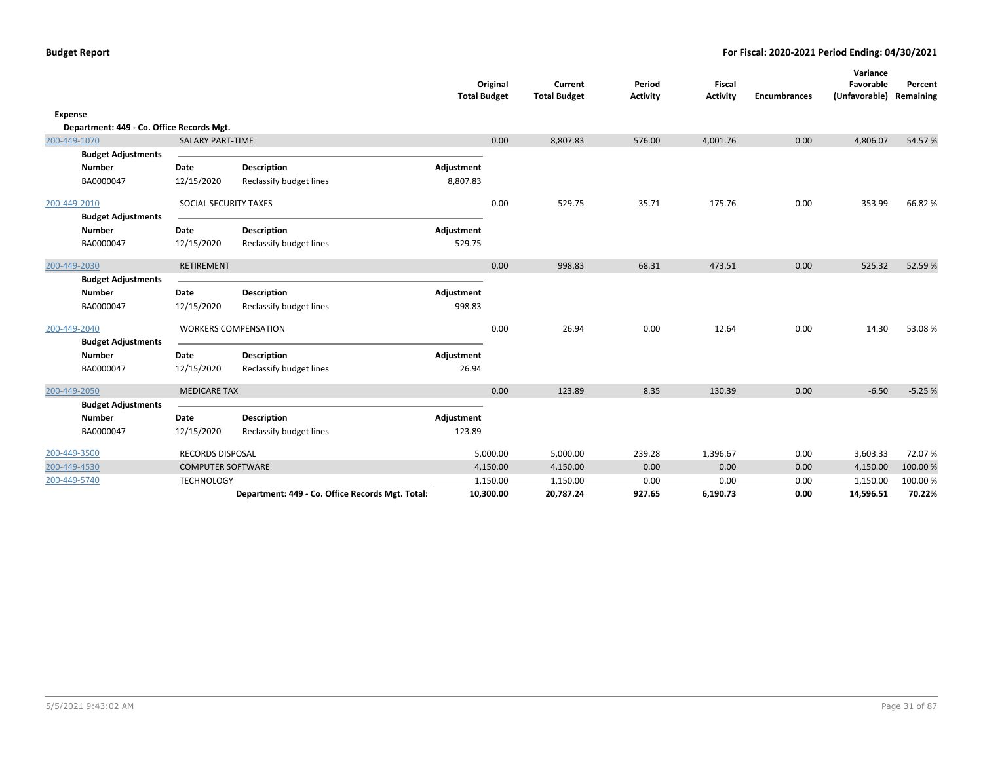|         |                                           |                          |                                                  | <b>Total Budget</b> | Original  | Current<br><b>Total Budget</b> | Period<br><b>Activity</b> | Fiscal<br><b>Activity</b> | <b>Encumbrances</b> | Variance<br>Favorable<br>(Unfavorable) Remaining | Percent  |
|---------|-------------------------------------------|--------------------------|--------------------------------------------------|---------------------|-----------|--------------------------------|---------------------------|---------------------------|---------------------|--------------------------------------------------|----------|
| Expense |                                           |                          |                                                  |                     |           |                                |                           |                           |                     |                                                  |          |
|         | Department: 449 - Co. Office Records Mgt. |                          |                                                  |                     |           |                                |                           |                           |                     |                                                  |          |
|         | 200-449-1070                              | <b>SALARY PART-TIME</b>  |                                                  |                     | 0.00      | 8,807.83                       | 576.00                    | 4,001.76                  | 0.00                | 4,806.07                                         | 54.57%   |
|         | <b>Budget Adjustments</b>                 |                          |                                                  |                     |           |                                |                           |                           |                     |                                                  |          |
|         | <b>Number</b>                             | Date                     | <b>Description</b>                               | Adjustment          |           |                                |                           |                           |                     |                                                  |          |
|         | BA0000047                                 | 12/15/2020               | Reclassify budget lines                          | 8,807.83            |           |                                |                           |                           |                     |                                                  |          |
|         | 200-449-2010                              | SOCIAL SECURITY TAXES    |                                                  |                     | 0.00      | 529.75                         | 35.71                     | 175.76                    | 0.00                | 353.99                                           | 66.82%   |
|         | <b>Budget Adjustments</b>                 |                          |                                                  |                     |           |                                |                           |                           |                     |                                                  |          |
|         | <b>Number</b>                             | Date                     | <b>Description</b>                               | Adjustment          |           |                                |                           |                           |                     |                                                  |          |
|         | BA0000047                                 | 12/15/2020               | Reclassify budget lines                          | 529.75              |           |                                |                           |                           |                     |                                                  |          |
|         | 200-449-2030                              | RETIREMENT               |                                                  |                     | 0.00      | 998.83                         | 68.31                     | 473.51                    | 0.00                | 525.32                                           | 52.59%   |
|         | <b>Budget Adjustments</b>                 |                          |                                                  |                     |           |                                |                           |                           |                     |                                                  |          |
|         | Number                                    | Date                     | <b>Description</b>                               | Adjustment          |           |                                |                           |                           |                     |                                                  |          |
|         | BA0000047                                 | 12/15/2020               | Reclassify budget lines                          | 998.83              |           |                                |                           |                           |                     |                                                  |          |
|         | 200-449-2040                              |                          | <b>WORKERS COMPENSATION</b>                      |                     | 0.00      | 26.94                          | 0.00                      | 12.64                     | 0.00                | 14.30                                            | 53.08%   |
|         | <b>Budget Adjustments</b>                 |                          |                                                  |                     |           |                                |                           |                           |                     |                                                  |          |
|         | <b>Number</b>                             | Date                     | <b>Description</b>                               | Adjustment          |           |                                |                           |                           |                     |                                                  |          |
|         | BA0000047                                 | 12/15/2020               | Reclassify budget lines                          | 26.94               |           |                                |                           |                           |                     |                                                  |          |
|         | 200-449-2050                              | <b>MEDICARE TAX</b>      |                                                  |                     | 0.00      | 123.89                         | 8.35                      | 130.39                    | 0.00                | $-6.50$                                          | $-5.25%$ |
|         | <b>Budget Adjustments</b>                 |                          |                                                  |                     |           |                                |                           |                           |                     |                                                  |          |
|         | <b>Number</b>                             | Date                     | <b>Description</b>                               | Adjustment          |           |                                |                           |                           |                     |                                                  |          |
|         | BA0000047                                 | 12/15/2020               | Reclassify budget lines                          | 123.89              |           |                                |                           |                           |                     |                                                  |          |
|         | 200-449-3500                              | <b>RECORDS DISPOSAL</b>  |                                                  |                     | 5,000.00  | 5,000.00                       | 239.28                    | 1,396.67                  | 0.00                | 3,603.33                                         | 72.07%   |
|         | 200-449-4530                              | <b>COMPUTER SOFTWARE</b> |                                                  |                     | 4,150.00  | 4,150.00                       | 0.00                      | 0.00                      | 0.00                | 4,150.00                                         | 100.00 % |
|         | 200-449-5740                              | <b>TECHNOLOGY</b>        |                                                  |                     | 1,150.00  | 1,150.00                       | 0.00                      | 0.00                      | 0.00                | 1,150.00                                         | 100.00%  |
|         |                                           |                          | Department: 449 - Co. Office Records Mgt. Total: |                     | 10,300.00 | 20,787.24                      | 927.65                    | 6,190.73                  | 0.00                | 14,596.51                                        | 70.22%   |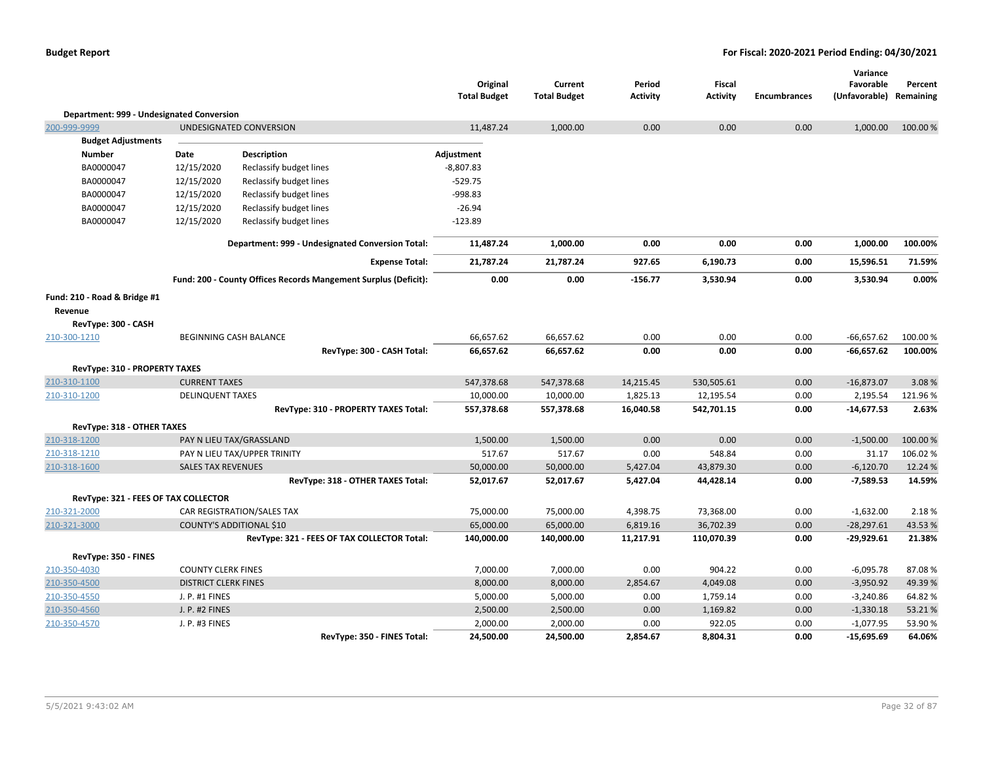|                                           |                             |                                                                 | Original<br><b>Total Budget</b> | Current<br><b>Total Budget</b> | Period<br><b>Activity</b> | <b>Fiscal</b><br><b>Activity</b> | <b>Encumbrances</b> | Variance<br>Favorable<br>(Unfavorable) | Percent<br>Remaining |
|-------------------------------------------|-----------------------------|-----------------------------------------------------------------|---------------------------------|--------------------------------|---------------------------|----------------------------------|---------------------|----------------------------------------|----------------------|
| Department: 999 - Undesignated Conversion |                             |                                                                 |                                 |                                |                           |                                  |                     |                                        |                      |
| 200-999-9999                              |                             | UNDESIGNATED CONVERSION                                         | 11,487.24                       | 1,000.00                       | 0.00                      | 0.00                             | 0.00                | 1,000.00                               | 100.00 %             |
| <b>Budget Adjustments</b>                 |                             |                                                                 |                                 |                                |                           |                                  |                     |                                        |                      |
| <b>Number</b>                             | Date                        | Description                                                     | Adjustment                      |                                |                           |                                  |                     |                                        |                      |
| BA0000047                                 | 12/15/2020                  | Reclassify budget lines                                         | $-8,807.83$                     |                                |                           |                                  |                     |                                        |                      |
| BA0000047                                 | 12/15/2020                  | Reclassify budget lines                                         | $-529.75$                       |                                |                           |                                  |                     |                                        |                      |
| BA0000047                                 | 12/15/2020                  | Reclassify budget lines                                         | -998.83                         |                                |                           |                                  |                     |                                        |                      |
| BA0000047                                 | 12/15/2020                  | Reclassify budget lines                                         | $-26.94$                        |                                |                           |                                  |                     |                                        |                      |
| BA0000047                                 | 12/15/2020                  | Reclassify budget lines                                         | $-123.89$                       |                                |                           |                                  |                     |                                        |                      |
|                                           |                             | Department: 999 - Undesignated Conversion Total:                | 11,487.24                       | 1,000.00                       | 0.00                      | 0.00                             | 0.00                | 1,000.00                               | 100.00%              |
|                                           |                             | <b>Expense Total:</b>                                           | 21,787.24                       | 21,787.24                      | 927.65                    | 6,190.73                         | 0.00                | 15,596.51                              | 71.59%               |
|                                           |                             | Fund: 200 - County Offices Records Mangement Surplus (Deficit): | 0.00                            | 0.00                           | $-156.77$                 | 3,530.94                         | 0.00                | 3,530.94                               | 0.00%                |
| Fund: 210 - Road & Bridge #1              |                             |                                                                 |                                 |                                |                           |                                  |                     |                                        |                      |
| Revenue                                   |                             |                                                                 |                                 |                                |                           |                                  |                     |                                        |                      |
| RevType: 300 - CASH                       |                             |                                                                 |                                 |                                |                           |                                  |                     |                                        |                      |
| 210-300-1210                              |                             | BEGINNING CASH BALANCE                                          | 66,657.62                       | 66,657.62                      | 0.00                      | 0.00                             | 0.00                | $-66,657.62$                           | 100.00 %             |
|                                           |                             | RevType: 300 - CASH Total:                                      | 66,657.62                       | 66,657.62                      | 0.00                      | 0.00                             | 0.00                | $-66,657.62$                           | 100.00%              |
| RevType: 310 - PROPERTY TAXES             |                             |                                                                 |                                 |                                |                           |                                  |                     |                                        |                      |
| 210-310-1100                              | <b>CURRENT TAXES</b>        |                                                                 | 547,378.68                      | 547,378.68                     | 14,215.45                 | 530,505.61                       | 0.00                | $-16,873.07$                           | 3.08%                |
| 210-310-1200                              | <b>DELINQUENT TAXES</b>     |                                                                 | 10,000.00                       | 10,000.00                      | 1,825.13                  | 12,195.54                        | 0.00                | 2,195.54                               | 121.96%              |
|                                           |                             | RevType: 310 - PROPERTY TAXES Total:                            | 557,378.68                      | 557,378.68                     | 16,040.58                 | 542,701.15                       | 0.00                | $-14,677.53$                           | 2.63%                |
| <b>RevType: 318 - OTHER TAXES</b>         |                             |                                                                 |                                 |                                |                           |                                  |                     |                                        |                      |
| 210-318-1200                              |                             | PAY N LIEU TAX/GRASSLAND                                        | 1,500.00                        | 1,500.00                       | 0.00                      | 0.00                             | 0.00                | $-1,500.00$                            | 100.00%              |
| 210-318-1210                              |                             | PAY N LIEU TAX/UPPER TRINITY                                    | 517.67                          | 517.67                         | 0.00                      | 548.84                           | 0.00                | 31.17                                  | 106.02%              |
| 210-318-1600                              | <b>SALES TAX REVENUES</b>   |                                                                 | 50,000.00                       | 50,000.00                      | 5,427.04                  | 43,879.30                        | 0.00                | $-6,120.70$                            | 12.24 %              |
|                                           |                             | RevType: 318 - OTHER TAXES Total:                               | 52,017.67                       | 52,017.67                      | 5,427.04                  | 44,428.14                        | 0.00                | $-7,589.53$                            | 14.59%               |
| RevType: 321 - FEES OF TAX COLLECTOR      |                             |                                                                 |                                 |                                |                           |                                  |                     |                                        |                      |
| 210-321-2000                              |                             | CAR REGISTRATION/SALES TAX                                      | 75,000.00                       | 75,000.00                      | 4,398.75                  | 73,368.00                        | 0.00                | $-1,632.00$                            | 2.18%                |
| 210-321-3000                              |                             | <b>COUNTY'S ADDITIONAL \$10</b>                                 | 65,000.00                       | 65,000.00                      | 6,819.16                  | 36,702.39                        | 0.00                | $-28,297.61$                           | 43.53%               |
|                                           |                             | RevType: 321 - FEES OF TAX COLLECTOR Total:                     | 140,000.00                      | 140,000.00                     | 11,217.91                 | 110,070.39                       | 0.00                | $-29,929.61$                           | 21.38%               |
| RevType: 350 - FINES                      |                             |                                                                 |                                 |                                |                           |                                  |                     |                                        |                      |
| 210-350-4030                              | <b>COUNTY CLERK FINES</b>   |                                                                 | 7,000.00                        | 7,000.00                       | 0.00                      | 904.22                           | 0.00                | $-6,095.78$                            | 87.08%               |
| 210-350-4500                              | <b>DISTRICT CLERK FINES</b> |                                                                 | 8,000.00                        | 8,000.00                       | 2,854.67                  | 4,049.08                         | 0.00                | $-3,950.92$                            | 49.39%               |
| 210-350-4550                              | J. P. #1 FINES              |                                                                 | 5,000.00                        | 5,000.00                       | 0.00                      | 1,759.14                         | 0.00                | $-3,240.86$                            | 64.82%               |
| 210-350-4560                              | J. P. #2 FINES              |                                                                 | 2,500.00                        | 2,500.00                       | 0.00                      | 1,169.82                         | 0.00                | $-1,330.18$                            | 53.21%               |
| 210-350-4570                              | J. P. #3 FINES              |                                                                 | 2,000.00                        | 2,000.00                       | 0.00                      | 922.05                           | 0.00                | $-1,077.95$                            | 53.90 %              |
|                                           |                             | RevType: 350 - FINES Total:                                     | 24,500.00                       | 24,500.00                      | 2,854.67                  | 8,804.31                         | 0.00                | $-15,695.69$                           | 64.06%               |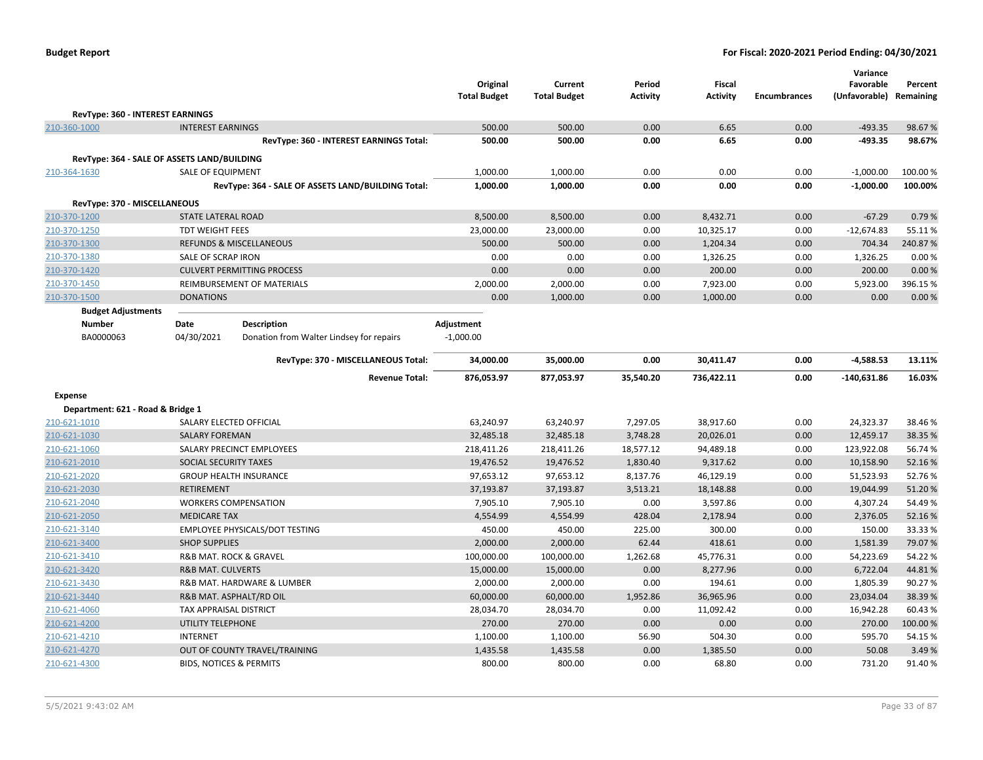| <b>Budget Report</b> |  |
|----------------------|--|
|----------------------|--|

|                                             |                                       |                                                    |                     |                     |                 |                 |                     | Variance      |           |
|---------------------------------------------|---------------------------------------|----------------------------------------------------|---------------------|---------------------|-----------------|-----------------|---------------------|---------------|-----------|
|                                             |                                       |                                                    | Original            | Current             | Period          | <b>Fiscal</b>   |                     | Favorable     | Percent   |
|                                             |                                       |                                                    | <b>Total Budget</b> | <b>Total Budget</b> | <b>Activity</b> | <b>Activity</b> | <b>Encumbrances</b> | (Unfavorable) | Remaining |
| RevType: 360 - INTEREST EARNINGS            |                                       |                                                    |                     |                     |                 |                 |                     |               |           |
| 210-360-1000                                | <b>INTEREST EARNINGS</b>              |                                                    | 500.00              | 500.00              | 0.00            | 6.65            | 0.00                | $-493.35$     | 98.67%    |
|                                             |                                       | RevType: 360 - INTEREST EARNINGS Total:            | 500.00              | 500.00              | 0.00            | 6.65            | 0.00                | $-493.35$     | 98.67%    |
| RevType: 364 - SALE OF ASSETS LAND/BUILDING |                                       |                                                    |                     |                     |                 |                 |                     |               |           |
| 210-364-1630                                | <b>SALE OF EQUIPMENT</b>              |                                                    | 1,000.00            | 1,000.00            | 0.00            | 0.00            | 0.00                | $-1,000.00$   | 100.00%   |
|                                             |                                       | RevType: 364 - SALE OF ASSETS LAND/BUILDING Total: | 1,000.00            | 1,000.00            | 0.00            | 0.00            | 0.00                | $-1,000.00$   | 100.00%   |
| RevType: 370 - MISCELLANEOUS                |                                       |                                                    |                     |                     |                 |                 |                     |               |           |
| 210-370-1200                                | STATE LATERAL ROAD                    |                                                    | 8,500.00            | 8,500.00            | 0.00            | 8,432.71        | 0.00                | $-67.29$      | 0.79%     |
| 210-370-1250                                | <b>TDT WEIGHT FEES</b>                |                                                    | 23,000.00           | 23,000.00           | 0.00            | 10,325.17       | 0.00                | $-12,674.83$  | 55.11%    |
| 210-370-1300                                |                                       | <b>REFUNDS &amp; MISCELLANEOUS</b>                 | 500.00              | 500.00              | 0.00            | 1,204.34        | 0.00                | 704.34        | 240.87%   |
| 210-370-1380                                | SALE OF SCRAP IRON                    |                                                    | 0.00                | 0.00                | 0.00            | 1,326.25        | 0.00                | 1,326.25      | 0.00%     |
| 210-370-1420                                |                                       | <b>CULVERT PERMITTING PROCESS</b>                  | 0.00                | 0.00                | 0.00            | 200.00          | 0.00                | 200.00        | 0.00%     |
| 210-370-1450                                |                                       | REIMBURSEMENT OF MATERIALS                         | 2,000.00            | 2,000.00            | 0.00            | 7,923.00        | 0.00                | 5,923.00      | 396.15%   |
| 210-370-1500                                | <b>DONATIONS</b>                      |                                                    | 0.00                | 1,000.00            | 0.00            | 1,000.00        | 0.00                | 0.00          | 0.00%     |
| <b>Budget Adjustments</b>                   |                                       |                                                    |                     |                     |                 |                 |                     |               |           |
| Number                                      | Date                                  | <b>Description</b>                                 | Adjustment          |                     |                 |                 |                     |               |           |
| BA0000063                                   | 04/30/2021                            | Donation from Walter Lindsey for repairs           | $-1,000.00$         |                     |                 |                 |                     |               |           |
|                                             |                                       | RevType: 370 - MISCELLANEOUS Total:                | 34,000.00           | 35,000.00           | 0.00            | 30,411.47       | 0.00                | $-4,588.53$   | 13.11%    |
|                                             |                                       |                                                    |                     |                     |                 |                 |                     |               |           |
|                                             |                                       | <b>Revenue Total:</b>                              | 876,053.97          | 877,053.97          | 35,540.20       | 736,422.11      | 0.00                | $-140,631.86$ | 16.03%    |
| <b>Expense</b>                              |                                       |                                                    |                     |                     |                 |                 |                     |               |           |
| Department: 621 - Road & Bridge 1           |                                       |                                                    |                     |                     |                 |                 |                     |               |           |
| 210-621-1010                                | SALARY ELECTED OFFICIAL               |                                                    | 63,240.97           | 63,240.97           | 7,297.05        | 38,917.60       | 0.00                | 24,323.37     | 38.46%    |
| 210-621-1030                                | <b>SALARY FOREMAN</b>                 |                                                    | 32,485.18           | 32,485.18           | 3,748.28        | 20,026.01       | 0.00                | 12,459.17     | 38.35 %   |
| 210-621-1060                                |                                       | SALARY PRECINCT EMPLOYEES                          | 218,411.26          | 218,411.26          | 18,577.12       | 94,489.18       | 0.00                | 123,922.08    | 56.74 %   |
| 210-621-2010                                | <b>SOCIAL SECURITY TAXES</b>          |                                                    | 19,476.52           | 19,476.52           | 1,830.40        | 9,317.62        | 0.00                | 10,158.90     | 52.16%    |
| 210-621-2020                                |                                       | <b>GROUP HEALTH INSURANCE</b>                      | 97,653.12           | 97,653.12           | 8,137.76        | 46,129.19       | 0.00                | 51,523.93     | 52.76%    |
| 210-621-2030                                | <b>RETIREMENT</b>                     |                                                    | 37,193.87           | 37,193.87           | 3,513.21        | 18,148.88       | 0.00                | 19,044.99     | 51.20%    |
| 210-621-2040                                | <b>WORKERS COMPENSATION</b>           |                                                    | 7,905.10            | 7,905.10            | 0.00            | 3,597.86        | 0.00                | 4,307.24      | 54.49%    |
| 210-621-2050                                | <b>MEDICARE TAX</b>                   |                                                    | 4,554.99            | 4,554.99            | 428.04          | 2,178.94        | 0.00                | 2,376.05      | 52.16%    |
| 210-621-3140                                |                                       | EMPLOYEE PHYSICALS/DOT TESTING                     | 450.00              | 450.00              | 225.00          | 300.00          | 0.00                | 150.00        | 33.33 %   |
| 210-621-3400                                | <b>SHOP SUPPLIES</b>                  |                                                    | 2,000.00            | 2,000.00            | 62.44           | 418.61          | 0.00                | 1,581.39      | 79.07%    |
| 210-621-3410                                | <b>R&amp;B MAT. ROCK &amp; GRAVEL</b> |                                                    | 100,000.00          | 100,000.00          | 1,262.68        | 45,776.31       | 0.00                | 54,223.69     | 54.22%    |
| 210-621-3420                                | <b>R&amp;B MAT. CULVERTS</b>          |                                                    | 15,000.00           | 15,000.00           | 0.00            | 8,277.96        | 0.00                | 6,722.04      | 44.81%    |
| 210-621-3430                                |                                       | R&B MAT. HARDWARE & LUMBER                         | 2,000.00            | 2,000.00            | 0.00            | 194.61          | 0.00                | 1,805.39      | 90.27%    |
| 210-621-3440                                | R&B MAT. ASPHALT/RD OIL               |                                                    | 60,000.00           | 60,000.00           | 1,952.86        | 36,965.96       | 0.00                | 23,034.04     | 38.39%    |
| 210-621-4060                                | TAX APPRAISAL DISTRICT                |                                                    | 28,034.70           | 28,034.70           | 0.00            | 11,092.42       | 0.00                | 16,942.28     | 60.43%    |
| 210-621-4200                                | UTILITY TELEPHONE                     |                                                    | 270.00              | 270.00              | 0.00            | 0.00            | 0.00                | 270.00        | 100.00 %  |
| 210-621-4210                                | <b>INTERNET</b>                       |                                                    | 1,100.00            | 1,100.00            | 56.90           | 504.30          | 0.00                | 595.70        | 54.15 %   |
| 210-621-4270                                |                                       | OUT OF COUNTY TRAVEL/TRAINING                      | 1,435.58            | 1,435.58            | 0.00            | 1,385.50        | 0.00                | 50.08         | 3.49 %    |
| 210-621-4300                                | <b>BIDS, NOTICES &amp; PERMITS</b>    |                                                    | 800.00              | 800.00              | 0.00            | 68.80           | 0.00                | 731.20        | 91.40%    |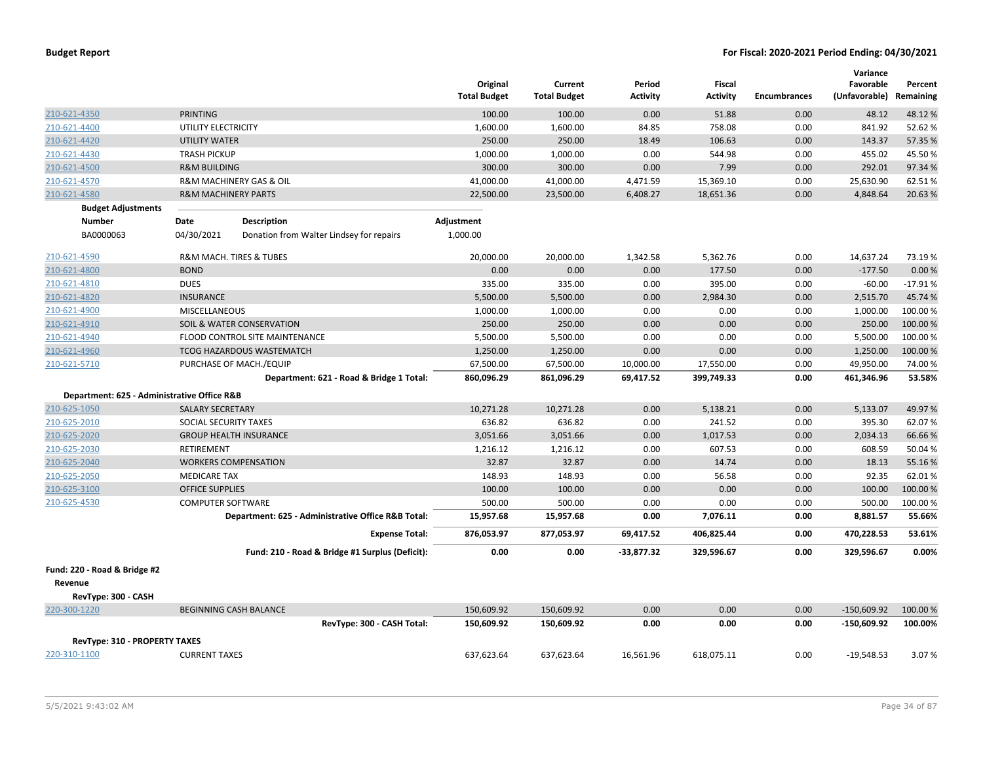|                                             |                                |                                                    | Original<br><b>Total Budget</b> | Current<br><b>Total Budget</b> | Period<br>Activity | Fiscal<br><b>Activity</b> | <b>Encumbrances</b> | Variance<br>Favorable<br>(Unfavorable) | Percent<br>Remaining |
|---------------------------------------------|--------------------------------|----------------------------------------------------|---------------------------------|--------------------------------|--------------------|---------------------------|---------------------|----------------------------------------|----------------------|
| 210-621-4350                                | <b>PRINTING</b>                |                                                    | 100.00                          | 100.00                         | 0.00               | 51.88                     | 0.00                | 48.12                                  | 48.12%               |
| 210-621-4400                                | UTILITY ELECTRICITY            |                                                    | 1,600.00                        | 1,600.00                       | 84.85              | 758.08                    | 0.00                | 841.92                                 | 52.62%               |
| 210-621-4420                                | <b>UTILITY WATER</b>           |                                                    | 250.00                          | 250.00                         | 18.49              | 106.63                    | 0.00                | 143.37                                 | 57.35 %              |
| 210-621-4430                                | <b>TRASH PICKUP</b>            |                                                    | 1,000.00                        | 1,000.00                       | 0.00               | 544.98                    | 0.00                | 455.02                                 | 45.50%               |
| 210-621-4500                                | <b>R&amp;M BUILDING</b>        |                                                    | 300.00                          | 300.00                         | 0.00               | 7.99                      | 0.00                | 292.01                                 | 97.34%               |
| 210-621-4570                                |                                | <b>R&amp;M MACHINERY GAS &amp; OIL</b>             | 41,000.00                       | 41,000.00                      | 4,471.59           | 15,369.10                 | 0.00                | 25,630.90                              | 62.51%               |
| 210-621-4580                                | <b>R&amp;M MACHINERY PARTS</b> |                                                    | 22,500.00                       | 23,500.00                      | 6,408.27           | 18,651.36                 | 0.00                | 4,848.64                               | 20.63%               |
| <b>Budget Adjustments</b>                   |                                |                                                    |                                 |                                |                    |                           |                     |                                        |                      |
| <b>Number</b>                               | Date                           | <b>Description</b>                                 | Adjustment                      |                                |                    |                           |                     |                                        |                      |
| BA0000063                                   | 04/30/2021                     | Donation from Walter Lindsey for repairs           | 1,000.00                        |                                |                    |                           |                     |                                        |                      |
| 210-621-4590                                |                                | R&M MACH. TIRES & TUBES                            | 20,000.00                       | 20,000.00                      | 1,342.58           | 5,362.76                  | 0.00                | 14,637.24                              | 73.19%               |
| 210-621-4800                                | <b>BOND</b>                    |                                                    | 0.00                            | 0.00                           | 0.00               | 177.50                    | 0.00                | $-177.50$                              | 0.00%                |
| 210-621-4810                                | <b>DUES</b>                    |                                                    | 335.00                          | 335.00                         | 0.00               | 395.00                    | 0.00                | $-60.00$                               | $-17.91%$            |
| 210-621-4820                                | <b>INSURANCE</b>               |                                                    | 5,500.00                        | 5,500.00                       | 0.00               | 2,984.30                  | 0.00                | 2,515.70                               | 45.74 %              |
| 210-621-4900                                | MISCELLANEOUS                  |                                                    | 1,000.00                        | 1,000.00                       | 0.00               | 0.00                      | 0.00                | 1,000.00                               | 100.00 %             |
| 210-621-4910                                |                                | <b>SOIL &amp; WATER CONSERVATION</b>               | 250.00                          | 250.00                         | 0.00               | 0.00                      | 0.00                | 250.00                                 | 100.00%              |
| 210-621-4940                                |                                | FLOOD CONTROL SITE MAINTENANCE                     | 5,500.00                        | 5,500.00                       | 0.00               | 0.00                      | 0.00                | 5,500.00                               | 100.00%              |
| 210-621-4960                                |                                | <b>TCOG HAZARDOUS WASTEMATCH</b>                   | 1,250.00                        | 1,250.00                       | 0.00               | 0.00                      | 0.00                | 1,250.00                               | 100.00%              |
| 210-621-5710                                |                                | PURCHASE OF MACH./EQUIP                            | 67,500.00                       | 67,500.00                      | 10,000.00          | 17,550.00                 | 0.00                | 49,950.00                              | 74.00%               |
|                                             |                                | Department: 621 - Road & Bridge 1 Total:           | 860,096.29                      | 861,096.29                     | 69,417.52          | 399,749.33                | 0.00                | 461,346.96                             | 53.58%               |
| Department: 625 - Administrative Office R&B |                                |                                                    |                                 |                                |                    |                           |                     |                                        |                      |
| 210-625-1050                                | <b>SALARY SECRETARY</b>        |                                                    | 10,271.28                       | 10,271.28                      | 0.00               | 5,138.21                  | 0.00                | 5,133.07                               | 49.97%               |
| 210-625-2010                                | SOCIAL SECURITY TAXES          |                                                    | 636.82                          | 636.82                         | 0.00               | 241.52                    | 0.00                | 395.30                                 | 62.07%               |
| 210-625-2020                                |                                | <b>GROUP HEALTH INSURANCE</b>                      | 3,051.66                        | 3,051.66                       | 0.00               | 1,017.53                  | 0.00                | 2,034.13                               | 66.66%               |
| 210-625-2030                                | RETIREMENT                     |                                                    | 1,216.12                        | 1,216.12                       | 0.00               | 607.53                    | 0.00                | 608.59                                 | 50.04 %              |
| 210-625-2040                                |                                | <b>WORKERS COMPENSATION</b>                        | 32.87                           | 32.87                          | 0.00               | 14.74                     | 0.00                | 18.13                                  | 55.16%               |
| 210-625-2050                                | <b>MEDICARE TAX</b>            |                                                    | 148.93                          | 148.93                         | 0.00               | 56.58                     | 0.00                | 92.35                                  | 62.01%               |
| 210-625-3100                                | <b>OFFICE SUPPLIES</b>         |                                                    | 100.00                          | 100.00                         | 0.00               | 0.00                      | 0.00                | 100.00                                 | 100.00%              |
| 210-625-4530                                | <b>COMPUTER SOFTWARE</b>       |                                                    | 500.00                          | 500.00                         | 0.00               | 0.00                      | 0.00                | 500.00                                 | 100.00 %             |
|                                             |                                | Department: 625 - Administrative Office R&B Total: | 15,957.68                       | 15,957.68                      | 0.00               | 7,076.11                  | 0.00                | 8,881.57                               | 55.66%               |
|                                             |                                | <b>Expense Total:</b>                              | 876,053.97                      | 877,053.97                     | 69,417.52          | 406,825.44                | 0.00                | 470,228.53                             | 53.61%               |
|                                             |                                | Fund: 210 - Road & Bridge #1 Surplus (Deficit):    | 0.00                            | 0.00                           | -33,877.32         | 329,596.67                | 0.00                | 329,596.67                             | 0.00%                |
| Fund: 220 - Road & Bridge #2<br>Revenue     |                                |                                                    |                                 |                                |                    |                           |                     |                                        |                      |
| RevType: 300 - CASH                         |                                |                                                    |                                 |                                |                    |                           |                     |                                        |                      |
| 220-300-1220                                |                                | <b>BEGINNING CASH BALANCE</b>                      | 150,609.92                      | 150,609.92                     | 0.00               | 0.00                      | 0.00                | $-150,609.92$                          | 100.00 %             |
|                                             |                                | RevType: 300 - CASH Total:                         | 150,609.92                      | 150,609.92                     | 0.00               | 0.00                      | 0.00                | $-150,609.92$                          | 100.00%              |
| RevType: 310 - PROPERTY TAXES               |                                |                                                    |                                 |                                |                    |                           |                     |                                        |                      |
| 220-310-1100                                | <b>CURRENT TAXES</b>           |                                                    | 637,623.64                      | 637,623.64                     | 16,561.96          | 618,075.11                | 0.00                | $-19,548.53$                           | 3.07%                |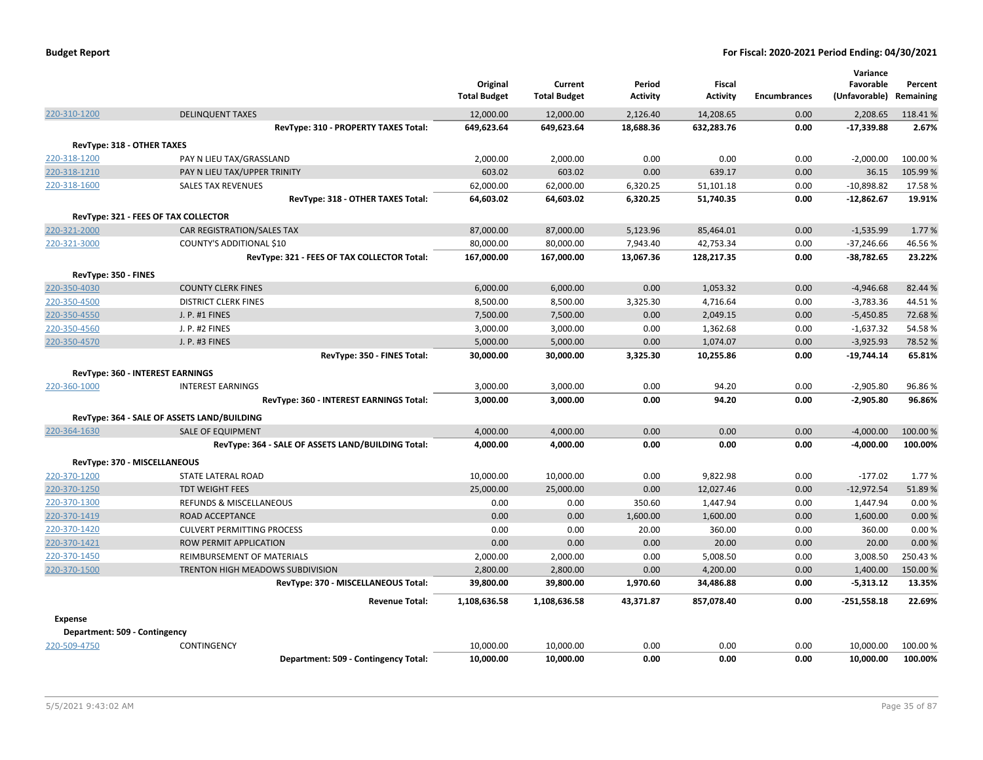|                                      |                                                    | Original<br><b>Total Budget</b> | Current<br><b>Total Budget</b> | Period<br><b>Activity</b> | Fiscal<br><b>Activity</b> | <b>Encumbrances</b> | Variance<br>Favorable<br>(Unfavorable) | Percent<br>Remaining |
|--------------------------------------|----------------------------------------------------|---------------------------------|--------------------------------|---------------------------|---------------------------|---------------------|----------------------------------------|----------------------|
| 220-310-1200                         | <b>DELINQUENT TAXES</b>                            | 12,000.00                       | 12,000.00                      | 2,126.40                  | 14,208.65                 | 0.00                | 2,208.65                               | 118.41%              |
|                                      | RevType: 310 - PROPERTY TAXES Total:               | 649,623.64                      | 649,623.64                     | 18,688.36                 | 632,283.76                | 0.00                | $-17,339.88$                           | 2.67%                |
| RevType: 318 - OTHER TAXES           |                                                    |                                 |                                |                           |                           |                     |                                        |                      |
| 220-318-1200                         | PAY N LIEU TAX/GRASSLAND                           | 2,000.00                        | 2,000.00                       | 0.00                      | 0.00                      | 0.00                | $-2,000.00$                            | 100.00 %             |
| 220-318-1210                         | PAY N LIEU TAX/UPPER TRINITY                       | 603.02                          | 603.02                         | 0.00                      | 639.17                    | 0.00                | 36.15                                  | 105.99%              |
| 220-318-1600                         | <b>SALES TAX REVENUES</b>                          | 62,000.00                       | 62,000.00                      | 6,320.25                  | 51,101.18                 | 0.00                | $-10,898.82$                           | 17.58%               |
|                                      | RevType: 318 - OTHER TAXES Total:                  | 64,603.02                       | 64,603.02                      | 6,320.25                  | 51,740.35                 | 0.00                | $-12,862.67$                           | 19.91%               |
|                                      | RevType: 321 - FEES OF TAX COLLECTOR               |                                 |                                |                           |                           |                     |                                        |                      |
| 220-321-2000                         | CAR REGISTRATION/SALES TAX                         | 87,000.00                       | 87,000.00                      | 5,123.96                  | 85,464.01                 | 0.00                | $-1,535.99$                            | 1.77 %               |
| 220-321-3000                         | COUNTY'S ADDITIONAL \$10                           | 80,000.00                       | 80,000.00                      | 7,943.40                  | 42,753.34                 | 0.00                | $-37,246.66$                           | 46.56%               |
|                                      | RevType: 321 - FEES OF TAX COLLECTOR Total:        | 167,000.00                      | 167,000.00                     | 13,067.36                 | 128,217.35                | 0.00                | -38,782.65                             | 23.22%               |
|                                      |                                                    |                                 |                                |                           |                           |                     |                                        |                      |
| RevType: 350 - FINES<br>220-350-4030 | <b>COUNTY CLERK FINES</b>                          | 6,000.00                        | 6,000.00                       | 0.00                      | 1,053.32                  | 0.00                | $-4,946.68$                            | 82.44 %              |
| 220-350-4500                         | <b>DISTRICT CLERK FINES</b>                        | 8,500.00                        | 8,500.00                       | 3,325.30                  | 4,716.64                  | 0.00                | $-3,783.36$                            | 44.51%               |
| 220-350-4550                         | J. P. #1 FINES                                     | 7,500.00                        | 7,500.00                       | 0.00                      | 2,049.15                  | 0.00                | $-5,450.85$                            | 72.68%               |
| 220-350-4560                         | J. P. #2 FINES                                     | 3,000.00                        | 3,000.00                       | 0.00                      | 1,362.68                  | 0.00                | $-1,637.32$                            | 54.58%               |
| 220-350-4570                         | J. P. #3 FINES                                     | 5,000.00                        | 5,000.00                       | 0.00                      | 1,074.07                  | 0.00                | $-3,925.93$                            | 78.52 %              |
|                                      | RevType: 350 - FINES Total:                        | 30,000.00                       | 30,000.00                      | 3,325.30                  | 10,255.86                 | 0.00                | $-19,744.14$                           | 65.81%               |
|                                      |                                                    |                                 |                                |                           |                           |                     |                                        |                      |
|                                      | RevType: 360 - INTEREST EARNINGS                   |                                 |                                |                           |                           |                     |                                        |                      |
| 220-360-1000                         | <b>INTEREST EARNINGS</b>                           | 3,000.00                        | 3,000.00                       | 0.00                      | 94.20                     | 0.00                | $-2,905.80$                            | 96.86%               |
|                                      | RevType: 360 - INTEREST EARNINGS Total:            | 3,000.00                        | 3,000.00                       | 0.00                      | 94.20                     | 0.00                | $-2,905.80$                            | 96.86%               |
|                                      | RevType: 364 - SALE OF ASSETS LAND/BUILDING        |                                 |                                |                           |                           |                     |                                        |                      |
| 220-364-1630                         | <b>SALE OF EQUIPMENT</b>                           | 4,000.00                        | 4,000.00                       | 0.00                      | 0.00                      | 0.00                | $-4,000.00$                            | 100.00 %             |
|                                      | RevType: 364 - SALE OF ASSETS LAND/BUILDING Total: | 4,000.00                        | 4,000.00                       | 0.00                      | 0.00                      | 0.00                | $-4,000.00$                            | 100.00%              |
|                                      | RevType: 370 - MISCELLANEOUS                       |                                 |                                |                           |                           |                     |                                        |                      |
| 220-370-1200                         | STATE LATERAL ROAD                                 | 10,000.00                       | 10,000.00                      | 0.00                      | 9,822.98                  | 0.00                | $-177.02$                              | 1.77%                |
| 220-370-1250                         | <b>TDT WEIGHT FEES</b>                             | 25,000.00                       | 25,000.00                      | 0.00                      | 12,027.46                 | 0.00                | $-12,972.54$                           | 51.89%               |
| 220-370-1300                         | <b>REFUNDS &amp; MISCELLANEOUS</b>                 | 0.00                            | 0.00                           | 350.60                    | 1,447.94                  | 0.00                | 1,447.94                               | 0.00%                |
| 220-370-1419                         | ROAD ACCEPTANCE                                    | 0.00                            | 0.00                           | 1,600.00                  | 1,600.00                  | 0.00                | 1,600.00                               | 0.00%                |
| 220-370-1420                         | <b>CULVERT PERMITTING PROCESS</b>                  | 0.00                            | 0.00                           | 20.00                     | 360.00                    | 0.00                | 360.00                                 | 0.00%                |
| 220-370-1421                         | ROW PERMIT APPLICATION                             | 0.00                            | 0.00                           | 0.00                      | 20.00                     | 0.00                | 20.00                                  | 0.00%                |
| 220-370-1450                         | REIMBURSEMENT OF MATERIALS                         | 2,000.00                        | 2,000.00                       | 0.00                      | 5,008.50                  | 0.00                | 3,008.50                               | 250.43%              |
| 220-370-1500                         | TRENTON HIGH MEADOWS SUBDIVISION                   | 2,800.00                        | 2,800.00                       | 0.00                      | 4,200.00                  | 0.00                | 1,400.00                               | 150.00%              |
|                                      | RevType: 370 - MISCELLANEOUS Total:                | 39,800.00                       | 39,800.00                      | 1,970.60                  | 34,486.88                 | 0.00                | $-5,313.12$                            | 13.35%               |
|                                      | <b>Revenue Total:</b>                              | 1,108,636.58                    | 1.108.636.58                   | 43.371.87                 | 857.078.40                | 0.00                | $-251,558.18$                          | 22.69%               |
| <b>Expense</b>                       |                                                    |                                 |                                |                           |                           |                     |                                        |                      |
| Department: 509 - Contingency        |                                                    |                                 |                                |                           |                           |                     |                                        |                      |
| 220-509-4750                         | <b>CONTINGENCY</b>                                 | 10,000.00                       | 10.000.00                      | 0.00                      | 0.00                      | 0.00                | 10,000.00                              | 100.00 %             |
|                                      | Department: 509 - Contingency Total:               | 10.000.00                       | 10.000.00                      | 0.00                      | 0.00                      | 0.00                | 10.000.00                              | 100.00%              |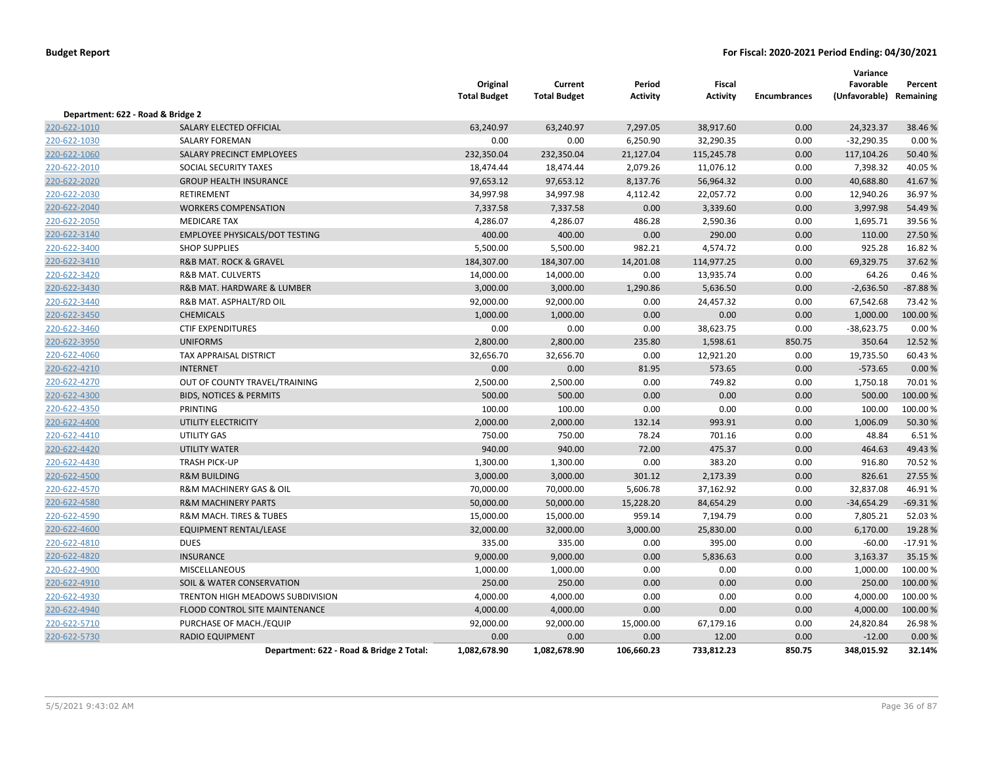|                                   |                                          | Original<br><b>Total Budget</b> | Current<br><b>Total Budget</b> | Period<br><b>Activity</b> | Fiscal<br><b>Activity</b> | <b>Encumbrances</b> | Variance<br>Favorable<br>(Unfavorable) Remaining | Percent   |
|-----------------------------------|------------------------------------------|---------------------------------|--------------------------------|---------------------------|---------------------------|---------------------|--------------------------------------------------|-----------|
| Department: 622 - Road & Bridge 2 |                                          |                                 |                                |                           |                           |                     |                                                  |           |
| 220-622-1010                      | SALARY ELECTED OFFICIAL                  | 63,240.97                       | 63,240.97                      | 7,297.05                  | 38,917.60                 | 0.00                | 24,323.37                                        | 38.46%    |
| 220-622-1030                      | <b>SALARY FOREMAN</b>                    | 0.00                            | 0.00                           | 6,250.90                  | 32,290.35                 | 0.00                | $-32,290.35$                                     | 0.00%     |
| 220-622-1060                      | SALARY PRECINCT EMPLOYEES                | 232,350.04                      | 232,350.04                     | 21,127.04                 | 115,245.78                | 0.00                | 117,104.26                                       | 50.40 %   |
| 220-622-2010                      | SOCIAL SECURITY TAXES                    | 18,474.44                       | 18,474.44                      | 2,079.26                  | 11,076.12                 | 0.00                | 7,398.32                                         | 40.05%    |
| 220-622-2020                      | <b>GROUP HEALTH INSURANCE</b>            | 97,653.12                       | 97,653.12                      | 8,137.76                  | 56,964.32                 | 0.00                | 40,688.80                                        | 41.67%    |
| 220-622-2030                      | <b>RETIREMENT</b>                        | 34,997.98                       | 34,997.98                      | 4,112.42                  | 22,057.72                 | 0.00                | 12,940.26                                        | 36.97%    |
| 220-622-2040                      | <b>WORKERS COMPENSATION</b>              | 7,337.58                        | 7,337.58                       | 0.00                      | 3,339.60                  | 0.00                | 3,997.98                                         | 54.49%    |
| 220-622-2050                      | <b>MEDICARE TAX</b>                      | 4,286.07                        | 4,286.07                       | 486.28                    | 2,590.36                  | 0.00                | 1,695.71                                         | 39.56%    |
| 220-622-3140                      | <b>EMPLOYEE PHYSICALS/DOT TESTING</b>    | 400.00                          | 400.00                         | 0.00                      | 290.00                    | 0.00                | 110.00                                           | 27.50 %   |
| 220-622-3400                      | <b>SHOP SUPPLIES</b>                     | 5,500.00                        | 5,500.00                       | 982.21                    | 4,574.72                  | 0.00                | 925.28                                           | 16.82%    |
| 220-622-3410                      | <b>R&amp;B MAT. ROCK &amp; GRAVEL</b>    | 184,307.00                      | 184,307.00                     | 14,201.08                 | 114,977.25                | 0.00                | 69,329.75                                        | 37.62 %   |
| 220-622-3420                      | <b>R&amp;B MAT. CULVERTS</b>             | 14,000.00                       | 14,000.00                      | 0.00                      | 13,935.74                 | 0.00                | 64.26                                            | 0.46%     |
| 220-622-3430                      | R&B MAT. HARDWARE & LUMBER               | 3,000.00                        | 3,000.00                       | 1,290.86                  | 5,636.50                  | 0.00                | $-2,636.50$                                      | $-87.88%$ |
| 220-622-3440                      | R&B MAT. ASPHALT/RD OIL                  | 92,000.00                       | 92,000.00                      | 0.00                      | 24,457.32                 | 0.00                | 67,542.68                                        | 73.42 %   |
| 220-622-3450                      | <b>CHEMICALS</b>                         | 1,000.00                        | 1,000.00                       | 0.00                      | 0.00                      | 0.00                | 1,000.00                                         | 100.00 %  |
| 220-622-3460                      | <b>CTIF EXPENDITURES</b>                 | 0.00                            | 0.00                           | 0.00                      | 38,623.75                 | 0.00                | $-38,623.75$                                     | 0.00%     |
| 220-622-3950                      | <b>UNIFORMS</b>                          | 2,800.00                        | 2,800.00                       | 235.80                    | 1,598.61                  | 850.75              | 350.64                                           | 12.52 %   |
| 220-622-4060                      | TAX APPRAISAL DISTRICT                   | 32,656.70                       | 32,656.70                      | 0.00                      | 12,921.20                 | 0.00                | 19,735.50                                        | 60.43%    |
| 220-622-4210                      | <b>INTERNET</b>                          | 0.00                            | 0.00                           | 81.95                     | 573.65                    | 0.00                | $-573.65$                                        | 0.00 %    |
| 220-622-4270                      | OUT OF COUNTY TRAVEL/TRAINING            | 2,500.00                        | 2,500.00                       | 0.00                      | 749.82                    | 0.00                | 1,750.18                                         | 70.01%    |
| 220-622-4300                      | <b>BIDS, NOTICES &amp; PERMITS</b>       | 500.00                          | 500.00                         | 0.00                      | 0.00                      | 0.00                | 500.00                                           | 100.00 %  |
| 220-622-4350                      | PRINTING                                 | 100.00                          | 100.00                         | 0.00                      | 0.00                      | 0.00                | 100.00                                           | 100.00%   |
| 220-622-4400                      | UTILITY ELECTRICITY                      | 2,000.00                        | 2,000.00                       | 132.14                    | 993.91                    | 0.00                | 1,006.09                                         | 50.30%    |
| 220-622-4410                      | <b>UTILITY GAS</b>                       | 750.00                          | 750.00                         | 78.24                     | 701.16                    | 0.00                | 48.84                                            | 6.51%     |
| 220-622-4420                      | <b>UTILITY WATER</b>                     | 940.00                          | 940.00                         | 72.00                     | 475.37                    | 0.00                | 464.63                                           | 49.43%    |
| 220-622-4430                      | <b>TRASH PICK-UP</b>                     | 1,300.00                        | 1,300.00                       | 0.00                      | 383.20                    | 0.00                | 916.80                                           | 70.52 %   |
| 220-622-4500                      | <b>R&amp;M BUILDING</b>                  | 3,000.00                        | 3,000.00                       | 301.12                    | 2,173.39                  | 0.00                | 826.61                                           | 27.55 %   |
| 220-622-4570                      | R&M MACHINERY GAS & OIL                  | 70,000.00                       | 70,000.00                      | 5,606.78                  | 37,162.92                 | 0.00                | 32,837.08                                        | 46.91%    |
| 220-622-4580                      | <b>R&amp;M MACHINERY PARTS</b>           | 50,000.00                       | 50,000.00                      | 15,228.20                 | 84,654.29                 | 0.00                | $-34,654.29$                                     | $-69.31%$ |
| 220-622-4590                      | R&M MACH. TIRES & TUBES                  | 15,000.00                       | 15,000.00                      | 959.14                    | 7,194.79                  | 0.00                | 7,805.21                                         | 52.03%    |
| 220-622-4600                      | EQUIPMENT RENTAL/LEASE                   | 32,000.00                       | 32,000.00                      | 3,000.00                  | 25,830.00                 | 0.00                | 6,170.00                                         | 19.28 %   |
| 220-622-4810                      | <b>DUES</b>                              | 335.00                          | 335.00                         | 0.00                      | 395.00                    | 0.00                | $-60.00$                                         | $-17.91%$ |
| 220-622-4820                      | <b>INSURANCE</b>                         | 9,000.00                        | 9,000.00                       | 0.00                      | 5,836.63                  | 0.00                | 3,163.37                                         | 35.15 %   |
| 220-622-4900                      | <b>MISCELLANEOUS</b>                     | 1,000.00                        | 1,000.00                       | 0.00                      | 0.00                      | 0.00                | 1,000.00                                         | 100.00 %  |
| 220-622-4910                      | <b>SOIL &amp; WATER CONSERVATION</b>     | 250.00                          | 250.00                         | 0.00                      | 0.00                      | 0.00                | 250.00                                           | 100.00 %  |
| 220-622-4930                      | TRENTON HIGH MEADOWS SUBDIVISION         | 4,000.00                        | 4,000.00                       | 0.00                      | 0.00                      | 0.00                | 4,000.00                                         | 100.00%   |
| 220-622-4940                      | FLOOD CONTROL SITE MAINTENANCE           | 4,000.00                        | 4,000.00                       | 0.00                      | 0.00                      | 0.00                | 4,000.00                                         | 100.00 %  |
| 220-622-5710                      | PURCHASE OF MACH./EQUIP                  | 92,000.00                       | 92,000.00                      | 15,000.00                 | 67,179.16                 | 0.00                | 24,820.84                                        | 26.98%    |
| 220-622-5730                      | <b>RADIO EQUIPMENT</b>                   | 0.00                            | 0.00                           | 0.00                      | 12.00                     | 0.00                | $-12.00$                                         | 0.00%     |
|                                   | Department: 622 - Road & Bridge 2 Total: | 1,082,678.90                    | 1,082,678.90                   | 106,660.23                | 733,812.23                | 850.75              | 348.015.92                                       | 32.14%    |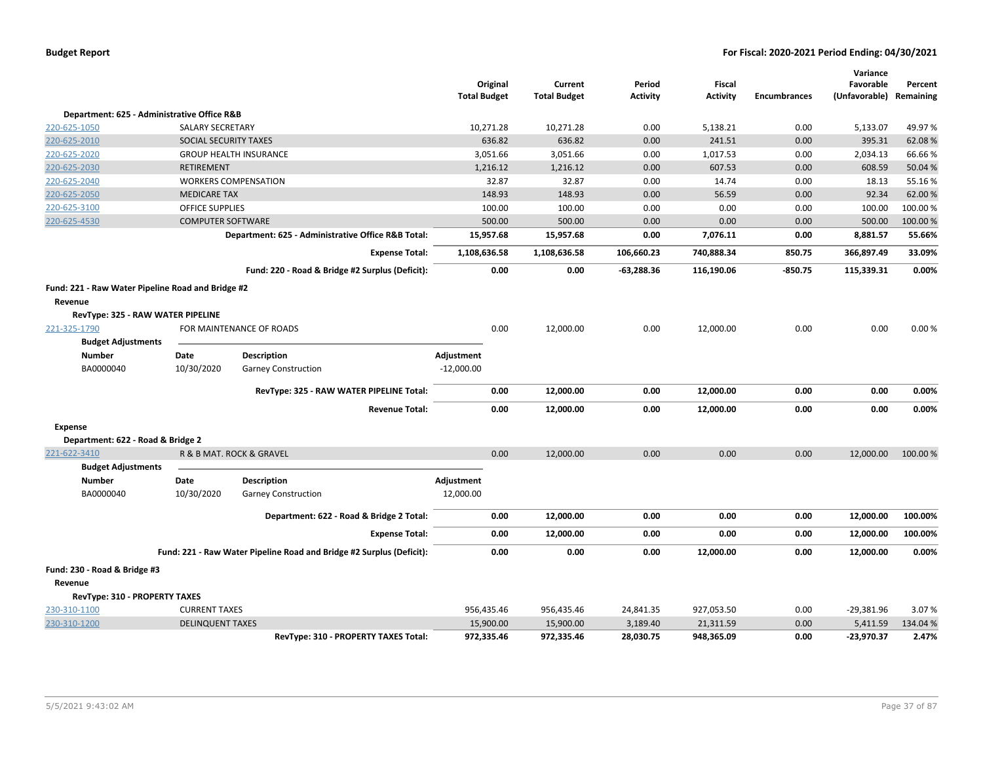|                                                   |                          |                                                                      | Original<br><b>Total Budget</b> | Current<br><b>Total Budget</b> | Period<br>Activity | Fiscal<br><b>Activity</b> | <b>Encumbrances</b> | Variance<br>Favorable<br>(Unfavorable) Remaining | Percent  |
|---------------------------------------------------|--------------------------|----------------------------------------------------------------------|---------------------------------|--------------------------------|--------------------|---------------------------|---------------------|--------------------------------------------------|----------|
| Department: 625 - Administrative Office R&B       |                          |                                                                      |                                 |                                |                    |                           |                     |                                                  |          |
| 220-625-1050                                      | <b>SALARY SECRETARY</b>  |                                                                      | 10,271.28                       | 10,271.28                      | 0.00               | 5,138.21                  | 0.00                | 5,133.07                                         | 49.97%   |
| 220-625-2010                                      | SOCIAL SECURITY TAXES    |                                                                      | 636.82                          | 636.82                         | 0.00               | 241.51                    | 0.00                | 395.31                                           | 62.08%   |
| 220-625-2020                                      |                          | <b>GROUP HEALTH INSURANCE</b>                                        | 3,051.66                        | 3,051.66                       | 0.00               | 1,017.53                  | 0.00                | 2,034.13                                         | 66.66%   |
| 220-625-2030                                      | RETIREMENT               |                                                                      | 1,216.12                        | 1,216.12                       | 0.00               | 607.53                    | 0.00                | 608.59                                           | 50.04 %  |
| 220-625-2040                                      |                          | <b>WORKERS COMPENSATION</b>                                          | 32.87                           | 32.87                          | 0.00               | 14.74                     | 0.00                | 18.13                                            | 55.16%   |
| 220-625-2050                                      | <b>MEDICARE TAX</b>      |                                                                      | 148.93                          | 148.93                         | 0.00               | 56.59                     | 0.00                | 92.34                                            | 62.00 %  |
| 220-625-3100                                      | <b>OFFICE SUPPLIES</b>   |                                                                      | 100.00                          | 100.00                         | 0.00               | 0.00                      | 0.00                | 100.00                                           | 100.00%  |
| 220-625-4530                                      | <b>COMPUTER SOFTWARE</b> |                                                                      | 500.00                          | 500.00                         | 0.00               | 0.00                      | 0.00                | 500.00                                           | 100.00 % |
|                                                   |                          | Department: 625 - Administrative Office R&B Total:                   | 15,957.68                       | 15,957.68                      | 0.00               | 7,076.11                  | 0.00                | 8,881.57                                         | 55.66%   |
|                                                   |                          | <b>Expense Total:</b>                                                | 1,108,636.58                    | 1,108,636.58                   | 106,660.23         | 740,888.34                | 850.75              | 366,897.49                                       | 33.09%   |
|                                                   |                          | Fund: 220 - Road & Bridge #2 Surplus (Deficit):                      | 0.00                            | 0.00                           | $-63,288.36$       | 116,190.06                | $-850.75$           | 115,339.31                                       | 0.00%    |
| Fund: 221 - Raw Water Pipeline Road and Bridge #2 |                          |                                                                      |                                 |                                |                    |                           |                     |                                                  |          |
| Revenue                                           |                          |                                                                      |                                 |                                |                    |                           |                     |                                                  |          |
| RevType: 325 - RAW WATER PIPELINE                 |                          |                                                                      |                                 |                                |                    |                           |                     |                                                  |          |
| 221-325-1790                                      |                          | FOR MAINTENANCE OF ROADS                                             | 0.00                            | 12,000.00                      | 0.00               | 12,000.00                 | 0.00                | 0.00                                             | 0.00%    |
| <b>Budget Adjustments</b>                         |                          |                                                                      |                                 |                                |                    |                           |                     |                                                  |          |
| <b>Number</b>                                     | Date                     | <b>Description</b>                                                   | Adjustment                      |                                |                    |                           |                     |                                                  |          |
| BA0000040                                         | 10/30/2020               | <b>Garney Construction</b>                                           | $-12,000.00$                    |                                |                    |                           |                     |                                                  |          |
|                                                   |                          | RevType: 325 - RAW WATER PIPELINE Total:                             | 0.00                            | 12,000.00                      | 0.00               | 12,000.00                 | 0.00                | 0.00                                             | 0.00%    |
|                                                   |                          | <b>Revenue Total:</b>                                                | 0.00                            | 12,000.00                      | 0.00               | 12,000.00                 | 0.00                | 0.00                                             | 0.00%    |
| <b>Expense</b>                                    |                          |                                                                      |                                 |                                |                    |                           |                     |                                                  |          |
| Department: 622 - Road & Bridge 2                 |                          |                                                                      |                                 |                                |                    |                           |                     |                                                  |          |
| 221-622-3410                                      |                          | R & B MAT. ROCK & GRAVEL                                             | 0.00                            | 12,000.00                      | 0.00               | 0.00                      | 0.00                | 12,000.00                                        | 100.00%  |
| <b>Budget Adjustments</b>                         |                          |                                                                      |                                 |                                |                    |                           |                     |                                                  |          |
| <b>Number</b>                                     | Date                     | <b>Description</b>                                                   | Adjustment                      |                                |                    |                           |                     |                                                  |          |
| BA0000040                                         | 10/30/2020               | <b>Garney Construction</b>                                           | 12,000.00                       |                                |                    |                           |                     |                                                  |          |
|                                                   |                          | Department: 622 - Road & Bridge 2 Total:                             | 0.00                            | 12,000.00                      | 0.00               | 0.00                      | 0.00                | 12,000.00                                        | 100.00%  |
|                                                   |                          | <b>Expense Total:</b>                                                | 0.00                            | 12,000.00                      | 0.00               | 0.00                      | 0.00                | 12,000.00                                        | 100.00%  |
|                                                   |                          | Fund: 221 - Raw Water Pipeline Road and Bridge #2 Surplus (Deficit): | 0.00                            | 0.00                           | 0.00               | 12,000.00                 | 0.00                | 12,000.00                                        | 0.00%    |
| Fund: 230 - Road & Bridge #3                      |                          |                                                                      |                                 |                                |                    |                           |                     |                                                  |          |
| Revenue                                           |                          |                                                                      |                                 |                                |                    |                           |                     |                                                  |          |
| RevType: 310 - PROPERTY TAXES                     |                          |                                                                      |                                 |                                |                    |                           |                     |                                                  |          |
| 230-310-1100                                      | <b>CURRENT TAXES</b>     |                                                                      | 956,435.46                      | 956,435.46                     | 24,841.35          | 927,053.50                | 0.00                | $-29,381.96$                                     | 3.07%    |
| 230-310-1200                                      | <b>DELINQUENT TAXES</b>  |                                                                      | 15,900.00                       | 15,900.00                      | 3,189.40           | 21,311.59                 | 0.00                | 5,411.59                                         | 134.04 % |
|                                                   |                          | RevType: 310 - PROPERTY TAXES Total:                                 | 972,335.46                      | 972,335.46                     | 28,030.75          | 948,365.09                | 0.00                | $-23,970.37$                                     | 2.47%    |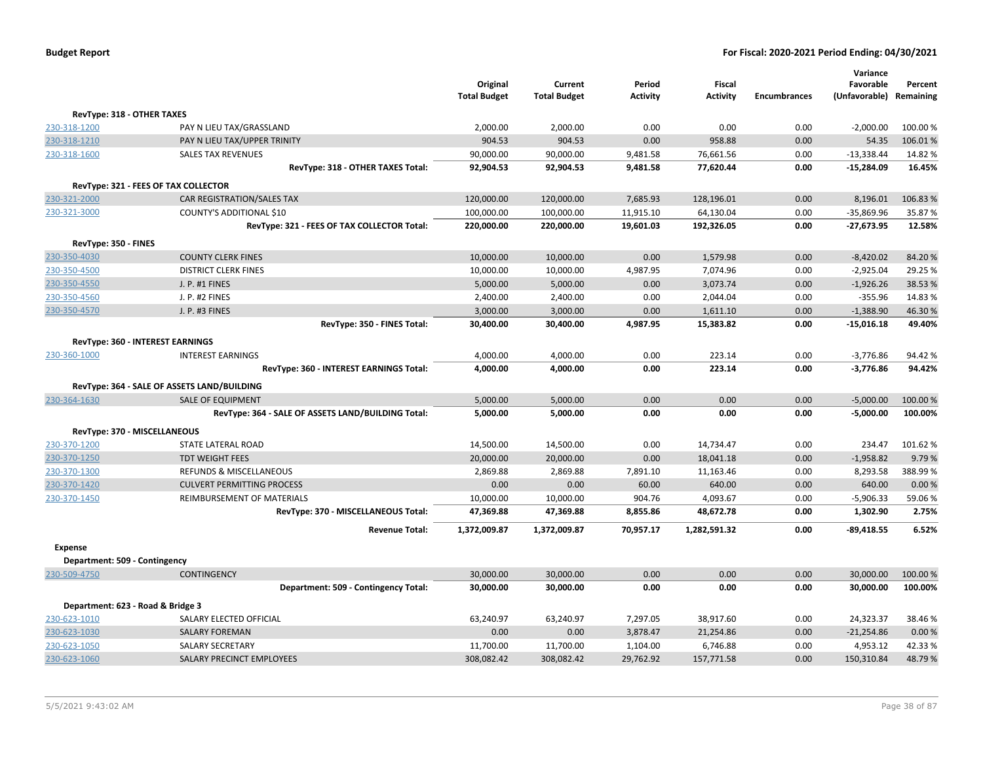|                                   |                                                    | Original<br><b>Total Budget</b> | Current<br><b>Total Budget</b> | Period<br><b>Activity</b> | Fiscal<br><b>Activity</b> | <b>Encumbrances</b> | Variance<br>Favorable<br>(Unfavorable) Remaining | Percent  |
|-----------------------------------|----------------------------------------------------|---------------------------------|--------------------------------|---------------------------|---------------------------|---------------------|--------------------------------------------------|----------|
| RevType: 318 - OTHER TAXES        |                                                    |                                 |                                |                           |                           |                     |                                                  |          |
| 230-318-1200                      | PAY N LIEU TAX/GRASSLAND                           | 2,000.00                        | 2,000.00                       | 0.00                      | 0.00                      | 0.00                | $-2,000.00$                                      | 100.00%  |
| 230-318-1210                      | PAY N LIEU TAX/UPPER TRINITY                       | 904.53                          | 904.53                         | 0.00                      | 958.88                    | 0.00                | 54.35                                            | 106.01%  |
| 230-318-1600                      | <b>SALES TAX REVENUES</b>                          | 90,000.00                       | 90,000.00                      | 9,481.58                  | 76,661.56                 | 0.00                | $-13,338.44$                                     | 14.82 %  |
|                                   | RevType: 318 - OTHER TAXES Total:                  | 92,904.53                       | 92,904.53                      | 9,481.58                  | 77,620.44                 | 0.00                | $-15,284.09$                                     | 16.45%   |
|                                   | RevType: 321 - FEES OF TAX COLLECTOR               |                                 |                                |                           |                           |                     |                                                  |          |
| 230-321-2000                      | CAR REGISTRATION/SALES TAX                         | 120,000.00                      | 120,000.00                     | 7,685.93                  | 128,196.01                | 0.00                | 8,196.01                                         | 106.83%  |
| 230-321-3000                      | COUNTY'S ADDITIONAL \$10                           | 100,000.00                      | 100,000.00                     | 11,915.10                 | 64,130.04                 | 0.00                | $-35,869.96$                                     | 35.87 %  |
|                                   | RevType: 321 - FEES OF TAX COLLECTOR Total:        | 220,000.00                      | 220,000.00                     | 19,601.03                 | 192,326.05                | 0.00                | $-27,673.95$                                     | 12.58%   |
| RevType: 350 - FINES              |                                                    |                                 |                                |                           |                           |                     |                                                  |          |
| 230-350-4030                      | <b>COUNTY CLERK FINES</b>                          | 10,000.00                       | 10,000.00                      | 0.00                      | 1,579.98                  | 0.00                | $-8,420.02$                                      | 84.20%   |
| 230-350-4500                      | <b>DISTRICT CLERK FINES</b>                        | 10,000.00                       | 10,000.00                      | 4,987.95                  | 7,074.96                  | 0.00                | $-2,925.04$                                      | 29.25 %  |
| 230-350-4550                      | J. P. #1 FINES                                     | 5,000.00                        | 5,000.00                       | 0.00                      | 3,073.74                  | 0.00                | $-1,926.26$                                      | 38.53 %  |
| 230-350-4560                      | J. P. #2 FINES                                     | 2,400.00                        | 2,400.00                       | 0.00                      | 2,044.04                  | 0.00                | $-355.96$                                        | 14.83%   |
| 230-350-4570                      | J. P. #3 FINES                                     | 3,000.00                        | 3,000.00                       | 0.00                      | 1,611.10                  | 0.00                | $-1,388.90$                                      | 46.30%   |
|                                   | RevType: 350 - FINES Total:                        | 30,400.00                       | 30,400.00                      | 4,987.95                  | 15,383.82                 | 0.00                | $-15,016.18$                                     | 49.40%   |
|                                   | RevType: 360 - INTEREST EARNINGS                   |                                 |                                |                           |                           |                     |                                                  |          |
| 230-360-1000                      | <b>INTEREST EARNINGS</b>                           | 4,000.00                        | 4,000.00                       | 0.00                      | 223.14                    | 0.00                | $-3,776.86$                                      | 94.42%   |
|                                   | RevType: 360 - INTEREST EARNINGS Total:            | 4,000.00                        | 4,000.00                       | 0.00                      | 223.14                    | 0.00                | $-3,776.86$                                      | 94.42%   |
|                                   | RevType: 364 - SALE OF ASSETS LAND/BUILDING        |                                 |                                |                           |                           |                     |                                                  |          |
| 230-364-1630                      | <b>SALE OF EQUIPMENT</b>                           | 5,000.00                        | 5,000.00                       | 0.00                      | 0.00                      | 0.00                | $-5,000.00$                                      | 100.00 % |
|                                   | RevType: 364 - SALE OF ASSETS LAND/BUILDING Total: | 5,000.00                        | 5,000.00                       | 0.00                      | 0.00                      | 0.00                | $-5,000.00$                                      | 100.00%  |
| RevType: 370 - MISCELLANEOUS      |                                                    |                                 |                                |                           |                           |                     |                                                  |          |
| 230-370-1200                      | <b>STATE LATERAL ROAD</b>                          | 14,500.00                       | 14,500.00                      | 0.00                      | 14,734.47                 | 0.00                | 234.47                                           | 101.62%  |
| 230-370-1250                      | <b>TDT WEIGHT FEES</b>                             | 20,000.00                       | 20,000.00                      | 0.00                      | 18,041.18                 | 0.00                | $-1,958.82$                                      | 9.79%    |
| 230-370-1300                      | REFUNDS & MISCELLANEOUS                            | 2,869.88                        | 2,869.88                       | 7,891.10                  | 11,163.46                 | 0.00                | 8,293.58                                         | 388.99%  |
| 230-370-1420                      | <b>CULVERT PERMITTING PROCESS</b>                  | 0.00                            | 0.00                           | 60.00                     | 640.00                    | 0.00                | 640.00                                           | 0.00%    |
| 230-370-1450                      | REIMBURSEMENT OF MATERIALS                         | 10,000.00                       | 10,000.00                      | 904.76                    | 4,093.67                  | 0.00                | $-5,906.33$                                      | 59.06%   |
|                                   | RevType: 370 - MISCELLANEOUS Total:                | 47,369.88                       | 47,369.88                      | 8,855.86                  | 48,672.78                 | 0.00                | 1,302.90                                         | 2.75%    |
|                                   | <b>Revenue Total:</b>                              | 1,372,009.87                    | 1,372,009.87                   | 70,957.17                 | 1,282,591.32              | 0.00                | $-89,418.55$                                     | 6.52%    |
| <b>Expense</b>                    |                                                    |                                 |                                |                           |                           |                     |                                                  |          |
| Department: 509 - Contingency     |                                                    |                                 |                                |                           |                           |                     |                                                  |          |
| 230-509-4750                      | <b>CONTINGENCY</b>                                 | 30,000.00                       | 30,000.00                      | 0.00                      | 0.00                      | 0.00                | 30,000.00                                        | 100.00%  |
|                                   | Department: 509 - Contingency Total:               | 30,000.00                       | 30,000.00                      | 0.00                      | 0.00                      | 0.00                | 30,000.00                                        | 100.00%  |
| Department: 623 - Road & Bridge 3 |                                                    |                                 |                                |                           |                           |                     |                                                  |          |
| 230-623-1010                      | SALARY ELECTED OFFICIAL                            | 63,240.97                       | 63,240.97                      | 7,297.05                  | 38,917.60                 | 0.00                | 24,323.37                                        | 38.46%   |
| 230-623-1030                      | <b>SALARY FOREMAN</b>                              | 0.00                            | 0.00                           | 3,878.47                  | 21,254.86                 | 0.00                | $-21,254.86$                                     | 0.00 %   |
| 230-623-1050                      | SALARY SECRETARY                                   | 11,700.00                       | 11,700.00                      | 1,104.00                  | 6,746.88                  | 0.00                | 4,953.12                                         | 42.33%   |
| 230-623-1060                      | <b>SALARY PRECINCT EMPLOYEES</b>                   | 308.082.42                      | 308.082.42                     | 29.762.92                 | 157.771.58                | 0.00                | 150,310.84                                       | 48.79%   |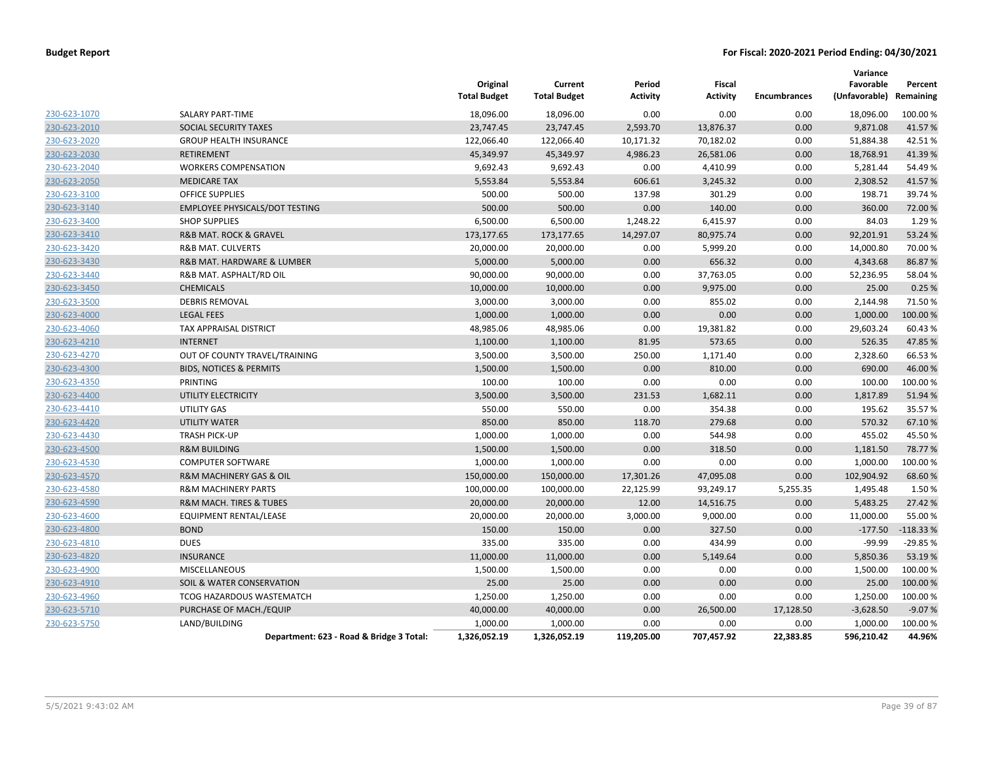|              |                                          | Original<br><b>Total Budget</b> | Current<br><b>Total Budget</b> | Period<br>Activity | <b>Fiscal</b><br><b>Activity</b> | <b>Encumbrances</b> | Variance<br>Favorable<br>(Unfavorable) Remaining | Percent    |
|--------------|------------------------------------------|---------------------------------|--------------------------------|--------------------|----------------------------------|---------------------|--------------------------------------------------|------------|
| 230-623-1070 | <b>SALARY PART-TIME</b>                  | 18,096.00                       | 18,096.00                      | 0.00               | 0.00                             | 0.00                | 18,096.00                                        | 100.00 %   |
| 230-623-2010 | SOCIAL SECURITY TAXES                    | 23,747.45                       | 23,747.45                      | 2,593.70           | 13,876.37                        | 0.00                | 9,871.08                                         | 41.57%     |
| 230-623-2020 | <b>GROUP HEALTH INSURANCE</b>            | 122,066.40                      | 122,066.40                     | 10,171.32          | 70,182.02                        | 0.00                | 51,884.38                                        | 42.51%     |
| 230-623-2030 | <b>RETIREMENT</b>                        | 45,349.97                       | 45,349.97                      | 4,986.23           | 26,581.06                        | 0.00                | 18,768.91                                        | 41.39%     |
| 230-623-2040 | <b>WORKERS COMPENSATION</b>              | 9,692.43                        | 9,692.43                       | 0.00               | 4,410.99                         | 0.00                | 5,281.44                                         | 54.49%     |
| 230-623-2050 | <b>MEDICARE TAX</b>                      | 5,553.84                        | 5,553.84                       | 606.61             | 3,245.32                         | 0.00                | 2,308.52                                         | 41.57%     |
| 230-623-3100 | <b>OFFICE SUPPLIES</b>                   | 500.00                          | 500.00                         | 137.98             | 301.29                           | 0.00                | 198.71                                           | 39.74 %    |
| 230-623-3140 | EMPLOYEE PHYSICALS/DOT TESTING           | 500.00                          | 500.00                         | 0.00               | 140.00                           | 0.00                | 360.00                                           | 72.00 %    |
| 230-623-3400 | <b>SHOP SUPPLIES</b>                     | 6,500.00                        | 6,500.00                       | 1,248.22           | 6,415.97                         | 0.00                | 84.03                                            | 1.29%      |
| 230-623-3410 | <b>R&amp;B MAT. ROCK &amp; GRAVEL</b>    | 173,177.65                      | 173,177.65                     | 14,297.07          | 80,975.74                        | 0.00                | 92,201.91                                        | 53.24 %    |
| 230-623-3420 | <b>R&amp;B MAT. CULVERTS</b>             | 20,000.00                       | 20,000.00                      | 0.00               | 5,999.20                         | 0.00                | 14,000.80                                        | 70.00%     |
| 230-623-3430 | R&B MAT. HARDWARE & LUMBER               | 5,000.00                        | 5,000.00                       | 0.00               | 656.32                           | 0.00                | 4,343.68                                         | 86.87%     |
| 230-623-3440 | R&B MAT. ASPHALT/RD OIL                  | 90,000.00                       | 90,000.00                      | 0.00               | 37,763.05                        | 0.00                | 52,236.95                                        | 58.04%     |
| 230-623-3450 | <b>CHEMICALS</b>                         | 10,000.00                       | 10,000.00                      | 0.00               | 9,975.00                         | 0.00                | 25.00                                            | 0.25%      |
| 230-623-3500 | <b>DEBRIS REMOVAL</b>                    | 3,000.00                        | 3,000.00                       | 0.00               | 855.02                           | 0.00                | 2,144.98                                         | 71.50%     |
| 230-623-4000 | <b>LEGAL FEES</b>                        | 1,000.00                        | 1,000.00                       | 0.00               | 0.00                             | 0.00                | 1,000.00                                         | 100.00%    |
| 230-623-4060 | TAX APPRAISAL DISTRICT                   | 48,985.06                       | 48,985.06                      | 0.00               | 19,381.82                        | 0.00                | 29,603.24                                        | 60.43%     |
| 230-623-4210 | <b>INTERNET</b>                          | 1,100.00                        | 1,100.00                       | 81.95              | 573.65                           | 0.00                | 526.35                                           | 47.85%     |
| 230-623-4270 | OUT OF COUNTY TRAVEL/TRAINING            | 3,500.00                        | 3,500.00                       | 250.00             | 1,171.40                         | 0.00                | 2,328.60                                         | 66.53%     |
| 230-623-4300 | <b>BIDS, NOTICES &amp; PERMITS</b>       | 1,500.00                        | 1,500.00                       | 0.00               | 810.00                           | 0.00                | 690.00                                           | 46.00 %    |
| 230-623-4350 | PRINTING                                 | 100.00                          | 100.00                         | 0.00               | 0.00                             | 0.00                | 100.00                                           | 100.00%    |
| 230-623-4400 | UTILITY ELECTRICITY                      | 3,500.00                        | 3,500.00                       | 231.53             | 1,682.11                         | 0.00                | 1,817.89                                         | 51.94 %    |
| 230-623-4410 | UTILITY GAS                              | 550.00                          | 550.00                         | 0.00               | 354.38                           | 0.00                | 195.62                                           | 35.57%     |
| 230-623-4420 | <b>UTILITY WATER</b>                     | 850.00                          | 850.00                         | 118.70             | 279.68                           | 0.00                | 570.32                                           | 67.10%     |
| 230-623-4430 | <b>TRASH PICK-UP</b>                     | 1,000.00                        | 1,000.00                       | 0.00               | 544.98                           | 0.00                | 455.02                                           | 45.50%     |
| 230-623-4500 | <b>R&amp;M BUILDING</b>                  | 1,500.00                        | 1,500.00                       | 0.00               | 318.50                           | 0.00                | 1,181.50                                         | 78.77 %    |
| 230-623-4530 | <b>COMPUTER SOFTWARE</b>                 | 1,000.00                        | 1,000.00                       | 0.00               | 0.00                             | 0.00                | 1,000.00                                         | 100.00%    |
| 230-623-4570 | R&M MACHINERY GAS & OIL                  | 150,000.00                      | 150,000.00                     | 17,301.26          | 47,095.08                        | 0.00                | 102,904.92                                       | 68.60%     |
| 230-623-4580 | <b>R&amp;M MACHINERY PARTS</b>           | 100,000.00                      | 100,000.00                     | 22,125.99          | 93,249.17                        | 5,255.35            | 1,495.48                                         | 1.50%      |
| 230-623-4590 | <b>R&amp;M MACH. TIRES &amp; TUBES</b>   | 20,000.00                       | 20,000.00                      | 12.00              | 14,516.75                        | 0.00                | 5,483.25                                         | 27.42%     |
| 230-623-4600 | EQUIPMENT RENTAL/LEASE                   | 20,000.00                       | 20,000.00                      | 3,000.00           | 9,000.00                         | 0.00                | 11,000.00                                        | 55.00 %    |
| 230-623-4800 | <b>BOND</b>                              | 150.00                          | 150.00                         | 0.00               | 327.50                           | 0.00                | $-177.50$                                        | $-118.33%$ |
| 230-623-4810 | <b>DUES</b>                              | 335.00                          | 335.00                         | 0.00               | 434.99                           | 0.00                | $-99.99$                                         | $-29.85%$  |
| 230-623-4820 | <b>INSURANCE</b>                         | 11,000.00                       | 11,000.00                      | 0.00               | 5,149.64                         | 0.00                | 5,850.36                                         | 53.19%     |
| 230-623-4900 | MISCELLANEOUS                            | 1,500.00                        | 1,500.00                       | 0.00               | 0.00                             | 0.00                | 1,500.00                                         | 100.00 %   |
| 230-623-4910 | SOIL & WATER CONSERVATION                | 25.00                           | 25.00                          | 0.00               | 0.00                             | 0.00                | 25.00                                            | 100.00 %   |
| 230-623-4960 | TCOG HAZARDOUS WASTEMATCH                | 1,250.00                        | 1,250.00                       | 0.00               | 0.00                             | 0.00                | 1,250.00                                         | 100.00 %   |
| 230-623-5710 | PURCHASE OF MACH./EQUIP                  | 40,000.00                       | 40,000.00                      | 0.00               | 26,500.00                        | 17,128.50           | $-3,628.50$                                      | $-9.07%$   |
| 230-623-5750 | LAND/BUILDING                            | 1,000.00                        | 1,000.00                       | 0.00               | 0.00                             | 0.00                | 1,000.00                                         | 100.00 %   |
|              | Department: 623 - Road & Bridge 3 Total: | 1,326,052.19                    | 1,326,052.19                   | 119,205.00         | 707,457.92                       | 22,383.85           | 596,210.42                                       | 44.96%     |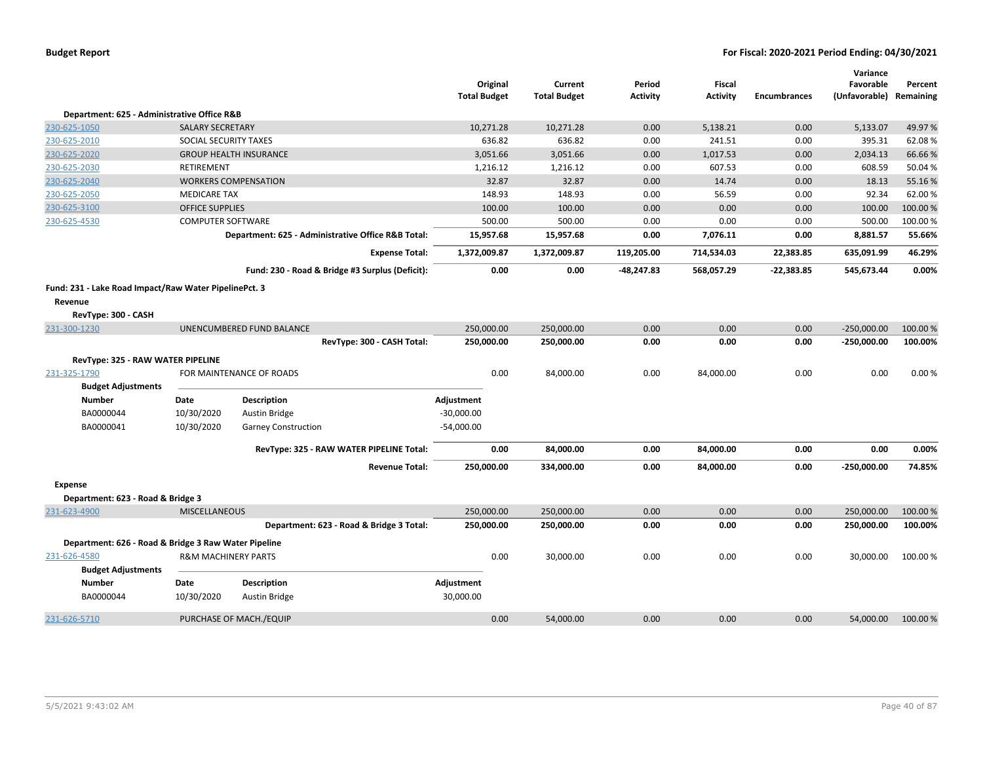|                                                       |                                |                                                    | Original<br><b>Total Budget</b> | Current<br><b>Total Budget</b> | Period<br><b>Activity</b> | Fiscal<br><b>Activity</b> | <b>Encumbrances</b> | Variance<br>Favorable<br>(Unfavorable) | Percent<br>Remaining |
|-------------------------------------------------------|--------------------------------|----------------------------------------------------|---------------------------------|--------------------------------|---------------------------|---------------------------|---------------------|----------------------------------------|----------------------|
| Department: 625 - Administrative Office R&B           |                                |                                                    |                                 |                                |                           |                           |                     |                                        |                      |
| 230-625-1050                                          | <b>SALARY SECRETARY</b>        |                                                    | 10,271.28                       | 10,271.28                      | 0.00                      | 5,138.21                  | 0.00                | 5,133.07                               | 49.97%               |
| 230-625-2010                                          | <b>SOCIAL SECURITY TAXES</b>   |                                                    | 636.82                          | 636.82                         | 0.00                      | 241.51                    | 0.00                | 395.31                                 | 62.08%               |
| 230-625-2020                                          |                                | <b>GROUP HEALTH INSURANCE</b>                      | 3,051.66                        | 3,051.66                       | 0.00                      | 1,017.53                  | 0.00                | 2,034.13                               | 66.66%               |
| 230-625-2030                                          | RETIREMENT                     |                                                    | 1,216.12                        | 1,216.12                       | 0.00                      | 607.53                    | 0.00                | 608.59                                 | 50.04 %              |
| 230-625-2040                                          |                                | <b>WORKERS COMPENSATION</b>                        | 32.87                           | 32.87                          | 0.00                      | 14.74                     | 0.00                | 18.13                                  | 55.16%               |
| 230-625-2050                                          | <b>MEDICARE TAX</b>            |                                                    | 148.93                          | 148.93                         | 0.00                      | 56.59                     | 0.00                | 92.34                                  | 62.00%               |
| 230-625-3100                                          | <b>OFFICE SUPPLIES</b>         |                                                    | 100.00                          | 100.00                         | 0.00                      | 0.00                      | 0.00                | 100.00                                 | 100.00%              |
| 230-625-4530                                          | <b>COMPUTER SOFTWARE</b>       |                                                    | 500.00                          | 500.00                         | 0.00                      | 0.00                      | 0.00                | 500.00                                 | 100.00%              |
|                                                       |                                | Department: 625 - Administrative Office R&B Total: | 15,957.68                       | 15,957.68                      | 0.00                      | 7,076.11                  | 0.00                | 8,881.57                               | 55.66%               |
|                                                       |                                | <b>Expense Total:</b>                              | 1,372,009.87                    | 1,372,009.87                   | 119,205.00                | 714,534.03                | 22,383.85           | 635,091.99                             | 46.29%               |
|                                                       |                                | Fund: 230 - Road & Bridge #3 Surplus (Deficit):    | 0.00                            | 0.00                           | $-48,247.83$              | 568,057.29                | $-22,383.85$        | 545,673.44                             | 0.00%                |
| Fund: 231 - Lake Road Impact/Raw Water PipelinePct. 3 |                                |                                                    |                                 |                                |                           |                           |                     |                                        |                      |
| Revenue                                               |                                |                                                    |                                 |                                |                           |                           |                     |                                        |                      |
| RevType: 300 - CASH                                   |                                |                                                    |                                 |                                |                           |                           |                     |                                        |                      |
| 231-300-1230                                          |                                | UNENCUMBERED FUND BALANCE                          | 250,000.00                      | 250,000.00                     | 0.00                      | 0.00                      | 0.00                | $-250,000.00$                          | 100.00 %             |
|                                                       |                                | RevType: 300 - CASH Total:                         | 250,000.00                      | 250,000.00                     | 0.00                      | 0.00                      | 0.00                | $-250,000.00$                          | 100.00%              |
| RevType: 325 - RAW WATER PIPELINE                     |                                |                                                    |                                 |                                |                           |                           |                     |                                        |                      |
| 231-325-1790                                          |                                | FOR MAINTENANCE OF ROADS                           | 0.00                            | 84,000.00                      | 0.00                      | 84,000.00                 | 0.00                | 0.00                                   | 0.00%                |
| <b>Budget Adjustments</b>                             |                                |                                                    |                                 |                                |                           |                           |                     |                                        |                      |
| <b>Number</b>                                         | Date                           | Description                                        | Adjustment                      |                                |                           |                           |                     |                                        |                      |
| BA0000044                                             | 10/30/2020                     | Austin Bridge                                      | $-30,000.00$                    |                                |                           |                           |                     |                                        |                      |
| BA0000041                                             | 10/30/2020                     | <b>Garney Construction</b>                         | $-54,000.00$                    |                                |                           |                           |                     |                                        |                      |
|                                                       |                                | RevType: 325 - RAW WATER PIPELINE Total:           | 0.00                            | 84,000.00                      | 0.00                      | 84,000.00                 | 0.00                | 0.00                                   | 0.00%                |
|                                                       |                                | <b>Revenue Total:</b>                              | 250,000.00                      | 334,000.00                     | 0.00                      | 84,000.00                 | 0.00                | $-250,000.00$                          | 74.85%               |
|                                                       |                                |                                                    |                                 |                                |                           |                           |                     |                                        |                      |
| Expense                                               |                                |                                                    |                                 |                                |                           |                           |                     |                                        |                      |
| Department: 623 - Road & Bridge 3<br>231-623-4900     | <b>MISCELLANEOUS</b>           |                                                    | 250,000.00                      | 250,000.00                     | 0.00                      | 0.00                      | 0.00                | 250,000.00                             | 100.00%              |
|                                                       |                                | Department: 623 - Road & Bridge 3 Total:           | 250,000.00                      | 250,000.00                     | 0.00                      | 0.00                      | 0.00                | 250,000.00                             | 100.00%              |
|                                                       |                                |                                                    |                                 |                                |                           |                           |                     |                                        |                      |
| Department: 626 - Road & Bridge 3 Raw Water Pipeline  |                                |                                                    |                                 |                                |                           |                           |                     |                                        |                      |
| 231-626-4580                                          | <b>R&amp;M MACHINERY PARTS</b> |                                                    | 0.00                            | 30,000.00                      | 0.00                      | 0.00                      | 0.00                | 30,000.00                              | 100.00 %             |
| <b>Budget Adjustments</b>                             |                                |                                                    |                                 |                                |                           |                           |                     |                                        |                      |
| <b>Number</b>                                         | Date                           | Description                                        | Adjustment                      |                                |                           |                           |                     |                                        |                      |
| BA0000044                                             | 10/30/2020                     | <b>Austin Bridge</b>                               | 30,000.00                       |                                |                           |                           |                     |                                        |                      |
| 231-626-5710                                          |                                | PURCHASE OF MACH./EQUIP                            | 0.00                            | 54,000.00                      | 0.00                      | 0.00                      | 0.00                | 54.000.00                              | 100.00 %             |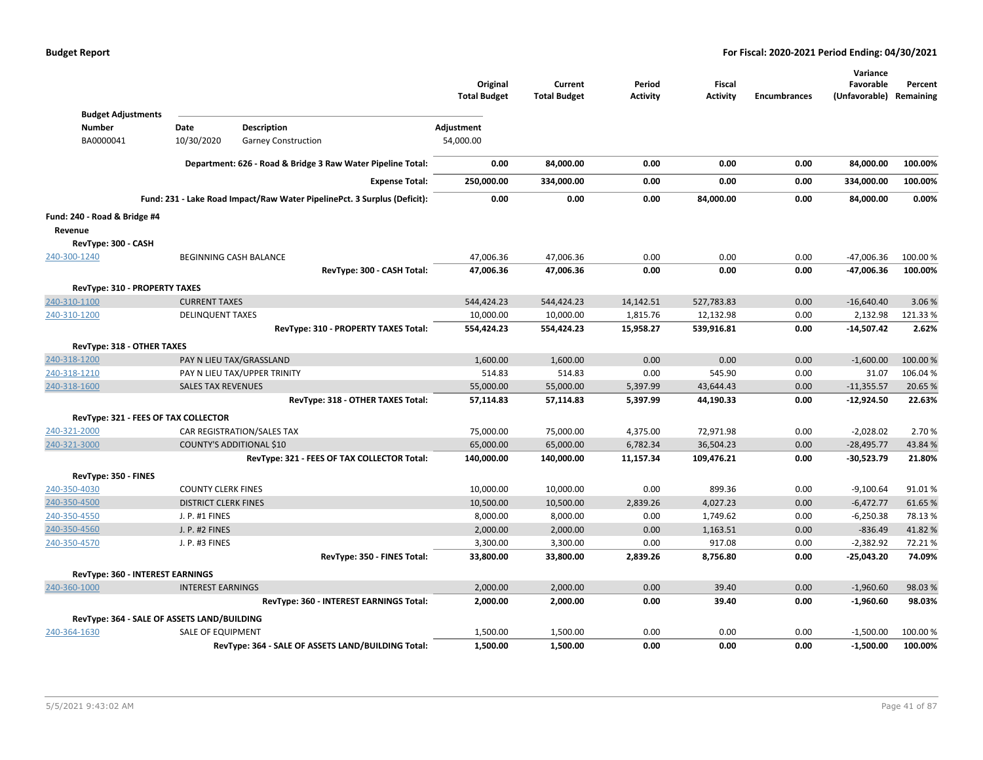|                                            |                                             |                                                                          | Original<br><b>Total Budget</b> | Current<br><b>Total Budget</b> | Period<br><b>Activity</b> | Fiscal<br><b>Activity</b> | <b>Encumbrances</b> | Variance<br>Favorable<br>(Unfavorable) Remaining | Percent  |
|--------------------------------------------|---------------------------------------------|--------------------------------------------------------------------------|---------------------------------|--------------------------------|---------------------------|---------------------------|---------------------|--------------------------------------------------|----------|
| <b>Budget Adjustments</b><br><b>Number</b> | Date                                        | <b>Description</b>                                                       |                                 |                                |                           |                           |                     |                                                  |          |
|                                            | 10/30/2020                                  |                                                                          | Adjustment                      |                                |                           |                           |                     |                                                  |          |
| BA0000041                                  |                                             | <b>Garney Construction</b>                                               | 54,000.00                       |                                |                           |                           |                     |                                                  |          |
|                                            |                                             | Department: 626 - Road & Bridge 3 Raw Water Pipeline Total:              | 0.00                            | 84,000.00                      | 0.00                      | 0.00                      | 0.00                | 84,000.00                                        | 100.00%  |
|                                            |                                             | <b>Expense Total:</b>                                                    | 250,000.00                      | 334,000.00                     | 0.00                      | 0.00                      | 0.00                | 334,000.00                                       | 100.00%  |
|                                            |                                             | Fund: 231 - Lake Road Impact/Raw Water PipelinePct. 3 Surplus (Deficit): | 0.00                            | 0.00                           | 0.00                      | 84,000.00                 | 0.00                | 84,000.00                                        | 0.00%    |
| Fund: 240 - Road & Bridge #4               |                                             |                                                                          |                                 |                                |                           |                           |                     |                                                  |          |
| Revenue                                    |                                             |                                                                          |                                 |                                |                           |                           |                     |                                                  |          |
| RevType: 300 - CASH                        |                                             |                                                                          |                                 |                                |                           |                           |                     |                                                  |          |
| 240-300-1240                               |                                             | BEGINNING CASH BALANCE                                                   | 47,006.36                       | 47,006.36                      | 0.00                      | 0.00                      | 0.00                | $-47,006.36$                                     | 100.00 % |
|                                            |                                             | RevType: 300 - CASH Total:                                               | 47,006.36                       | 47,006.36                      | 0.00                      | 0.00                      | 0.00                | -47,006.36                                       | 100.00%  |
| RevType: 310 - PROPERTY TAXES              |                                             |                                                                          |                                 |                                |                           |                           |                     |                                                  |          |
| 240-310-1100                               | <b>CURRENT TAXES</b>                        |                                                                          | 544,424.23                      | 544,424.23                     | 14,142.51                 | 527,783.83                | 0.00                | $-16,640.40$                                     | 3.06 %   |
| 240-310-1200                               | <b>DELINQUENT TAXES</b>                     |                                                                          | 10,000.00                       | 10,000.00                      | 1,815.76                  | 12,132.98                 | 0.00                | 2,132.98                                         | 121.33%  |
|                                            |                                             | RevType: 310 - PROPERTY TAXES Total:                                     | 554,424.23                      | 554,424.23                     | 15,958.27                 | 539,916.81                | 0.00                | $-14,507.42$                                     | 2.62%    |
| RevType: 318 - OTHER TAXES                 |                                             |                                                                          |                                 |                                |                           |                           |                     |                                                  |          |
| 240-318-1200                               |                                             | PAY N LIEU TAX/GRASSLAND                                                 | 1,600.00                        | 1,600.00                       | 0.00                      | 0.00                      | 0.00                | $-1,600.00$                                      | 100.00 % |
| 240-318-1210                               |                                             | PAY N LIEU TAX/UPPER TRINITY                                             | 514.83                          | 514.83                         | 0.00                      | 545.90                    | 0.00                | 31.07                                            | 106.04%  |
| 240-318-1600                               | <b>SALES TAX REVENUES</b>                   |                                                                          | 55,000.00                       | 55,000.00                      | 5,397.99                  | 43,644.43                 | 0.00                | $-11,355.57$                                     | 20.65 %  |
|                                            |                                             | RevType: 318 - OTHER TAXES Total:                                        | 57,114.83                       | 57,114.83                      | 5,397.99                  | 44,190.33                 | 0.00                | $-12,924.50$                                     | 22.63%   |
|                                            | RevType: 321 - FEES OF TAX COLLECTOR        |                                                                          |                                 |                                |                           |                           |                     |                                                  |          |
| 240-321-2000                               |                                             | CAR REGISTRATION/SALES TAX                                               | 75,000.00                       | 75,000.00                      | 4,375.00                  | 72,971.98                 | 0.00                | $-2,028.02$                                      | 2.70%    |
| 240-321-3000                               |                                             | <b>COUNTY'S ADDITIONAL \$10</b>                                          | 65,000.00                       | 65,000.00                      | 6,782.34                  | 36,504.23                 | 0.00                | $-28,495.77$                                     | 43.84 %  |
|                                            |                                             | RevType: 321 - FEES OF TAX COLLECTOR Total:                              | 140,000.00                      | 140,000.00                     | 11,157.34                 | 109,476.21                | 0.00                | $-30,523.79$                                     | 21.80%   |
| RevType: 350 - FINES                       |                                             |                                                                          |                                 |                                |                           |                           |                     |                                                  |          |
| 240-350-4030                               | <b>COUNTY CLERK FINES</b>                   |                                                                          | 10,000.00                       | 10,000.00                      | 0.00                      | 899.36                    | 0.00                | $-9,100.64$                                      | 91.01%   |
| 240-350-4500                               | <b>DISTRICT CLERK FINES</b>                 |                                                                          | 10,500.00                       | 10,500.00                      | 2,839.26                  | 4,027.23                  | 0.00                | $-6,472.77$                                      | 61.65%   |
| 240-350-4550                               | J. P. #1 FINES                              |                                                                          | 8,000.00                        | 8,000.00                       | 0.00                      | 1,749.62                  | 0.00                | $-6,250.38$                                      | 78.13%   |
| 240-350-4560                               | J. P. #2 FINES                              |                                                                          | 2,000.00                        | 2,000.00                       | 0.00                      | 1,163.51                  | 0.00                | $-836.49$                                        | 41.82%   |
| 240-350-4570                               | J. P. #3 FINES                              |                                                                          | 3,300.00                        | 3,300.00                       | 0.00                      | 917.08                    | 0.00                | $-2,382.92$                                      | 72.21%   |
|                                            |                                             | RevType: 350 - FINES Total:                                              | 33,800.00                       | 33,800.00                      | 2,839.26                  | 8,756.80                  | 0.00                | -25,043.20                                       | 74.09%   |
| RevType: 360 - INTEREST EARNINGS           |                                             |                                                                          |                                 |                                |                           |                           |                     |                                                  |          |
| 240-360-1000                               | <b>INTEREST EARNINGS</b>                    |                                                                          | 2,000.00                        | 2,000.00                       | 0.00                      | 39.40                     | 0.00                | $-1,960.60$                                      | 98.03%   |
|                                            |                                             | RevType: 360 - INTEREST EARNINGS Total:                                  | 2,000.00                        | 2,000.00                       | 0.00                      | 39.40                     | 0.00                | $-1,960.60$                                      | 98.03%   |
|                                            | RevType: 364 - SALE OF ASSETS LAND/BUILDING |                                                                          |                                 |                                |                           |                           |                     |                                                  |          |
| 240-364-1630                               | <b>SALE OF EQUIPMENT</b>                    |                                                                          | 1,500.00                        | 1,500.00                       | 0.00                      | 0.00                      | 0.00                | $-1,500.00$                                      | 100.00 % |
|                                            |                                             | RevType: 364 - SALE OF ASSETS LAND/BUILDING Total:                       | 1,500.00                        | 1,500.00                       | 0.00                      | 0.00                      | 0.00                | $-1,500.00$                                      | 100.00%  |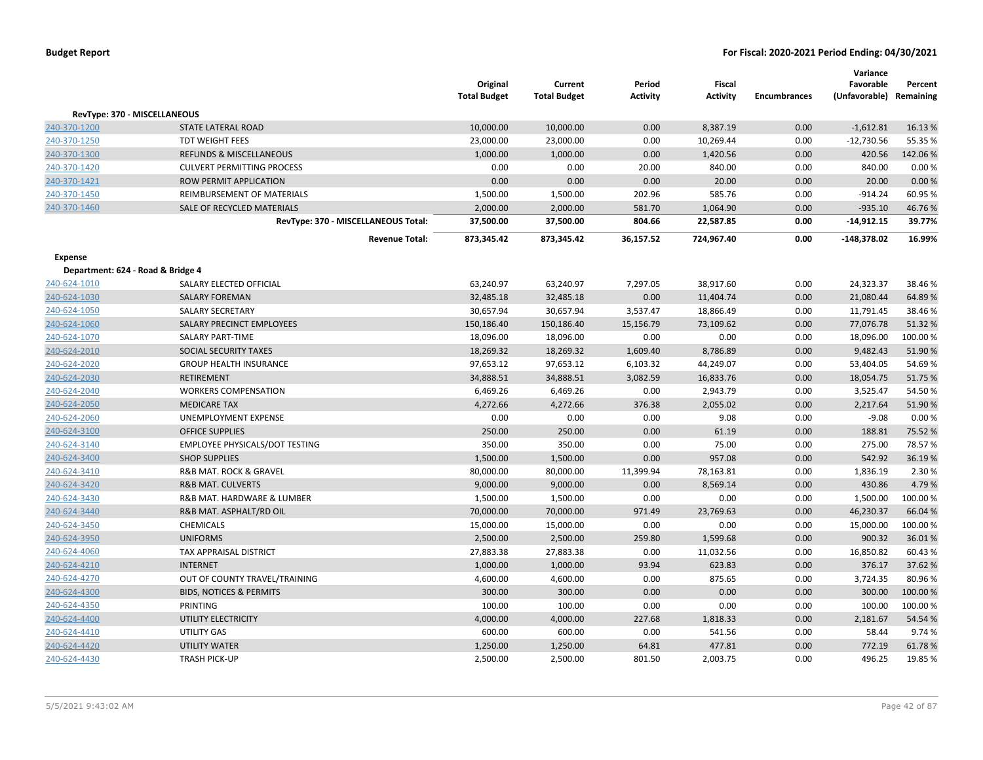|                                   |                                     | Original<br><b>Total Budget</b> | Current<br><b>Total Budget</b> | Period<br><b>Activity</b> | <b>Fiscal</b><br><b>Activity</b> | <b>Encumbrances</b> | Variance<br>Favorable<br>(Unfavorable) Remaining | Percent  |
|-----------------------------------|-------------------------------------|---------------------------------|--------------------------------|---------------------------|----------------------------------|---------------------|--------------------------------------------------|----------|
|                                   | RevType: 370 - MISCELLANEOUS        |                                 |                                |                           |                                  |                     |                                                  |          |
| 240-370-1200                      | STATE LATERAL ROAD                  | 10,000.00                       | 10,000.00                      | 0.00                      | 8,387.19                         | 0.00                | $-1,612.81$                                      | 16.13%   |
| 240-370-1250                      | TDT WEIGHT FEES                     | 23,000.00                       | 23,000.00                      | 0.00                      | 10,269.44                        | 0.00                | $-12,730.56$                                     | 55.35 %  |
| 240-370-1300                      | <b>REFUNDS &amp; MISCELLANEOUS</b>  | 1,000.00                        | 1,000.00                       | 0.00                      | 1,420.56                         | 0.00                | 420.56                                           | 142.06%  |
| 240-370-1420                      | <b>CULVERT PERMITTING PROCESS</b>   | 0.00                            | 0.00                           | 20.00                     | 840.00                           | 0.00                | 840.00                                           | 0.00%    |
| 240-370-1421                      | ROW PERMIT APPLICATION              | 0.00                            | 0.00                           | 0.00                      | 20.00                            | 0.00                | 20.00                                            | 0.00 %   |
| 240-370-1450                      | REIMBURSEMENT OF MATERIALS          | 1,500.00                        | 1,500.00                       | 202.96                    | 585.76                           | 0.00                | $-914.24$                                        | 60.95 %  |
| 240-370-1460                      | SALE OF RECYCLED MATERIALS          | 2,000.00                        | 2,000.00                       | 581.70                    | 1,064.90                         | 0.00                | $-935.10$                                        | 46.76%   |
|                                   | RevType: 370 - MISCELLANEOUS Total: | 37,500.00                       | 37,500.00                      | 804.66                    | 22,587.85                        | 0.00                | $-14,912.15$                                     | 39.77%   |
|                                   | <b>Revenue Total:</b>               | 873,345.42                      | 873,345.42                     | 36,157.52                 | 724,967.40                       | 0.00                | $-148,378.02$                                    | 16.99%   |
| Expense                           |                                     |                                 |                                |                           |                                  |                     |                                                  |          |
| Department: 624 - Road & Bridge 4 |                                     |                                 |                                |                           |                                  |                     |                                                  |          |
| 240-624-1010                      | SALARY ELECTED OFFICIAL             | 63,240.97                       | 63,240.97                      | 7,297.05                  | 38,917.60                        | 0.00                | 24,323.37                                        | 38.46%   |
| 240-624-1030                      | <b>SALARY FOREMAN</b>               | 32,485.18                       | 32,485.18                      | 0.00                      | 11,404.74                        | 0.00                | 21,080.44                                        | 64.89%   |
| 240-624-1050                      | <b>SALARY SECRETARY</b>             | 30,657.94                       | 30,657.94                      | 3,537.47                  | 18,866.49                        | 0.00                | 11,791.45                                        | 38.46%   |
| 240-624-1060                      | SALARY PRECINCT EMPLOYEES           | 150,186.40                      | 150,186.40                     | 15,156.79                 | 73,109.62                        | 0.00                | 77,076.78                                        | 51.32 %  |
| 240-624-1070                      | <b>SALARY PART-TIME</b>             | 18,096.00                       | 18,096.00                      | 0.00                      | 0.00                             | 0.00                | 18,096.00                                        | 100.00%  |
| 240-624-2010                      | SOCIAL SECURITY TAXES               | 18,269.32                       | 18,269.32                      | 1,609.40                  | 8,786.89                         | 0.00                | 9,482.43                                         | 51.90%   |
| 240-624-2020                      | <b>GROUP HEALTH INSURANCE</b>       | 97,653.12                       | 97,653.12                      | 6,103.32                  | 44,249.07                        | 0.00                | 53,404.05                                        | 54.69%   |
| 240-624-2030                      | <b>RETIREMENT</b>                   | 34,888.51                       | 34,888.51                      | 3,082.59                  | 16,833.76                        | 0.00                | 18,054.75                                        | 51.75 %  |
| 240-624-2040                      | <b>WORKERS COMPENSATION</b>         | 6,469.26                        | 6,469.26                       | 0.00                      | 2,943.79                         | 0.00                | 3,525.47                                         | 54.50%   |
| 240-624-2050                      | <b>MEDICARE TAX</b>                 | 4,272.66                        | 4,272.66                       | 376.38                    | 2,055.02                         | 0.00                | 2,217.64                                         | 51.90%   |
| 240-624-2060                      | UNEMPLOYMENT EXPENSE                | 0.00                            | 0.00                           | 0.00                      | 9.08                             | 0.00                | $-9.08$                                          | 0.00%    |
| 240-624-3100                      | <b>OFFICE SUPPLIES</b>              | 250.00                          | 250.00                         | 0.00                      | 61.19                            | 0.00                | 188.81                                           | 75.52 %  |
| 240-624-3140                      | EMPLOYEE PHYSICALS/DOT TESTING      | 350.00                          | 350.00                         | 0.00                      | 75.00                            | 0.00                | 275.00                                           | 78.57%   |
| 240-624-3400                      | <b>SHOP SUPPLIES</b>                | 1,500.00                        | 1,500.00                       | 0.00                      | 957.08                           | 0.00                | 542.92                                           | 36.19%   |
| 240-624-3410                      | R&B MAT. ROCK & GRAVEL              | 80,000.00                       | 80,000.00                      | 11,399.94                 | 78,163.81                        | 0.00                | 1,836.19                                         | 2.30 %   |
| 240-624-3420                      | <b>R&amp;B MAT. CULVERTS</b>        | 9,000.00                        | 9,000.00                       | 0.00                      | 8,569.14                         | 0.00                | 430.86                                           | 4.79%    |
| 240-624-3430                      | R&B MAT. HARDWARE & LUMBER          | 1,500.00                        | 1,500.00                       | 0.00                      | 0.00                             | 0.00                | 1,500.00                                         | 100.00%  |
| 240-624-3440                      | R&B MAT. ASPHALT/RD OIL             | 70,000.00                       | 70,000.00                      | 971.49                    | 23,769.63                        | 0.00                | 46,230.37                                        | 66.04 %  |
| 240-624-3450                      | <b>CHEMICALS</b>                    | 15,000.00                       | 15,000.00                      | 0.00                      | 0.00                             | 0.00                | 15,000.00                                        | 100.00%  |
| 240-624-3950                      | <b>UNIFORMS</b>                     | 2,500.00                        | 2,500.00                       | 259.80                    | 1,599.68                         | 0.00                | 900.32                                           | 36.01%   |
| 240-624-4060                      | TAX APPRAISAL DISTRICT              | 27,883.38                       | 27,883.38                      | 0.00                      | 11,032.56                        | 0.00                | 16,850.82                                        | 60.43%   |
| 240-624-4210                      | <b>INTERNET</b>                     | 1,000.00                        | 1,000.00                       | 93.94                     | 623.83                           | 0.00                | 376.17                                           | 37.62 %  |
| 240-624-4270                      | OUT OF COUNTY TRAVEL/TRAINING       | 4,600.00                        | 4,600.00                       | 0.00                      | 875.65                           | 0.00                | 3,724.35                                         | 80.96%   |
| 240-624-4300                      | <b>BIDS, NOTICES &amp; PERMITS</b>  | 300.00                          | 300.00                         | 0.00                      | 0.00                             | 0.00                | 300.00                                           | 100.00 % |
| 240-624-4350                      | PRINTING                            | 100.00                          | 100.00                         | 0.00                      | 0.00                             | 0.00                | 100.00                                           | 100.00%  |
| 240-624-4400                      | UTILITY ELECTRICITY                 | 4,000.00                        | 4,000.00                       | 227.68                    | 1,818.33                         | 0.00                | 2,181.67                                         | 54.54 %  |
| 240-624-4410                      | <b>UTILITY GAS</b>                  | 600.00                          | 600.00                         | 0.00                      | 541.56                           | 0.00                | 58.44                                            | 9.74%    |
| 240-624-4420                      | <b>UTILITY WATER</b>                | 1,250.00                        | 1,250.00                       | 64.81                     | 477.81                           | 0.00                | 772.19                                           | 61.78%   |
| 240-624-4430                      | <b>TRASH PICK-UP</b>                | 2,500.00                        | 2,500.00                       | 801.50                    | 2,003.75                         | 0.00                | 496.25                                           | 19.85%   |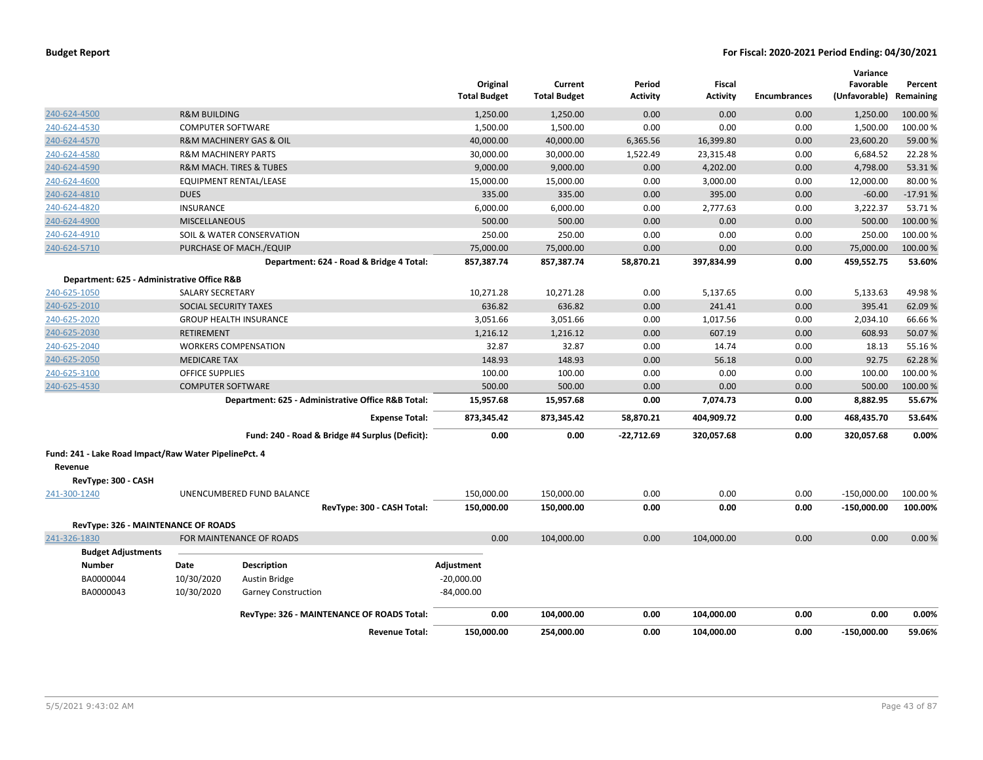|                                                       |                                |                                        |                                                    | Original<br><b>Total Budget</b> | Current<br><b>Total Budget</b> | Period<br><b>Activity</b> | Fiscal<br><b>Activity</b> | <b>Encumbrances</b> | Variance<br>Favorable<br>(Unfavorable) | Percent<br>Remaining |
|-------------------------------------------------------|--------------------------------|----------------------------------------|----------------------------------------------------|---------------------------------|--------------------------------|---------------------------|---------------------------|---------------------|----------------------------------------|----------------------|
| 240-624-4500                                          | <b>R&amp;M BUILDING</b>        |                                        |                                                    | 1,250.00                        | 1,250.00                       | 0.00                      | 0.00                      | 0.00                | 1,250.00                               | 100.00%              |
| 240-624-4530                                          | <b>COMPUTER SOFTWARE</b>       |                                        |                                                    | 1,500.00                        | 1,500.00                       | 0.00                      | 0.00                      | 0.00                | 1,500.00                               | 100.00%              |
| 240-624-4570                                          |                                | R&M MACHINERY GAS & OIL                |                                                    | 40,000.00                       | 40,000.00                      | 6,365.56                  | 16,399.80                 | 0.00                | 23,600.20                              | 59.00 %              |
| 240-624-4580                                          | <b>R&amp;M MACHINERY PARTS</b> |                                        |                                                    | 30,000.00                       | 30,000.00                      | 1,522.49                  | 23,315.48                 | 0.00                | 6,684.52                               | 22.28%               |
| 240-624-4590                                          |                                | <b>R&amp;M MACH. TIRES &amp; TUBES</b> |                                                    | 9,000.00                        | 9,000.00                       | 0.00                      | 4,202.00                  | 0.00                | 4,798.00                               | 53.31%               |
| 240-624-4600                                          |                                | <b>EQUIPMENT RENTAL/LEASE</b>          |                                                    | 15,000.00                       | 15,000.00                      | 0.00                      | 3,000.00                  | 0.00                | 12,000.00                              | 80.00%               |
| 240-624-4810                                          | <b>DUES</b>                    |                                        |                                                    | 335.00                          | 335.00                         | 0.00                      | 395.00                    | 0.00                | $-60.00$                               | $-17.91%$            |
| 240-624-4820                                          | <b>INSURANCE</b>               |                                        |                                                    | 6,000.00                        | 6,000.00                       | 0.00                      | 2,777.63                  | 0.00                | 3,222.37                               | 53.71%               |
| 240-624-4900                                          | <b>MISCELLANEOUS</b>           |                                        |                                                    | 500.00                          | 500.00                         | 0.00                      | 0.00                      | 0.00                | 500.00                                 | 100.00 %             |
| 240-624-4910                                          |                                | SOIL & WATER CONSERVATION              |                                                    | 250.00                          | 250.00                         | 0.00                      | 0.00                      | 0.00                | 250.00                                 | 100.00%              |
| 240-624-5710                                          |                                | PURCHASE OF MACH./EQUIP                |                                                    | 75,000.00                       | 75,000.00                      | 0.00                      | 0.00                      | 0.00                | 75,000.00                              | 100.00%              |
|                                                       |                                |                                        | Department: 624 - Road & Bridge 4 Total:           | 857,387.74                      | 857,387.74                     | 58,870.21                 | 397,834.99                | 0.00                | 459,552.75                             | 53.60%               |
| Department: 625 - Administrative Office R&B           |                                |                                        |                                                    |                                 |                                |                           |                           |                     |                                        |                      |
| 240-625-1050                                          | <b>SALARY SECRETARY</b>        |                                        |                                                    | 10,271.28                       | 10,271.28                      | 0.00                      | 5,137.65                  | 0.00                | 5,133.63                               | 49.98%               |
| 240-625-2010                                          | SOCIAL SECURITY TAXES          |                                        |                                                    | 636.82                          | 636.82                         | 0.00                      | 241.41                    | 0.00                | 395.41                                 | 62.09%               |
| 240-625-2020                                          |                                | <b>GROUP HEALTH INSURANCE</b>          |                                                    | 3,051.66                        | 3,051.66                       | 0.00                      | 1,017.56                  | 0.00                | 2,034.10                               | 66.66%               |
| 240-625-2030                                          | <b>RETIREMENT</b>              |                                        |                                                    | 1,216.12                        | 1,216.12                       | 0.00                      | 607.19                    | 0.00                | 608.93                                 | 50.07%               |
| 240-625-2040                                          |                                | <b>WORKERS COMPENSATION</b>            |                                                    | 32.87                           | 32.87                          | 0.00                      | 14.74                     | 0.00                | 18.13                                  | 55.16%               |
| 240-625-2050                                          | <b>MEDICARE TAX</b>            |                                        |                                                    | 148.93                          | 148.93                         | 0.00                      | 56.18                     | 0.00                | 92.75                                  | 62.28%               |
| 240-625-3100                                          | <b>OFFICE SUPPLIES</b>         |                                        |                                                    | 100.00                          | 100.00                         | 0.00                      | 0.00                      | 0.00                | 100.00                                 | 100.00%              |
| 240-625-4530                                          | <b>COMPUTER SOFTWARE</b>       |                                        |                                                    | 500.00                          | 500.00                         | 0.00                      | 0.00                      | 0.00                | 500.00                                 | 100.00%              |
|                                                       |                                |                                        | Department: 625 - Administrative Office R&B Total: | 15,957.68                       | 15,957.68                      | 0.00                      | 7,074.73                  | 0.00                | 8,882.95                               | 55.67%               |
|                                                       |                                |                                        | <b>Expense Total:</b>                              | 873,345.42                      | 873,345.42                     | 58,870.21                 | 404,909.72                | 0.00                | 468,435.70                             | 53.64%               |
|                                                       |                                |                                        | Fund: 240 - Road & Bridge #4 Surplus (Deficit):    | 0.00                            | 0.00                           | $-22,712.69$              | 320,057.68                | 0.00                | 320,057.68                             | 0.00%                |
| Fund: 241 - Lake Road Impact/Raw Water PipelinePct. 4 |                                |                                        |                                                    |                                 |                                |                           |                           |                     |                                        |                      |
| Revenue                                               |                                |                                        |                                                    |                                 |                                |                           |                           |                     |                                        |                      |
| RevType: 300 - CASH                                   |                                |                                        |                                                    |                                 |                                |                           |                           |                     |                                        |                      |
| 241-300-1240                                          |                                | UNENCUMBERED FUND BALANCE              |                                                    | 150,000.00                      | 150,000.00                     | 0.00                      | 0.00                      | 0.00                | $-150,000.00$                          | 100.00%              |
|                                                       |                                |                                        | RevType: 300 - CASH Total:                         | 150,000.00                      | 150,000.00                     | 0.00                      | 0.00                      | 0.00                | $-150,000.00$                          | 100.00%              |
| RevType: 326 - MAINTENANCE OF ROADS                   |                                |                                        |                                                    |                                 |                                |                           |                           |                     |                                        |                      |
| 241-326-1830                                          |                                | FOR MAINTENANCE OF ROADS               |                                                    | 0.00                            | 104,000.00                     | 0.00                      | 104,000.00                | 0.00                | 0.00                                   | 0.00%                |
| <b>Budget Adjustments</b>                             |                                |                                        |                                                    |                                 |                                |                           |                           |                     |                                        |                      |
| <b>Number</b>                                         | Date                           | Description                            |                                                    | Adjustment                      |                                |                           |                           |                     |                                        |                      |
| BA0000044                                             | 10/30/2020                     | <b>Austin Bridge</b>                   |                                                    | $-20,000.00$                    |                                |                           |                           |                     |                                        |                      |
| BA0000043                                             | 10/30/2020                     | <b>Garney Construction</b>             |                                                    | $-84,000.00$                    |                                |                           |                           |                     |                                        |                      |
|                                                       |                                |                                        | RevType: 326 - MAINTENANCE OF ROADS Total:         | 0.00                            | 104,000.00                     | 0.00                      | 104,000.00                | 0.00                | 0.00                                   | 0.00%                |
|                                                       |                                |                                        | <b>Revenue Total:</b>                              | 150.000.00                      | 254.000.00                     | 0.00                      | 104.000.00                | 0.00                | $-150.000.00$                          | 59.06%               |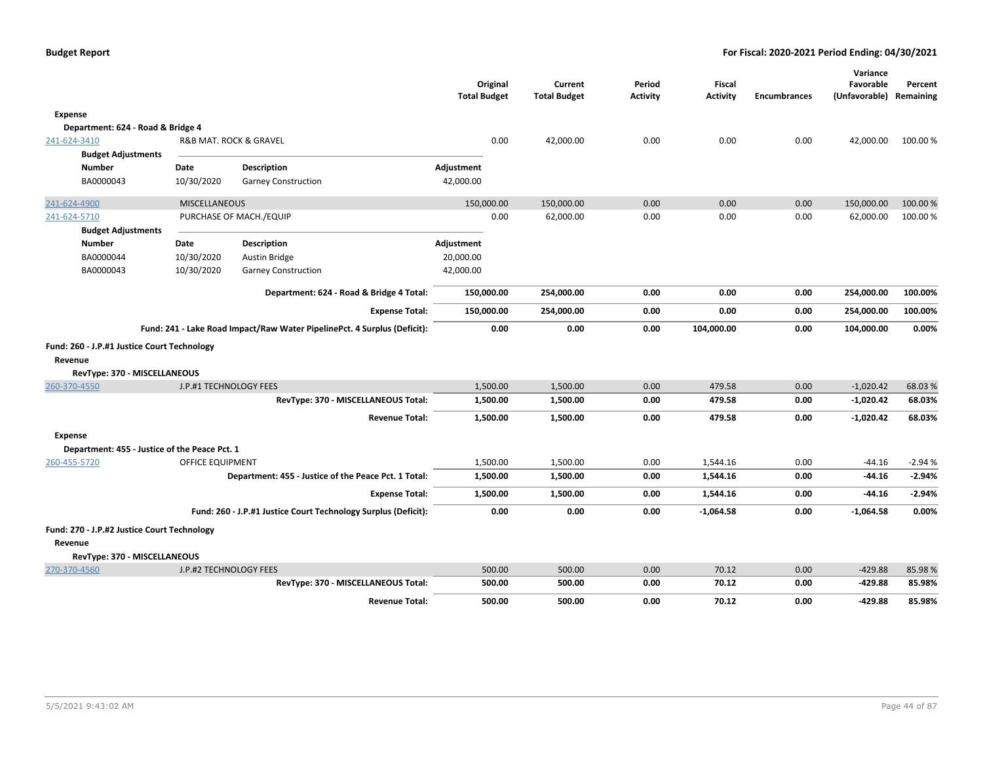|                                               |                         |                                                                          | <b>Total Budget</b> | Original | Current<br><b>Total Budget</b> | Period<br><b>Activity</b> | <b>Fiscal</b><br><b>Activity</b> | <b>Encumbrances</b> | Variance<br>Favorable<br>(Unfavorable) | Percent<br>Remaining |
|-----------------------------------------------|-------------------------|--------------------------------------------------------------------------|---------------------|----------|--------------------------------|---------------------------|----------------------------------|---------------------|----------------------------------------|----------------------|
| Expense                                       |                         |                                                                          |                     |          |                                |                           |                                  |                     |                                        |                      |
| Department: 624 - Road & Bridge 4             |                         |                                                                          |                     |          |                                |                           |                                  |                     |                                        |                      |
| 241-624-3410                                  |                         | R&B MAT. ROCK & GRAVEL                                                   |                     | 0.00     | 42,000.00                      | 0.00                      | 0.00                             | 0.00                | 42,000.00                              | 100.00 %             |
| <b>Budget Adjustments</b>                     |                         |                                                                          |                     |          |                                |                           |                                  |                     |                                        |                      |
| <b>Number</b>                                 | Date                    | Description                                                              | Adjustment          |          |                                |                           |                                  |                     |                                        |                      |
| BA0000043                                     | 10/30/2020              | <b>Garney Construction</b>                                               | 42,000.00           |          |                                |                           |                                  |                     |                                        |                      |
| 241-624-4900                                  | <b>MISCELLANEOUS</b>    |                                                                          | 150,000.00          |          | 150,000.00                     | 0.00                      | 0.00                             | 0.00                | 150,000.00                             | 100.00 %             |
| 241-624-5710                                  |                         | PURCHASE OF MACH./EQUIP                                                  |                     | 0.00     | 62,000.00                      | 0.00                      | 0.00                             | 0.00                | 62,000.00                              | 100.00%              |
| <b>Budget Adjustments</b>                     |                         |                                                                          |                     |          |                                |                           |                                  |                     |                                        |                      |
| <b>Number</b>                                 | Date                    | Description                                                              | Adjustment          |          |                                |                           |                                  |                     |                                        |                      |
| BA0000044                                     | 10/30/2020              | Austin Bridge                                                            | 20,000.00           |          |                                |                           |                                  |                     |                                        |                      |
| BA0000043                                     | 10/30/2020              | <b>Garney Construction</b>                                               | 42,000.00           |          |                                |                           |                                  |                     |                                        |                      |
|                                               |                         | Department: 624 - Road & Bridge 4 Total:                                 | 150,000.00          |          | 254,000.00                     | 0.00                      | 0.00                             | 0.00                | 254,000.00                             | 100.00%              |
|                                               |                         | <b>Expense Total:</b>                                                    | 150,000.00          |          | 254,000.00                     | 0.00                      | 0.00                             | 0.00                | 254,000.00                             | 100.00%              |
|                                               |                         | Fund: 241 - Lake Road Impact/Raw Water PipelinePct. 4 Surplus (Deficit): |                     | 0.00     | 0.00                           | 0.00                      | 104,000.00                       | 0.00                | 104,000.00                             | 0.00%                |
| Fund: 260 - J.P.#1 Justice Court Technology   |                         |                                                                          |                     |          |                                |                           |                                  |                     |                                        |                      |
| Revenue                                       |                         |                                                                          |                     |          |                                |                           |                                  |                     |                                        |                      |
| RevType: 370 - MISCELLANEOUS                  |                         |                                                                          |                     |          |                                |                           |                                  |                     |                                        |                      |
| 260-370-4550                                  | J.P.#1 TECHNOLOGY FEES  |                                                                          |                     | 1,500.00 | 1,500.00                       | 0.00                      | 479.58                           | 0.00                | $-1,020.42$                            | 68.03%               |
|                                               |                         | RevType: 370 - MISCELLANEOUS Total:                                      |                     | 1,500.00 | 1,500.00                       | 0.00                      | 479.58                           | 0.00                | $-1,020.42$                            | 68.03%               |
|                                               |                         | <b>Revenue Total:</b>                                                    |                     | 1,500.00 | 1,500.00                       | 0.00                      | 479.58                           | 0.00                | $-1,020.42$                            | 68.03%               |
| Expense                                       |                         |                                                                          |                     |          |                                |                           |                                  |                     |                                        |                      |
| Department: 455 - Justice of the Peace Pct. 1 |                         |                                                                          |                     |          |                                |                           |                                  |                     |                                        |                      |
| 260-455-5720                                  | <b>OFFICE EQUIPMENT</b> |                                                                          |                     | 1,500.00 | 1,500.00                       | 0.00                      | 1,544.16                         | 0.00                | $-44.16$                               | $-2.94%$             |
|                                               |                         | Department: 455 - Justice of the Peace Pct. 1 Total:                     |                     | 1,500.00 | 1,500.00                       | 0.00                      | 1,544.16                         | 0.00                | -44.16                                 | $-2.94%$             |
|                                               |                         | <b>Expense Total:</b>                                                    |                     | 1,500.00 | 1,500.00                       | 0.00                      | 1,544.16                         | 0.00                | $-44.16$                               | $-2.94%$             |
|                                               |                         | Fund: 260 - J.P.#1 Justice Court Technology Surplus (Deficit):           |                     | 0.00     | 0.00                           | 0.00                      | $-1,064.58$                      | 0.00                | $-1,064.58$                            | 0.00%                |
| Fund: 270 - J.P.#2 Justice Court Technology   |                         |                                                                          |                     |          |                                |                           |                                  |                     |                                        |                      |
| Revenue                                       |                         |                                                                          |                     |          |                                |                           |                                  |                     |                                        |                      |
| RevType: 370 - MISCELLANEOUS                  |                         |                                                                          |                     |          |                                |                           |                                  |                     |                                        |                      |
| 270-370-4560                                  | J.P.#2 TECHNOLOGY FEES  |                                                                          |                     | 500.00   | 500.00                         | 0.00                      | 70.12                            | 0.00                | $-429.88$                              | 85.98%               |
|                                               |                         | RevType: 370 - MISCELLANEOUS Total:                                      |                     | 500.00   | 500.00                         | 0.00                      | 70.12                            | 0.00                | $-429.88$                              | 85.98%               |
|                                               |                         | <b>Revenue Total:</b>                                                    |                     | 500.00   | 500.00                         | 0.00                      | 70.12                            | 0.00                | $-429.88$                              | 85.98%               |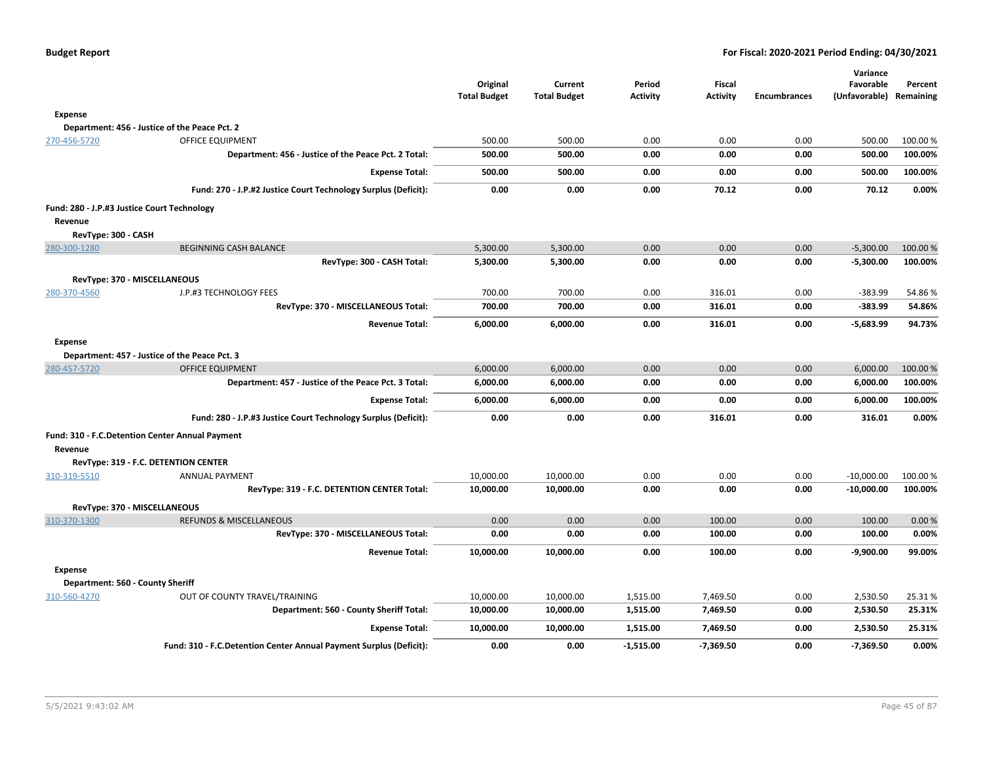| Budget Report |  |  |  |  |  |  |
|---------------|--|--|--|--|--|--|
|---------------|--|--|--|--|--|--|

|                                                 |                                                                    |                                 |                                |                           |                           |                     | Variance                   |                      |
|-------------------------------------------------|--------------------------------------------------------------------|---------------------------------|--------------------------------|---------------------------|---------------------------|---------------------|----------------------------|----------------------|
|                                                 |                                                                    | Original<br><b>Total Budget</b> | Current<br><b>Total Budget</b> | Period<br><b>Activity</b> | Fiscal<br><b>Activity</b> | <b>Encumbrances</b> | Favorable<br>(Unfavorable) | Percent<br>Remaining |
| <b>Expense</b>                                  |                                                                    |                                 |                                |                           |                           |                     |                            |                      |
|                                                 | Department: 456 - Justice of the Peace Pct. 2                      |                                 |                                |                           |                           |                     |                            |                      |
| 270-456-5720                                    | <b>OFFICE EQUIPMENT</b>                                            | 500.00                          | 500.00                         | 0.00                      | 0.00                      | 0.00                | 500.00                     | 100.00%              |
|                                                 | Department: 456 - Justice of the Peace Pct. 2 Total:               | 500.00                          | 500.00                         | 0.00                      | 0.00                      | 0.00                | 500.00                     | 100.00%              |
|                                                 | <b>Expense Total:</b>                                              | 500.00                          | 500.00                         | 0.00                      | 0.00                      | 0.00                | 500.00                     | 100.00%              |
|                                                 | Fund: 270 - J.P.#2 Justice Court Technology Surplus (Deficit):     | 0.00                            | 0.00                           | 0.00                      | 70.12                     | 0.00                | 70.12                      | 0.00%                |
| Fund: 280 - J.P.#3 Justice Court Technology     |                                                                    |                                 |                                |                           |                           |                     |                            |                      |
| Revenue                                         |                                                                    |                                 |                                |                           |                           |                     |                            |                      |
| RevType: 300 - CASH                             |                                                                    |                                 |                                |                           |                           |                     |                            |                      |
| 280-300-1280                                    | <b>BEGINNING CASH BALANCE</b>                                      | 5,300.00                        | 5,300.00                       | 0.00                      | 0.00                      | 0.00                | $-5,300.00$                | 100.00%              |
|                                                 | RevType: 300 - CASH Total:                                         | 5,300.00                        | 5,300.00                       | 0.00                      | 0.00                      | 0.00                | $-5,300.00$                | 100.00%              |
| RevType: 370 - MISCELLANEOUS                    |                                                                    |                                 |                                |                           |                           |                     |                            |                      |
| 280-370-4560                                    | J.P.#3 TECHNOLOGY FEES                                             | 700.00                          | 700.00                         | 0.00                      | 316.01                    | 0.00                | $-383.99$                  | 54.86%               |
|                                                 | RevType: 370 - MISCELLANEOUS Total:                                | 700.00                          | 700.00                         | 0.00                      | 316.01                    | 0.00                | $-383.99$                  | 54.86%               |
|                                                 | <b>Revenue Total:</b>                                              | 6,000.00                        | 6,000.00                       | 0.00                      | 316.01                    | 0.00                | -5,683.99                  | 94.73%               |
| Expense                                         |                                                                    |                                 |                                |                           |                           |                     |                            |                      |
|                                                 | Department: 457 - Justice of the Peace Pct. 3                      |                                 |                                |                           |                           |                     |                            |                      |
| 280-457-5720                                    | <b>OFFICE EQUIPMENT</b>                                            | 6,000.00                        | 6,000.00                       | 0.00                      | 0.00                      | 0.00                | 6,000.00                   | 100.00%              |
|                                                 | Department: 457 - Justice of the Peace Pct. 3 Total:               | 6,000.00                        | 6,000.00                       | 0.00                      | 0.00                      | 0.00                | 6,000.00                   | 100.00%              |
|                                                 | <b>Expense Total:</b>                                              | 6,000.00                        | 6,000.00                       | 0.00                      | 0.00                      | 0.00                | 6,000.00                   | 100.00%              |
|                                                 | Fund: 280 - J.P.#3 Justice Court Technology Surplus (Deficit):     | 0.00                            | 0.00                           | 0.00                      | 316.01                    | 0.00                | 316.01                     | 0.00%                |
| Fund: 310 - F.C.Detention Center Annual Payment |                                                                    |                                 |                                |                           |                           |                     |                            |                      |
| Revenue                                         |                                                                    |                                 |                                |                           |                           |                     |                            |                      |
|                                                 | RevType: 319 - F.C. DETENTION CENTER                               |                                 |                                |                           |                           |                     |                            |                      |
| 310-319-5510                                    | <b>ANNUAL PAYMENT</b>                                              | 10,000.00                       | 10,000.00                      | 0.00                      | 0.00                      | 0.00                | $-10,000.00$               | 100.00%              |
|                                                 | RevType: 319 - F.C. DETENTION CENTER Total:                        | 10,000.00                       | 10,000.00                      | 0.00                      | 0.00                      | 0.00                | $-10,000.00$               | 100.00%              |
| RevType: 370 - MISCELLANEOUS                    |                                                                    |                                 |                                |                           |                           |                     |                            |                      |
| 310-370-1300                                    | <b>REFUNDS &amp; MISCELLANEOUS</b>                                 | 0.00                            | 0.00                           | 0.00                      | 100.00                    | 0.00                | 100.00                     | 0.00%                |
|                                                 | RevType: 370 - MISCELLANEOUS Total:                                | 0.00                            | 0.00                           | 0.00                      | 100.00                    | 0.00                | 100.00                     | 0.00%                |
|                                                 | <b>Revenue Total:</b>                                              | 10,000.00                       | 10,000.00                      | 0.00                      | 100.00                    | 0.00                | $-9,900.00$                | 99.00%               |
| Expense                                         |                                                                    |                                 |                                |                           |                           |                     |                            |                      |
| Department: 560 - County Sheriff                |                                                                    |                                 |                                |                           |                           |                     |                            |                      |
| 310-560-4270                                    | OUT OF COUNTY TRAVEL/TRAINING                                      | 10,000.00                       | 10,000.00                      | 1,515.00                  | 7,469.50                  | 0.00                | 2,530.50                   | 25.31%               |
|                                                 | Department: 560 - County Sheriff Total:                            | 10,000.00                       | 10,000.00                      | 1,515.00                  | 7,469.50                  | 0.00                | 2,530.50                   | 25.31%               |
|                                                 | <b>Expense Total:</b>                                              | 10,000.00                       | 10,000.00                      | 1,515.00                  | 7,469.50                  | 0.00                | 2,530.50                   | 25.31%               |
|                                                 | Fund: 310 - F.C.Detention Center Annual Payment Surplus (Deficit): | 0.00                            | 0.00                           | $-1,515.00$               | $-7,369.50$               | 0.00                | $-7,369.50$                | 0.00%                |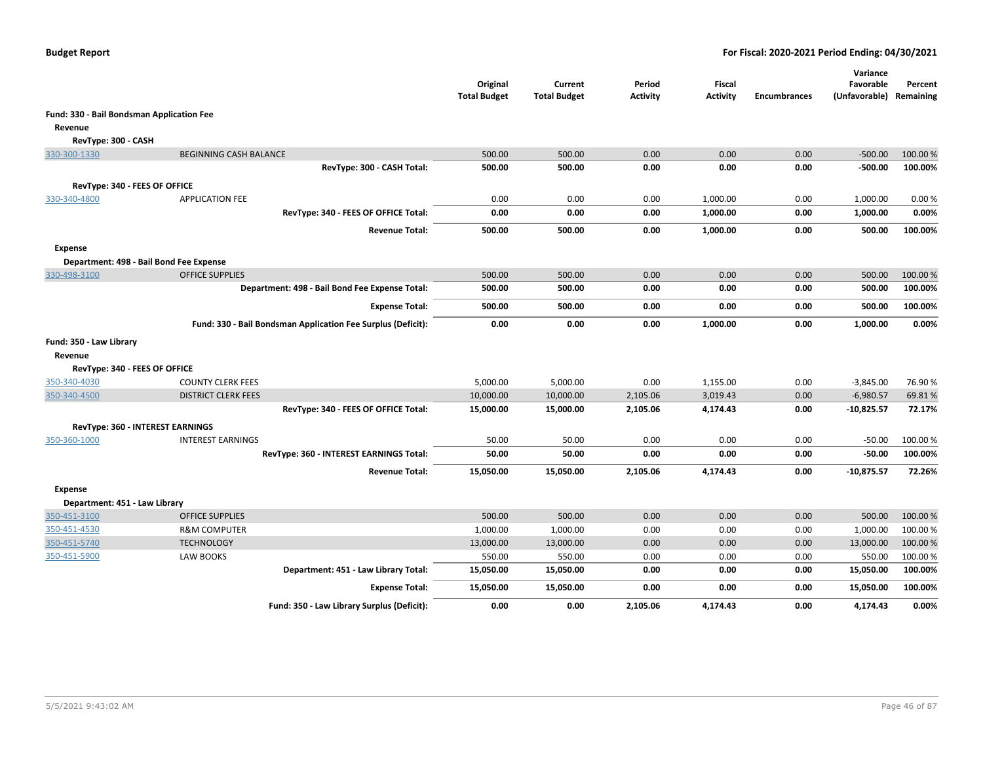|                                               |                                                              | Original<br><b>Total Budget</b> | Current<br><b>Total Budget</b> | Period<br><b>Activity</b> | Fiscal<br><b>Activity</b> | <b>Encumbrances</b> | Variance<br>Favorable<br>(Unfavorable) Remaining | Percent            |
|-----------------------------------------------|--------------------------------------------------------------|---------------------------------|--------------------------------|---------------------------|---------------------------|---------------------|--------------------------------------------------|--------------------|
| Fund: 330 - Bail Bondsman Application Fee     |                                                              |                                 |                                |                           |                           |                     |                                                  |                    |
| Revenue                                       |                                                              |                                 |                                |                           |                           |                     |                                                  |                    |
| RevType: 300 - CASH                           |                                                              |                                 |                                |                           |                           |                     |                                                  |                    |
| 330-300-1330                                  | <b>BEGINNING CASH BALANCE</b>                                | 500.00                          | 500.00                         | 0.00                      | 0.00                      | 0.00                | $-500.00$                                        | 100.00%            |
|                                               | RevType: 300 - CASH Total:                                   | 500.00                          | 500.00                         | 0.00                      | 0.00                      | 0.00                | $-500.00$                                        | 100.00%            |
|                                               |                                                              |                                 |                                |                           |                           |                     |                                                  |                    |
| RevType: 340 - FEES OF OFFICE<br>330-340-4800 | <b>APPLICATION FEE</b>                                       | 0.00                            | 0.00                           | 0.00                      | 1,000.00                  | 0.00                | 1,000.00                                         | 0.00%              |
|                                               | RevType: 340 - FEES OF OFFICE Total:                         | 0.00                            | 0.00                           | 0.00                      | 1,000.00                  | 0.00                | 1,000.00                                         | 0.00%              |
|                                               |                                                              |                                 |                                |                           |                           |                     |                                                  |                    |
|                                               | <b>Revenue Total:</b>                                        | 500.00                          | 500.00                         | 0.00                      | 1,000.00                  | 0.00                | 500.00                                           | 100.00%            |
| <b>Expense</b>                                |                                                              |                                 |                                |                           |                           |                     |                                                  |                    |
|                                               | Department: 498 - Bail Bond Fee Expense                      |                                 |                                |                           |                           |                     |                                                  |                    |
| 330-498-3100                                  | <b>OFFICE SUPPLIES</b>                                       | 500.00                          | 500.00                         | 0.00                      | 0.00                      | 0.00                | 500.00                                           | 100.00%            |
|                                               | Department: 498 - Bail Bond Fee Expense Total:               | 500.00                          | 500.00                         | 0.00                      | 0.00                      | 0.00                | 500.00                                           | 100.00%            |
|                                               | <b>Expense Total:</b>                                        | 500.00                          | 500.00                         | 0.00                      | 0.00                      | 0.00                | 500.00                                           | 100.00%            |
|                                               | Fund: 330 - Bail Bondsman Application Fee Surplus (Deficit): | 0.00                            | 0.00                           | 0.00                      | 1,000.00                  | 0.00                | 1,000.00                                         | 0.00%              |
| Fund: 350 - Law Library                       |                                                              |                                 |                                |                           |                           |                     |                                                  |                    |
| Revenue                                       |                                                              |                                 |                                |                           |                           |                     |                                                  |                    |
| RevType: 340 - FEES OF OFFICE                 |                                                              |                                 |                                |                           |                           |                     |                                                  |                    |
| 350-340-4030                                  | <b>COUNTY CLERK FEES</b>                                     | 5,000.00                        | 5,000.00                       | 0.00                      | 1,155.00                  | 0.00                | $-3,845.00$                                      | 76.90%             |
| 350-340-4500                                  | <b>DISTRICT CLERK FEES</b>                                   | 10,000.00                       | 10,000.00                      | 2,105.06                  | 3,019.43                  | 0.00                | $-6,980.57$                                      | 69.81%             |
|                                               | RevType: 340 - FEES OF OFFICE Total:                         | 15,000.00                       | 15,000.00                      | 2,105.06                  | 4,174.43                  | 0.00                | $-10,825.57$                                     | 72.17%             |
|                                               | <b>RevType: 360 - INTEREST EARNINGS</b>                      |                                 |                                |                           |                           |                     |                                                  |                    |
| 350-360-1000                                  | <b>INTEREST EARNINGS</b>                                     | 50.00                           | 50.00                          | 0.00                      | 0.00                      | 0.00                | $-50.00$                                         | 100.00%            |
|                                               | RevType: 360 - INTEREST EARNINGS Total:                      | 50.00                           | 50.00                          | 0.00                      | 0.00                      | 0.00                | $-50.00$                                         | 100.00%            |
|                                               | <b>Revenue Total:</b>                                        | 15,050.00                       | 15,050.00                      | 2,105.06                  | 4,174.43                  | 0.00                | $-10,875.57$                                     | 72.26%             |
|                                               |                                                              |                                 |                                |                           |                           |                     |                                                  |                    |
| Expense                                       |                                                              |                                 |                                |                           |                           |                     |                                                  |                    |
| Department: 451 - Law Library                 |                                                              |                                 | 500.00                         |                           |                           |                     |                                                  |                    |
| 350-451-3100                                  | <b>OFFICE SUPPLIES</b><br><b>R&amp;M COMPUTER</b>            | 500.00                          |                                | 0.00                      | 0.00<br>0.00              | 0.00<br>0.00        | 500.00                                           | 100.00%<br>100.00% |
| 350-451-4530<br>350-451-5740                  |                                                              | 1,000.00<br>13,000.00           | 1,000.00                       | 0.00<br>0.00              | 0.00                      | 0.00                | 1,000.00<br>13,000.00                            | 100.00 %           |
| 350-451-5900                                  | <b>TECHNOLOGY</b><br>LAW BOOKS                               | 550.00                          | 13,000.00<br>550.00            | 0.00                      | 0.00                      | 0.00                | 550.00                                           | 100.00 %           |
|                                               | Department: 451 - Law Library Total:                         | 15,050.00                       | 15,050.00                      | 0.00                      | 0.00                      | 0.00                | 15,050.00                                        | 100.00%            |
|                                               |                                                              |                                 |                                |                           |                           |                     |                                                  |                    |
|                                               | <b>Expense Total:</b>                                        | 15,050.00                       | 15,050.00                      | 0.00                      | 0.00                      | 0.00                | 15,050.00                                        | 100.00%            |
|                                               | Fund: 350 - Law Library Surplus (Deficit):                   | 0.00                            | 0.00                           | 2,105.06                  | 4,174.43                  | 0.00                | 4,174.43                                         | 0.00%              |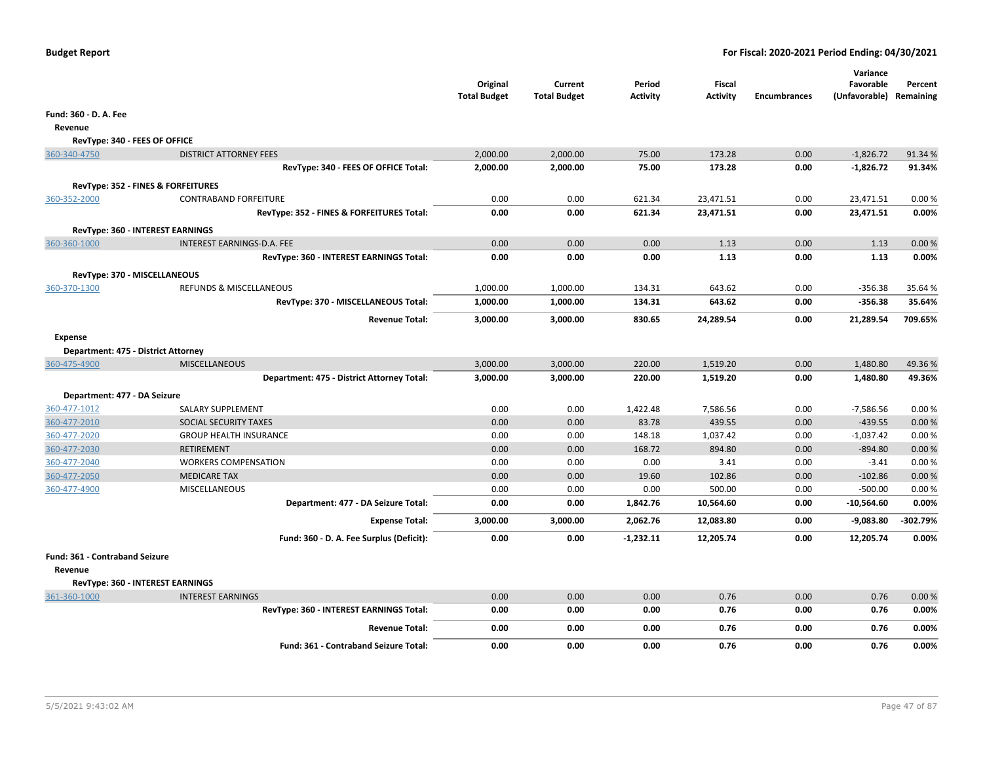|                                     |                                                                | Original<br><b>Total Budget</b> | Current<br><b>Total Budget</b> | Period<br><b>Activity</b> | <b>Fiscal</b><br><b>Activity</b> | <b>Encumbrances</b> | Variance<br>Favorable<br>(Unfavorable) Remaining | Percent  |
|-------------------------------------|----------------------------------------------------------------|---------------------------------|--------------------------------|---------------------------|----------------------------------|---------------------|--------------------------------------------------|----------|
| Fund: 360 - D. A. Fee               |                                                                |                                 |                                |                           |                                  |                     |                                                  |          |
| Revenue                             |                                                                |                                 |                                |                           |                                  |                     |                                                  |          |
| RevType: 340 - FEES OF OFFICE       |                                                                |                                 |                                |                           |                                  |                     |                                                  |          |
| 360-340-4750                        | <b>DISTRICT ATTORNEY FEES</b>                                  | 2,000.00                        | 2,000.00                       | 75.00                     | 173.28                           | 0.00                | $-1,826.72$                                      | 91.34 %  |
|                                     | RevType: 340 - FEES OF OFFICE Total:                           | 2,000.00                        | 2,000.00                       | 75.00                     | 173.28                           | 0.00                | $-1,826.72$                                      | 91.34%   |
|                                     | <b>RevType: 352 - FINES &amp; FORFEITURES</b>                  |                                 |                                |                           |                                  |                     |                                                  |          |
| 360-352-2000                        | <b>CONTRABAND FORFEITURE</b>                                   | 0.00                            | 0.00                           | 621.34                    | 23,471.51                        | 0.00                | 23,471.51                                        | 0.00%    |
|                                     | RevType: 352 - FINES & FORFEITURES Total:                      | 0.00                            | 0.00                           | 621.34                    | 23,471.51                        | 0.00                | 23,471.51                                        | 0.00%    |
|                                     |                                                                |                                 |                                |                           |                                  |                     |                                                  |          |
| 360-360-1000                        | RevType: 360 - INTEREST EARNINGS<br>INTEREST EARNINGS-D.A. FEE | 0.00                            | 0.00                           | 0.00                      | 1.13                             | 0.00                | 1.13                                             | 0.00%    |
|                                     | RevType: 360 - INTEREST EARNINGS Total:                        | 0.00                            | 0.00                           | 0.00                      | 1.13                             | 0.00                | 1.13                                             | 0.00%    |
|                                     |                                                                |                                 |                                |                           |                                  |                     |                                                  |          |
| RevType: 370 - MISCELLANEOUS        |                                                                |                                 |                                |                           |                                  |                     |                                                  |          |
| 360-370-1300                        | <b>REFUNDS &amp; MISCELLANEOUS</b>                             | 1,000.00                        | 1,000.00                       | 134.31                    | 643.62                           | 0.00                | $-356.38$<br>$-356.38$                           | 35.64 %  |
|                                     | RevType: 370 - MISCELLANEOUS Total:                            | 1,000.00                        | 1,000.00                       | 134.31                    | 643.62                           | 0.00                |                                                  | 35.64%   |
|                                     | <b>Revenue Total:</b>                                          | 3,000.00                        | 3,000.00                       | 830.65                    | 24,289.54                        | 0.00                | 21,289.54                                        | 709.65%  |
| <b>Expense</b>                      |                                                                |                                 |                                |                           |                                  |                     |                                                  |          |
| Department: 475 - District Attorney |                                                                |                                 |                                |                           |                                  |                     |                                                  |          |
| 360-475-4900                        | <b>MISCELLANEOUS</b>                                           | 3,000.00                        | 3,000.00                       | 220.00                    | 1,519.20                         | 0.00                | 1,480.80                                         | 49.36%   |
|                                     | Department: 475 - District Attorney Total:                     | 3,000.00                        | 3,000.00                       | 220.00                    | 1,519.20                         | 0.00                | 1,480.80                                         | 49.36%   |
| Department: 477 - DA Seizure        |                                                                |                                 |                                |                           |                                  |                     |                                                  |          |
| 360-477-1012                        | SALARY SUPPLEMENT                                              | 0.00                            | 0.00                           | 1,422.48                  | 7,586.56                         | 0.00                | $-7,586.56$                                      | 0.00%    |
| 360-477-2010                        | SOCIAL SECURITY TAXES                                          | 0.00                            | 0.00                           | 83.78                     | 439.55                           | 0.00                | $-439.55$                                        | 0.00%    |
| 360-477-2020                        | <b>GROUP HEALTH INSURANCE</b>                                  | 0.00                            | 0.00                           | 148.18                    | 1,037.42                         | 0.00                | $-1,037.42$                                      | 0.00%    |
| 360-477-2030                        | <b>RETIREMENT</b>                                              | 0.00                            | 0.00                           | 168.72                    | 894.80                           | 0.00                | $-894.80$                                        | 0.00%    |
| 360-477-2040                        | <b>WORKERS COMPENSATION</b>                                    | 0.00                            | 0.00                           | 0.00                      | 3.41                             | 0.00                | $-3.41$                                          | 0.00%    |
| 360-477-2050                        | <b>MEDICARE TAX</b>                                            | 0.00                            | 0.00                           | 19.60                     | 102.86                           | 0.00                | $-102.86$                                        | 0.00 %   |
| 360-477-4900                        | <b>MISCELLANEOUS</b>                                           | 0.00                            | 0.00                           | 0.00                      | 500.00                           | 0.00                | $-500.00$                                        | 0.00%    |
|                                     | Department: 477 - DA Seizure Total:                            | 0.00                            | 0.00                           | 1,842.76                  | 10,564.60                        | 0.00                | $-10,564.60$                                     | 0.00%    |
|                                     | <b>Expense Total:</b>                                          | 3,000.00                        | 3,000.00                       | 2,062.76                  | 12,083.80                        | 0.00                | $-9,083.80$                                      | -302.79% |
|                                     | Fund: 360 - D. A. Fee Surplus (Deficit):                       | 0.00                            | 0.00                           | $-1,232.11$               | 12,205.74                        | 0.00                | 12,205.74                                        | 0.00%    |
| Fund: 361 - Contraband Seizure      |                                                                |                                 |                                |                           |                                  |                     |                                                  |          |
| Revenue                             |                                                                |                                 |                                |                           |                                  |                     |                                                  |          |
|                                     | RevType: 360 - INTEREST EARNINGS                               |                                 |                                |                           |                                  |                     |                                                  |          |
| 361-360-1000                        | <b>INTEREST EARNINGS</b>                                       | 0.00                            | 0.00                           | 0.00                      | 0.76                             | 0.00                | 0.76                                             | 0.00%    |
|                                     | RevType: 360 - INTEREST EARNINGS Total:                        | 0.00                            | 0.00                           | 0.00                      | 0.76                             | 0.00                | 0.76                                             | 0.00%    |
|                                     | <b>Revenue Total:</b>                                          | 0.00                            | 0.00                           | 0.00                      | 0.76                             | 0.00                | 0.76                                             | 0.00%    |
|                                     | <b>Fund: 361 - Contraband Seizure Total:</b>                   | 0.00                            | 0.00                           | 0.00                      | 0.76                             | 0.00                | 0.76                                             | 0.00%    |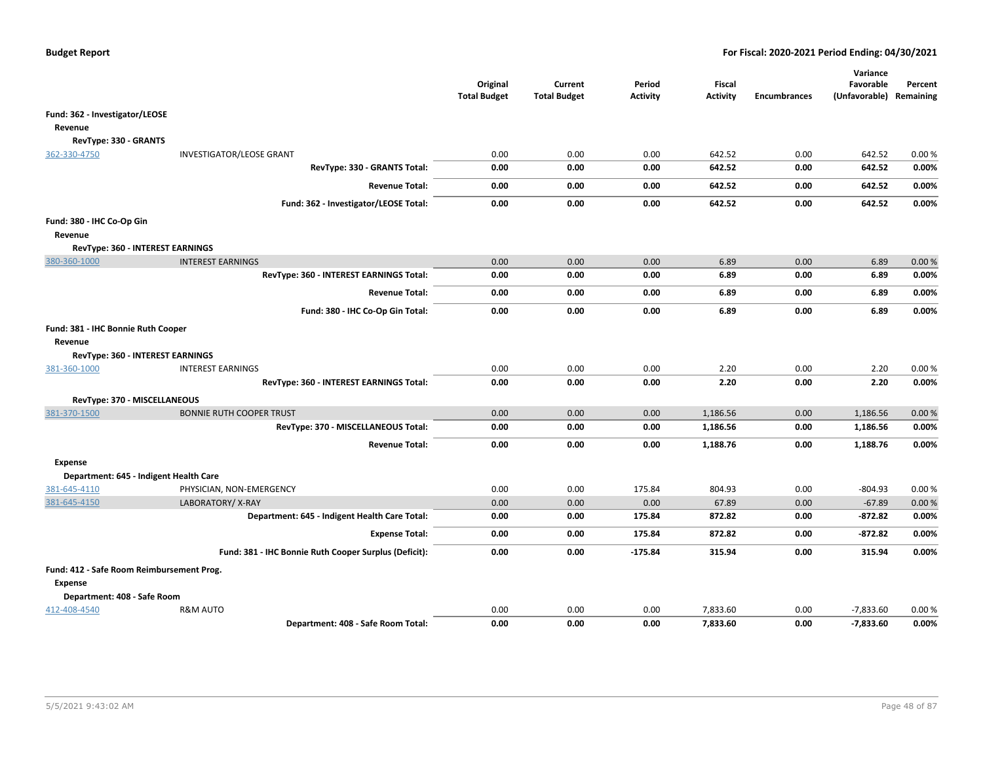|                                           |                                                       | Original<br><b>Total Budget</b> | Current<br><b>Total Budget</b> | Period<br><b>Activity</b> | <b>Fiscal</b><br><b>Activity</b> | <b>Encumbrances</b> | Variance<br>Favorable<br>(Unfavorable) Remaining | Percent |
|-------------------------------------------|-------------------------------------------------------|---------------------------------|--------------------------------|---------------------------|----------------------------------|---------------------|--------------------------------------------------|---------|
| Fund: 362 - Investigator/LEOSE            |                                                       |                                 |                                |                           |                                  |                     |                                                  |         |
| Revenue                                   |                                                       |                                 |                                |                           |                                  |                     |                                                  |         |
| RevType: 330 - GRANTS                     |                                                       |                                 |                                |                           |                                  |                     |                                                  |         |
| 362-330-4750                              | <b>INVESTIGATOR/LEOSE GRANT</b>                       | 0.00                            | 0.00                           | 0.00                      | 642.52                           | 0.00                | 642.52                                           | 0.00%   |
|                                           | RevType: 330 - GRANTS Total:                          | 0.00                            | 0.00                           | 0.00                      | 642.52                           | 0.00                | 642.52                                           | 0.00%   |
|                                           | <b>Revenue Total:</b>                                 | 0.00                            | 0.00                           | 0.00                      | 642.52                           | 0.00                | 642.52                                           | 0.00%   |
|                                           | Fund: 362 - Investigator/LEOSE Total:                 | 0.00                            | 0.00                           | 0.00                      | 642.52                           | 0.00                | 642.52                                           | 0.00%   |
| Fund: 380 - IHC Co-Op Gin                 |                                                       |                                 |                                |                           |                                  |                     |                                                  |         |
| Revenue                                   |                                                       |                                 |                                |                           |                                  |                     |                                                  |         |
| RevType: 360 - INTEREST EARNINGS          |                                                       |                                 |                                |                           |                                  |                     |                                                  |         |
| 380-360-1000                              | <b>INTEREST EARNINGS</b>                              | 0.00                            | 0.00                           | 0.00                      | 6.89                             | 0.00                | 6.89                                             | 0.00%   |
|                                           | RevType: 360 - INTEREST EARNINGS Total:               | 0.00                            | 0.00                           | 0.00                      | 6.89                             | 0.00                | 6.89                                             | 0.00%   |
|                                           | <b>Revenue Total:</b>                                 | 0.00                            | 0.00                           | 0.00                      | 6.89                             | 0.00                | 6.89                                             | 0.00%   |
|                                           | Fund: 380 - IHC Co-Op Gin Total:                      | 0.00                            | 0.00                           | 0.00                      | 6.89                             | 0.00                | 6.89                                             | 0.00%   |
| Fund: 381 - IHC Bonnie Ruth Cooper        |                                                       |                                 |                                |                           |                                  |                     |                                                  |         |
| Revenue                                   |                                                       |                                 |                                |                           |                                  |                     |                                                  |         |
| RevType: 360 - INTEREST EARNINGS          |                                                       |                                 |                                |                           |                                  |                     |                                                  |         |
| 381-360-1000                              | <b>INTEREST EARNINGS</b>                              | 0.00                            | 0.00                           | 0.00                      | 2.20                             | 0.00                | 2.20                                             | 0.00%   |
|                                           | RevType: 360 - INTEREST EARNINGS Total:               | 0.00                            | 0.00                           | 0.00                      | 2.20                             | 0.00                | 2.20                                             | 0.00%   |
| RevType: 370 - MISCELLANEOUS              |                                                       |                                 |                                |                           |                                  |                     |                                                  |         |
| 381-370-1500                              | <b>BONNIE RUTH COOPER TRUST</b>                       | 0.00                            | 0.00                           | 0.00                      | 1,186.56                         | 0.00                | 1,186.56                                         | 0.00%   |
|                                           | RevType: 370 - MISCELLANEOUS Total:                   | 0.00                            | 0.00                           | 0.00                      | 1,186.56                         | 0.00                | 1,186.56                                         | 0.00%   |
|                                           | <b>Revenue Total:</b>                                 | 0.00                            | 0.00                           | 0.00                      | 1,188.76                         | 0.00                | 1,188.76                                         | 0.00%   |
| <b>Expense</b>                            |                                                       |                                 |                                |                           |                                  |                     |                                                  |         |
| Department: 645 - Indigent Health Care    |                                                       |                                 |                                |                           |                                  |                     |                                                  |         |
| 381-645-4110                              | PHYSICIAN, NON-EMERGENCY                              | 0.00                            | 0.00                           | 175.84                    | 804.93                           | 0.00                | $-804.93$                                        | 0.00%   |
| 381-645-4150                              | LABORATORY/X-RAY                                      | 0.00                            | 0.00                           | 0.00                      | 67.89                            | 0.00                | $-67.89$                                         | 0.00%   |
|                                           | Department: 645 - Indigent Health Care Total:         | 0.00                            | 0.00                           | 175.84                    | 872.82                           | 0.00                | $-872.82$                                        | 0.00%   |
|                                           | <b>Expense Total:</b>                                 | 0.00                            | 0.00                           | 175.84                    | 872.82                           | 0.00                | $-872.82$                                        | 0.00%   |
|                                           | Fund: 381 - IHC Bonnie Ruth Cooper Surplus (Deficit): | 0.00                            | 0.00                           | $-175.84$                 | 315.94                           | 0.00                | 315.94                                           | 0.00%   |
| Fund: 412 - Safe Room Reimbursement Prog. |                                                       |                                 |                                |                           |                                  |                     |                                                  |         |
| <b>Expense</b>                            |                                                       |                                 |                                |                           |                                  |                     |                                                  |         |
| Department: 408 - Safe Room               |                                                       |                                 |                                |                           |                                  |                     |                                                  |         |
| 412-408-4540                              | <b>R&amp;M AUTO</b>                                   | 0.00                            | 0.00                           | 0.00                      | 7,833.60                         | 0.00                | $-7,833.60$                                      | 0.00%   |
|                                           | Department: 408 - Safe Room Total:                    | 0.00                            | 0.00                           | 0.00                      | 7,833.60                         | 0.00                | $-7,833.60$                                      | 0.00%   |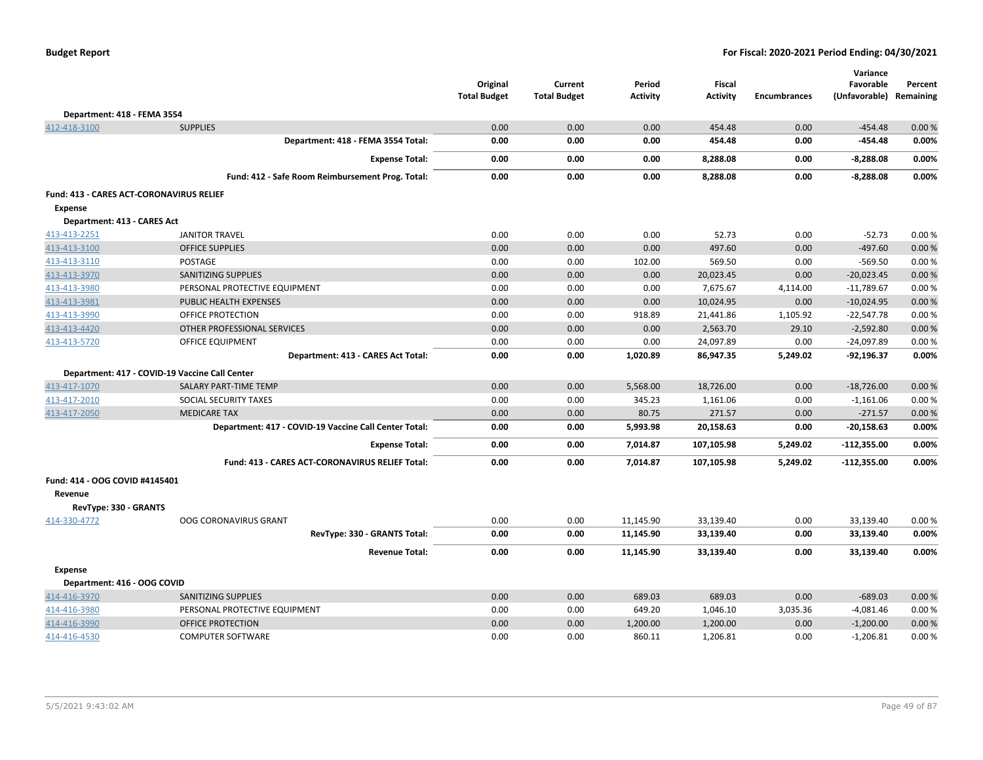|  | <b>Budget Report</b> |
|--|----------------------|
|--|----------------------|

|                                                 |                                                       | Original<br><b>Total Budget</b> | Current<br><b>Total Budget</b> | Period<br><b>Activity</b> | <b>Fiscal</b><br><b>Activity</b> | <b>Encumbrances</b> | Variance<br>Favorable<br>(Unfavorable) Remaining | Percent |
|-------------------------------------------------|-------------------------------------------------------|---------------------------------|--------------------------------|---------------------------|----------------------------------|---------------------|--------------------------------------------------|---------|
| Department: 418 - FEMA 3554                     |                                                       |                                 |                                |                           |                                  |                     |                                                  |         |
| 412-418-3100                                    | <b>SUPPLIES</b>                                       | 0.00                            | 0.00                           | 0.00                      | 454.48                           | 0.00                | $-454.48$                                        | 0.00%   |
|                                                 | Department: 418 - FEMA 3554 Total:                    | 0.00                            | 0.00                           | 0.00                      | 454.48                           | 0.00                | -454.48                                          | 0.00%   |
|                                                 | <b>Expense Total:</b>                                 | 0.00                            | 0.00                           | 0.00                      | 8,288.08                         | 0.00                | $-8,288.08$                                      | 0.00%   |
|                                                 | Fund: 412 - Safe Room Reimbursement Prog. Total:      | 0.00                            | 0.00                           | 0.00                      | 8,288.08                         | 0.00                | $-8,288.08$                                      | 0.00%   |
| <b>Fund: 413 - CARES ACT-CORONAVIRUS RELIEF</b> |                                                       |                                 |                                |                           |                                  |                     |                                                  |         |
| <b>Expense</b>                                  |                                                       |                                 |                                |                           |                                  |                     |                                                  |         |
| Department: 413 - CARES Act                     |                                                       |                                 |                                |                           |                                  |                     |                                                  |         |
| 413-413-2251                                    | <b>JANITOR TRAVEL</b>                                 | 0.00                            | 0.00                           | 0.00                      | 52.73                            | 0.00                | $-52.73$                                         | 0.00%   |
| 413-413-3100                                    | <b>OFFICE SUPPLIES</b>                                | 0.00                            | 0.00                           | 0.00                      | 497.60                           | 0.00                | $-497.60$                                        | 0.00%   |
| 413-413-3110                                    | <b>POSTAGE</b>                                        | 0.00                            | 0.00                           | 102.00                    | 569.50                           | 0.00                | $-569.50$                                        | 0.00%   |
| 413-413-3970                                    | SANITIZING SUPPLIES                                   | 0.00                            | 0.00                           | 0.00                      | 20,023.45                        | 0.00                | $-20,023.45$                                     | 0.00%   |
| 413-413-3980                                    | PERSONAL PROTECTIVE EQUIPMENT                         | 0.00                            | 0.00                           | 0.00                      | 7,675.67                         | 4,114.00            | $-11,789.67$                                     | 0.00%   |
| 413-413-3981                                    | PUBLIC HEALTH EXPENSES                                | 0.00                            | 0.00                           | 0.00                      | 10,024.95                        | 0.00                | $-10,024.95$                                     | 0.00%   |
| 413-413-3990                                    | OFFICE PROTECTION                                     | 0.00                            | 0.00                           | 918.89                    | 21,441.86                        | 1,105.92            | $-22,547.78$                                     | 0.00%   |
| 413-413-4420                                    | OTHER PROFESSIONAL SERVICES                           | 0.00                            | 0.00                           | 0.00                      | 2,563.70                         | 29.10               | $-2,592.80$                                      | 0.00 %  |
| 413-413-5720                                    | OFFICE EQUIPMENT                                      | 0.00                            | 0.00                           | 0.00                      | 24,097.89                        | 0.00                | $-24,097.89$                                     | 0.00%   |
|                                                 | Department: 413 - CARES Act Total:                    | 0.00                            | 0.00                           | 1,020.89                  | 86,947.35                        | 5,249.02            | $-92,196.37$                                     | 0.00%   |
|                                                 | Department: 417 - COVID-19 Vaccine Call Center        |                                 |                                |                           |                                  |                     |                                                  |         |
| 413-417-1070                                    | SALARY PART-TIME TEMP                                 | 0.00                            | 0.00                           | 5,568.00                  | 18,726.00                        | 0.00                | $-18,726.00$                                     | 0.00 %  |
| 413-417-2010                                    | SOCIAL SECURITY TAXES                                 | 0.00                            | 0.00                           | 345.23                    | 1,161.06                         | 0.00                | $-1,161.06$                                      | 0.00%   |
| 413-417-2050                                    | <b>MEDICARE TAX</b>                                   | 0.00                            | 0.00                           | 80.75                     | 271.57                           | 0.00                | $-271.57$                                        | 0.00%   |
|                                                 | Department: 417 - COVID-19 Vaccine Call Center Total: | 0.00                            | 0.00                           | 5,993.98                  | 20,158.63                        | 0.00                | $-20,158.63$                                     | 0.00%   |
|                                                 | <b>Expense Total:</b>                                 | 0.00                            | 0.00                           | 7,014.87                  | 107,105.98                       | 5,249.02            | $-112,355.00$                                    | 0.00%   |
|                                                 | Fund: 413 - CARES ACT-CORONAVIRUS RELIEF Total:       | 0.00                            | 0.00                           | 7,014.87                  | 107,105.98                       | 5,249.02            | $-112,355.00$                                    | 0.00%   |
| Fund: 414 - OOG COVID #4145401                  |                                                       |                                 |                                |                           |                                  |                     |                                                  |         |
| Revenue                                         |                                                       |                                 |                                |                           |                                  |                     |                                                  |         |
| RevType: 330 - GRANTS                           |                                                       |                                 |                                |                           |                                  |                     |                                                  |         |
| 414-330-4772                                    | OOG CORONAVIRUS GRANT                                 | 0.00                            | 0.00                           | 11,145.90                 | 33,139.40                        | 0.00                | 33,139.40                                        | 0.00%   |
|                                                 | RevType: 330 - GRANTS Total:                          | 0.00                            | 0.00                           | 11,145.90                 | 33,139.40                        | 0.00                | 33,139.40                                        | 0.00%   |
|                                                 | <b>Revenue Total:</b>                                 | 0.00                            | 0.00                           | 11,145.90                 | 33,139.40                        | 0.00                | 33,139.40                                        | 0.00%   |
| <b>Expense</b>                                  |                                                       |                                 |                                |                           |                                  |                     |                                                  |         |
| Department: 416 - OOG COVID                     |                                                       |                                 |                                |                           |                                  |                     |                                                  |         |
| 414-416-3970                                    | <b>SANITIZING SUPPLIES</b>                            | 0.00                            | 0.00                           | 689.03                    | 689.03                           | 0.00                | $-689.03$                                        | 0.00 %  |
| 414-416-3980                                    | PERSONAL PROTECTIVE EQUIPMENT                         | 0.00                            | 0.00                           | 649.20                    | 1,046.10                         | 3,035.36            | $-4,081.46$                                      | 0.00%   |
| 414-416-3990                                    | OFFICE PROTECTION                                     | 0.00                            | 0.00                           | 1,200.00                  | 1,200.00                         | 0.00                | $-1,200.00$                                      | 0.00%   |
| 414-416-4530                                    | <b>COMPUTER SOFTWARE</b>                              | 0.00                            | 0.00                           | 860.11                    | 1,206.81                         | 0.00                | $-1,206.81$                                      | 0.00%   |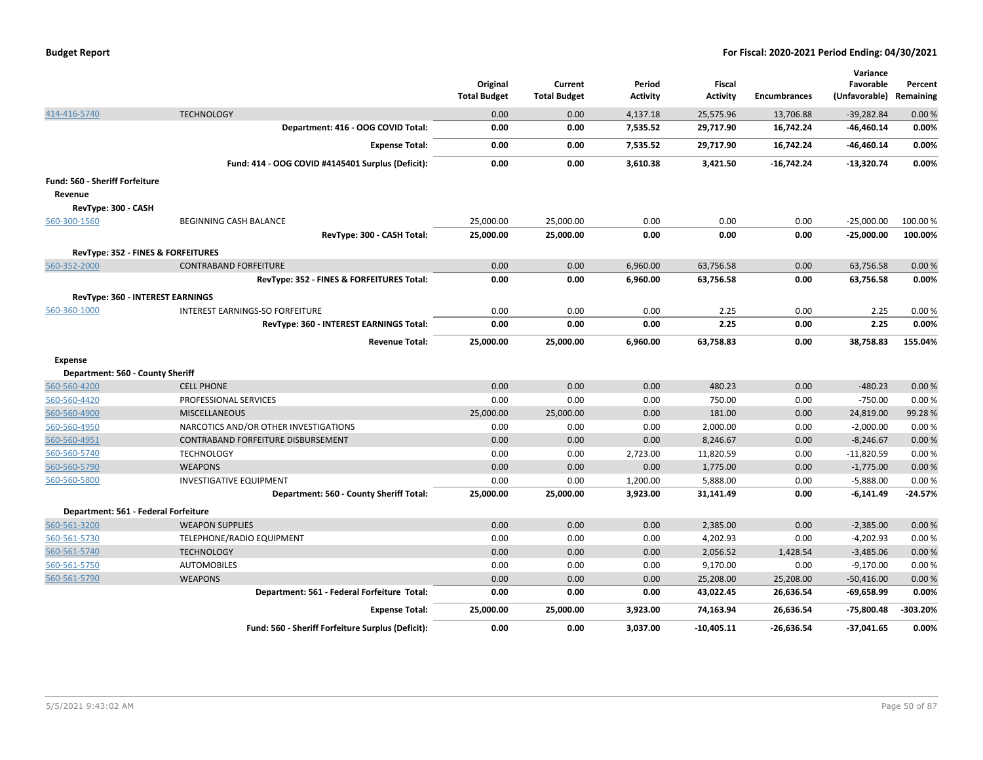|                                       |                                                   | Original<br><b>Total Budget</b> | Current<br><b>Total Budget</b> | Period<br>Activity | Fiscal<br><b>Activity</b> | <b>Encumbrances</b> | Variance<br>Favorable<br>(Unfavorable) Remaining | Percent  |
|---------------------------------------|---------------------------------------------------|---------------------------------|--------------------------------|--------------------|---------------------------|---------------------|--------------------------------------------------|----------|
| 414-416-5740                          | <b>TECHNOLOGY</b>                                 | 0.00                            | 0.00                           | 4,137.18           | 25,575.96                 | 13,706.88           | $-39,282.84$                                     | 0.00%    |
|                                       | Department: 416 - OOG COVID Total:                | 0.00                            | 0.00                           | 7,535.52           | 29,717.90                 | 16,742.24           | $-46,460.14$                                     | 0.00%    |
|                                       | <b>Expense Total:</b>                             | 0.00                            | 0.00                           | 7,535.52           | 29,717.90                 | 16,742.24           | $-46,460.14$                                     | 0.00%    |
|                                       | Fund: 414 - OOG COVID #4145401 Surplus (Deficit): | 0.00                            | 0.00                           | 3,610.38           | 3,421.50                  | $-16,742.24$        | $-13,320.74$                                     | 0.00%    |
| <b>Fund: 560 - Sheriff Forfeiture</b> |                                                   |                                 |                                |                    |                           |                     |                                                  |          |
| Revenue                               |                                                   |                                 |                                |                    |                           |                     |                                                  |          |
| RevType: 300 - CASH                   |                                                   |                                 |                                |                    |                           |                     |                                                  |          |
| 560-300-1560                          | BEGINNING CASH BALANCE                            | 25,000.00                       | 25,000.00                      | 0.00               | 0.00                      | 0.00                | $-25,000.00$                                     | 100.00 % |
|                                       | RevType: 300 - CASH Total:                        | 25,000.00                       | 25,000.00                      | 0.00               | 0.00                      | 0.00                | $-25,000.00$                                     | 100.00%  |
|                                       | RevType: 352 - FINES & FORFEITURES                |                                 |                                |                    |                           |                     |                                                  |          |
| 560-352-2000                          | <b>CONTRABAND FORFEITURE</b>                      | 0.00                            | 0.00                           | 6,960.00           | 63,756.58                 | 0.00                | 63,756.58                                        | 0.00%    |
|                                       | RevType: 352 - FINES & FORFEITURES Total:         | 0.00                            | 0.00                           | 6,960.00           | 63,756.58                 | 0.00                | 63,756.58                                        | 0.00%    |
| RevType: 360 - INTEREST EARNINGS      |                                                   |                                 |                                |                    |                           |                     |                                                  |          |
| 560-360-1000                          | INTEREST EARNINGS-SO FORFEITURE                   | 0.00                            | 0.00                           | 0.00               | 2.25                      | 0.00                | 2.25                                             | 0.00%    |
|                                       | RevType: 360 - INTEREST EARNINGS Total:           | 0.00                            | 0.00                           | 0.00               | 2.25                      | 0.00                | 2.25                                             | 0.00%    |
|                                       | <b>Revenue Total:</b>                             | 25,000.00                       | 25,000.00                      | 6,960.00           | 63,758.83                 | 0.00                | 38,758.83                                        | 155.04%  |
| <b>Expense</b>                        |                                                   |                                 |                                |                    |                           |                     |                                                  |          |
| Department: 560 - County Sheriff      |                                                   |                                 |                                |                    |                           |                     |                                                  |          |
| 560-560-4200                          | <b>CELL PHONE</b>                                 | 0.00                            | 0.00                           | 0.00               | 480.23                    | 0.00                | $-480.23$                                        | 0.00%    |
| 560-560-4420                          | PROFESSIONAL SERVICES                             | 0.00                            | 0.00                           | 0.00               | 750.00                    | 0.00                | $-750.00$                                        | 0.00%    |
| 560-560-4900                          | <b>MISCELLANEOUS</b>                              | 25,000.00                       | 25,000.00                      | 0.00               | 181.00                    | 0.00                | 24,819.00                                        | 99.28%   |
| 560-560-4950                          | NARCOTICS AND/OR OTHER INVESTIGATIONS             | 0.00                            | 0.00                           | 0.00               | 2,000.00                  | 0.00                | $-2,000.00$                                      | 0.00%    |
| 560-560-4951                          | CONTRABAND FORFEITURE DISBURSEMENT                | 0.00                            | 0.00                           | 0.00               | 8,246.67                  | 0.00                | $-8,246.67$                                      | 0.00%    |
| 560-560-5740                          | <b>TECHNOLOGY</b>                                 | 0.00                            | 0.00                           | 2,723.00           | 11,820.59                 | 0.00                | $-11,820.59$                                     | 0.00%    |
| 560-560-5790                          | <b>WEAPONS</b>                                    | 0.00                            | 0.00                           | 0.00               | 1,775.00                  | 0.00                | $-1,775.00$                                      | 0.00%    |
| 560-560-5800                          | <b>INVESTIGATIVE EQUIPMENT</b>                    | 0.00                            | 0.00                           | 1,200.00           | 5,888.00                  | 0.00                | $-5,888.00$                                      | 0.00%    |
|                                       | Department: 560 - County Sheriff Total:           | 25,000.00                       | 25,000.00                      | 3,923.00           | 31,141.49                 | 0.00                | -6,141.49                                        | -24.57%  |
| Department: 561 - Federal Forfeiture  |                                                   |                                 |                                |                    |                           |                     |                                                  |          |
| 560-561-3200                          | <b>WEAPON SUPPLIES</b>                            | 0.00                            | 0.00                           | 0.00               | 2,385.00                  | 0.00                | $-2,385.00$                                      | 0.00%    |
| 560-561-5730                          | TELEPHONE/RADIO EQUIPMENT                         | 0.00                            | 0.00                           | 0.00               | 4,202.93                  | 0.00                | $-4,202.93$                                      | 0.00%    |
| 560-561-5740                          | <b>TECHNOLOGY</b>                                 | 0.00                            | 0.00                           | 0.00               | 2,056.52                  | 1,428.54            | $-3,485.06$                                      | 0.00%    |
| 560-561-5750                          | <b>AUTOMOBILES</b>                                | 0.00                            | 0.00                           | 0.00               | 9,170.00                  | 0.00                | $-9,170.00$                                      | 0.00%    |
| 560-561-5790                          | <b>WEAPONS</b>                                    | 0.00                            | 0.00                           | 0.00               | 25,208.00                 | 25,208.00           | $-50,416.00$                                     | 0.00%    |
|                                       | Department: 561 - Federal Forfeiture Total:       | 0.00                            | 0.00                           | 0.00               | 43,022.45                 | 26,636.54           | -69,658.99                                       | 0.00%    |
|                                       | <b>Expense Total:</b>                             | 25,000.00                       | 25,000.00                      | 3,923.00           | 74,163.94                 | 26,636.54           | -75,800.48                                       | -303.20% |
|                                       | Fund: 560 - Sheriff Forfeiture Surplus (Deficit): | 0.00                            | 0.00                           | 3.037.00           | $-10.405.11$              | $-26,636.54$        | $-37,041.65$                                     | 0.00%    |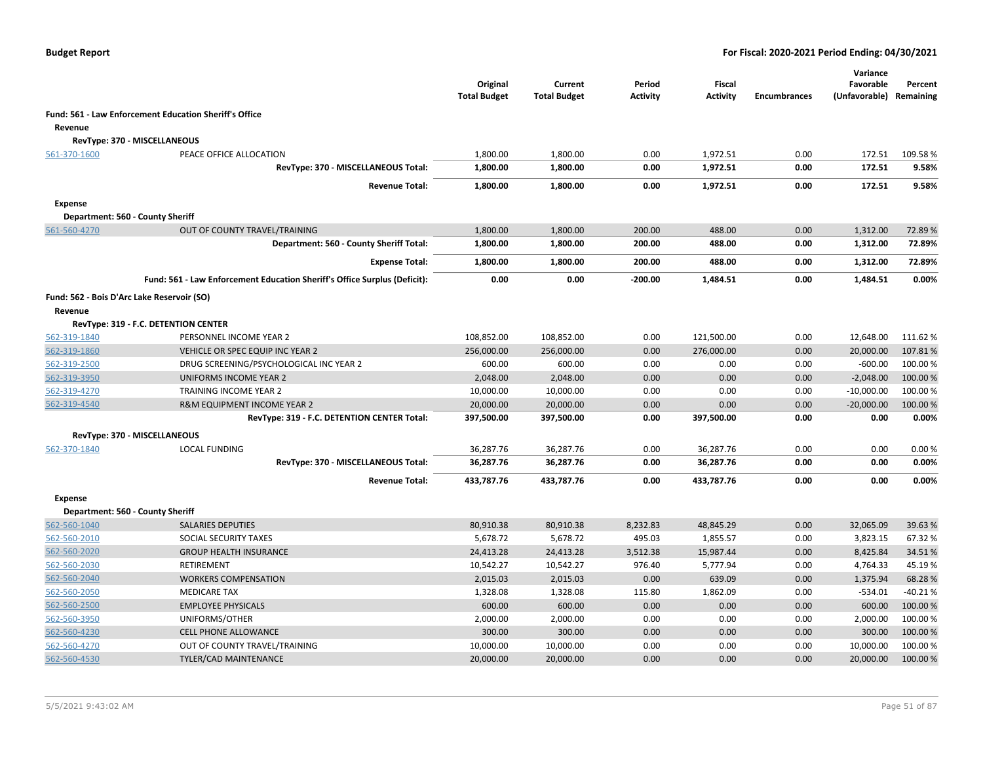|                |                                                                           | Original<br><b>Total Budget</b> | Current<br><b>Total Budget</b> | Period<br><b>Activity</b> | Fiscal<br><b>Activity</b> | <b>Encumbrances</b> | Variance<br>Favorable<br>(Unfavorable) Remaining | Percent   |
|----------------|---------------------------------------------------------------------------|---------------------------------|--------------------------------|---------------------------|---------------------------|---------------------|--------------------------------------------------|-----------|
|                | Fund: 561 - Law Enforcement Education Sheriff's Office                    |                                 |                                |                           |                           |                     |                                                  |           |
| Revenue        |                                                                           |                                 |                                |                           |                           |                     |                                                  |           |
|                | RevType: 370 - MISCELLANEOUS                                              |                                 |                                |                           |                           |                     |                                                  |           |
| 561-370-1600   | PEACE OFFICE ALLOCATION                                                   | 1,800.00                        | 1,800.00                       | 0.00                      | 1,972.51                  | 0.00                | 172.51                                           | 109.58%   |
|                | RevType: 370 - MISCELLANEOUS Total:                                       | 1,800.00                        | 1,800.00                       | 0.00                      | 1,972.51                  | 0.00                | 172.51                                           | 9.58%     |
|                | <b>Revenue Total:</b>                                                     | 1,800.00                        | 1,800.00                       | 0.00                      | 1,972.51                  | 0.00                | 172.51                                           | 9.58%     |
| <b>Expense</b> |                                                                           |                                 |                                |                           |                           |                     |                                                  |           |
|                | Department: 560 - County Sheriff                                          |                                 |                                |                           |                           |                     |                                                  |           |
| 561-560-4270   | OUT OF COUNTY TRAVEL/TRAINING                                             | 1,800.00                        | 1,800.00                       | 200.00                    | 488.00                    | 0.00                | 1,312.00                                         | 72.89%    |
|                | Department: 560 - County Sheriff Total:                                   | 1,800.00                        | 1,800.00                       | 200.00                    | 488.00                    | 0.00                | 1,312.00                                         | 72.89%    |
|                | <b>Expense Total:</b>                                                     | 1,800.00                        | 1,800.00                       | 200.00                    | 488.00                    | 0.00                | 1,312.00                                         | 72.89%    |
|                | Fund: 561 - Law Enforcement Education Sheriff's Office Surplus (Deficit): | 0.00                            | 0.00                           | $-200.00$                 | 1,484.51                  | 0.00                | 1,484.51                                         | 0.00%     |
|                | Fund: 562 - Bois D'Arc Lake Reservoir (SO)                                |                                 |                                |                           |                           |                     |                                                  |           |
| Revenue        |                                                                           |                                 |                                |                           |                           |                     |                                                  |           |
|                | RevType: 319 - F.C. DETENTION CENTER                                      |                                 |                                |                           |                           |                     |                                                  |           |
| 562-319-1840   | PERSONNEL INCOME YEAR 2                                                   | 108,852.00                      | 108,852.00                     | 0.00                      | 121,500.00                | 0.00                | 12,648.00                                        | 111.62%   |
| 562-319-1860   | VEHICLE OR SPEC EQUIP INC YEAR 2                                          | 256,000.00                      | 256,000.00                     | 0.00                      | 276,000.00                | 0.00                | 20,000.00                                        | 107.81%   |
| 562-319-2500   | DRUG SCREENING/PSYCHOLOGICAL INC YEAR 2                                   | 600.00                          | 600.00                         | 0.00                      | 0.00                      | 0.00                | $-600.00$                                        | 100.00 %  |
| 562-319-3950   | UNIFORMS INCOME YEAR 2                                                    | 2,048.00                        | 2,048.00                       | 0.00                      | 0.00                      | 0.00                | $-2,048.00$                                      | 100.00 %  |
| 562-319-4270   | TRAINING INCOME YEAR 2                                                    | 10,000.00                       | 10,000.00                      | 0.00                      | 0.00                      | 0.00                | $-10,000.00$                                     | 100.00%   |
| 562-319-4540   | R&M EQUIPMENT INCOME YEAR 2                                               | 20,000.00                       | 20,000.00                      | 0.00                      | 0.00                      | 0.00                | $-20,000.00$                                     | 100.00%   |
|                | RevType: 319 - F.C. DETENTION CENTER Total:                               | 397,500.00                      | 397,500.00                     | 0.00                      | 397,500.00                | 0.00                | 0.00                                             | 0.00%     |
|                | RevType: 370 - MISCELLANEOUS                                              |                                 |                                |                           |                           |                     |                                                  |           |
| 562-370-1840   | <b>LOCAL FUNDING</b>                                                      | 36,287.76                       | 36,287.76                      | 0.00                      | 36,287.76                 | 0.00                | 0.00                                             | 0.00%     |
|                | RevType: 370 - MISCELLANEOUS Total:                                       | 36,287.76                       | 36,287.76                      | 0.00                      | 36,287.76                 | 0.00                | 0.00                                             | 0.00%     |
|                | <b>Revenue Total:</b>                                                     | 433,787.76                      | 433,787.76                     | 0.00                      | 433,787.76                | 0.00                | 0.00                                             | 0.00%     |
| Expense        |                                                                           |                                 |                                |                           |                           |                     |                                                  |           |
|                | Department: 560 - County Sheriff                                          |                                 |                                |                           |                           |                     |                                                  |           |
| 562-560-1040   | <b>SALARIES DEPUTIES</b>                                                  | 80,910.38                       | 80,910.38                      | 8,232.83                  | 48,845.29                 | 0.00                | 32,065.09                                        | 39.63%    |
| 562-560-2010   | SOCIAL SECURITY TAXES                                                     | 5,678.72                        | 5,678.72                       | 495.03                    | 1,855.57                  | 0.00                | 3,823.15                                         | 67.32%    |
| 562-560-2020   | <b>GROUP HEALTH INSURANCE</b>                                             | 24,413.28                       | 24,413.28                      | 3,512.38                  | 15,987.44                 | 0.00                | 8,425.84                                         | 34.51%    |
| 562-560-2030   | RETIREMENT                                                                | 10,542.27                       | 10,542.27                      | 976.40                    | 5,777.94                  | 0.00                | 4,764.33                                         | 45.19%    |
| 562-560-2040   | <b>WORKERS COMPENSATION</b>                                               | 2,015.03                        | 2,015.03                       | 0.00                      | 639.09                    | 0.00                | 1,375.94                                         | 68.28%    |
| 562-560-2050   | <b>MEDICARE TAX</b>                                                       | 1,328.08                        | 1,328.08                       | 115.80                    | 1,862.09                  | 0.00                | $-534.01$                                        | $-40.21%$ |
| 562-560-2500   | <b>EMPLOYEE PHYSICALS</b>                                                 | 600.00                          | 600.00                         | 0.00                      | 0.00                      | 0.00                | 600.00                                           | 100.00 %  |
| 562-560-3950   | UNIFORMS/OTHER                                                            | 2,000.00                        | 2,000.00                       | 0.00                      | 0.00                      | 0.00                | 2,000.00                                         | 100.00%   |
| 562-560-4230   | <b>CELL PHONE ALLOWANCE</b>                                               | 300.00                          | 300.00                         | 0.00                      | 0.00                      | 0.00                | 300.00                                           | 100.00 %  |
| 562-560-4270   | OUT OF COUNTY TRAVEL/TRAINING                                             | 10,000.00                       | 10,000.00                      | 0.00                      | 0.00                      | 0.00                | 10,000.00                                        | 100.00%   |
| 562-560-4530   | <b>TYLER/CAD MAINTENANCE</b>                                              | 20,000.00                       | 20,000.00                      | 0.00                      | 0.00                      | 0.00                | 20,000.00                                        | 100.00 %  |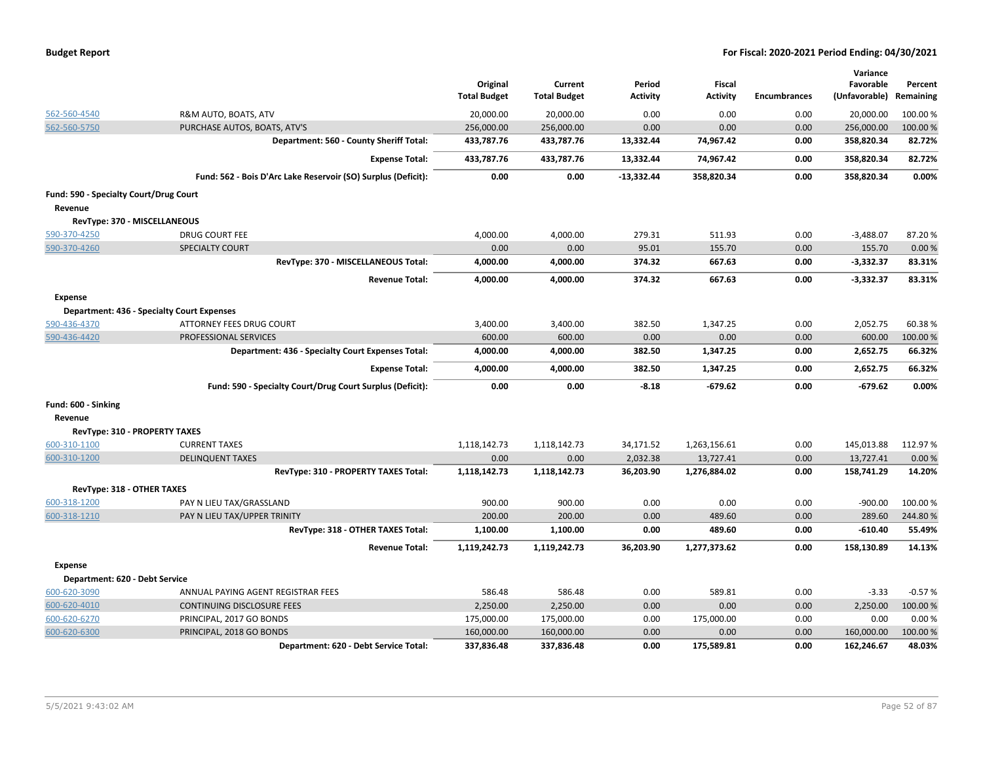|  |  |  | <b>Budget Report</b> |
|--|--|--|----------------------|
|--|--|--|----------------------|

|                                        |                                                               | Original<br><b>Total Budget</b> | Current<br><b>Total Budget</b> | Period<br><b>Activity</b> | <b>Fiscal</b><br><b>Activity</b> | <b>Encumbrances</b> | Variance<br>Favorable<br>(Unfavorable) | Percent<br>Remaining |
|----------------------------------------|---------------------------------------------------------------|---------------------------------|--------------------------------|---------------------------|----------------------------------|---------------------|----------------------------------------|----------------------|
| 562-560-4540                           | R&M AUTO, BOATS, ATV                                          | 20,000.00                       | 20,000.00                      | 0.00                      | 0.00                             | 0.00                | 20,000.00                              | 100.00%              |
| 562-560-5750                           | PURCHASE AUTOS, BOATS, ATV'S                                  | 256,000.00                      | 256,000.00                     | 0.00                      | 0.00                             | 0.00                | 256,000.00                             | 100.00 %             |
|                                        | Department: 560 - County Sheriff Total:                       | 433,787.76                      | 433,787.76                     | 13,332.44                 | 74,967.42                        | 0.00                | 358,820.34                             | 82.72%               |
|                                        | <b>Expense Total:</b>                                         | 433,787.76                      | 433,787.76                     | 13,332.44                 | 74,967.42                        | 0.00                | 358,820.34                             | 82.72%               |
|                                        | Fund: 562 - Bois D'Arc Lake Reservoir (SO) Surplus (Deficit): | 0.00                            | 0.00                           | $-13,332.44$              | 358,820.34                       | 0.00                | 358,820.34                             | 0.00%                |
| Fund: 590 - Specialty Court/Drug Court |                                                               |                                 |                                |                           |                                  |                     |                                        |                      |
| Revenue                                |                                                               |                                 |                                |                           |                                  |                     |                                        |                      |
|                                        | RevType: 370 - MISCELLANEOUS                                  |                                 |                                |                           |                                  |                     |                                        |                      |
| 590-370-4250                           | <b>DRUG COURT FEE</b>                                         | 4,000.00                        | 4,000.00                       | 279.31                    | 511.93                           | 0.00                | $-3,488.07$                            | 87.20%               |
| 590-370-4260                           | <b>SPECIALTY COURT</b>                                        | 0.00                            | 0.00                           | 95.01                     | 155.70                           | 0.00                | 155.70                                 | 0.00%                |
|                                        | RevType: 370 - MISCELLANEOUS Total:                           | 4,000.00                        | 4,000.00                       | 374.32                    | 667.63                           | 0.00                | $-3,332.37$                            | 83.31%               |
|                                        | <b>Revenue Total:</b>                                         | 4,000.00                        | 4,000.00                       | 374.32                    | 667.63                           | 0.00                | $-3,332.37$                            | 83.31%               |
| <b>Expense</b>                         |                                                               |                                 |                                |                           |                                  |                     |                                        |                      |
|                                        | <b>Department: 436 - Specialty Court Expenses</b>             |                                 |                                |                           |                                  |                     |                                        |                      |
| 590-436-4370                           | <b>ATTORNEY FEES DRUG COURT</b>                               | 3,400.00                        | 3,400.00                       | 382.50                    | 1,347.25                         | 0.00                | 2,052.75                               | 60.38%               |
| 590-436-4420                           | PROFESSIONAL SERVICES                                         | 600.00                          | 600.00                         | 0.00                      | 0.00                             | 0.00                | 600.00                                 | 100.00 %             |
|                                        | Department: 436 - Specialty Court Expenses Total:             | 4,000.00                        | 4,000.00                       | 382.50                    | 1,347.25                         | 0.00                | 2,652.75                               | 66.32%               |
|                                        | <b>Expense Total:</b>                                         | 4,000.00                        | 4,000.00                       | 382.50                    | 1,347.25                         | 0.00                | 2,652.75                               | 66.32%               |
|                                        | Fund: 590 - Specialty Court/Drug Court Surplus (Deficit):     | 0.00                            | 0.00                           | $-8.18$                   | $-679.62$                        | 0.00                | $-679.62$                              | 0.00%                |
| Fund: 600 - Sinking                    |                                                               |                                 |                                |                           |                                  |                     |                                        |                      |
| Revenue                                |                                                               |                                 |                                |                           |                                  |                     |                                        |                      |
|                                        | RevType: 310 - PROPERTY TAXES                                 |                                 |                                |                           |                                  |                     |                                        |                      |
| 600-310-1100                           | <b>CURRENT TAXES</b>                                          | 1,118,142.73                    | 1,118,142.73                   | 34,171.52                 | 1,263,156.61                     | 0.00                | 145,013.88                             | 112.97%              |
| 600-310-1200                           | <b>DELINQUENT TAXES</b>                                       | 0.00                            | 0.00                           | 2,032.38                  | 13,727.41                        | 0.00                | 13,727.41                              | 0.00%                |
|                                        | RevType: 310 - PROPERTY TAXES Total:                          | 1,118,142.73                    | 1,118,142.73                   | 36,203.90                 | 1,276,884.02                     | 0.00                | 158,741.29                             | 14.20%               |
| RevType: 318 - OTHER TAXES             |                                                               |                                 |                                |                           |                                  |                     |                                        |                      |
| 600-318-1200                           | PAY N LIEU TAX/GRASSLAND                                      | 900.00                          | 900.00                         | 0.00                      | 0.00                             | 0.00                | $-900.00$                              | 100.00%              |
| 600-318-1210                           | PAY N LIEU TAX/UPPER TRINITY                                  | 200.00                          | 200.00                         | 0.00                      | 489.60                           | 0.00                | 289.60                                 | 244.80%              |
|                                        | RevType: 318 - OTHER TAXES Total:                             | 1,100.00                        | 1,100.00                       | 0.00                      | 489.60                           | 0.00                | $-610.40$                              | 55.49%               |
|                                        | <b>Revenue Total:</b>                                         | 1,119,242.73                    | 1,119,242.73                   | 36,203.90                 | 1,277,373.62                     | 0.00                | 158,130.89                             | 14.13%               |
| <b>Expense</b>                         |                                                               |                                 |                                |                           |                                  |                     |                                        |                      |
| Department: 620 - Debt Service         |                                                               |                                 |                                |                           |                                  |                     |                                        |                      |
| 600-620-3090                           | ANNUAL PAYING AGENT REGISTRAR FEES                            | 586.48                          | 586.48                         | 0.00                      | 589.81                           | 0.00                | $-3.33$                                | $-0.57%$             |
| 600-620-4010                           | CONTINUING DISCLOSURE FEES                                    | 2,250.00                        | 2,250.00                       | 0.00                      | 0.00                             | 0.00                | 2,250.00                               | 100.00 %             |
| 600-620-6270                           | PRINCIPAL, 2017 GO BONDS                                      | 175,000.00                      | 175,000.00                     | 0.00                      | 175,000.00                       | 0.00                | 0.00                                   | 0.00%                |
| 600-620-6300                           | PRINCIPAL, 2018 GO BONDS                                      | 160,000.00                      | 160,000.00                     | 0.00                      | 0.00                             | 0.00                | 160,000.00                             | 100.00%              |
|                                        | Department: 620 - Debt Service Total:                         | 337,836.48                      | 337,836.48                     | 0.00                      | 175,589.81                       | 0.00                | 162,246.67                             | 48.03%               |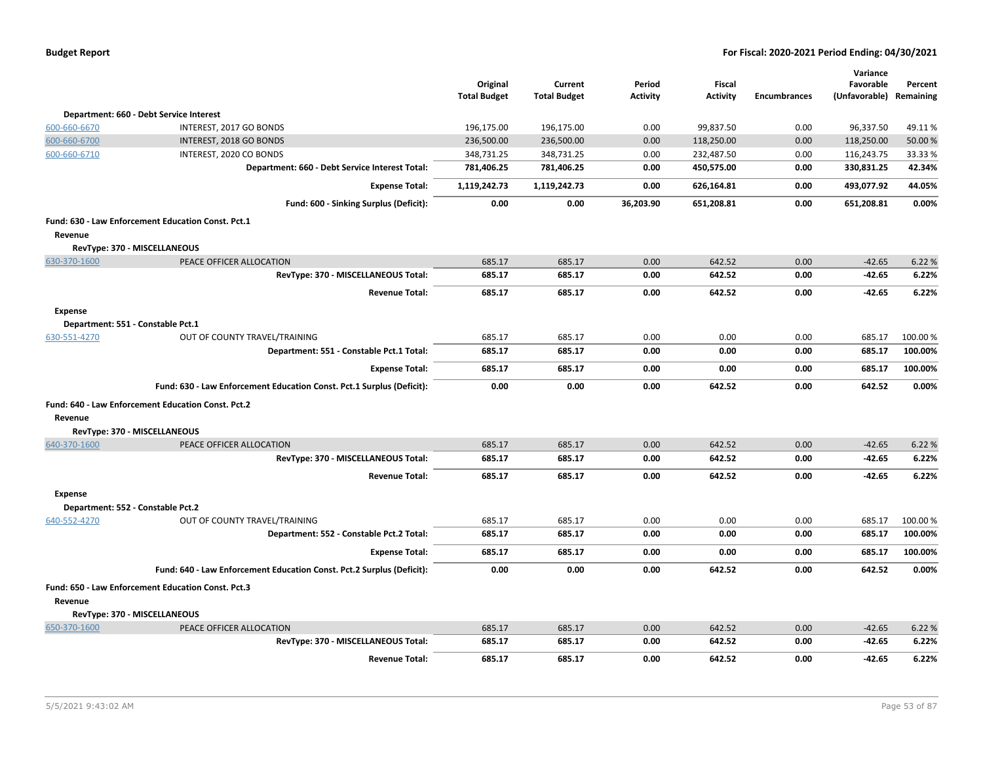| <b>Budget Report</b> |  |
|----------------------|--|
|----------------------|--|

|                                   |                                                                       | Original            | Current             | Period          | <b>Fiscal</b>   |                     | Variance<br>Favorable | Percent   |
|-----------------------------------|-----------------------------------------------------------------------|---------------------|---------------------|-----------------|-----------------|---------------------|-----------------------|-----------|
|                                   |                                                                       | <b>Total Budget</b> | <b>Total Budget</b> | <b>Activity</b> | <b>Activity</b> | <b>Encumbrances</b> | (Unfavorable)         | Remaining |
|                                   | Department: 660 - Debt Service Interest                               |                     |                     |                 |                 |                     |                       |           |
| 600-660-6670                      | INTEREST, 2017 GO BONDS                                               | 196,175.00          | 196,175.00          | 0.00            | 99,837.50       | 0.00                | 96,337.50             | 49.11%    |
| 600-660-6700                      | INTEREST, 2018 GO BONDS                                               | 236,500.00          | 236,500.00          | 0.00            | 118,250.00      | 0.00                | 118,250.00            | 50.00 %   |
| 600-660-6710                      | INTEREST, 2020 CO BONDS                                               | 348,731.25          | 348,731.25          | 0.00            | 232,487.50      | 0.00                | 116,243.75            | 33.33%    |
|                                   | Department: 660 - Debt Service Interest Total:                        | 781,406.25          | 781,406.25          | 0.00            | 450,575.00      | 0.00                | 330,831.25            | 42.34%    |
|                                   | <b>Expense Total:</b>                                                 | 1,119,242.73        | 1,119,242.73        | 0.00            | 626,164.81      | 0.00                | 493,077.92            | 44.05%    |
|                                   | Fund: 600 - Sinking Surplus (Deficit):                                | 0.00                | 0.00                | 36,203.90       | 651,208.81      | 0.00                | 651,208.81            | 0.00%     |
|                                   | Fund: 630 - Law Enforcement Education Const. Pct.1                    |                     |                     |                 |                 |                     |                       |           |
| Revenue                           |                                                                       |                     |                     |                 |                 |                     |                       |           |
|                                   | RevType: 370 - MISCELLANEOUS                                          |                     |                     |                 |                 |                     |                       |           |
| 630-370-1600                      | PEACE OFFICER ALLOCATION                                              | 685.17              | 685.17              | 0.00            | 642.52          | 0.00                | $-42.65$              | 6.22 %    |
|                                   | RevType: 370 - MISCELLANEOUS Total:                                   | 685.17              | 685.17              | 0.00            | 642.52          | 0.00                | $-42.65$              | 6.22%     |
|                                   | <b>Revenue Total:</b>                                                 | 685.17              | 685.17              | 0.00            | 642.52          | 0.00                | $-42.65$              | 6.22%     |
| <b>Expense</b>                    |                                                                       |                     |                     |                 |                 |                     |                       |           |
| Department: 551 - Constable Pct.1 |                                                                       |                     |                     |                 |                 |                     |                       |           |
| 630-551-4270                      | OUT OF COUNTY TRAVEL/TRAINING                                         | 685.17              | 685.17              | 0.00            | 0.00            | 0.00                | 685.17                | 100.00%   |
|                                   | Department: 551 - Constable Pct.1 Total:                              | 685.17              | 685.17              | 0.00            | 0.00            | 0.00                | 685.17                | 100.00%   |
|                                   | <b>Expense Total:</b>                                                 | 685.17              | 685.17              | 0.00            | 0.00            | 0.00                | 685.17                | 100.00%   |
|                                   | Fund: 630 - Law Enforcement Education Const. Pct.1 Surplus (Deficit): | 0.00                | 0.00                | 0.00            | 642.52          | 0.00                | 642.52                | 0.00%     |
|                                   | Fund: 640 - Law Enforcement Education Const. Pct.2                    |                     |                     |                 |                 |                     |                       |           |
| Revenue                           |                                                                       |                     |                     |                 |                 |                     |                       |           |
|                                   | RevType: 370 - MISCELLANEOUS                                          |                     |                     |                 |                 |                     |                       |           |
| 640-370-1600                      | PEACE OFFICER ALLOCATION                                              | 685.17              | 685.17              | 0.00            | 642.52          | 0.00                | $-42.65$              | 6.22 %    |
|                                   | RevType: 370 - MISCELLANEOUS Total:                                   | 685.17              | 685.17              | 0.00            | 642.52          | 0.00                | -42.65                | 6.22%     |
|                                   | <b>Revenue Total:</b>                                                 | 685.17              | 685.17              | 0.00            | 642.52          | 0.00                | -42.65                | 6.22%     |
| Expense                           |                                                                       |                     |                     |                 |                 |                     |                       |           |
| Department: 552 - Constable Pct.2 |                                                                       |                     |                     |                 |                 |                     |                       |           |
| 640-552-4270                      | OUT OF COUNTY TRAVEL/TRAINING                                         | 685.17              | 685.17              | 0.00            | 0.00            | 0.00                | 685.17                | 100.00%   |
|                                   | Department: 552 - Constable Pct.2 Total:                              | 685.17              | 685.17              | 0.00            | 0.00            | 0.00                | 685.17                | 100.00%   |
|                                   | <b>Expense Total:</b>                                                 | 685.17              | 685.17              | 0.00            | 0.00            | 0.00                | 685.17                | 100.00%   |
|                                   | Fund: 640 - Law Enforcement Education Const. Pct.2 Surplus (Deficit): | 0.00                | 0.00                | 0.00            | 642.52          | 0.00                | 642.52                | 0.00%     |
|                                   | Fund: 650 - Law Enforcement Education Const. Pct.3                    |                     |                     |                 |                 |                     |                       |           |
| Revenue                           |                                                                       |                     |                     |                 |                 |                     |                       |           |
|                                   | RevType: 370 - MISCELLANEOUS                                          |                     |                     |                 |                 |                     |                       |           |
| 650-370-1600                      | PEACE OFFICER ALLOCATION                                              | 685.17              | 685.17              | 0.00            | 642.52          | 0.00                | $-42.65$              | 6.22 %    |
|                                   | RevType: 370 - MISCELLANEOUS Total:                                   | 685.17              | 685.17              | 0.00            | 642.52          | 0.00                | $-42.65$              | 6.22%     |
|                                   | <b>Revenue Total:</b>                                                 | 685.17              | 685.17              | 0.00            | 642.52          | 0.00                | $-42.65$              | 6.22%     |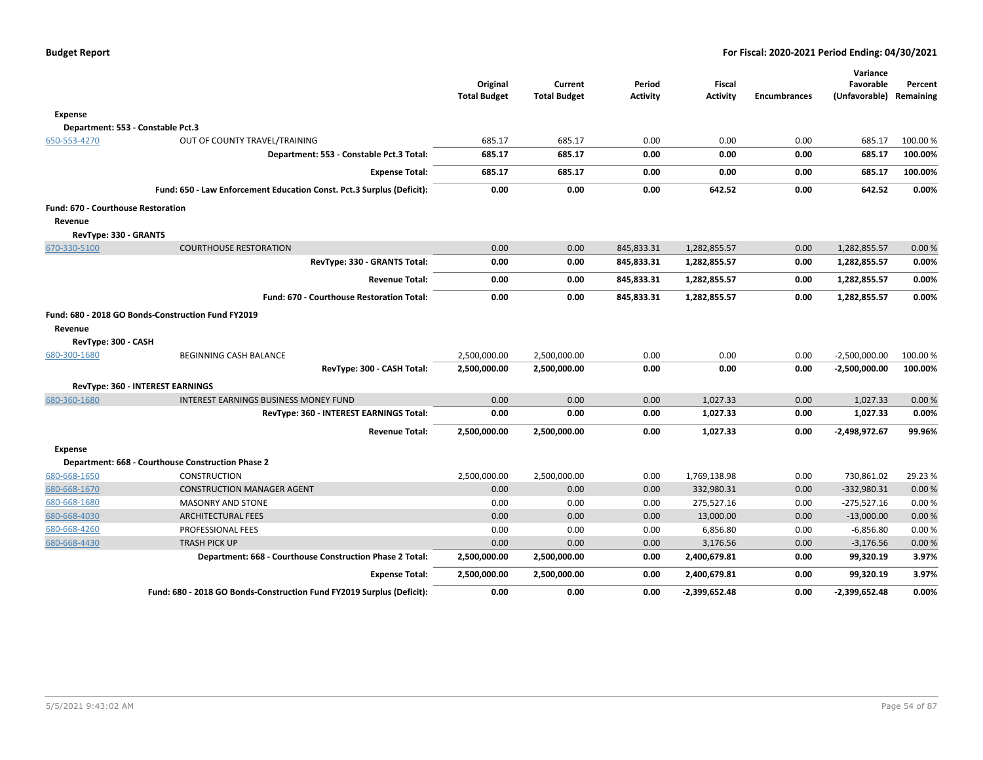|                                    |                                                                       | Original<br><b>Total Budget</b> | Current<br><b>Total Budget</b> | Period<br><b>Activity</b> | <b>Fiscal</b><br><b>Activity</b> | <b>Encumbrances</b> | Variance<br>Favorable<br>(Unfavorable) Remaining | Percent |
|------------------------------------|-----------------------------------------------------------------------|---------------------------------|--------------------------------|---------------------------|----------------------------------|---------------------|--------------------------------------------------|---------|
| <b>Expense</b>                     |                                                                       |                                 |                                |                           |                                  |                     |                                                  |         |
|                                    | Department: 553 - Constable Pct.3                                     |                                 |                                |                           |                                  |                     |                                                  |         |
| 650-553-4270                       | OUT OF COUNTY TRAVEL/TRAINING                                         | 685.17                          | 685.17                         | 0.00                      | 0.00                             | 0.00                | 685.17                                           | 100.00% |
|                                    | Department: 553 - Constable Pct.3 Total:                              | 685.17                          | 685.17                         | 0.00                      | 0.00                             | 0.00                | 685.17                                           | 100.00% |
|                                    | <b>Expense Total:</b>                                                 | 685.17                          | 685.17                         | 0.00                      | 0.00                             | 0.00                | 685.17                                           | 100.00% |
|                                    | Fund: 650 - Law Enforcement Education Const. Pct.3 Surplus (Deficit): | 0.00                            | 0.00                           | 0.00                      | 642.52                           | 0.00                | 642.52                                           | 0.00%   |
| Fund: 670 - Courthouse Restoration |                                                                       |                                 |                                |                           |                                  |                     |                                                  |         |
| Revenue                            |                                                                       |                                 |                                |                           |                                  |                     |                                                  |         |
| RevType: 330 - GRANTS              |                                                                       |                                 |                                |                           |                                  |                     |                                                  |         |
| 670-330-5100                       | <b>COURTHOUSE RESTORATION</b>                                         | 0.00                            | 0.00                           | 845,833.31                | 1,282,855.57                     | 0.00                | 1,282,855.57                                     | 0.00%   |
|                                    | RevType: 330 - GRANTS Total:                                          | 0.00                            | 0.00                           | 845,833.31                | 1,282,855.57                     | 0.00                | 1,282,855.57                                     | 0.00%   |
|                                    | <b>Revenue Total:</b>                                                 | 0.00                            | 0.00                           | 845,833.31                | 1,282,855.57                     | 0.00                | 1,282,855.57                                     | 0.00%   |
|                                    | Fund: 670 - Courthouse Restoration Total:                             | 0.00                            | 0.00                           | 845,833.31                | 1,282,855.57                     | 0.00                | 1,282,855.57                                     | 0.00%   |
|                                    | Fund: 680 - 2018 GO Bonds-Construction Fund FY2019                    |                                 |                                |                           |                                  |                     |                                                  |         |
| Revenue                            |                                                                       |                                 |                                |                           |                                  |                     |                                                  |         |
| RevType: 300 - CASH                |                                                                       |                                 |                                |                           |                                  |                     |                                                  |         |
| 680-300-1680                       | BEGINNING CASH BALANCE                                                | 2,500,000.00                    | 2,500,000.00                   | 0.00                      | 0.00                             | 0.00                | $-2,500,000.00$                                  | 100.00% |
|                                    | RevType: 300 - CASH Total:                                            | 2,500,000.00                    | 2,500,000.00                   | 0.00                      | 0.00                             | 0.00                | -2,500,000.00                                    | 100.00% |
|                                    | RevType: 360 - INTEREST EARNINGS                                      |                                 |                                |                           |                                  |                     |                                                  |         |
| 680-360-1680                       | <b>INTEREST EARNINGS BUSINESS MONEY FUND</b>                          | 0.00                            | 0.00                           | 0.00                      | 1,027.33                         | 0.00                | 1,027.33                                         | 0.00%   |
|                                    | RevType: 360 - INTEREST EARNINGS Total:                               | 0.00                            | 0.00                           | 0.00                      | 1,027.33                         | 0.00                | 1,027.33                                         | 0.00%   |
|                                    | <b>Revenue Total:</b>                                                 | 2,500,000.00                    | 2,500,000.00                   | 0.00                      | 1,027.33                         | 0.00                | -2,498,972.67                                    | 99.96%  |
| <b>Expense</b>                     |                                                                       |                                 |                                |                           |                                  |                     |                                                  |         |
|                                    | Department: 668 - Courthouse Construction Phase 2                     |                                 |                                |                           |                                  |                     |                                                  |         |
| 680-668-1650                       | <b>CONSTRUCTION</b>                                                   | 2,500,000.00                    | 2,500,000.00                   | 0.00                      | 1,769,138.98                     | 0.00                | 730,861.02                                       | 29.23 % |
| 680-668-1670                       | <b>CONSTRUCTION MANAGER AGENT</b>                                     | 0.00                            | 0.00                           | 0.00                      | 332,980.31                       | 0.00                | $-332,980.31$                                    | 0.00%   |
| 680-668-1680                       | <b>MASONRY AND STONE</b>                                              | 0.00                            | 0.00                           | 0.00                      | 275,527.16                       | 0.00                | $-275,527.16$                                    | 0.00%   |
| 680-668-4030                       | <b>ARCHITECTURAL FEES</b>                                             | 0.00                            | 0.00                           | 0.00                      | 13,000.00                        | 0.00                | $-13,000.00$                                     | 0.00%   |
| 680-668-4260                       | PROFESSIONAL FEES                                                     | 0.00                            | 0.00                           | 0.00                      | 6,856.80                         | 0.00                | $-6,856.80$                                      | 0.00%   |
| 680-668-4430                       | <b>TRASH PICK UP</b>                                                  | 0.00                            | 0.00                           | 0.00                      | 3,176.56                         | 0.00                | $-3,176.56$                                      | 0.00%   |
|                                    | Department: 668 - Courthouse Construction Phase 2 Total:              | 2,500,000.00                    | 2,500,000.00                   | 0.00                      | 2,400,679.81                     | 0.00                | 99,320.19                                        | 3.97%   |
|                                    | <b>Expense Total:</b>                                                 | 2,500,000.00                    | 2,500,000.00                   | 0.00                      | 2,400,679.81                     | 0.00                | 99,320.19                                        | 3.97%   |
|                                    | Fund: 680 - 2018 GO Bonds-Construction Fund FY2019 Surplus (Deficit): | 0.00                            | 0.00                           | 0.00                      | $-2,399,652.48$                  | 0.00                | -2,399,652.48                                    | 0.00%   |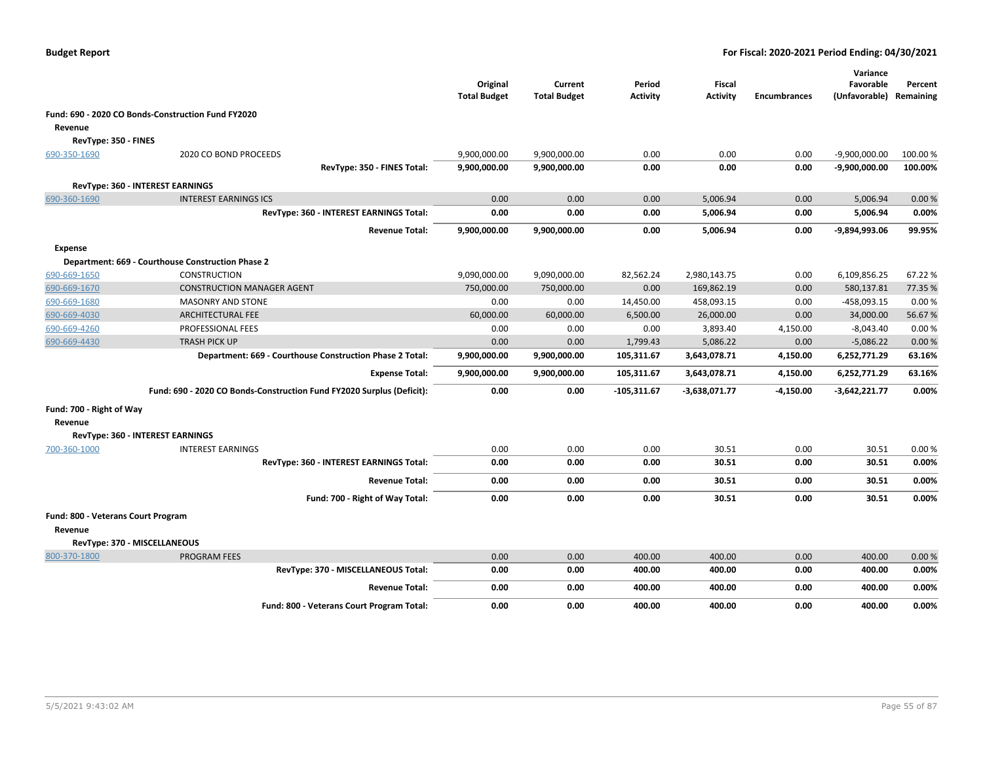|                                    |                                                                       | Original<br><b>Total Budget</b> | Current<br><b>Total Budget</b> | Period<br><b>Activity</b> | <b>Fiscal</b><br><b>Activity</b> | <b>Encumbrances</b> | Variance<br>Favorable<br>(Unfavorable) Remaining | Percent  |
|------------------------------------|-----------------------------------------------------------------------|---------------------------------|--------------------------------|---------------------------|----------------------------------|---------------------|--------------------------------------------------|----------|
|                                    | Fund: 690 - 2020 CO Bonds-Construction Fund FY2020                    |                                 |                                |                           |                                  |                     |                                                  |          |
| Revenue                            |                                                                       |                                 |                                |                           |                                  |                     |                                                  |          |
| RevType: 350 - FINES               |                                                                       |                                 |                                |                           |                                  |                     |                                                  |          |
| 690-350-1690                       | 2020 CO BOND PROCEEDS                                                 | 9,900,000.00                    | 9,900,000.00                   | 0.00                      | 0.00                             | 0.00                | $-9,900,000.00$                                  | 100.00 % |
|                                    | RevType: 350 - FINES Total:                                           | 9,900,000.00                    | 9,900,000.00                   | 0.00                      | 0.00                             | 0.00                | $-9,900,000.00$                                  | 100.00%  |
|                                    | RevType: 360 - INTEREST EARNINGS                                      |                                 |                                |                           |                                  |                     |                                                  |          |
| 690-360-1690                       | <b>INTEREST EARNINGS ICS</b>                                          | 0.00                            | 0.00                           | 0.00                      | 5,006.94                         | 0.00                | 5,006.94                                         | 0.00%    |
|                                    | RevType: 360 - INTEREST EARNINGS Total:                               | 0.00                            | 0.00                           | 0.00                      | 5,006.94                         | 0.00                | 5,006.94                                         | 0.00%    |
|                                    | <b>Revenue Total:</b>                                                 | 9,900,000.00                    | 9,900,000.00                   | 0.00                      | 5,006.94                         | 0.00                | -9,894,993.06                                    | 99.95%   |
| <b>Expense</b>                     |                                                                       |                                 |                                |                           |                                  |                     |                                                  |          |
|                                    | Department: 669 - Courthouse Construction Phase 2                     |                                 |                                |                           |                                  |                     |                                                  |          |
| 690-669-1650                       | <b>CONSTRUCTION</b>                                                   | 9,090,000.00                    | 9,090,000.00                   | 82,562.24                 | 2,980,143.75                     | 0.00                | 6,109,856.25                                     | 67.22%   |
| 690-669-1670                       | <b>CONSTRUCTION MANAGER AGENT</b>                                     | 750,000.00                      | 750,000.00                     | 0.00                      | 169,862.19                       | 0.00                | 580,137.81                                       | 77.35 %  |
| 690-669-1680                       | <b>MASONRY AND STONE</b>                                              | 0.00                            | 0.00                           | 14,450.00                 | 458,093.15                       | 0.00                | -458,093.15                                      | 0.00%    |
| 690-669-4030                       | <b>ARCHITECTURAL FEE</b>                                              | 60,000.00                       | 60,000.00                      | 6,500.00                  | 26,000.00                        | 0.00                | 34,000.00                                        | 56.67%   |
| 690-669-4260                       | PROFESSIONAL FEES                                                     | 0.00                            | 0.00                           | 0.00                      | 3,893.40                         | 4,150.00            | $-8,043.40$                                      | 0.00%    |
| 690-669-4430                       | <b>TRASH PICK UP</b>                                                  | 0.00                            | 0.00                           | 1,799.43                  | 5,086.22                         | 0.00                | $-5,086.22$                                      | 0.00%    |
|                                    | Department: 669 - Courthouse Construction Phase 2 Total:              | 9,900,000.00                    | 9,900,000.00                   | 105,311.67                | 3,643,078.71                     | 4,150.00            | 6,252,771.29                                     | 63.16%   |
|                                    | <b>Expense Total:</b>                                                 | 9,900,000.00                    | 9,900,000.00                   | 105,311.67                | 3,643,078.71                     | 4,150.00            | 6,252,771.29                                     | 63.16%   |
|                                    | Fund: 690 - 2020 CO Bonds-Construction Fund FY2020 Surplus (Deficit): | 0.00                            | 0.00                           | $-105,311.67$             | -3,638,071.77                    | -4,150.00           | $-3,642,221.77$                                  | 0.00%    |
| Fund: 700 - Right of Way           |                                                                       |                                 |                                |                           |                                  |                     |                                                  |          |
| Revenue                            |                                                                       |                                 |                                |                           |                                  |                     |                                                  |          |
|                                    | RevType: 360 - INTEREST EARNINGS                                      |                                 |                                |                           |                                  |                     |                                                  |          |
| 700-360-1000                       | <b>INTEREST EARNINGS</b>                                              | 0.00                            | 0.00                           | 0.00                      | 30.51                            | 0.00                | 30.51                                            | 0.00%    |
|                                    | RevType: 360 - INTEREST EARNINGS Total:                               | 0.00                            | 0.00                           | 0.00                      | 30.51                            | 0.00                | 30.51                                            | 0.00%    |
|                                    | <b>Revenue Total:</b>                                                 | 0.00                            | 0.00                           | 0.00                      | 30.51                            | 0.00                | 30.51                                            | 0.00%    |
|                                    | Fund: 700 - Right of Way Total:                                       | 0.00                            | 0.00                           | 0.00                      | 30.51                            | 0.00                | 30.51                                            | 0.00%    |
| Fund: 800 - Veterans Court Program |                                                                       |                                 |                                |                           |                                  |                     |                                                  |          |
| Revenue                            |                                                                       |                                 |                                |                           |                                  |                     |                                                  |          |
|                                    | RevType: 370 - MISCELLANEOUS                                          |                                 |                                |                           |                                  |                     |                                                  |          |
| 800-370-1800                       | <b>PROGRAM FEES</b>                                                   | 0.00                            | 0.00                           | 400.00                    | 400.00                           | 0.00                | 400.00                                           | 0.00%    |
|                                    | RevType: 370 - MISCELLANEOUS Total:                                   | 0.00                            | 0.00                           | 400.00                    | 400.00                           | 0.00                | 400.00                                           | 0.00%    |
|                                    | <b>Revenue Total:</b>                                                 | 0.00                            | 0.00                           | 400.00                    | 400.00                           | 0.00                | 400.00                                           | 0.00%    |
|                                    | Fund: 800 - Veterans Court Program Total:                             | 0.00                            | 0.00                           | 400.00                    | 400.00                           | 0.00                | 400.00                                           | 0.00%    |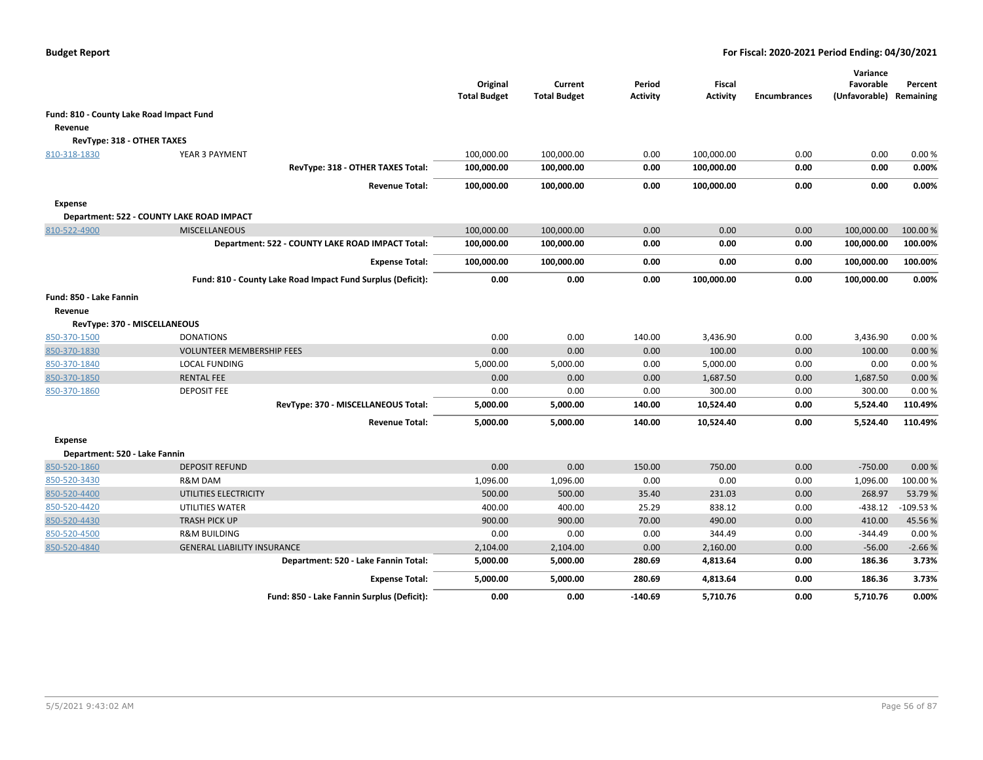|                                          |                                                             | Original<br><b>Total Budget</b> | Current<br><b>Total Budget</b> | Period<br><b>Activity</b> | Fiscal<br><b>Activity</b> | <b>Encumbrances</b> | Variance<br>Favorable<br>(Unfavorable) Remaining | Percent    |
|------------------------------------------|-------------------------------------------------------------|---------------------------------|--------------------------------|---------------------------|---------------------------|---------------------|--------------------------------------------------|------------|
| Fund: 810 - County Lake Road Impact Fund |                                                             |                                 |                                |                           |                           |                     |                                                  |            |
| Revenue                                  |                                                             |                                 |                                |                           |                           |                     |                                                  |            |
| RevType: 318 - OTHER TAXES               |                                                             |                                 |                                |                           |                           |                     |                                                  |            |
| 810-318-1830                             | YEAR 3 PAYMENT                                              | 100,000.00                      | 100,000.00                     | 0.00                      | 100,000.00                | 0.00                | 0.00                                             | 0.00%      |
|                                          | RevType: 318 - OTHER TAXES Total:                           | 100,000.00                      | 100,000.00                     | 0.00                      | 100,000.00                | 0.00                | 0.00                                             | 0.00%      |
|                                          | <b>Revenue Total:</b>                                       | 100,000.00                      | 100,000.00                     | 0.00                      | 100,000.00                | 0.00                | 0.00                                             | 0.00%      |
| <b>Expense</b>                           |                                                             |                                 |                                |                           |                           |                     |                                                  |            |
|                                          | Department: 522 - COUNTY LAKE ROAD IMPACT                   |                                 |                                |                           |                           |                     |                                                  |            |
| 810-522-4900                             | <b>MISCELLANEOUS</b>                                        | 100,000.00                      | 100,000.00                     | 0.00                      | 0.00                      | 0.00                | 100,000.00                                       | 100.00 %   |
|                                          | Department: 522 - COUNTY LAKE ROAD IMPACT Total:            | 100,000.00                      | 100,000.00                     | 0.00                      | 0.00                      | 0.00                | 100,000.00                                       | 100.00%    |
|                                          | <b>Expense Total:</b>                                       | 100,000.00                      | 100,000.00                     | 0.00                      | 0.00                      | 0.00                | 100,000.00                                       | 100.00%    |
|                                          | Fund: 810 - County Lake Road Impact Fund Surplus (Deficit): | 0.00                            | 0.00                           | 0.00                      | 100,000.00                | 0.00                | 100,000.00                                       | 0.00%      |
| Fund: 850 - Lake Fannin<br>Revenue       |                                                             |                                 |                                |                           |                           |                     |                                                  |            |
| RevType: 370 - MISCELLANEOUS             |                                                             |                                 |                                |                           |                           |                     |                                                  |            |
| 850-370-1500                             | <b>DONATIONS</b>                                            | 0.00                            | 0.00                           | 140.00                    | 3,436.90                  | 0.00                | 3,436.90                                         | 0.00%      |
| 850-370-1830                             | <b>VOLUNTEER MEMBERSHIP FEES</b>                            | 0.00                            | 0.00                           | 0.00                      | 100.00                    | 0.00                | 100.00                                           | 0.00%      |
| 850-370-1840                             | <b>LOCAL FUNDING</b>                                        | 5,000.00                        | 5,000.00                       | 0.00                      | 5,000.00                  | 0.00                | 0.00                                             | 0.00%      |
| 850-370-1850                             | <b>RENTAL FEE</b>                                           | 0.00                            | 0.00                           | 0.00                      | 1,687.50                  | 0.00                | 1,687.50                                         | 0.00%      |
| 850-370-1860                             | <b>DEPOSIT FEE</b>                                          | 0.00                            | 0.00                           | 0.00                      | 300.00                    | 0.00                | 300.00                                           | 0.00%      |
|                                          | RevType: 370 - MISCELLANEOUS Total:                         | 5,000.00                        | 5,000.00                       | 140.00                    | 10,524.40                 | 0.00                | 5,524.40                                         | 110.49%    |
|                                          | <b>Revenue Total:</b>                                       | 5,000.00                        | 5,000.00                       | 140.00                    | 10,524.40                 | 0.00                | 5,524.40                                         | 110.49%    |
| Expense                                  |                                                             |                                 |                                |                           |                           |                     |                                                  |            |
| Department: 520 - Lake Fannin            |                                                             |                                 |                                |                           |                           |                     |                                                  |            |
| 850-520-1860                             | <b>DEPOSIT REFUND</b>                                       | 0.00                            | 0.00                           | 150.00                    | 750.00                    | 0.00                | $-750.00$                                        | 0.00%      |
| 850-520-3430                             | R&M DAM                                                     | 1,096.00                        | 1,096.00                       | 0.00                      | 0.00                      | 0.00                | 1,096.00                                         | 100.00%    |
| 850-520-4400                             | UTILITIES ELECTRICITY                                       | 500.00                          | 500.00                         | 35.40                     | 231.03                    | 0.00                | 268.97                                           | 53.79%     |
| 850-520-4420                             | UTILITIES WATER                                             | 400.00                          | 400.00                         | 25.29                     | 838.12                    | 0.00                | $-438.12$                                        | $-109.53%$ |
| 850-520-4430                             | <b>TRASH PICK UP</b>                                        | 900.00                          | 900.00                         | 70.00                     | 490.00                    | 0.00                | 410.00                                           | 45.56%     |
| 850-520-4500                             | <b>R&amp;M BUILDING</b>                                     | 0.00                            | 0.00                           | 0.00                      | 344.49                    | 0.00                | -344.49                                          | 0.00%      |
| 850-520-4840                             | <b>GENERAL LIABILITY INSURANCE</b>                          | 2,104.00                        | 2,104.00                       | 0.00                      | 2,160.00                  | 0.00                | $-56.00$                                         | $-2.66%$   |
|                                          | Department: 520 - Lake Fannin Total:                        | 5,000.00                        | 5,000.00                       | 280.69                    | 4,813.64                  | 0.00                | 186.36                                           | 3.73%      |
|                                          | <b>Expense Total:</b>                                       | 5,000.00                        | 5,000.00                       | 280.69                    | 4,813.64                  | 0.00                | 186.36                                           | 3.73%      |
|                                          | Fund: 850 - Lake Fannin Surplus (Deficit):                  | 0.00                            | 0.00                           | $-140.69$                 | 5,710.76                  | 0.00                | 5,710.76                                         | 0.00%      |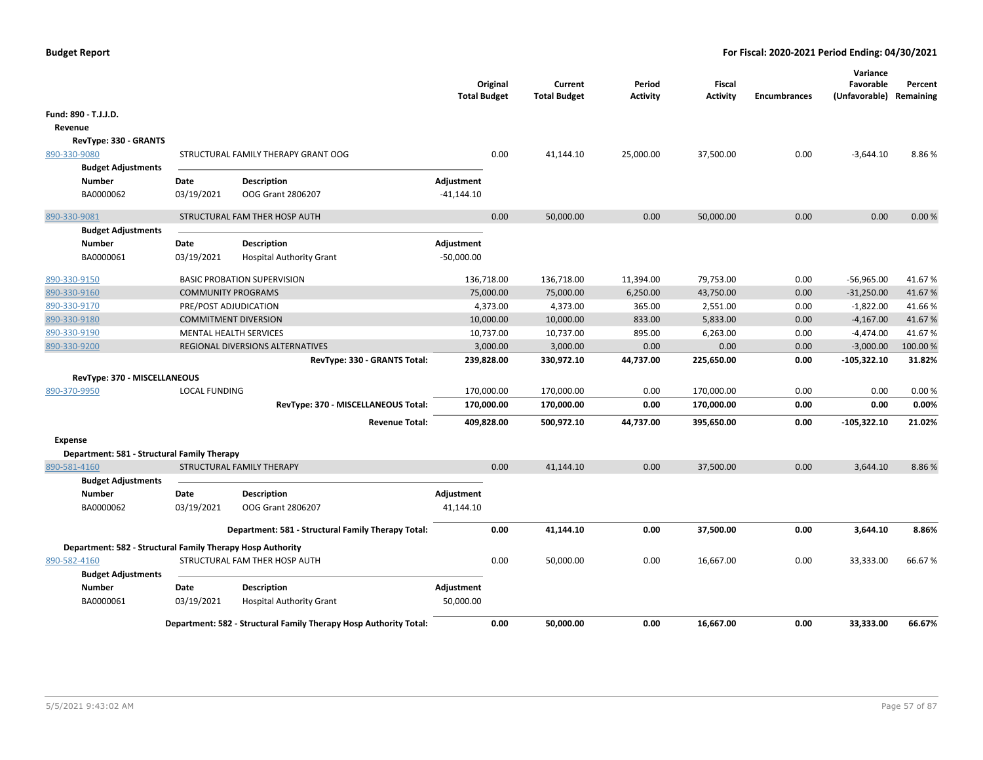| <b>Budget Report</b> |  |
|----------------------|--|
|----------------------|--|

|                                                            |                             |                                                                   | <b>Total Budget</b> | Original  | Current<br><b>Total Budget</b> | Period<br><b>Activity</b> | Fiscal<br><b>Activity</b> | <b>Encumbrances</b> | Variance<br>Favorable<br>(Unfavorable) Remaining | Percent |
|------------------------------------------------------------|-----------------------------|-------------------------------------------------------------------|---------------------|-----------|--------------------------------|---------------------------|---------------------------|---------------------|--------------------------------------------------|---------|
| Fund: 890 - T.J.J.D.                                       |                             |                                                                   |                     |           |                                |                           |                           |                     |                                                  |         |
| Revenue                                                    |                             |                                                                   |                     |           |                                |                           |                           |                     |                                                  |         |
| RevType: 330 - GRANTS                                      |                             |                                                                   |                     |           |                                |                           |                           |                     |                                                  |         |
| 890-330-9080                                               |                             | STRUCTURAL FAMILY THERAPY GRANT OOG                               |                     | 0.00      | 41,144.10                      | 25,000.00                 | 37,500.00                 | 0.00                | $-3,644.10$                                      | 8.86%   |
| <b>Budget Adjustments</b>                                  |                             |                                                                   |                     |           |                                |                           |                           |                     |                                                  |         |
| Number                                                     | Date                        | <b>Description</b>                                                | Adjustment          |           |                                |                           |                           |                     |                                                  |         |
| BA0000062                                                  | 03/19/2021                  | OOG Grant 2806207                                                 | $-41,144.10$        |           |                                |                           |                           |                     |                                                  |         |
| 890-330-9081                                               |                             | STRUCTURAL FAM THER HOSP AUTH                                     |                     | 0.00      | 50,000.00                      | 0.00                      | 50,000.00                 | 0.00                | 0.00                                             | 0.00%   |
| <b>Budget Adjustments</b>                                  |                             |                                                                   |                     |           |                                |                           |                           |                     |                                                  |         |
| <b>Number</b>                                              | Date                        | <b>Description</b>                                                | Adjustment          |           |                                |                           |                           |                     |                                                  |         |
| BA0000061                                                  | 03/19/2021                  | <b>Hospital Authority Grant</b>                                   | $-50,000.00$        |           |                                |                           |                           |                     |                                                  |         |
| 890-330-9150                                               |                             | <b>BASIC PROBATION SUPERVISION</b>                                | 136,718.00          |           | 136,718.00                     | 11,394.00                 | 79,753.00                 | 0.00                | $-56,965.00$                                     | 41.67%  |
| 890-330-9160                                               | <b>COMMUNITY PROGRAMS</b>   |                                                                   |                     | 75,000.00 | 75,000.00                      | 6,250.00                  | 43,750.00                 | 0.00                | $-31,250.00$                                     | 41.67%  |
| 890-330-9170                                               | PRE/POST ADJUDICATION       |                                                                   |                     | 4,373.00  | 4,373.00                       | 365.00                    | 2,551.00                  | 0.00                | $-1,822.00$                                      | 41.66%  |
| 890-330-9180                                               | <b>COMMITMENT DIVERSION</b> |                                                                   |                     | 10,000.00 | 10,000.00                      | 833.00                    | 5,833.00                  | 0.00                | $-4,167.00$                                      | 41.67%  |
| 890-330-9190                                               |                             | <b>MENTAL HEALTH SERVICES</b>                                     |                     | 10,737.00 | 10,737.00                      | 895.00                    | 6,263.00                  | 0.00                | $-4,474.00$                                      | 41.67%  |
| 890-330-9200                                               |                             | REGIONAL DIVERSIONS ALTERNATIVES                                  |                     | 3,000.00  | 3,000.00                       | 0.00                      | 0.00                      | 0.00                | $-3,000.00$                                      | 100.00% |
|                                                            |                             | RevType: 330 - GRANTS Total:                                      | 239,828.00          |           | 330,972.10                     | 44,737.00                 | 225,650.00                | 0.00                | $-105,322.10$                                    | 31.82%  |
| RevType: 370 - MISCELLANEOUS                               |                             |                                                                   |                     |           |                                |                           |                           |                     |                                                  |         |
| 890-370-9950                                               | <b>LOCAL FUNDING</b>        |                                                                   | 170,000.00          |           | 170,000.00                     | 0.00                      | 170,000.00                | 0.00                | 0.00                                             | 0.00%   |
|                                                            |                             | RevType: 370 - MISCELLANEOUS Total:                               | 170,000.00          |           | 170,000.00                     | 0.00                      | 170,000.00                | 0.00                | 0.00                                             | 0.00%   |
|                                                            |                             | <b>Revenue Total:</b>                                             | 409,828.00          |           | 500,972.10                     | 44,737.00                 | 395,650.00                | 0.00                | $-105,322.10$                                    | 21.02%  |
| <b>Expense</b>                                             |                             |                                                                   |                     |           |                                |                           |                           |                     |                                                  |         |
| Department: 581 - Structural Family Therapy                |                             |                                                                   |                     |           |                                |                           |                           |                     |                                                  |         |
| 890-581-4160                                               |                             | STRUCTURAL FAMILY THERAPY                                         |                     | 0.00      | 41,144.10                      | 0.00                      | 37,500.00                 | 0.00                | 3,644.10                                         | 8.86%   |
| <b>Budget Adjustments</b>                                  |                             |                                                                   |                     |           |                                |                           |                           |                     |                                                  |         |
| <b>Number</b>                                              | Date                        | <b>Description</b>                                                | Adjustment          |           |                                |                           |                           |                     |                                                  |         |
| BA0000062                                                  | 03/19/2021                  | OOG Grant 2806207                                                 | 41,144.10           |           |                                |                           |                           |                     |                                                  |         |
|                                                            |                             | Department: 581 - Structural Family Therapy Total:                |                     | 0.00      | 41,144.10                      | 0.00                      | 37,500.00                 | 0.00                | 3,644.10                                         | 8.86%   |
| Department: 582 - Structural Family Therapy Hosp Authority |                             |                                                                   |                     |           |                                |                           |                           |                     |                                                  |         |
| 890-582-4160                                               |                             | STRUCTURAL FAM THER HOSP AUTH                                     |                     | 0.00      | 50,000.00                      | 0.00                      | 16,667.00                 | 0.00                | 33,333.00                                        | 66.67%  |
| <b>Budget Adjustments</b>                                  |                             |                                                                   |                     |           |                                |                           |                           |                     |                                                  |         |
| <b>Number</b>                                              | Date                        | <b>Description</b>                                                | Adjustment          |           |                                |                           |                           |                     |                                                  |         |
| BA0000061                                                  | 03/19/2021                  | <b>Hospital Authority Grant</b>                                   | 50,000.00           |           |                                |                           |                           |                     |                                                  |         |
|                                                            |                             | Department: 582 - Structural Family Therapy Hosp Authority Total: |                     | 0.00      | 50.000.00                      | 0.00                      | 16.667.00                 | 0.00                | 33.333.00                                        | 66.67%  |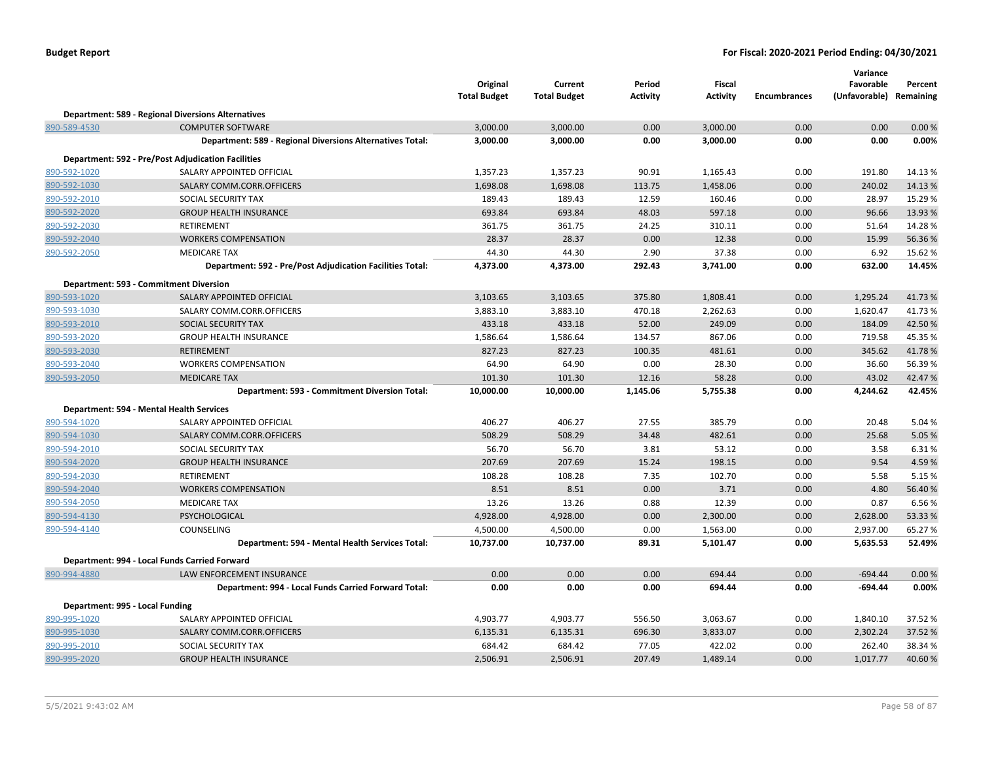|                                 |                                                           | Original<br><b>Total Budget</b> | Current<br><b>Total Budget</b> | Period<br><b>Activity</b> | <b>Fiscal</b><br><b>Activity</b> | <b>Encumbrances</b> | Variance<br>Favorable<br>(Unfavorable) Remaining | Percent |
|---------------------------------|-----------------------------------------------------------|---------------------------------|--------------------------------|---------------------------|----------------------------------|---------------------|--------------------------------------------------|---------|
|                                 | <b>Department: 589 - Regional Diversions Alternatives</b> |                                 |                                |                           |                                  |                     |                                                  |         |
| 890-589-4530                    | <b>COMPUTER SOFTWARE</b>                                  | 3,000.00                        | 3,000.00                       | 0.00                      | 3,000.00                         | 0.00                | 0.00                                             | 0.00%   |
|                                 | Department: 589 - Regional Diversions Alternatives Total: | 3,000.00                        | 3,000.00                       | 0.00                      | 3,000.00                         | 0.00                | 0.00                                             | 0.00%   |
|                                 | <b>Department: 592 - Pre/Post Adjudication Facilities</b> |                                 |                                |                           |                                  |                     |                                                  |         |
| 890-592-1020                    | SALARY APPOINTED OFFICIAL                                 | 1,357.23                        | 1,357.23                       | 90.91                     | 1,165.43                         | 0.00                | 191.80                                           | 14.13 % |
| 890-592-1030                    | SALARY COMM.CORR.OFFICERS                                 | 1,698.08                        | 1,698.08                       | 113.75                    | 1,458.06                         | 0.00                | 240.02                                           | 14.13%  |
| 890-592-2010                    | SOCIAL SECURITY TAX                                       | 189.43                          | 189.43                         | 12.59                     | 160.46                           | 0.00                | 28.97                                            | 15.29 % |
| 890-592-2020                    | <b>GROUP HEALTH INSURANCE</b>                             | 693.84                          | 693.84                         | 48.03                     | 597.18                           | 0.00                | 96.66                                            | 13.93 % |
| 890-592-2030                    | <b>RETIREMENT</b>                                         | 361.75                          | 361.75                         | 24.25                     | 310.11                           | 0.00                | 51.64                                            | 14.28%  |
| 890-592-2040                    | <b>WORKERS COMPENSATION</b>                               | 28.37                           | 28.37                          | 0.00                      | 12.38                            | 0.00                | 15.99                                            | 56.36%  |
| 890-592-2050                    | <b>MEDICARE TAX</b>                                       | 44.30                           | 44.30                          | 2.90                      | 37.38                            | 0.00                | 6.92                                             | 15.62%  |
|                                 | Department: 592 - Pre/Post Adjudication Facilities Total: | 4,373.00                        | 4,373.00                       | 292.43                    | 3,741.00                         | 0.00                | 632.00                                           | 14.45%  |
|                                 | Department: 593 - Commitment Diversion                    |                                 |                                |                           |                                  |                     |                                                  |         |
| 890-593-1020                    | SALARY APPOINTED OFFICIAL                                 | 3,103.65                        | 3,103.65                       | 375.80                    | 1,808.41                         | 0.00                | 1,295.24                                         | 41.73%  |
| 890-593-1030                    | SALARY COMM.CORR.OFFICERS                                 | 3,883.10                        | 3,883.10                       | 470.18                    | 2,262.63                         | 0.00                | 1,620.47                                         | 41.73%  |
| 890-593-2010                    | SOCIAL SECURITY TAX                                       | 433.18                          | 433.18                         | 52.00                     | 249.09                           | 0.00                | 184.09                                           | 42.50%  |
| 890-593-2020                    | <b>GROUP HEALTH INSURANCE</b>                             | 1,586.64                        | 1,586.64                       | 134.57                    | 867.06                           | 0.00                | 719.58                                           | 45.35%  |
| 890-593-2030                    | <b>RETIREMENT</b>                                         | 827.23                          | 827.23                         | 100.35                    | 481.61                           | 0.00                | 345.62                                           | 41.78%  |
| 890-593-2040                    | <b>WORKERS COMPENSATION</b>                               | 64.90                           | 64.90                          | 0.00                      | 28.30                            | 0.00                | 36.60                                            | 56.39%  |
| 890-593-2050                    | <b>MEDICARE TAX</b>                                       | 101.30                          | 101.30                         | 12.16                     | 58.28                            | 0.00                | 43.02                                            | 42.47%  |
|                                 | Department: 593 - Commitment Diversion Total:             | 10,000.00                       | 10,000.00                      | 1,145.06                  | 5,755.38                         | 0.00                | 4,244.62                                         | 42.45%  |
|                                 | Department: 594 - Mental Health Services                  |                                 |                                |                           |                                  |                     |                                                  |         |
| 890-594-1020                    | SALARY APPOINTED OFFICIAL                                 | 406.27                          | 406.27                         | 27.55                     | 385.79                           | 0.00                | 20.48                                            | 5.04 %  |
| 890-594-1030                    | SALARY COMM.CORR.OFFICERS                                 | 508.29                          | 508.29                         | 34.48                     | 482.61                           | 0.00                | 25.68                                            | 5.05 %  |
| 890-594-2010                    | SOCIAL SECURITY TAX                                       | 56.70                           | 56.70                          | 3.81                      | 53.12                            | 0.00                | 3.58                                             | 6.31%   |
| 890-594-2020                    | <b>GROUP HEALTH INSURANCE</b>                             | 207.69                          | 207.69                         | 15.24                     | 198.15                           | 0.00                | 9.54                                             | 4.59%   |
| 890-594-2030                    | <b>RETIREMENT</b>                                         | 108.28                          | 108.28                         | 7.35                      | 102.70                           | 0.00                | 5.58                                             | 5.15 %  |
| 890-594-2040                    | <b>WORKERS COMPENSATION</b>                               | 8.51                            | 8.51                           | 0.00                      | 3.71                             | 0.00                | 4.80                                             | 56.40 % |
| 890-594-2050                    | <b>MEDICARE TAX</b>                                       | 13.26                           | 13.26                          | 0.88                      | 12.39                            | 0.00                | 0.87                                             | 6.56%   |
| 890-594-4130                    | PSYCHOLOGICAL                                             | 4,928.00                        | 4,928.00                       | 0.00                      | 2,300.00                         | 0.00                | 2,628.00                                         | 53.33%  |
| 890-594-4140                    | COUNSELING                                                | 4,500.00                        | 4,500.00                       | 0.00                      | 1,563.00                         | 0.00                | 2,937.00                                         | 65.27%  |
|                                 | Department: 594 - Mental Health Services Total:           | 10,737.00                       | 10,737.00                      | 89.31                     | 5,101.47                         | 0.00                | 5,635.53                                         | 52.49%  |
|                                 | Department: 994 - Local Funds Carried Forward             |                                 |                                |                           |                                  |                     |                                                  |         |
| 890-994-4880                    | LAW ENFORCEMENT INSURANCE                                 | 0.00                            | 0.00                           | 0.00                      | 694.44                           | 0.00                | $-694.44$                                        | 0.00%   |
|                                 | Department: 994 - Local Funds Carried Forward Total:      | 0.00                            | 0.00                           | 0.00                      | 694.44                           | 0.00                | -694.44                                          | 0.00%   |
| Department: 995 - Local Funding |                                                           |                                 |                                |                           |                                  |                     |                                                  |         |
| 890-995-1020                    | SALARY APPOINTED OFFICIAL                                 | 4,903.77                        | 4,903.77                       | 556.50                    | 3,063.67                         | 0.00                | 1,840.10                                         | 37.52 % |
| 890-995-1030                    | SALARY COMM.CORR.OFFICERS                                 | 6,135.31                        | 6,135.31                       | 696.30                    | 3,833.07                         | 0.00                | 2,302.24                                         | 37.52 % |
| 890-995-2010                    | SOCIAL SECURITY TAX                                       | 684.42                          | 684.42                         | 77.05                     | 422.02                           | 0.00                | 262.40                                           | 38.34 % |
| 890-995-2020                    | <b>GROUP HEALTH INSURANCE</b>                             | 2,506.91                        | 2,506.91                       | 207.49                    | 1,489.14                         | 0.00                | 1,017.77                                         | 40.60%  |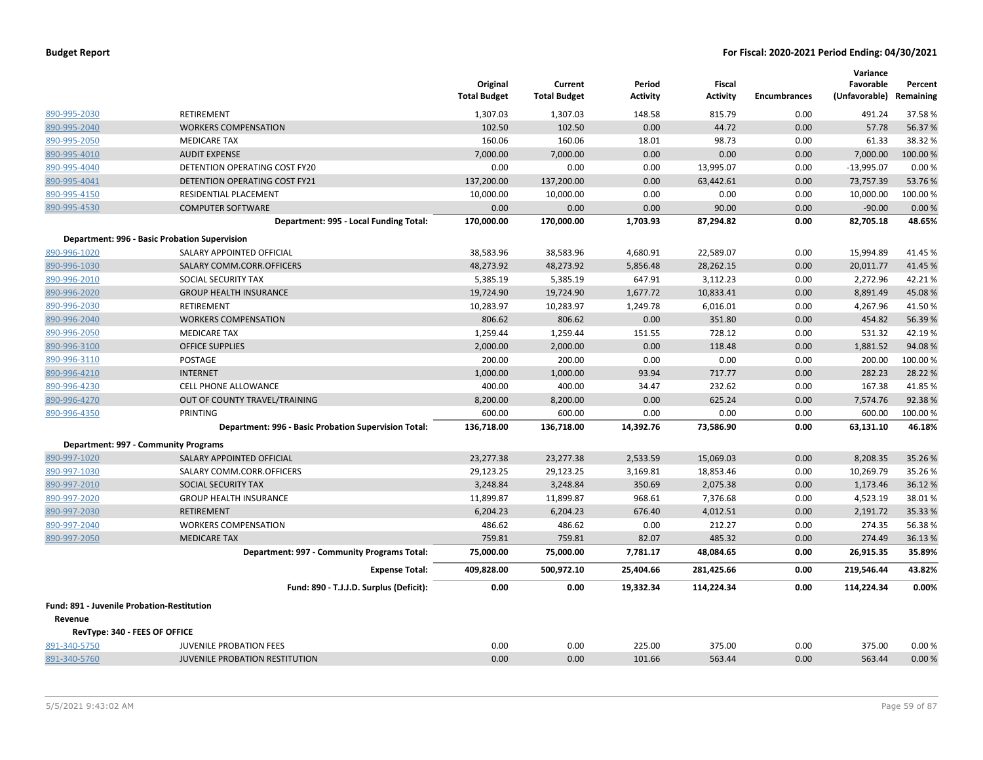|                                            |                                                      | Original<br><b>Total Budget</b> | Current<br><b>Total Budget</b> | Period<br><b>Activity</b> | Fiscal<br><b>Activity</b> | <b>Encumbrances</b> | Variance<br>Favorable<br>(Unfavorable) Remaining | Percent  |
|--------------------------------------------|------------------------------------------------------|---------------------------------|--------------------------------|---------------------------|---------------------------|---------------------|--------------------------------------------------|----------|
| 890-995-2030                               | RETIREMENT                                           | 1,307.03                        | 1,307.03                       | 148.58                    | 815.79                    | 0.00                | 491.24                                           | 37.58%   |
| 890-995-2040                               | <b>WORKERS COMPENSATION</b>                          | 102.50                          | 102.50                         | 0.00                      | 44.72                     | 0.00                | 57.78                                            | 56.37%   |
| 890-995-2050                               | <b>MEDICARE TAX</b>                                  | 160.06                          | 160.06                         | 18.01                     | 98.73                     | 0.00                | 61.33                                            | 38.32 %  |
| 890-995-4010                               | <b>AUDIT EXPENSE</b>                                 | 7,000.00                        | 7,000.00                       | 0.00                      | 0.00                      | 0.00                | 7,000.00                                         | 100.00 % |
| 890-995-4040                               | DETENTION OPERATING COST FY20                        | 0.00                            | 0.00                           | 0.00                      | 13,995.07                 | 0.00                | $-13,995.07$                                     | 0.00%    |
| 890-995-4041                               | DETENTION OPERATING COST FY21                        | 137,200.00                      | 137,200.00                     | 0.00                      | 63,442.61                 | 0.00                | 73,757.39                                        | 53.76%   |
| 890-995-4150                               | <b>RESIDENTIAL PLACEMENT</b>                         | 10,000.00                       | 10,000.00                      | 0.00                      | 0.00                      | 0.00                | 10,000.00                                        | 100.00%  |
| 890-995-4530                               | <b>COMPUTER SOFTWARE</b>                             | 0.00                            | 0.00                           | 0.00                      | 90.00                     | 0.00                | $-90.00$                                         | 0.00%    |
|                                            | Department: 995 - Local Funding Total:               | 170,000.00                      | 170,000.00                     | 1,703.93                  | 87,294.82                 | 0.00                | 82,705.18                                        | 48.65%   |
|                                            | Department: 996 - Basic Probation Supervision        |                                 |                                |                           |                           |                     |                                                  |          |
| 890-996-1020                               | SALARY APPOINTED OFFICIAL                            | 38,583.96                       | 38,583.96                      | 4,680.91                  | 22,589.07                 | 0.00                | 15,994.89                                        | 41.45%   |
| 890-996-1030                               | SALARY COMM.CORR.OFFICERS                            | 48,273.92                       | 48,273.92                      | 5,856.48                  | 28,262.15                 | 0.00                | 20,011.77                                        | 41.45 %  |
| 890-996-2010                               | SOCIAL SECURITY TAX                                  | 5,385.19                        | 5,385.19                       | 647.91                    | 3,112.23                  | 0.00                | 2,272.96                                         | 42.21%   |
| 890-996-2020                               | <b>GROUP HEALTH INSURANCE</b>                        | 19,724.90                       | 19,724.90                      | 1,677.72                  | 10,833.41                 | 0.00                | 8,891.49                                         | 45.08%   |
| 890-996-2030                               | RETIREMENT                                           | 10,283.97                       | 10,283.97                      | 1,249.78                  | 6,016.01                  | 0.00                | 4,267.96                                         | 41.50%   |
| 890-996-2040                               | <b>WORKERS COMPENSATION</b>                          | 806.62                          | 806.62                         | 0.00                      | 351.80                    | 0.00                | 454.82                                           | 56.39%   |
| 890-996-2050                               | <b>MEDICARE TAX</b>                                  | 1,259.44                        | 1,259.44                       | 151.55                    | 728.12                    | 0.00                | 531.32                                           | 42.19%   |
| 890-996-3100                               | <b>OFFICE SUPPLIES</b>                               | 2,000.00                        | 2,000.00                       | 0.00                      | 118.48                    | 0.00                | 1,881.52                                         | 94.08%   |
| 890-996-3110                               | <b>POSTAGE</b>                                       | 200.00                          | 200.00                         | 0.00                      | 0.00                      | 0.00                | 200.00                                           | 100.00%  |
| 890-996-4210                               | <b>INTERNET</b>                                      | 1,000.00                        | 1,000.00                       | 93.94                     | 717.77                    | 0.00                | 282.23                                           | 28.22 %  |
| 890-996-4230                               | <b>CELL PHONE ALLOWANCE</b>                          | 400.00                          | 400.00                         | 34.47                     | 232.62                    | 0.00                | 167.38                                           | 41.85%   |
| 890-996-4270                               | OUT OF COUNTY TRAVEL/TRAINING                        | 8,200.00                        | 8,200.00                       | 0.00                      | 625.24                    | 0.00                | 7,574.76                                         | 92.38%   |
| 890-996-4350                               | <b>PRINTING</b>                                      | 600.00                          | 600.00                         | 0.00                      | 0.00                      | 0.00                | 600.00                                           | 100.00%  |
|                                            | Department: 996 - Basic Probation Supervision Total: | 136,718.00                      | 136,718.00                     | 14,392.76                 | 73,586.90                 | 0.00                | 63,131.10                                        | 46.18%   |
|                                            | Department: 997 - Community Programs                 |                                 |                                |                           |                           |                     |                                                  |          |
| 890-997-1020                               | SALARY APPOINTED OFFICIAL                            | 23,277.38                       | 23,277.38                      | 2,533.59                  | 15,069.03                 | 0.00                | 8,208.35                                         | 35.26%   |
| 890-997-1030                               | SALARY COMM.CORR.OFFICERS                            | 29,123.25                       | 29,123.25                      | 3,169.81                  | 18,853.46                 | 0.00                | 10,269.79                                        | 35.26%   |
| 890-997-2010                               | SOCIAL SECURITY TAX                                  | 3,248.84                        | 3,248.84                       | 350.69                    | 2,075.38                  | 0.00                | 1,173.46                                         | 36.12%   |
| 890-997-2020                               | <b>GROUP HEALTH INSURANCE</b>                        | 11,899.87                       | 11,899.87                      | 968.61                    | 7,376.68                  | 0.00                | 4,523.19                                         | 38.01%   |
| 890-997-2030                               | <b>RETIREMENT</b>                                    | 6,204.23                        | 6,204.23                       | 676.40                    | 4,012.51                  | 0.00                | 2,191.72                                         | 35.33%   |
| 890-997-2040                               | <b>WORKERS COMPENSATION</b>                          | 486.62                          | 486.62                         | 0.00                      | 212.27                    | 0.00                | 274.35                                           | 56.38%   |
| 890-997-2050                               | <b>MEDICARE TAX</b>                                  | 759.81                          | 759.81                         | 82.07                     | 485.32                    | 0.00                | 274.49                                           | 36.13%   |
|                                            | Department: 997 - Community Programs Total:          | 75,000.00                       | 75,000.00                      | 7,781.17                  | 48,084.65                 | 0.00                | 26,915.35                                        | 35.89%   |
|                                            | <b>Expense Total:</b>                                | 409,828.00                      | 500,972.10                     | 25,404.66                 | 281,425.66                | 0.00                | 219,546.44                                       | 43.82%   |
|                                            | Fund: 890 - T.J.J.D. Surplus (Deficit):              | 0.00                            | 0.00                           | 19,332.34                 | 114,224.34                | 0.00                | 114,224.34                                       | 0.00%    |
| Fund: 891 - Juvenile Probation-Restitution |                                                      |                                 |                                |                           |                           |                     |                                                  |          |
| Revenue                                    |                                                      |                                 |                                |                           |                           |                     |                                                  |          |
|                                            | RevType: 340 - FEES OF OFFICE                        |                                 |                                |                           |                           |                     |                                                  |          |
| 891-340-5750                               | <b>JUVENILE PROBATION FEES</b>                       | 0.00                            | 0.00                           | 225.00                    | 375.00                    | 0.00                | 375.00                                           | 0.00%    |
| 891-340-5760                               | <b>JUVENILE PROBATION RESTITUTION</b>                | 0.00                            | 0.00                           | 101.66                    | 563.44                    | 0.00                | 563.44                                           | 0.00%    |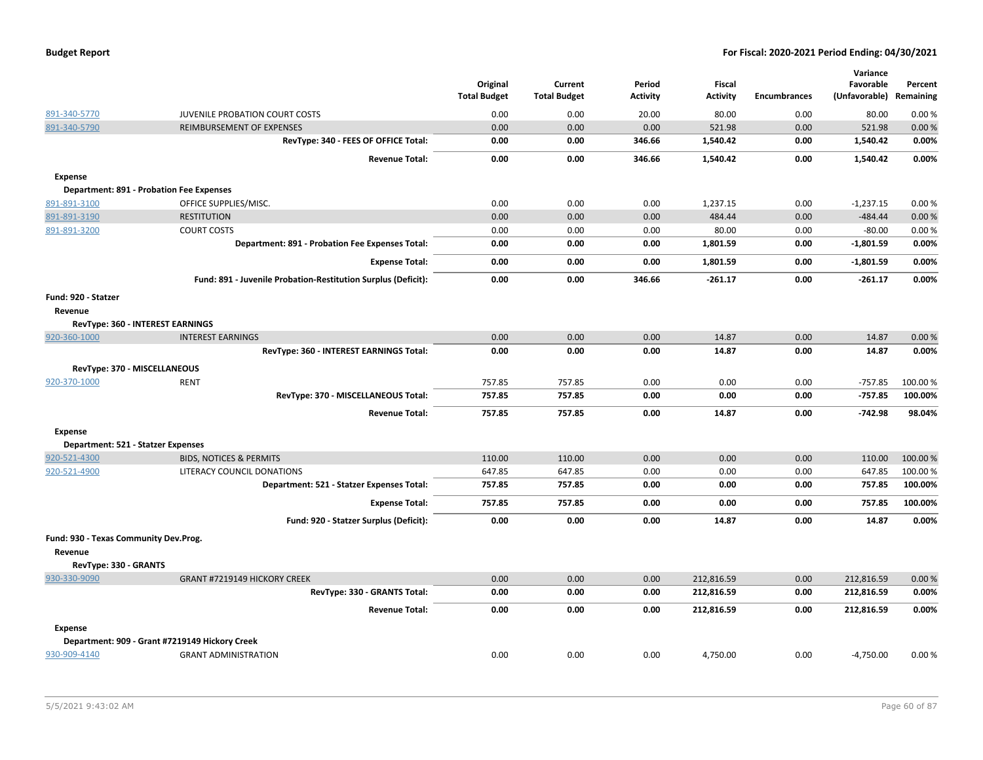|  |  |  | <b>Budget Report</b> |
|--|--|--|----------------------|
|--|--|--|----------------------|

|                                       |                                                               | Original            | Current             | Period          | Fiscal          |                     | Variance<br>Favorable | Percent   |
|---------------------------------------|---------------------------------------------------------------|---------------------|---------------------|-----------------|-----------------|---------------------|-----------------------|-----------|
|                                       |                                                               | <b>Total Budget</b> | <b>Total Budget</b> | <b>Activity</b> | <b>Activity</b> | <b>Encumbrances</b> | (Unfavorable)         | Remaining |
| 891-340-5770                          | JUVENILE PROBATION COURT COSTS                                | 0.00                | 0.00                | 20.00           | 80.00           | 0.00                | 80.00                 | 0.00%     |
| 891-340-5790                          | REIMBURSEMENT OF EXPENSES                                     | 0.00                | 0.00                | 0.00            | 521.98          | 0.00                | 521.98                | 0.00%     |
|                                       | RevType: 340 - FEES OF OFFICE Total:                          | 0.00                | 0.00                | 346.66          | 1,540.42        | 0.00                | 1,540.42              | 0.00%     |
|                                       | <b>Revenue Total:</b>                                         | 0.00                | 0.00                | 346.66          | 1,540.42        | 0.00                | 1,540.42              | 0.00%     |
| <b>Expense</b>                        |                                                               |                     |                     |                 |                 |                     |                       |           |
|                                       | <b>Department: 891 - Probation Fee Expenses</b>               |                     |                     |                 |                 |                     |                       |           |
| 891-891-3100                          | OFFICE SUPPLIES/MISC.                                         | 0.00                | 0.00                | 0.00            | 1,237.15        | 0.00                | $-1,237.15$           | 0.00%     |
| 891-891-3190                          | <b>RESTITUTION</b>                                            | 0.00                | 0.00                | 0.00            | 484.44          | 0.00                | $-484.44$             | 0.00%     |
| 891-891-3200                          | <b>COURT COSTS</b>                                            | 0.00                | 0.00                | 0.00            | 80.00           | 0.00                | $-80.00$              | 0.00%     |
|                                       | Department: 891 - Probation Fee Expenses Total:               | 0.00                | 0.00                | 0.00            | 1,801.59        | 0.00                | $-1,801.59$           | 0.00%     |
|                                       | <b>Expense Total:</b>                                         | 0.00                | 0.00                | 0.00            | 1,801.59        | 0.00                | $-1,801.59$           | 0.00%     |
|                                       | Fund: 891 - Juvenile Probation-Restitution Surplus (Deficit): | 0.00                | 0.00                | 346.66          | $-261.17$       | 0.00                | $-261.17$             | 0.00%     |
| Fund: 920 - Statzer                   |                                                               |                     |                     |                 |                 |                     |                       |           |
| Revenue                               |                                                               |                     |                     |                 |                 |                     |                       |           |
|                                       | RevType: 360 - INTEREST EARNINGS                              |                     |                     |                 |                 |                     |                       |           |
| 920-360-1000                          | <b>INTEREST EARNINGS</b>                                      | 0.00                | 0.00                | 0.00            | 14.87           | 0.00                | 14.87                 | 0.00%     |
|                                       | RevType: 360 - INTEREST EARNINGS Total:                       | 0.00                | 0.00                | 0.00            | 14.87           | 0.00                | 14.87                 | 0.00%     |
|                                       | RevType: 370 - MISCELLANEOUS                                  |                     |                     |                 |                 |                     |                       |           |
| 920-370-1000                          | <b>RENT</b>                                                   | 757.85              | 757.85              | 0.00            | 0.00            | 0.00                | $-757.85$             | 100.00%   |
|                                       | RevType: 370 - MISCELLANEOUS Total:                           | 757.85              | 757.85              | 0.00            | 0.00            | 0.00                | $-757.85$             | 100.00%   |
|                                       | <b>Revenue Total:</b>                                         | 757.85              | 757.85              | 0.00            | 14.87           | 0.00                | $-742.98$             | 98.04%    |
| Expense                               |                                                               |                     |                     |                 |                 |                     |                       |           |
|                                       | Department: 521 - Statzer Expenses                            |                     |                     |                 |                 |                     |                       |           |
| 920-521-4300                          | <b>BIDS, NOTICES &amp; PERMITS</b>                            | 110.00              | 110.00              | 0.00            | 0.00            | 0.00                | 110.00                | 100.00%   |
| 920-521-4900                          | LITERACY COUNCIL DONATIONS                                    | 647.85              | 647.85              | 0.00            | 0.00            | 0.00                | 647.85                | 100.00 %  |
|                                       | Department: 521 - Statzer Expenses Total:                     | 757.85              | 757.85              | 0.00            | 0.00            | 0.00                | 757.85                | 100.00%   |
|                                       | <b>Expense Total:</b>                                         | 757.85              | 757.85              | 0.00            | 0.00            | 0.00                | 757.85                | 100.00%   |
|                                       | Fund: 920 - Statzer Surplus (Deficit):                        | 0.00                | 0.00                | 0.00            | 14.87           | 0.00                | 14.87                 | 0.00%     |
| Fund: 930 - Texas Community Dev.Prog. |                                                               |                     |                     |                 |                 |                     |                       |           |
| Revenue                               |                                                               |                     |                     |                 |                 |                     |                       |           |
| RevType: 330 - GRANTS                 |                                                               |                     |                     |                 |                 |                     |                       |           |
| 930-330-9090                          | GRANT #7219149 HICKORY CREEK                                  | 0.00                | 0.00                | 0.00            | 212,816.59      | 0.00                | 212,816.59            | 0.00%     |
|                                       | RevType: 330 - GRANTS Total:                                  | 0.00                | 0.00                | 0.00            | 212,816.59      | 0.00                | 212,816.59            | 0.00%     |
|                                       | <b>Revenue Total:</b>                                         | 0.00                | 0.00                | 0.00            | 212,816.59      | 0.00                | 212,816.59            | 0.00%     |
| <b>Expense</b>                        |                                                               |                     |                     |                 |                 |                     |                       |           |
|                                       | Department: 909 - Grant #7219149 Hickory Creek                |                     |                     |                 |                 |                     |                       |           |
| 930-909-4140                          | <b>GRANT ADMINISTRATION</b>                                   | 0.00                | 0.00                | 0.00            | 4,750.00        | 0.00                | $-4,750.00$           | 0.00%     |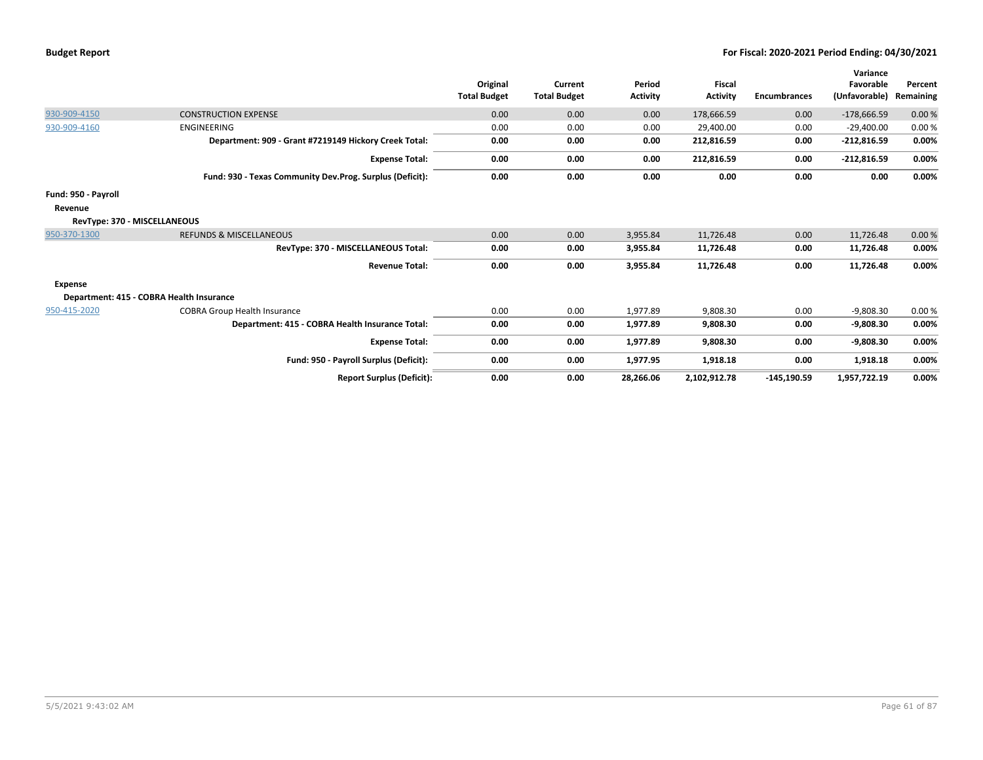|                     |                                                          | Original<br><b>Total Budget</b> | Current<br><b>Total Budget</b> | Period<br><b>Activity</b> | <b>Fiscal</b><br><b>Activity</b> | <b>Encumbrances</b> | Variance<br>Favorable<br>(Unfavorable) | Percent<br>Remaining |
|---------------------|----------------------------------------------------------|---------------------------------|--------------------------------|---------------------------|----------------------------------|---------------------|----------------------------------------|----------------------|
| 930-909-4150        | <b>CONSTRUCTION EXPENSE</b>                              | 0.00                            | 0.00                           | 0.00                      | 178,666.59                       | 0.00                | $-178,666.59$                          | 0.00%                |
| 930-909-4160        | ENGINEERING                                              | 0.00                            | 0.00                           | 0.00                      | 29,400.00                        | 0.00                | $-29,400.00$                           | 0.00%                |
|                     | Department: 909 - Grant #7219149 Hickory Creek Total:    | 0.00                            | 0.00                           | 0.00                      | 212,816.59                       | 0.00                | $-212,816.59$                          | 0.00%                |
|                     | <b>Expense Total:</b>                                    | 0.00                            | 0.00                           | 0.00                      | 212,816.59                       | 0.00                | $-212,816.59$                          | 0.00%                |
|                     | Fund: 930 - Texas Community Dev.Prog. Surplus (Deficit): | 0.00                            | 0.00                           | 0.00                      | 0.00                             | 0.00                | 0.00                                   | 0.00%                |
| Fund: 950 - Payroll |                                                          |                                 |                                |                           |                                  |                     |                                        |                      |
| Revenue             |                                                          |                                 |                                |                           |                                  |                     |                                        |                      |
|                     | RevType: 370 - MISCELLANEOUS                             |                                 |                                |                           |                                  |                     |                                        |                      |
| 950-370-1300        | <b>REFUNDS &amp; MISCELLANEOUS</b>                       | 0.00                            | 0.00                           | 3,955.84                  | 11,726.48                        | 0.00                | 11,726.48                              | 0.00%                |
|                     | RevType: 370 - MISCELLANEOUS Total:                      | 0.00                            | 0.00                           | 3,955.84                  | 11,726.48                        | 0.00                | 11,726.48                              | 0.00%                |
|                     | <b>Revenue Total:</b>                                    | 0.00                            | 0.00                           | 3,955.84                  | 11,726.48                        | 0.00                | 11,726.48                              | 0.00%                |
| Expense             |                                                          |                                 |                                |                           |                                  |                     |                                        |                      |
|                     | Department: 415 - COBRA Health Insurance                 |                                 |                                |                           |                                  |                     |                                        |                      |
| 950-415-2020        | <b>COBRA Group Health Insurance</b>                      | 0.00                            | 0.00                           | 1,977.89                  | 9,808.30                         | 0.00                | $-9,808.30$                            | 0.00%                |
|                     | Department: 415 - COBRA Health Insurance Total:          | 0.00                            | 0.00                           | 1,977.89                  | 9,808.30                         | 0.00                | $-9,808.30$                            | 0.00%                |
|                     | <b>Expense Total:</b>                                    | 0.00                            | 0.00                           | 1,977.89                  | 9,808.30                         | 0.00                | $-9,808.30$                            | 0.00%                |
|                     | Fund: 950 - Payroll Surplus (Deficit):                   | 0.00                            | 0.00                           | 1,977.95                  | 1,918.18                         | 0.00                | 1,918.18                               | 0.00%                |
|                     | <b>Report Surplus (Deficit):</b>                         | 0.00                            | 0.00                           | 28,266.06                 | 2,102,912.78                     | $-145, 190.59$      | 1,957,722.19                           | 0.00%                |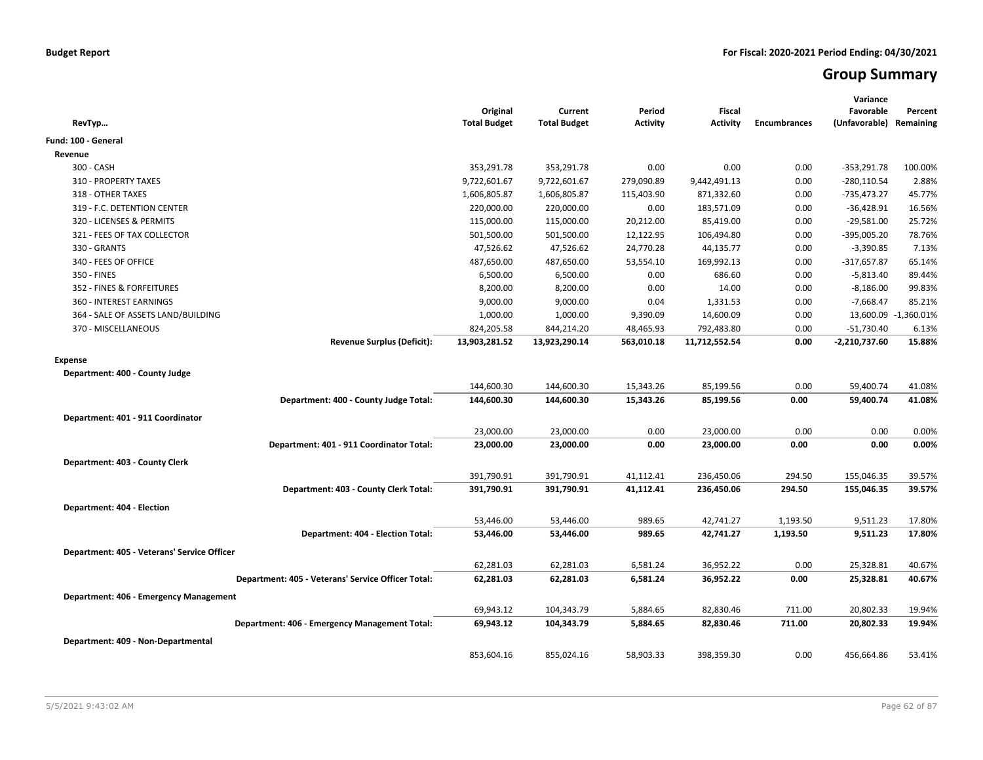# **Group Summary**

| Original<br><b>Total Budget</b> | Current<br><b>Total Budget</b>                                                           | Period<br><b>Activity</b>                                                                  | <b>Fiscal</b><br><b>Activity</b>                                          | <b>Encumbrances</b>                                                                      | Variance<br>Favorable<br>(Unfavorable) Remaining           | Percent                                                                        |
|---------------------------------|------------------------------------------------------------------------------------------|--------------------------------------------------------------------------------------------|---------------------------------------------------------------------------|------------------------------------------------------------------------------------------|------------------------------------------------------------|--------------------------------------------------------------------------------|
|                                 |                                                                                          |                                                                                            |                                                                           |                                                                                          |                                                            |                                                                                |
|                                 |                                                                                          |                                                                                            |                                                                           |                                                                                          |                                                            |                                                                                |
| 353,291.78                      | 353,291.78                                                                               | 0.00                                                                                       | 0.00                                                                      | 0.00                                                                                     | $-353,291.78$                                              | 100.00%                                                                        |
| 9,722,601.67                    | 9,722,601.67                                                                             | 279,090.89                                                                                 | 9,442,491.13                                                              | 0.00                                                                                     | $-280,110.54$                                              | 2.88%                                                                          |
| 1,606,805.87                    | 1,606,805.87                                                                             | 115,403.90                                                                                 | 871,332.60                                                                | 0.00                                                                                     | $-735,473.27$                                              | 45.77%                                                                         |
| 220,000.00                      | 220,000.00                                                                               | 0.00                                                                                       | 183,571.09                                                                | 0.00                                                                                     | $-36,428.91$                                               | 16.56%                                                                         |
| 115,000.00                      | 115,000.00                                                                               | 20,212.00                                                                                  | 85,419.00                                                                 | 0.00                                                                                     | $-29,581.00$                                               | 25.72%                                                                         |
| 501,500.00                      | 501,500.00                                                                               | 12,122.95                                                                                  | 106,494.80                                                                | 0.00                                                                                     | $-395,005.20$                                              | 78.76%                                                                         |
| 47,526.62                       | 47,526.62                                                                                | 24,770.28                                                                                  | 44,135.77                                                                 | 0.00                                                                                     | $-3,390.85$                                                | 7.13%                                                                          |
| 487,650.00                      | 487,650.00                                                                               | 53,554.10                                                                                  | 169,992.13                                                                | 0.00                                                                                     | $-317,657.87$                                              | 65.14%                                                                         |
| 6,500.00                        | 6,500.00                                                                                 | 0.00                                                                                       | 686.60                                                                    | 0.00                                                                                     | $-5,813.40$                                                | 89.44%                                                                         |
| 8,200.00                        | 8,200.00                                                                                 | 0.00                                                                                       | 14.00                                                                     | 0.00                                                                                     | $-8,186.00$                                                | 99.83%                                                                         |
| 9,000.00                        | 9,000.00                                                                                 | 0.04                                                                                       | 1,331.53                                                                  | 0.00                                                                                     | $-7,668.47$                                                | 85.21%                                                                         |
| 1,000.00                        | 1,000.00                                                                                 | 9,390.09                                                                                   | 14,600.09                                                                 | 0.00                                                                                     |                                                            | 13,600.09 -1,360.01%                                                           |
| 824,205.58                      | 844,214.20                                                                               | 48,465.93                                                                                  | 792,483.80                                                                | 0.00                                                                                     | $-51,730.40$                                               | 6.13%                                                                          |
| 13,903,281.52                   | 13,923,290.14                                                                            | 563,010.18                                                                                 | 11,712,552.54                                                             | 0.00                                                                                     | $-2,210,737.60$                                            | 15.88%                                                                         |
|                                 |                                                                                          |                                                                                            |                                                                           |                                                                                          |                                                            |                                                                                |
|                                 |                                                                                          |                                                                                            |                                                                           |                                                                                          |                                                            |                                                                                |
| 144,600.30                      | 144,600.30                                                                               | 15,343.26                                                                                  | 85,199.56                                                                 | 0.00                                                                                     | 59,400.74                                                  | 41.08%                                                                         |
| 144,600.30                      | 144,600.30                                                                               | 15,343.26                                                                                  | 85,199.56                                                                 | 0.00                                                                                     | 59,400.74                                                  | 41.08%                                                                         |
|                                 |                                                                                          |                                                                                            |                                                                           |                                                                                          |                                                            |                                                                                |
|                                 |                                                                                          |                                                                                            |                                                                           |                                                                                          |                                                            |                                                                                |
|                                 |                                                                                          |                                                                                            |                                                                           |                                                                                          |                                                            | 0.00%<br>0.00%                                                                 |
|                                 |                                                                                          |                                                                                            |                                                                           |                                                                                          |                                                            |                                                                                |
|                                 |                                                                                          |                                                                                            |                                                                           |                                                                                          |                                                            |                                                                                |
| 391,790.91                      | 391,790.91                                                                               | 41,112.41                                                                                  | 236,450.06                                                                | 294.50                                                                                   | 155,046.35                                                 | 39.57%                                                                         |
|                                 |                                                                                          |                                                                                            |                                                                           |                                                                                          |                                                            | 39.57%                                                                         |
|                                 |                                                                                          |                                                                                            |                                                                           |                                                                                          |                                                            |                                                                                |
| 53,446.00                       | 53,446.00                                                                                | 989.65                                                                                     | 42,741.27                                                                 | 1,193.50                                                                                 | 9,511.23                                                   | 17.80%                                                                         |
| 53,446.00                       | 53,446.00                                                                                | 989.65                                                                                     | 42,741.27                                                                 | 1,193.50                                                                                 | 9,511.23                                                   | 17.80%                                                                         |
|                                 |                                                                                          |                                                                                            |                                                                           |                                                                                          |                                                            |                                                                                |
|                                 |                                                                                          |                                                                                            |                                                                           |                                                                                          |                                                            | 40.67%                                                                         |
|                                 |                                                                                          |                                                                                            |                                                                           |                                                                                          |                                                            | 40.67%                                                                         |
|                                 |                                                                                          |                                                                                            |                                                                           |                                                                                          |                                                            |                                                                                |
|                                 |                                                                                          |                                                                                            |                                                                           |                                                                                          |                                                            |                                                                                |
|                                 |                                                                                          |                                                                                            |                                                                           |                                                                                          |                                                            | 19.94%                                                                         |
|                                 |                                                                                          |                                                                                            |                                                                           |                                                                                          |                                                            | 19.94%                                                                         |
|                                 |                                                                                          |                                                                                            |                                                                           |                                                                                          |                                                            |                                                                                |
| 853,604.16                      | 855,024.16                                                                               | 58,903.33                                                                                  | 398,359.30                                                                | 0.00                                                                                     | 456,664.86                                                 | 53.41%                                                                         |
|                                 | 23,000.00<br>23,000.00<br>391,790.91<br>62,281.03<br>62,281.03<br>69,943.12<br>69,943.12 | 23,000.00<br>23,000.00<br>391,790.91<br>62,281.03<br>62,281.03<br>104,343.79<br>104,343.79 | 0.00<br>0.00<br>41,112.41<br>6,581.24<br>6,581.24<br>5,884.65<br>5,884.65 | 23,000.00<br>23,000.00<br>236,450.06<br>36,952.22<br>36,952.22<br>82,830.46<br>82,830.46 | 0.00<br>0.00<br>294.50<br>0.00<br>0.00<br>711.00<br>711.00 | 0.00<br>0.00<br>155,046.35<br>25,328.81<br>25,328.81<br>20,802.33<br>20,802.33 |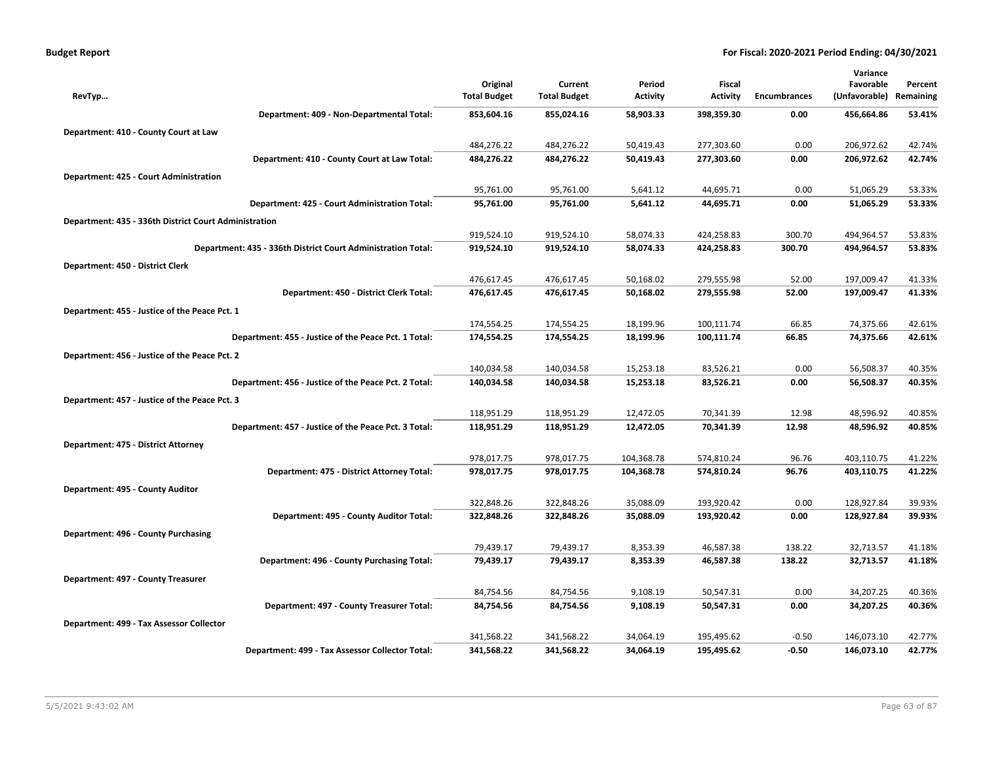| <b>Budget Report</b> |  |
|----------------------|--|
|----------------------|--|

|                                                              |                          |                          |                        |                          |                     | Variance                 |                  |
|--------------------------------------------------------------|--------------------------|--------------------------|------------------------|--------------------------|---------------------|--------------------------|------------------|
|                                                              | Original                 | Current                  | Period                 | Fiscal                   |                     | Favorable                | Percent          |
| RevTyp                                                       | <b>Total Budget</b>      | <b>Total Budget</b>      | <b>Activity</b>        | <b>Activity</b>          | <b>Encumbrances</b> | (Unfavorable)            | Remaining        |
| Department: 409 - Non-Departmental Total:                    | 853,604.16               | 855,024.16               | 58,903.33              | 398,359.30               | 0.00                | 456,664.86               | 53.41%           |
| Department: 410 - County Court at Law                        |                          |                          |                        |                          |                     |                          |                  |
|                                                              | 484,276.22               | 484,276.22               | 50,419.43              | 277,303.60               | 0.00                | 206,972.62               | 42.74%           |
| Department: 410 - County Court at Law Total:                 | 484,276.22               | 484,276.22               | 50,419.43              | 277,303.60               | 0.00                | 206,972.62               | 42.74%           |
| Department: 425 - Court Administration                       |                          |                          |                        |                          |                     |                          |                  |
|                                                              | 95,761.00                | 95,761.00                | 5,641.12               | 44,695.71                | 0.00                | 51,065.29                | 53.33%           |
| Department: 425 - Court Administration Total:                | 95,761.00                | 95,761.00                | 5,641.12               | 44,695.71                | 0.00                | 51,065.29                | 53.33%           |
| Department: 435 - 336th District Court Administration        |                          |                          |                        |                          |                     |                          |                  |
|                                                              | 919,524.10               | 919,524.10               | 58,074.33              | 424,258.83               | 300.70              | 494,964.57               | 53.83%           |
| Department: 435 - 336th District Court Administration Total: | 919,524.10               | 919,524.10               | 58,074.33              | 424,258.83               | 300.70              | 494,964.57               | 53.83%           |
| Department: 450 - District Clerk                             |                          |                          |                        |                          |                     |                          |                  |
|                                                              | 476,617.45               | 476,617.45               | 50,168.02              | 279,555.98               | 52.00               | 197,009.47               | 41.33%           |
| Department: 450 - District Clerk Total:                      | 476,617.45               | 476,617.45               | 50,168.02              | 279,555.98               | 52.00               | 197,009.47               | 41.33%           |
| Department: 455 - Justice of the Peace Pct. 1                |                          |                          |                        |                          |                     |                          |                  |
|                                                              | 174,554.25               | 174,554.25               | 18,199.96              | 100,111.74               | 66.85               | 74,375.66                | 42.61%           |
| Department: 455 - Justice of the Peace Pct. 1 Total:         | 174,554.25               | 174,554.25               | 18,199.96              | 100,111.74               | 66.85               | 74,375.66                | 42.61%           |
| Department: 456 - Justice of the Peace Pct. 2                |                          |                          |                        |                          |                     |                          |                  |
|                                                              | 140,034.58               | 140,034.58               | 15,253.18              | 83,526.21                | 0.00                | 56,508.37                | 40.35%           |
| Department: 456 - Justice of the Peace Pct. 2 Total:         | 140,034.58               | 140,034.58               | 15,253.18              | 83,526.21                | 0.00                | 56,508.37                | 40.35%           |
| Department: 457 - Justice of the Peace Pct. 3                |                          |                          |                        |                          |                     |                          |                  |
|                                                              | 118,951.29               | 118,951.29               | 12,472.05              | 70,341.39                | 12.98               | 48,596.92                | 40.85%           |
| Department: 457 - Justice of the Peace Pct. 3 Total:         | 118,951.29               | 118,951.29               | 12,472.05              | 70,341.39                | 12.98               | 48,596.92                | 40.85%           |
| Department: 475 - District Attorney                          |                          |                          |                        |                          |                     |                          |                  |
|                                                              | 978,017.75               | 978,017.75               | 104,368.78             | 574,810.24               | 96.76               | 403,110.75               | 41.22%           |
| Department: 475 - District Attorney Total:                   | 978,017.75               | 978,017.75               | 104,368.78             | 574,810.24               | 96.76               | 403,110.75               | 41.22%           |
|                                                              |                          |                          |                        |                          |                     |                          |                  |
| Department: 495 - County Auditor                             | 322,848.26               | 322,848.26               | 35,088.09              | 193,920.42               | 0.00                | 128,927.84               | 39.93%           |
| Department: 495 - County Auditor Total:                      | 322,848.26               | 322,848.26               | 35,088.09              | 193,920.42               | 0.00                | 128,927.84               | 39.93%           |
|                                                              |                          |                          |                        |                          |                     |                          |                  |
| Department: 496 - County Purchasing                          | 79,439.17                | 79,439.17                | 8,353.39               | 46,587.38                | 138.22              | 32,713.57                | 41.18%           |
| Department: 496 - County Purchasing Total:                   | 79,439.17                | 79,439.17                | 8,353.39               | 46,587.38                | 138.22              | 32,713.57                | 41.18%           |
|                                                              |                          |                          |                        |                          |                     |                          |                  |
| Department: 497 - County Treasurer                           | 84,754.56                | 84,754.56                | 9,108.19               | 50,547.31                | 0.00                | 34,207.25                | 40.36%           |
| Department: 497 - County Treasurer Total:                    | 84,754.56                | 84,754.56                | 9,108.19               | 50,547.31                | 0.00                | 34,207.25                | 40.36%           |
|                                                              |                          |                          |                        |                          |                     |                          |                  |
| Department: 499 - Tax Assessor Collector                     |                          |                          |                        |                          |                     |                          |                  |
| Department: 499 - Tax Assessor Collector Total:              | 341,568.22<br>341,568.22 | 341,568.22<br>341,568.22 | 34,064.19<br>34,064.19 | 195,495.62<br>195,495.62 | $-0.50$<br>$-0.50$  | 146,073.10<br>146,073.10 | 42.77%<br>42.77% |
|                                                              |                          |                          |                        |                          |                     |                          |                  |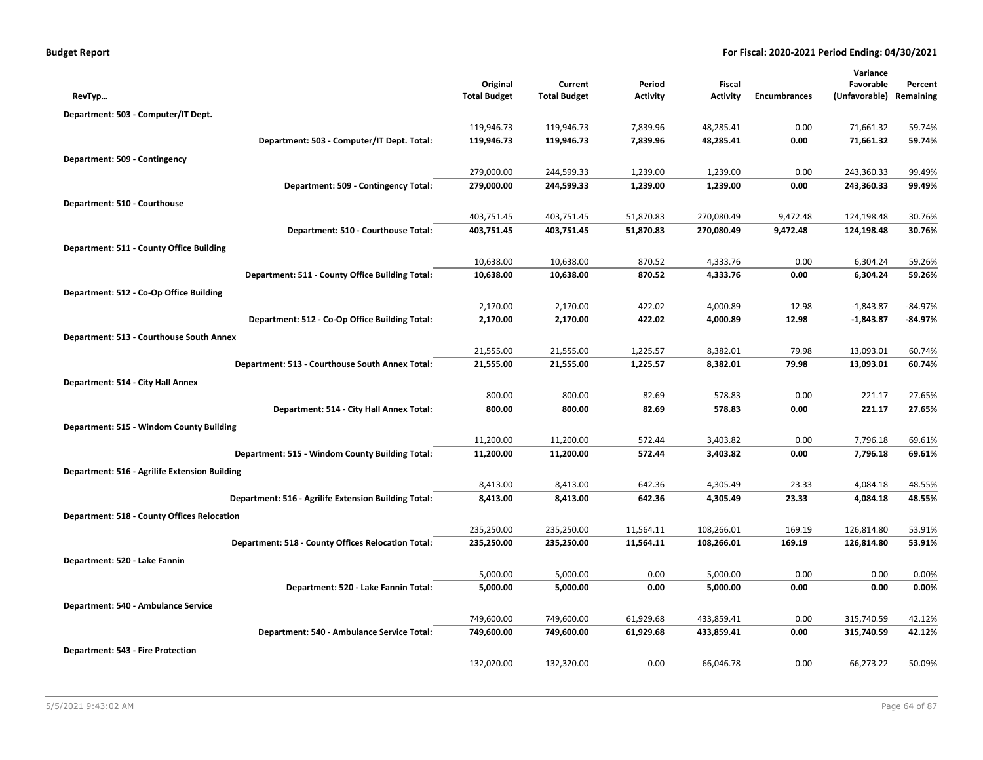|                                                      | Original            | Current             | Period          | Fiscal          |                     | Variance<br>Favorable   | Percent |
|------------------------------------------------------|---------------------|---------------------|-----------------|-----------------|---------------------|-------------------------|---------|
| RevTyp                                               | <b>Total Budget</b> | <b>Total Budget</b> | <b>Activity</b> | <b>Activity</b> | <b>Encumbrances</b> | (Unfavorable) Remaining |         |
| Department: 503 - Computer/IT Dept.                  |                     |                     |                 |                 |                     |                         |         |
|                                                      | 119,946.73          | 119,946.73          | 7,839.96        | 48,285.41       | 0.00                | 71,661.32               | 59.74%  |
| Department: 503 - Computer/IT Dept. Total:           | 119,946.73          | 119,946.73          | 7,839.96        | 48,285.41       | 0.00                | 71,661.32               | 59.74%  |
| Department: 509 - Contingency                        |                     |                     |                 |                 |                     |                         |         |
|                                                      | 279,000.00          | 244,599.33          | 1,239.00        | 1,239.00        | 0.00                | 243,360.33              | 99.49%  |
| Department: 509 - Contingency Total:                 | 279,000.00          | 244,599.33          | 1,239.00        | 1,239.00        | 0.00                | 243,360.33              | 99.49%  |
| Department: 510 - Courthouse                         |                     |                     |                 |                 |                     |                         |         |
|                                                      | 403,751.45          | 403,751.45          | 51,870.83       | 270,080.49      | 9,472.48            | 124,198.48              | 30.76%  |
| Department: 510 - Courthouse Total:                  | 403,751.45          | 403,751.45          | 51,870.83       | 270,080.49      | 9,472.48            | 124,198.48              | 30.76%  |
| Department: 511 - County Office Building             |                     |                     |                 |                 |                     |                         |         |
|                                                      | 10,638.00           | 10,638.00           | 870.52          | 4,333.76        | 0.00                | 6,304.24                | 59.26%  |
| Department: 511 - County Office Building Total:      | 10,638.00           | 10,638.00           | 870.52          | 4,333.76        | 0.00                | 6,304.24                | 59.26%  |
| Department: 512 - Co-Op Office Building              |                     |                     |                 |                 |                     |                         |         |
|                                                      | 2,170.00            | 2,170.00            | 422.02          | 4,000.89        | 12.98               | $-1,843.87$             | -84.97% |
| Department: 512 - Co-Op Office Building Total:       | 2,170.00            | 2,170.00            | 422.02          | 4,000.89        | 12.98               | $-1,843.87$             | -84.97% |
| Department: 513 - Courthouse South Annex             |                     |                     |                 |                 |                     |                         |         |
|                                                      | 21,555.00           | 21,555.00           | 1,225.57        | 8,382.01        | 79.98               | 13,093.01               | 60.74%  |
| Department: 513 - Courthouse South Annex Total:      | 21,555.00           | 21,555.00           | 1,225.57        | 8,382.01        | 79.98               | 13,093.01               | 60.74%  |
| Department: 514 - City Hall Annex                    |                     |                     |                 |                 |                     |                         |         |
|                                                      | 800.00              | 800.00              | 82.69           | 578.83          | 0.00                | 221.17                  | 27.65%  |
| Department: 514 - City Hall Annex Total:             | 800.00              | 800.00              | 82.69           | 578.83          | 0.00                | 221.17                  | 27.65%  |
| Department: 515 - Windom County Building             |                     |                     |                 |                 |                     |                         |         |
|                                                      | 11,200.00           | 11,200.00           | 572.44          | 3,403.82        | 0.00                | 7,796.18                | 69.61%  |
| Department: 515 - Windom County Building Total:      | 11,200.00           | 11,200.00           | 572.44          | 3,403.82        | 0.00                | 7,796.18                | 69.61%  |
| Department: 516 - Agrilife Extension Building        |                     |                     |                 |                 |                     |                         |         |
|                                                      | 8,413.00            | 8,413.00            | 642.36          | 4,305.49        | 23.33               | 4,084.18                | 48.55%  |
| Department: 516 - Agrilife Extension Building Total: | 8,413.00            | 8,413.00            | 642.36          | 4,305.49        | 23.33               | 4,084.18                | 48.55%  |
| <b>Department: 518 - County Offices Relocation</b>   |                     |                     |                 |                 |                     |                         |         |
|                                                      | 235,250.00          | 235,250.00          | 11,564.11       | 108,266.01      | 169.19              | 126,814.80              | 53.91%  |
| Department: 518 - County Offices Relocation Total:   | 235,250.00          | 235,250.00          | 11,564.11       | 108,266.01      | 169.19              | 126,814.80              | 53.91%  |
| Department: 520 - Lake Fannin                        |                     |                     |                 |                 |                     |                         |         |
|                                                      | 5,000.00            | 5,000.00            | 0.00            | 5,000.00        | 0.00                | 0.00                    | 0.00%   |
| Department: 520 - Lake Fannin Total:                 | 5,000.00            | 5,000.00            | 0.00            | 5,000.00        | 0.00                | 0.00                    | 0.00%   |
| Department: 540 - Ambulance Service                  |                     |                     |                 |                 |                     |                         |         |
|                                                      | 749,600.00          | 749,600.00          | 61,929.68       | 433,859.41      | 0.00                | 315,740.59              | 42.12%  |
| Department: 540 - Ambulance Service Total:           | 749,600.00          | 749,600.00          | 61,929.68       | 433,859.41      | 0.00                | 315,740.59              | 42.12%  |
| <b>Department: 543 - Fire Protection</b>             |                     |                     |                 |                 |                     |                         |         |
|                                                      | 132,020.00          | 132,320.00          | 0.00            | 66,046.78       | 0.00                | 66,273.22               | 50.09%  |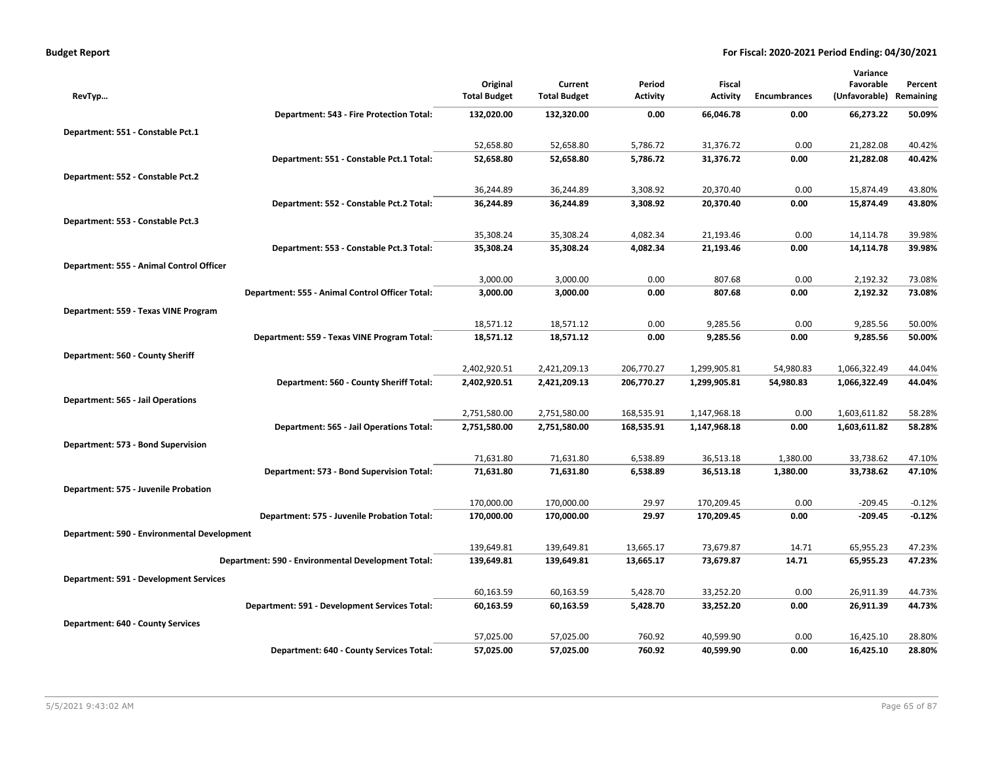|                                               |                                                    |                                 |                                |                           |                              |                        | Variance                     |                      |
|-----------------------------------------------|----------------------------------------------------|---------------------------------|--------------------------------|---------------------------|------------------------------|------------------------|------------------------------|----------------------|
| RevTyp                                        |                                                    | Original<br><b>Total Budget</b> | Current<br><b>Total Budget</b> | Period<br><b>Activity</b> | Fiscal<br><b>Activity</b>    | <b>Encumbrances</b>    | Favorable<br>(Unfavorable)   | Percent<br>Remaining |
|                                               | Department: 543 - Fire Protection Total:           | 132,020.00                      | 132,320.00                     | 0.00                      | 66,046.78                    | 0.00                   | 66,273.22                    | 50.09%               |
| Department: 551 - Constable Pct.1             |                                                    |                                 |                                |                           |                              |                        |                              |                      |
|                                               |                                                    | 52,658.80                       | 52,658.80                      | 5,786.72                  | 31,376.72                    | 0.00                   | 21,282.08                    | 40.42%               |
|                                               | Department: 551 - Constable Pct.1 Total:           | 52,658.80                       | 52,658.80                      | 5,786.72                  | 31,376.72                    | 0.00                   | 21,282.08                    | 40.42%               |
| Department: 552 - Constable Pct.2             |                                                    |                                 |                                |                           |                              |                        |                              |                      |
|                                               |                                                    | 36,244.89                       | 36,244.89                      | 3,308.92                  | 20,370.40                    | 0.00                   | 15,874.49                    | 43.80%               |
|                                               | Department: 552 - Constable Pct.2 Total:           | 36,244.89                       | 36,244.89                      | 3,308.92                  | 20,370.40                    | 0.00                   | 15,874.49                    | 43.80%               |
| Department: 553 - Constable Pct.3             |                                                    |                                 |                                |                           |                              |                        |                              |                      |
|                                               |                                                    | 35,308.24                       | 35,308.24                      | 4,082.34                  | 21,193.46                    | 0.00                   | 14,114.78                    | 39.98%               |
|                                               | Department: 553 - Constable Pct.3 Total:           | 35,308.24                       | 35,308.24                      | 4,082.34                  | 21,193.46                    | 0.00                   | 14,114.78                    | 39.98%               |
| Department: 555 - Animal Control Officer      |                                                    |                                 |                                |                           |                              |                        |                              |                      |
|                                               |                                                    | 3,000.00                        | 3,000.00                       | 0.00                      | 807.68                       | 0.00                   | 2,192.32                     | 73.08%               |
|                                               | Department: 555 - Animal Control Officer Total:    | 3,000.00                        | 3,000.00                       | 0.00                      | 807.68                       | 0.00                   | 2,192.32                     | 73.08%               |
| Department: 559 - Texas VINE Program          |                                                    |                                 |                                |                           |                              |                        |                              |                      |
|                                               | Department: 559 - Texas VINE Program Total:        | 18,571.12<br>18,571.12          | 18,571.12<br>18,571.12         | 0.00<br>0.00              | 9,285.56<br>9,285.56         | 0.00<br>0.00           | 9,285.56<br>9,285.56         | 50.00%<br>50.00%     |
|                                               |                                                    |                                 |                                |                           |                              |                        |                              |                      |
| Department: 560 - County Sheriff              |                                                    |                                 | 2,421,209.13                   |                           |                              |                        |                              | 44.04%               |
|                                               | Department: 560 - County Sheriff Total:            | 2,402,920.51<br>2,402,920.51    | 2,421,209.13                   | 206,770.27<br>206,770.27  | 1,299,905.81<br>1,299,905.81 | 54,980.83<br>54,980.83 | 1,066,322.49<br>1,066,322.49 | 44.04%               |
|                                               |                                                    |                                 |                                |                           |                              |                        |                              |                      |
| Department: 565 - Jail Operations             |                                                    | 2,751,580.00                    | 2,751,580.00                   | 168,535.91                | 1,147,968.18                 | 0.00                   | 1,603,611.82                 | 58.28%               |
|                                               | Department: 565 - Jail Operations Total:           | 2,751,580.00                    | 2,751,580.00                   | 168,535.91                | 1,147,968.18                 | 0.00                   | 1,603,611.82                 | 58.28%               |
| Department: 573 - Bond Supervision            |                                                    |                                 |                                |                           |                              |                        |                              |                      |
|                                               |                                                    | 71,631.80                       | 71,631.80                      | 6,538.89                  | 36,513.18                    | 1,380.00               | 33,738.62                    | 47.10%               |
|                                               | Department: 573 - Bond Supervision Total:          | 71,631.80                       | 71,631.80                      | 6,538.89                  | 36,513.18                    | 1,380.00               | 33,738.62                    | 47.10%               |
| Department: 575 - Juvenile Probation          |                                                    |                                 |                                |                           |                              |                        |                              |                      |
|                                               |                                                    | 170,000.00                      | 170,000.00                     | 29.97                     | 170,209.45                   | 0.00                   | $-209.45$                    | $-0.12%$             |
|                                               | Department: 575 - Juvenile Probation Total:        | 170,000.00                      | 170,000.00                     | 29.97                     | 170,209.45                   | 0.00                   | $-209.45$                    | $-0.12%$             |
| Department: 590 - Environmental Development   |                                                    |                                 |                                |                           |                              |                        |                              |                      |
|                                               |                                                    | 139,649.81                      | 139,649.81                     | 13,665.17                 | 73,679.87                    | 14.71                  | 65,955.23                    | 47.23%               |
|                                               | Department: 590 - Environmental Development Total: | 139,649.81                      | 139,649.81                     | 13,665.17                 | 73,679.87                    | 14.71                  | 65,955.23                    | 47.23%               |
| <b>Department: 591 - Development Services</b> |                                                    |                                 |                                |                           |                              |                        |                              |                      |
|                                               |                                                    | 60,163.59                       | 60,163.59                      | 5,428.70                  | 33,252.20                    | 0.00                   | 26,911.39                    | 44.73%               |
|                                               | Department: 591 - Development Services Total:      | 60,163.59                       | 60,163.59                      | 5,428.70                  | 33,252.20                    | 0.00                   | 26,911.39                    | 44.73%               |
| <b>Department: 640 - County Services</b>      |                                                    |                                 |                                |                           |                              |                        |                              |                      |
|                                               |                                                    | 57,025.00                       | 57,025.00                      | 760.92                    | 40,599.90                    | 0.00                   | 16,425.10                    | 28.80%               |
|                                               | Department: 640 - County Services Total:           | 57,025.00                       | 57,025.00                      | 760.92                    | 40,599.90                    | 0.00                   | 16,425.10                    | 28.80%               |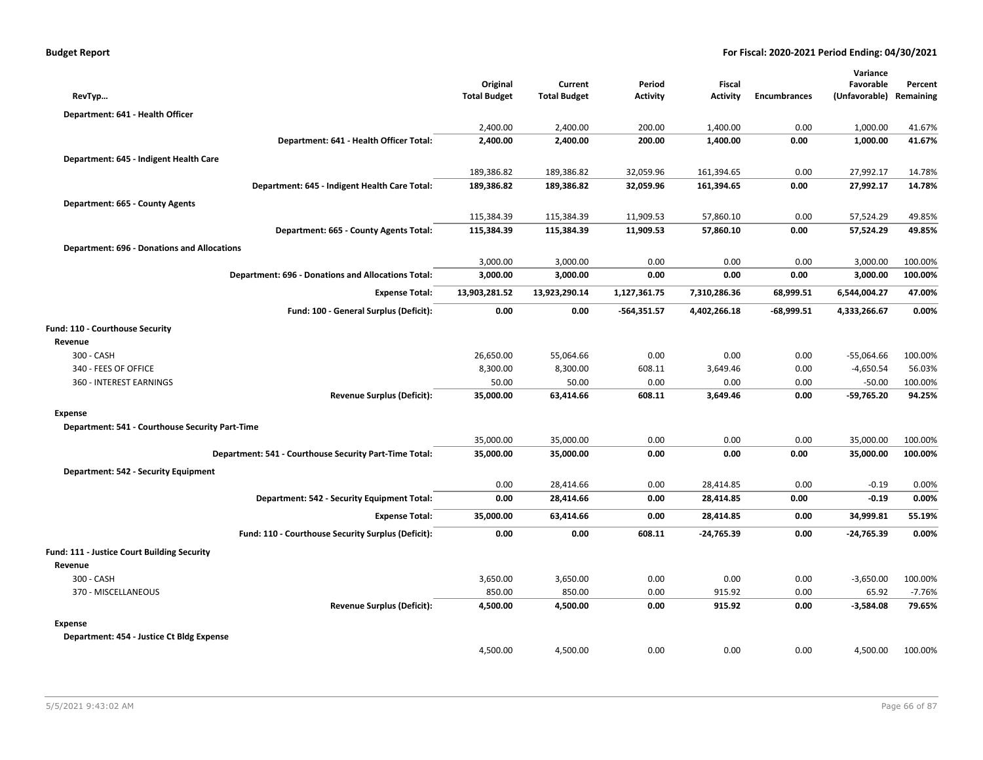|                                                    |                                                           |                                 |                                |                    |                                  |                     | Variance                   |                      |
|----------------------------------------------------|-----------------------------------------------------------|---------------------------------|--------------------------------|--------------------|----------------------------------|---------------------|----------------------------|----------------------|
| RevTyp                                             |                                                           | Original<br><b>Total Budget</b> | Current<br><b>Total Budget</b> | Period<br>Activity | <b>Fiscal</b><br><b>Activity</b> | <b>Encumbrances</b> | Favorable<br>(Unfavorable) | Percent<br>Remaining |
|                                                    |                                                           |                                 |                                |                    |                                  |                     |                            |                      |
| Department: 641 - Health Officer                   |                                                           | 2,400.00                        | 2,400.00                       | 200.00             |                                  | 0.00                | 1,000.00                   |                      |
|                                                    | Department: 641 - Health Officer Total:                   | 2,400.00                        | 2,400.00                       | 200.00             | 1,400.00<br>1,400.00             | 0.00                | 1,000.00                   | 41.67%<br>41.67%     |
|                                                    |                                                           |                                 |                                |                    |                                  |                     |                            |                      |
| Department: 645 - Indigent Health Care             |                                                           |                                 |                                |                    |                                  |                     |                            |                      |
|                                                    |                                                           | 189,386.82                      | 189,386.82                     | 32,059.96          | 161,394.65                       | 0.00                | 27,992.17                  | 14.78%               |
|                                                    | Department: 645 - Indigent Health Care Total:             | 189,386.82                      | 189,386.82                     | 32,059.96          | 161,394.65                       | 0.00                | 27,992.17                  | 14.78%               |
| Department: 665 - County Agents                    |                                                           |                                 |                                |                    |                                  |                     |                            |                      |
|                                                    |                                                           | 115,384.39                      | 115,384.39                     | 11,909.53          | 57,860.10                        | 0.00                | 57,524.29                  | 49.85%               |
|                                                    | Department: 665 - County Agents Total:                    | 115,384.39                      | 115,384.39                     | 11,909.53          | 57,860.10                        | 0.00                | 57,524.29                  | 49.85%               |
| <b>Department: 696 - Donations and Allocations</b> |                                                           |                                 |                                |                    |                                  |                     |                            |                      |
|                                                    |                                                           | 3,000.00                        | 3,000.00                       | 0.00               | 0.00                             | 0.00                | 3,000.00                   | 100.00%              |
|                                                    | <b>Department: 696 - Donations and Allocations Total:</b> | 3,000.00                        | 3,000.00                       | 0.00               | 0.00                             | 0.00                | 3,000.00                   | 100.00%              |
|                                                    | <b>Expense Total:</b>                                     | 13,903,281.52                   | 13,923,290.14                  | 1,127,361.75       | 7,310,286.36                     | 68,999.51           | 6,544,004.27               | 47.00%               |
|                                                    | Fund: 100 - General Surplus (Deficit):                    | 0.00                            | 0.00                           | $-564,351.57$      | 4,402,266.18                     | $-68,999.51$        | 4,333,266.67               | 0.00%                |
| Fund: 110 - Courthouse Security                    |                                                           |                                 |                                |                    |                                  |                     |                            |                      |
| Revenue                                            |                                                           |                                 |                                |                    |                                  |                     |                            |                      |
| 300 - CASH                                         |                                                           | 26,650.00                       | 55,064.66                      | 0.00               | 0.00                             | 0.00                | $-55,064.66$               | 100.00%              |
| 340 - FEES OF OFFICE                               |                                                           | 8,300.00                        | 8,300.00                       | 608.11             | 3,649.46                         | 0.00                | $-4,650.54$                | 56.03%               |
| 360 - INTEREST EARNINGS                            |                                                           | 50.00                           | 50.00                          | 0.00               | 0.00                             | 0.00                | $-50.00$                   | 100.00%              |
|                                                    | <b>Revenue Surplus (Deficit):</b>                         | 35,000.00                       | 63,414.66                      | 608.11             | 3,649.46                         | 0.00                | $-59,765.20$               | 94.25%               |
| <b>Expense</b>                                     |                                                           |                                 |                                |                    |                                  |                     |                            |                      |
| Department: 541 - Courthouse Security Part-Time    |                                                           |                                 |                                |                    |                                  |                     |                            |                      |
|                                                    |                                                           | 35,000.00                       | 35,000.00                      | 0.00               | 0.00                             | 0.00                | 35,000.00                  | 100.00%              |
|                                                    | Department: 541 - Courthouse Security Part-Time Total:    | 35,000.00                       | 35,000.00                      | 0.00               | 0.00                             | 0.00                | 35,000.00                  | 100.00%              |
| Department: 542 - Security Equipment               |                                                           |                                 |                                |                    |                                  |                     |                            |                      |
|                                                    |                                                           | 0.00                            | 28,414.66                      | 0.00               | 28,414.85                        | 0.00                | $-0.19$                    | 0.00%                |
|                                                    | Department: 542 - Security Equipment Total:               | 0.00                            | 28,414.66                      | 0.00               | 28,414.85                        | 0.00                | $-0.19$                    | 0.00%                |
|                                                    | <b>Expense Total:</b>                                     | 35,000.00                       | 63,414.66                      | 0.00               | 28,414.85                        | 0.00                | 34,999.81                  | 55.19%               |
|                                                    | Fund: 110 - Courthouse Security Surplus (Deficit):        | 0.00                            | 0.00                           | 608.11             | $-24,765.39$                     | 0.00                | $-24,765.39$               | 0.00%                |
| Fund: 111 - Justice Court Building Security        |                                                           |                                 |                                |                    |                                  |                     |                            |                      |
| Revenue                                            |                                                           |                                 |                                |                    |                                  |                     |                            |                      |
| 300 - CASH                                         |                                                           | 3,650.00                        | 3,650.00                       | 0.00               | 0.00                             | 0.00                | $-3,650.00$                | 100.00%              |
| 370 - MISCELLANEOUS                                |                                                           | 850.00                          | 850.00                         | 0.00               | 915.92                           | 0.00                | 65.92                      | $-7.76%$             |
|                                                    | <b>Revenue Surplus (Deficit):</b>                         | 4,500.00                        | 4,500.00                       | 0.00               | 915.92                           | 0.00                | $-3,584.08$                | 79.65%               |
| Expense                                            |                                                           |                                 |                                |                    |                                  |                     |                            |                      |
| Department: 454 - Justice Ct Bldg Expense          |                                                           |                                 |                                |                    |                                  |                     |                            |                      |
|                                                    |                                                           | 4,500.00                        | 4,500.00                       | 0.00               | 0.00                             | 0.00                | 4,500.00                   | 100.00%              |
|                                                    |                                                           |                                 |                                |                    |                                  |                     |                            |                      |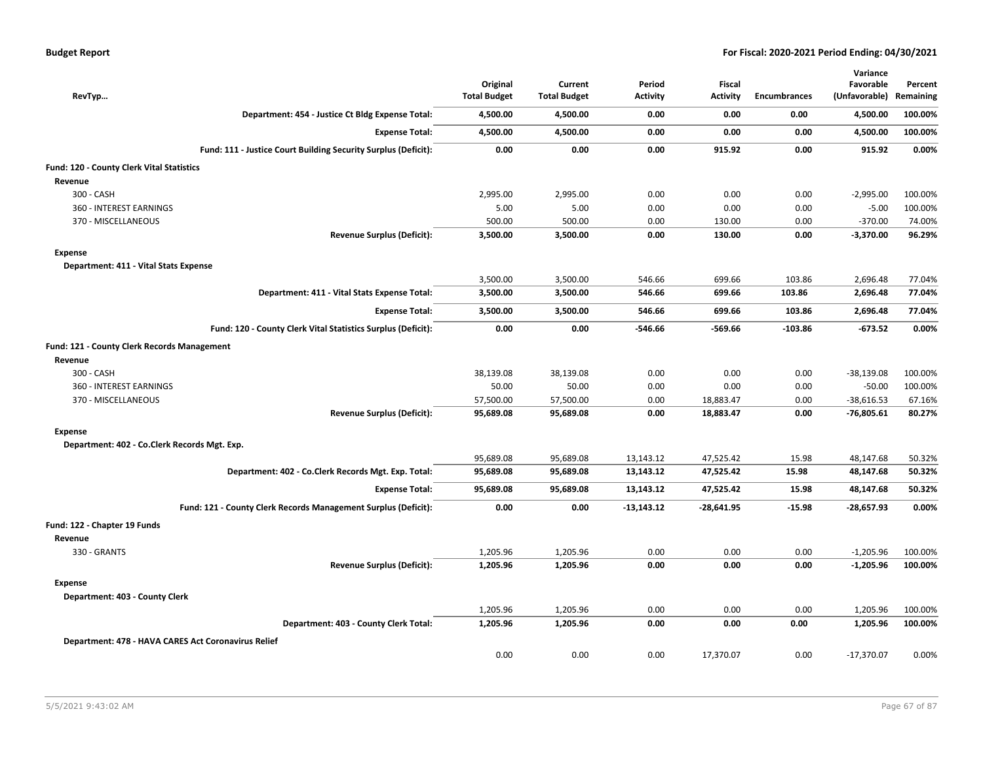| RevTyp                                              |                                                                | Original<br><b>Total Budget</b> | Current<br><b>Total Budget</b> | Period<br><b>Activity</b> | Fiscal<br><b>Activity</b> | <b>Encumbrances</b> | Variance<br>Favorable<br>(Unfavorable) | Percent<br>Remaining |
|-----------------------------------------------------|----------------------------------------------------------------|---------------------------------|--------------------------------|---------------------------|---------------------------|---------------------|----------------------------------------|----------------------|
|                                                     | Department: 454 - Justice Ct Bldg Expense Total:               | 4,500.00                        | 4,500.00                       | 0.00                      | 0.00                      | 0.00                | 4,500.00                               | 100.00%              |
|                                                     | <b>Expense Total:</b>                                          | 4,500.00                        | 4,500.00                       | 0.00                      | 0.00                      | 0.00                | 4,500.00                               | 100.00%              |
|                                                     | Fund: 111 - Justice Court Building Security Surplus (Deficit): | 0.00                            | 0.00                           | 0.00                      | 915.92                    | 0.00                | 915.92                                 | 0.00%                |
| Fund: 120 - County Clerk Vital Statistics           |                                                                |                                 |                                |                           |                           |                     |                                        |                      |
| Revenue                                             |                                                                |                                 |                                |                           |                           |                     |                                        |                      |
| 300 - CASH                                          |                                                                | 2,995.00                        | 2,995.00                       | 0.00                      | 0.00                      | 0.00                | $-2,995.00$                            | 100.00%              |
| 360 - INTEREST EARNINGS                             |                                                                | 5.00                            | 5.00                           | 0.00                      | 0.00                      | 0.00                | $-5.00$                                | 100.00%              |
| 370 - MISCELLANEOUS                                 |                                                                | 500.00                          | 500.00                         | 0.00                      | 130.00                    | 0.00                | $-370.00$                              | 74.00%               |
|                                                     | <b>Revenue Surplus (Deficit):</b>                              | 3,500.00                        | 3,500.00                       | 0.00                      | 130.00                    | 0.00                | $-3,370.00$                            | 96.29%               |
| Expense                                             |                                                                |                                 |                                |                           |                           |                     |                                        |                      |
| Department: 411 - Vital Stats Expense               |                                                                |                                 |                                |                           |                           |                     |                                        |                      |
|                                                     |                                                                | 3,500.00                        | 3,500.00                       | 546.66                    | 699.66                    | 103.86              | 2,696.48                               | 77.04%               |
|                                                     | Department: 411 - Vital Stats Expense Total:                   | 3,500.00                        | 3,500.00                       | 546.66                    | 699.66                    | 103.86              | 2,696.48                               | 77.04%               |
|                                                     | <b>Expense Total:</b>                                          | 3,500.00                        | 3,500.00                       | 546.66                    | 699.66                    | 103.86              | 2,696.48                               | 77.04%               |
|                                                     | Fund: 120 - County Clerk Vital Statistics Surplus (Deficit):   | 0.00                            | 0.00                           | -546.66                   | -569.66                   | -103.86             | $-673.52$                              | 0.00%                |
| Fund: 121 - County Clerk Records Management         |                                                                |                                 |                                |                           |                           |                     |                                        |                      |
| Revenue                                             |                                                                |                                 |                                |                           |                           |                     |                                        |                      |
| 300 - CASH                                          |                                                                | 38,139.08                       | 38,139.08                      | 0.00                      | 0.00                      | 0.00                | $-38,139.08$                           | 100.00%              |
| 360 - INTEREST EARNINGS                             |                                                                | 50.00                           | 50.00                          | 0.00                      | 0.00                      | 0.00                | $-50.00$                               | 100.00%              |
| 370 - MISCELLANEOUS                                 |                                                                | 57,500.00                       | 57,500.00                      | 0.00                      | 18,883.47                 | 0.00                | $-38,616.53$                           | 67.16%               |
|                                                     | <b>Revenue Surplus (Deficit):</b>                              | 95,689.08                       | 95,689.08                      | 0.00                      | 18,883.47                 | 0.00                | $-76,805.61$                           | 80.27%               |
| <b>Expense</b>                                      |                                                                |                                 |                                |                           |                           |                     |                                        |                      |
| Department: 402 - Co.Clerk Records Mgt. Exp.        |                                                                |                                 |                                |                           |                           |                     |                                        |                      |
|                                                     |                                                                | 95,689.08                       | 95,689.08                      | 13,143.12                 | 47,525.42                 | 15.98               | 48,147.68                              | 50.32%               |
|                                                     | Department: 402 - Co.Clerk Records Mgt. Exp. Total:            | 95,689.08                       | 95,689.08                      | 13,143.12                 | 47,525.42                 | 15.98               | 48,147.68                              | 50.32%               |
|                                                     | <b>Expense Total:</b>                                          | 95,689.08                       | 95,689.08                      | 13,143.12                 | 47,525.42                 | 15.98               | 48,147.68                              | 50.32%               |
|                                                     | Fund: 121 - County Clerk Records Management Surplus (Deficit): | 0.00                            | 0.00                           | $-13,143.12$              | $-28,641.95$              | $-15.98$            | $-28,657.93$                           | 0.00%                |
| Fund: 122 - Chapter 19 Funds                        |                                                                |                                 |                                |                           |                           |                     |                                        |                      |
| Revenue                                             |                                                                |                                 |                                |                           |                           |                     |                                        |                      |
| 330 - GRANTS                                        |                                                                | 1,205.96                        | 1,205.96                       | 0.00                      | 0.00                      | 0.00                | $-1,205.96$                            | 100.00%              |
|                                                     | <b>Revenue Surplus (Deficit):</b>                              | 1,205.96                        | 1,205.96                       | 0.00                      | 0.00                      | 0.00                | $-1,205.96$                            | 100.00%              |
| <b>Expense</b>                                      |                                                                |                                 |                                |                           |                           |                     |                                        |                      |
| Department: 403 - County Clerk                      |                                                                |                                 |                                |                           |                           |                     |                                        |                      |
|                                                     |                                                                | 1,205.96                        | 1,205.96                       | 0.00                      | 0.00                      | 0.00                | 1,205.96                               | 100.00%              |
|                                                     | Department: 403 - County Clerk Total:                          | 1,205.96                        | 1,205.96                       | 0.00                      | 0.00                      | 0.00                | 1,205.96                               | 100.00%              |
| Department: 478 - HAVA CARES Act Coronavirus Relief |                                                                |                                 |                                |                           |                           |                     |                                        |                      |
|                                                     |                                                                | 0.00                            | 0.00                           | 0.00                      | 17,370.07                 | 0.00                | $-17,370.07$                           | 0.00%                |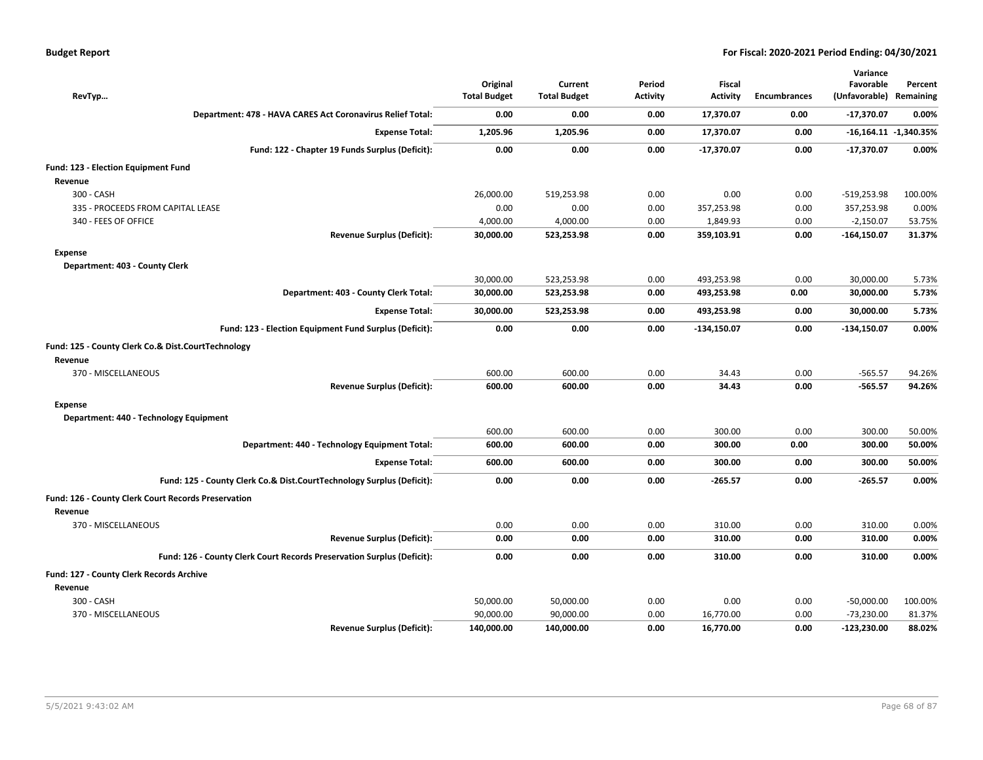| RevTyp                                                                 | Original<br><b>Total Budget</b> | Current<br><b>Total Budget</b> | Period<br><b>Activity</b> | <b>Fiscal</b><br><b>Activity</b> | <b>Encumbrances</b> | Variance<br>Favorable<br>(Unfavorable) | Percent<br>Remaining    |
|------------------------------------------------------------------------|---------------------------------|--------------------------------|---------------------------|----------------------------------|---------------------|----------------------------------------|-------------------------|
| Department: 478 - HAVA CARES Act Coronavirus Relief Total:             | 0.00                            | 0.00                           | 0.00                      | 17,370.07                        | 0.00                | $-17,370.07$                           | 0.00%                   |
| <b>Expense Total:</b>                                                  | 1,205.96                        | 1,205.96                       | 0.00                      | 17,370.07                        | 0.00                |                                        | $-16,164.11 -1,340.35%$ |
| Fund: 122 - Chapter 19 Funds Surplus (Deficit):                        | 0.00                            | 0.00                           | 0.00                      | $-17,370.07$                     | 0.00                | $-17,370.07$                           | 0.00%                   |
| Fund: 123 - Election Equipment Fund<br>Revenue                         |                                 |                                |                           |                                  |                     |                                        |                         |
| 300 - CASH                                                             | 26,000.00                       | 519,253.98                     | 0.00                      | 0.00                             | 0.00                | $-519,253.98$                          | 100.00%                 |
| 335 - PROCEEDS FROM CAPITAL LEASE                                      | 0.00                            | 0.00                           | 0.00                      | 357,253.98                       | 0.00                | 357,253.98                             | 0.00%                   |
| 340 - FEES OF OFFICE                                                   | 4,000.00                        | 4,000.00                       | 0.00                      | 1,849.93                         | 0.00                | $-2,150.07$                            | 53.75%                  |
| <b>Revenue Surplus (Deficit):</b>                                      | 30,000.00                       | 523,253.98                     | 0.00                      | 359,103.91                       | 0.00                | $-164, 150.07$                         | 31.37%                  |
| <b>Expense</b><br>Department: 403 - County Clerk                       |                                 |                                |                           |                                  |                     |                                        |                         |
|                                                                        | 30,000.00                       | 523,253.98                     | 0.00                      | 493,253.98                       | 0.00                | 30,000.00                              | 5.73%                   |
| Department: 403 - County Clerk Total:                                  | 30,000.00                       | 523,253.98                     | 0.00                      | 493,253.98                       | 0.00                | 30,000.00                              | 5.73%                   |
| <b>Expense Total:</b>                                                  | 30,000.00                       | 523,253.98                     | 0.00                      | 493,253.98                       | 0.00                | 30,000.00                              | 5.73%                   |
| Fund: 123 - Election Equipment Fund Surplus (Deficit):                 | 0.00                            | 0.00                           | 0.00                      | $-134,150.07$                    | 0.00                | -134,150.07                            | 0.00%                   |
| Fund: 125 - County Clerk Co.& Dist.CourtTechnology<br>Revenue          |                                 |                                |                           |                                  |                     |                                        |                         |
| 370 - MISCELLANEOUS                                                    | 600.00                          | 600.00                         | 0.00                      | 34.43                            | 0.00                | $-565.57$                              | 94.26%                  |
| <b>Revenue Surplus (Deficit):</b>                                      | 600.00                          | 600.00                         | 0.00                      | 34.43                            | 0.00                | $-565.57$                              | 94.26%                  |
| <b>Expense</b>                                                         |                                 |                                |                           |                                  |                     |                                        |                         |
| Department: 440 - Technology Equipment                                 |                                 |                                |                           |                                  |                     |                                        |                         |
|                                                                        | 600.00                          | 600.00                         | 0.00                      | 300.00                           | 0.00                | 300.00                                 | 50.00%                  |
| Department: 440 - Technology Equipment Total:                          | 600.00                          | 600.00                         | 0.00                      | 300.00                           | 0.00                | 300.00                                 | 50.00%                  |
| <b>Expense Total:</b>                                                  | 600.00                          | 600.00                         | 0.00                      | 300.00                           | 0.00                | 300.00                                 | 50.00%                  |
| Fund: 125 - County Clerk Co.& Dist.CourtTechnology Surplus (Deficit):  | 0.00                            | 0.00                           | 0.00                      | $-265.57$                        | 0.00                | $-265.57$                              | 0.00%                   |
| Fund: 126 - County Clerk Court Records Preservation<br>Revenue         |                                 |                                |                           |                                  |                     |                                        |                         |
| 370 - MISCELLANEOUS                                                    | 0.00                            | 0.00                           | 0.00                      | 310.00                           | 0.00                | 310.00                                 | 0.00%                   |
| <b>Revenue Surplus (Deficit):</b>                                      | 0.00                            | 0.00                           | 0.00                      | 310.00                           | 0.00                | 310.00                                 | 0.00%                   |
| Fund: 126 - County Clerk Court Records Preservation Surplus (Deficit): | 0.00                            | 0.00                           | 0.00                      | 310.00                           | 0.00                | 310.00                                 | 0.00%                   |
| Fund: 127 - County Clerk Records Archive                               |                                 |                                |                           |                                  |                     |                                        |                         |
| Revenue                                                                |                                 |                                |                           |                                  |                     |                                        |                         |
| 300 - CASH                                                             | 50,000.00                       | 50,000.00                      | 0.00                      | 0.00                             | 0.00                | $-50,000.00$                           | 100.00%                 |
| 370 - MISCELLANEOUS                                                    | 90,000.00                       | 90,000.00                      | 0.00                      | 16,770.00                        | 0.00                | $-73,230.00$                           | 81.37%                  |
| <b>Revenue Surplus (Deficit):</b>                                      | 140,000.00                      | 140,000.00                     | 0.00                      | 16,770.00                        | 0.00                | -123,230.00                            | 88.02%                  |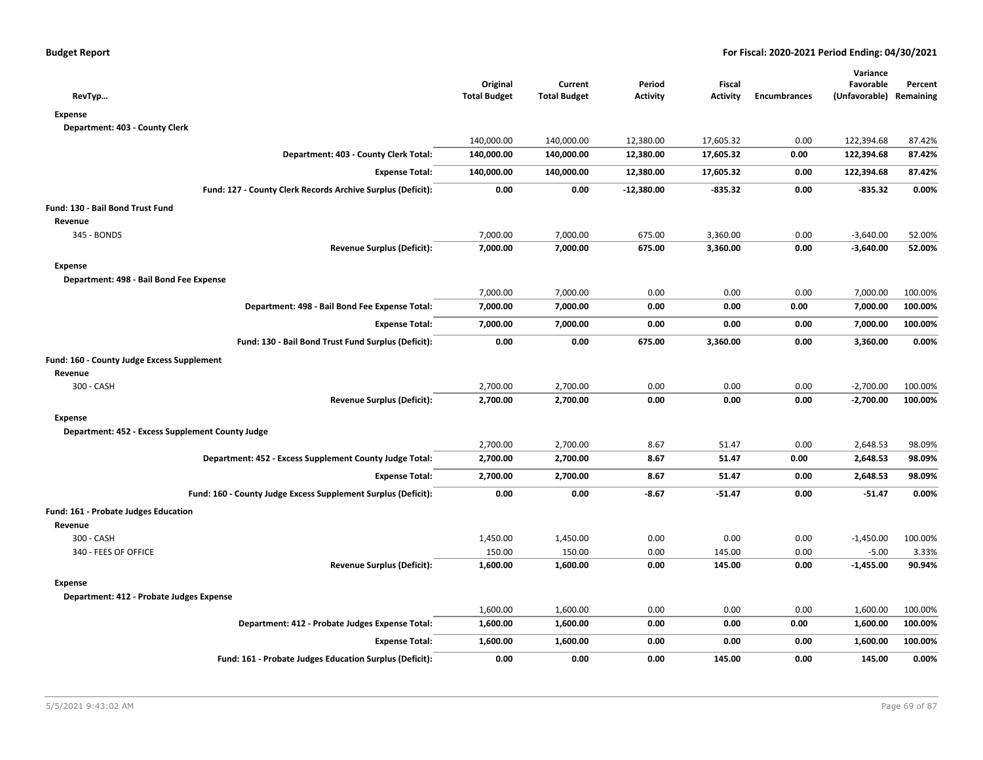| RevTyp                                                        | Original<br><b>Total Budget</b> | Current<br><b>Total Budget</b> | Period<br><b>Activity</b> | Fiscal<br><b>Activity</b> | <b>Encumbrances</b> | Variance<br>Favorable<br>(Unfavorable) Remaining | Percent |
|---------------------------------------------------------------|---------------------------------|--------------------------------|---------------------------|---------------------------|---------------------|--------------------------------------------------|---------|
| <b>Expense</b>                                                |                                 |                                |                           |                           |                     |                                                  |         |
| Department: 403 - County Clerk                                |                                 |                                |                           |                           |                     |                                                  |         |
|                                                               | 140,000.00                      | 140,000.00                     | 12,380.00                 | 17,605.32                 | 0.00                | 122,394.68                                       | 87.42%  |
| Department: 403 - County Clerk Total:                         | 140,000.00                      | 140,000.00                     | 12,380.00                 | 17,605.32                 | 0.00                | 122,394.68                                       | 87.42%  |
| <b>Expense Total:</b>                                         | 140,000.00                      | 140,000.00                     | 12,380.00                 | 17,605.32                 | 0.00                | 122,394.68                                       | 87.42%  |
| Fund: 127 - County Clerk Records Archive Surplus (Deficit):   | 0.00                            | 0.00                           | $-12,380.00$              | $-835.32$                 | 0.00                | $-835.32$                                        | 0.00%   |
| Fund: 130 - Bail Bond Trust Fund                              |                                 |                                |                           |                           |                     |                                                  |         |
| Revenue                                                       |                                 |                                |                           |                           |                     |                                                  |         |
| 345 - BONDS                                                   | 7,000.00                        | 7,000.00                       | 675.00                    | 3,360.00                  | 0.00                | $-3,640.00$                                      | 52.00%  |
| <b>Revenue Surplus (Deficit):</b>                             | 7,000.00                        | 7,000.00                       | 675.00                    | 3,360.00                  | 0.00                | $-3,640.00$                                      | 52.00%  |
| <b>Expense</b>                                                |                                 |                                |                           |                           |                     |                                                  |         |
| Department: 498 - Bail Bond Fee Expense                       |                                 |                                |                           |                           |                     |                                                  |         |
|                                                               | 7,000.00                        | 7,000.00                       | 0.00                      | 0.00                      | 0.00                | 7,000.00                                         | 100.00% |
| Department: 498 - Bail Bond Fee Expense Total:                | 7,000.00                        | 7,000.00                       | 0.00                      | 0.00                      | 0.00                | 7,000.00                                         | 100.00% |
| <b>Expense Total:</b>                                         | 7,000.00                        | 7,000.00                       | 0.00                      | 0.00                      | 0.00                | 7,000.00                                         | 100.00% |
| Fund: 130 - Bail Bond Trust Fund Surplus (Deficit):           | 0.00                            | 0.00                           | 675.00                    | 3,360.00                  | 0.00                | 3,360.00                                         | 0.00%   |
| Fund: 160 - County Judge Excess Supplement                    |                                 |                                |                           |                           |                     |                                                  |         |
| Revenue                                                       |                                 |                                |                           |                           |                     |                                                  |         |
| 300 - CASH                                                    | 2,700.00                        | 2,700.00                       | 0.00                      | 0.00                      | 0.00                | $-2,700.00$                                      | 100.00% |
| <b>Revenue Surplus (Deficit):</b>                             | 2,700.00                        | 2,700.00                       | 0.00                      | 0.00                      | 0.00                | $-2,700.00$                                      | 100.00% |
| <b>Expense</b>                                                |                                 |                                |                           |                           |                     |                                                  |         |
| Department: 452 - Excess Supplement County Judge              |                                 |                                |                           |                           |                     |                                                  |         |
|                                                               | 2,700.00                        | 2,700.00                       | 8.67                      | 51.47                     | 0.00                | 2,648.53                                         | 98.09%  |
| Department: 452 - Excess Supplement County Judge Total:       | 2,700.00                        | 2,700.00                       | 8.67                      | 51.47                     | 0.00                | 2,648.53                                         | 98.09%  |
| <b>Expense Total:</b>                                         | 2,700.00                        | 2,700.00                       | 8.67                      | 51.47                     | 0.00                | 2,648.53                                         | 98.09%  |
| Fund: 160 - County Judge Excess Supplement Surplus (Deficit): | 0.00                            | 0.00                           | $-8.67$                   | $-51.47$                  | 0.00                | $-51.47$                                         | 0.00%   |
| Fund: 161 - Probate Judges Education                          |                                 |                                |                           |                           |                     |                                                  |         |
| Revenue                                                       |                                 |                                |                           |                           |                     |                                                  |         |
| 300 - CASH                                                    | 1,450.00                        | 1,450.00                       | 0.00                      | 0.00                      | 0.00                | $-1,450.00$                                      | 100.00% |
| 340 - FEES OF OFFICE                                          | 150.00                          | 150.00                         | 0.00                      | 145.00                    | 0.00                | $-5.00$                                          | 3.33%   |
| <b>Revenue Surplus (Deficit):</b>                             | 1,600.00                        | 1,600.00                       | 0.00                      | 145.00                    | 0.00                | $-1,455.00$                                      | 90.94%  |
| <b>Expense</b>                                                |                                 |                                |                           |                           |                     |                                                  |         |
| Department: 412 - Probate Judges Expense                      |                                 |                                |                           |                           |                     |                                                  |         |
|                                                               | 1,600.00                        | 1,600.00                       | 0.00                      | 0.00                      | 0.00                | 1,600.00                                         | 100.00% |
| Department: 412 - Probate Judges Expense Total:               | 1,600.00                        | 1,600.00                       | 0.00                      | 0.00                      | 0.00                | 1,600.00                                         | 100.00% |
| <b>Expense Total:</b>                                         | 1,600.00                        | 1,600.00                       | 0.00                      | 0.00                      | 0.00                | 1,600.00                                         | 100.00% |
| Fund: 161 - Probate Judges Education Surplus (Deficit):       | 0.00                            | 0.00                           | 0.00                      | 145.00                    | 0.00                | 145.00                                           | 0.00%   |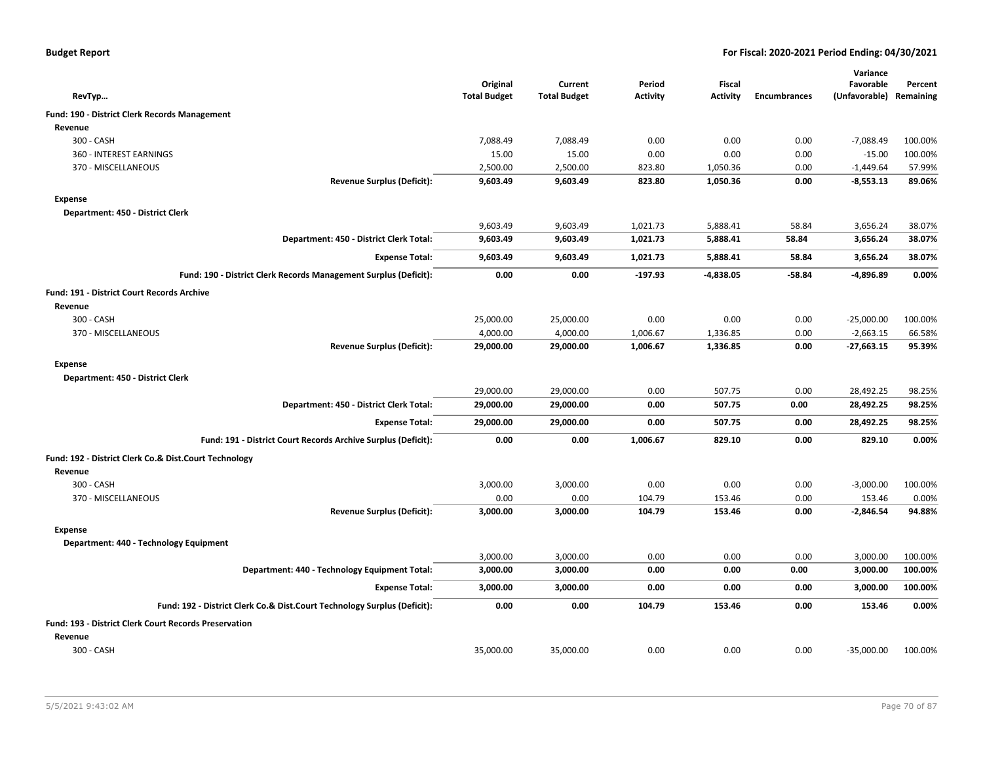|  |  |  | <b>Budget Report</b> |
|--|--|--|----------------------|
|--|--|--|----------------------|

|                                                                          |                                 |                                |                           |                           |                     | Variance                             |         |
|--------------------------------------------------------------------------|---------------------------------|--------------------------------|---------------------------|---------------------------|---------------------|--------------------------------------|---------|
| RevTyp                                                                   | Original<br><b>Total Budget</b> | Current<br><b>Total Budget</b> | Period<br><b>Activity</b> | <b>Fiscal</b><br>Activity | <b>Encumbrances</b> | Favorable<br>(Unfavorable) Remaining | Percent |
| Fund: 190 - District Clerk Records Management                            |                                 |                                |                           |                           |                     |                                      |         |
| Revenue                                                                  |                                 |                                |                           |                           |                     |                                      |         |
| 300 - CASH                                                               | 7,088.49                        | 7,088.49                       | 0.00                      | 0.00                      | 0.00                | $-7,088.49$                          | 100.00% |
| 360 - INTEREST EARNINGS                                                  | 15.00                           | 15.00                          | 0.00                      | 0.00                      | 0.00                | $-15.00$                             | 100.00% |
| 370 - MISCELLANEOUS                                                      | 2,500.00                        | 2,500.00                       | 823.80                    | 1,050.36                  | 0.00                | $-1,449.64$                          | 57.99%  |
| <b>Revenue Surplus (Deficit):</b>                                        | 9,603.49                        | 9,603.49                       | 823.80                    | 1,050.36                  | 0.00                | $-8,553.13$                          | 89.06%  |
| <b>Expense</b>                                                           |                                 |                                |                           |                           |                     |                                      |         |
| Department: 450 - District Clerk                                         |                                 |                                |                           |                           |                     |                                      |         |
|                                                                          | 9,603.49                        | 9,603.49                       | 1,021.73                  | 5,888.41                  | 58.84               | 3,656.24                             | 38.07%  |
| Department: 450 - District Clerk Total:                                  | 9,603.49                        | 9,603.49                       | 1,021.73                  | 5,888.41                  | 58.84               | 3,656.24                             | 38.07%  |
| <b>Expense Total:</b>                                                    | 9,603.49                        | 9,603.49                       | 1,021.73                  | 5,888.41                  | 58.84               | 3,656.24                             | 38.07%  |
| Fund: 190 - District Clerk Records Management Surplus (Deficit):         | 0.00                            | 0.00                           | $-197.93$                 | $-4,838.05$               | $-58.84$            | $-4,896.89$                          | 0.00%   |
| <b>Fund: 191 - District Court Records Archive</b>                        |                                 |                                |                           |                           |                     |                                      |         |
| Revenue                                                                  |                                 |                                |                           |                           |                     |                                      |         |
| 300 - CASH                                                               | 25,000.00                       | 25,000.00                      | 0.00                      | 0.00                      | 0.00                | $-25,000.00$                         | 100.00% |
| 370 - MISCELLANEOUS                                                      | 4,000.00                        | 4,000.00                       | 1,006.67                  | 1,336.85                  | 0.00                | $-2,663.15$                          | 66.58%  |
| <b>Revenue Surplus (Deficit):</b>                                        | 29,000.00                       | 29,000.00                      | 1,006.67                  | 1,336.85                  | 0.00                | $-27,663.15$                         | 95.39%  |
| <b>Expense</b>                                                           |                                 |                                |                           |                           |                     |                                      |         |
| Department: 450 - District Clerk                                         |                                 |                                |                           |                           |                     |                                      |         |
|                                                                          | 29,000.00                       | 29,000.00                      | 0.00                      | 507.75                    | 0.00                | 28,492.25                            | 98.25%  |
| Department: 450 - District Clerk Total:                                  | 29,000.00                       | 29,000.00                      | 0.00                      | 507.75                    | 0.00                | 28,492.25                            | 98.25%  |
| <b>Expense Total:</b>                                                    | 29,000.00                       | 29,000.00                      | 0.00                      | 507.75                    | 0.00                | 28,492.25                            | 98.25%  |
| Fund: 191 - District Court Records Archive Surplus (Deficit):            | 0.00                            | 0.00                           | 1,006.67                  | 829.10                    | 0.00                | 829.10                               | 0.00%   |
| Fund: 192 - District Clerk Co.& Dist.Court Technology                    |                                 |                                |                           |                           |                     |                                      |         |
| Revenue                                                                  |                                 |                                |                           |                           |                     |                                      |         |
| 300 - CASH                                                               | 3,000.00                        | 3,000.00                       | 0.00                      | 0.00                      | 0.00                | $-3,000.00$                          | 100.00% |
| 370 - MISCELLANEOUS                                                      | 0.00                            | 0.00                           | 104.79                    | 153.46                    | 0.00                | 153.46                               | 0.00%   |
| <b>Revenue Surplus (Deficit):</b>                                        | 3,000.00                        | 3,000.00                       | 104.79                    | 153.46                    | 0.00                | $-2,846.54$                          | 94.88%  |
| Expense                                                                  |                                 |                                |                           |                           |                     |                                      |         |
| Department: 440 - Technology Equipment                                   |                                 |                                |                           |                           |                     |                                      |         |
|                                                                          | 3,000.00                        | 3,000.00                       | 0.00                      | 0.00                      | 0.00                | 3,000.00                             | 100.00% |
| Department: 440 - Technology Equipment Total:                            | 3,000.00                        | 3,000.00                       | 0.00                      | 0.00                      | 0.00                | 3,000.00                             | 100.00% |
| <b>Expense Total:</b>                                                    | 3,000.00                        | 3,000.00                       | 0.00                      | 0.00                      | 0.00                | 3,000.00                             | 100.00% |
| Fund: 192 - District Clerk Co.& Dist.Court Technology Surplus (Deficit): | 0.00                            | 0.00                           | 104.79                    | 153.46                    | 0.00                | 153.46                               | 0.00%   |
| <b>Fund: 193 - District Clerk Court Records Preservation</b>             |                                 |                                |                           |                           |                     |                                      |         |
| Revenue                                                                  |                                 |                                |                           |                           |                     |                                      |         |
| 300 - CASH                                                               | 35,000.00                       | 35,000.00                      | 0.00                      | 0.00                      | 0.00                | $-35,000.00$                         | 100.00% |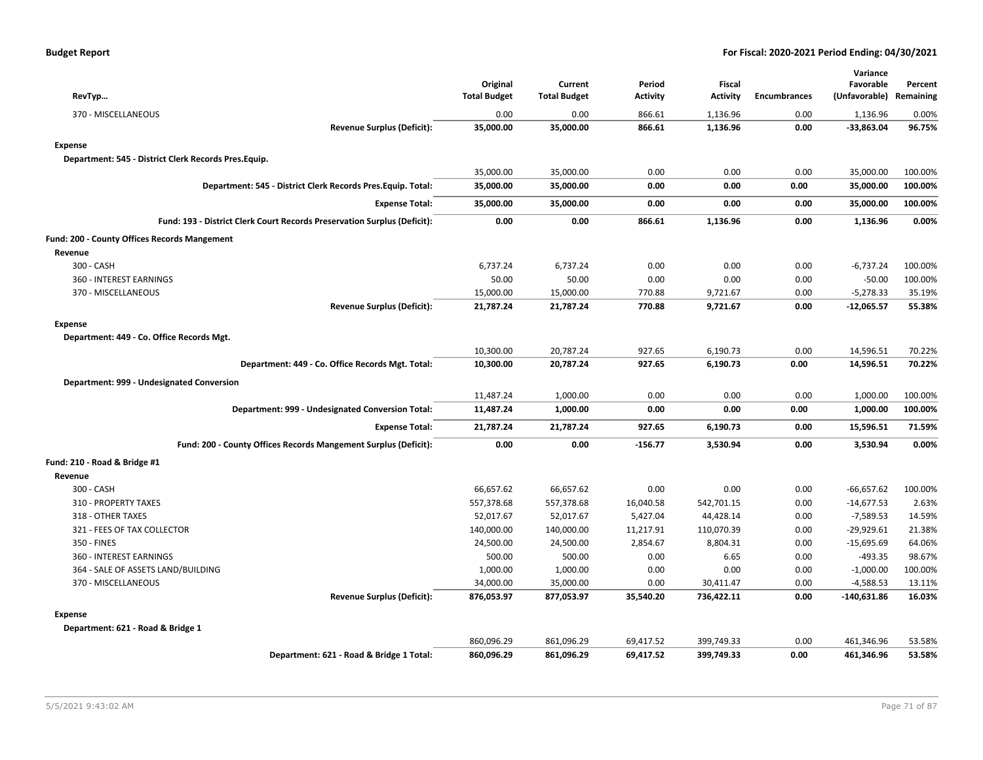| RevTyp                                                                   | Original<br><b>Total Budget</b> | Current<br><b>Total Budget</b> | Period<br><b>Activity</b> | <b>Fiscal</b><br><b>Activity</b> | <b>Encumbrances</b> | Variance<br>Favorable<br>(Unfavorable) Remaining | Percent |
|--------------------------------------------------------------------------|---------------------------------|--------------------------------|---------------------------|----------------------------------|---------------------|--------------------------------------------------|---------|
| 370 - MISCELLANEOUS                                                      | 0.00                            | 0.00                           | 866.61                    | 1,136.96                         | 0.00                | 1,136.96                                         | 0.00%   |
| <b>Revenue Surplus (Deficit):</b>                                        | 35,000.00                       | 35,000.00                      | 866.61                    | 1,136.96                         | 0.00                | $-33,863.04$                                     | 96.75%  |
| <b>Expense</b>                                                           |                                 |                                |                           |                                  |                     |                                                  |         |
| Department: 545 - District Clerk Records Pres.Equip.                     |                                 |                                |                           |                                  |                     |                                                  |         |
|                                                                          | 35,000.00                       | 35,000.00                      | 0.00                      | 0.00                             | 0.00                | 35,000.00                                        | 100.00% |
| Department: 545 - District Clerk Records Pres. Equip. Total:             | 35,000.00                       | 35,000.00                      | 0.00                      | 0.00                             | 0.00                | 35,000.00                                        | 100.00% |
| <b>Expense Total:</b>                                                    | 35,000.00                       | 35,000.00                      | 0.00                      | 0.00                             | 0.00                | 35,000.00                                        | 100.00% |
| Fund: 193 - District Clerk Court Records Preservation Surplus (Deficit): | 0.00                            | 0.00                           | 866.61                    | 1,136.96                         | 0.00                | 1,136.96                                         | 0.00%   |
| Fund: 200 - County Offices Records Mangement                             |                                 |                                |                           |                                  |                     |                                                  |         |
| Revenue                                                                  |                                 |                                |                           |                                  |                     |                                                  |         |
| 300 - CASH                                                               | 6,737.24                        | 6,737.24                       | 0.00                      | 0.00                             | 0.00                | $-6,737.24$                                      | 100.00% |
| 360 - INTEREST EARNINGS                                                  | 50.00                           | 50.00                          | 0.00                      | 0.00                             | 0.00                | $-50.00$                                         | 100.00% |
| 370 - MISCELLANEOUS                                                      | 15,000.00                       | 15,000.00                      | 770.88                    | 9,721.67                         | 0.00                | $-5,278.33$                                      | 35.19%  |
| <b>Revenue Surplus (Deficit):</b>                                        | 21,787.24                       | 21,787.24                      | 770.88                    | 9,721.67                         | 0.00                | $-12,065.57$                                     | 55.38%  |
| <b>Expense</b>                                                           |                                 |                                |                           |                                  |                     |                                                  |         |
| Department: 449 - Co. Office Records Mgt.                                |                                 |                                |                           |                                  |                     |                                                  |         |
|                                                                          | 10,300.00                       | 20,787.24                      | 927.65                    | 6,190.73                         | 0.00                | 14,596.51                                        | 70.22%  |
| Department: 449 - Co. Office Records Mgt. Total:                         | 10,300.00                       | 20,787.24                      | 927.65                    | 6,190.73                         | 0.00                | 14,596.51                                        | 70.22%  |
| Department: 999 - Undesignated Conversion                                |                                 |                                |                           |                                  |                     |                                                  |         |
|                                                                          | 11,487.24                       | 1,000.00                       | 0.00                      | 0.00                             | 0.00                | 1,000.00                                         | 100.00% |
| Department: 999 - Undesignated Conversion Total:                         | 11,487.24                       | 1,000.00                       | 0.00                      | 0.00                             | 0.00                | 1,000.00                                         | 100.00% |
| <b>Expense Total:</b>                                                    | 21,787.24                       | 21,787.24                      | 927.65                    | 6,190.73                         | 0.00                | 15,596.51                                        | 71.59%  |
| Fund: 200 - County Offices Records Mangement Surplus (Deficit):          | 0.00                            | 0.00                           | $-156.77$                 | 3,530.94                         | 0.00                | 3,530.94                                         | 0.00%   |
| Fund: 210 - Road & Bridge #1                                             |                                 |                                |                           |                                  |                     |                                                  |         |
| Revenue                                                                  |                                 |                                |                           |                                  |                     |                                                  |         |
| 300 - CASH                                                               | 66,657.62                       | 66,657.62                      | 0.00                      | 0.00                             | 0.00                | $-66,657.62$                                     | 100.00% |
| 310 - PROPERTY TAXES                                                     | 557,378.68                      | 557,378.68                     | 16,040.58                 | 542,701.15                       | 0.00                | $-14,677.53$                                     | 2.63%   |
| 318 - OTHER TAXES                                                        | 52,017.67                       | 52,017.67                      | 5,427.04                  | 44,428.14                        | 0.00                | $-7,589.53$                                      | 14.59%  |
| 321 - FEES OF TAX COLLECTOR                                              | 140,000.00                      | 140,000.00                     | 11,217.91                 | 110,070.39                       | 0.00                | $-29,929.61$                                     | 21.38%  |
| 350 - FINES                                                              | 24,500.00                       | 24,500.00                      | 2,854.67                  | 8,804.31                         | 0.00                | $-15,695.69$                                     | 64.06%  |
| 360 - INTEREST EARNINGS                                                  | 500.00                          | 500.00                         | 0.00                      | 6.65                             | 0.00                | $-493.35$                                        | 98.67%  |
| 364 - SALE OF ASSETS LAND/BUILDING                                       | 1,000.00                        | 1,000.00                       | 0.00                      | 0.00                             | 0.00                | $-1,000.00$                                      | 100.00% |
| 370 - MISCELLANEOUS                                                      | 34,000.00                       | 35,000.00                      | 0.00                      | 30,411.47                        | 0.00                | -4,588.53                                        | 13.11%  |
| <b>Revenue Surplus (Deficit):</b>                                        | 876,053.97                      | 877,053.97                     | 35,540.20                 | 736,422.11                       | 0.00                | $-140,631.86$                                    | 16.03%  |
| <b>Expense</b>                                                           |                                 |                                |                           |                                  |                     |                                                  |         |
| Department: 621 - Road & Bridge 1                                        |                                 |                                |                           |                                  |                     |                                                  |         |
|                                                                          | 860,096.29                      | 861,096.29                     | 69,417.52                 | 399,749.33                       | 0.00                | 461,346.96                                       | 53.58%  |
| Department: 621 - Road & Bridge 1 Total:                                 | 860,096.29                      | 861,096.29                     | 69,417.52                 | 399,749.33                       | 0.00                | 461,346.96                                       | 53.58%  |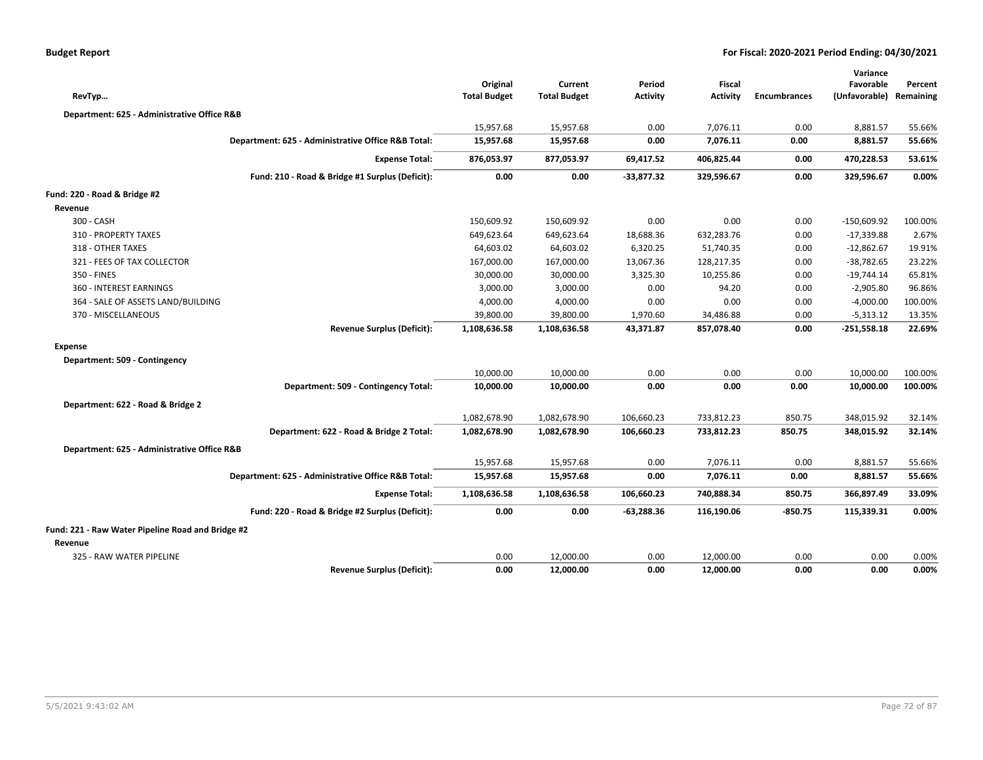|                                                   |                                                    |                                 |                                |                           |                                  |                     | Variance                             |         |
|---------------------------------------------------|----------------------------------------------------|---------------------------------|--------------------------------|---------------------------|----------------------------------|---------------------|--------------------------------------|---------|
| RevTyp                                            |                                                    | Original<br><b>Total Budget</b> | Current<br><b>Total Budget</b> | Period<br><b>Activity</b> | <b>Fiscal</b><br><b>Activity</b> | <b>Encumbrances</b> | Favorable<br>(Unfavorable) Remaining | Percent |
|                                                   |                                                    |                                 |                                |                           |                                  |                     |                                      |         |
| Department: 625 - Administrative Office R&B       |                                                    |                                 |                                |                           |                                  |                     |                                      |         |
|                                                   |                                                    | 15,957.68                       | 15,957.68                      | 0.00                      | 7,076.11                         | 0.00                | 8,881.57                             | 55.66%  |
|                                                   | Department: 625 - Administrative Office R&B Total: | 15,957.68                       | 15,957.68                      | 0.00                      | 7,076.11                         | 0.00                | 8,881.57                             | 55.66%  |
|                                                   | <b>Expense Total:</b>                              | 876,053.97                      | 877,053.97                     | 69,417.52                 | 406,825.44                       | 0.00                | 470,228.53                           | 53.61%  |
|                                                   | Fund: 210 - Road & Bridge #1 Surplus (Deficit):    | 0.00                            | 0.00                           | $-33,877.32$              | 329,596.67                       | 0.00                | 329,596.67                           | 0.00%   |
| Fund: 220 - Road & Bridge #2                      |                                                    |                                 |                                |                           |                                  |                     |                                      |         |
| Revenue                                           |                                                    |                                 |                                |                           |                                  |                     |                                      |         |
| 300 - CASH                                        |                                                    | 150,609.92                      | 150,609.92                     | 0.00                      | 0.00                             | 0.00                | $-150,609.92$                        | 100.00% |
| 310 - PROPERTY TAXES                              |                                                    | 649,623.64                      | 649,623.64                     | 18,688.36                 | 632,283.76                       | 0.00                | $-17,339.88$                         | 2.67%   |
| 318 - OTHER TAXES                                 |                                                    | 64,603.02                       | 64,603.02                      | 6,320.25                  | 51,740.35                        | 0.00                | $-12,862.67$                         | 19.91%  |
| 321 - FEES OF TAX COLLECTOR                       |                                                    | 167,000.00                      | 167,000.00                     | 13,067.36                 | 128,217.35                       | 0.00                | $-38,782.65$                         | 23.22%  |
| 350 - FINES                                       |                                                    | 30,000.00                       | 30,000.00                      | 3,325.30                  | 10,255.86                        | 0.00                | $-19,744.14$                         | 65.81%  |
| 360 - INTEREST EARNINGS                           |                                                    | 3,000.00                        | 3,000.00                       | 0.00                      | 94.20                            | 0.00                | $-2,905.80$                          | 96.86%  |
| 364 - SALE OF ASSETS LAND/BUILDING                |                                                    | 4,000.00                        | 4,000.00                       | 0.00                      | 0.00                             | 0.00                | $-4,000.00$                          | 100.00% |
| 370 - MISCELLANEOUS                               |                                                    | 39,800.00                       | 39,800.00                      | 1,970.60                  | 34,486.88                        | 0.00                | $-5,313.12$                          | 13.35%  |
|                                                   | <b>Revenue Surplus (Deficit):</b>                  | 1,108,636.58                    | 1,108,636.58                   | 43,371.87                 | 857,078.40                       | 0.00                | $-251,558.18$                        | 22.69%  |
| Expense                                           |                                                    |                                 |                                |                           |                                  |                     |                                      |         |
| Department: 509 - Contingency                     |                                                    |                                 |                                |                           |                                  |                     |                                      |         |
|                                                   |                                                    | 10,000.00                       | 10,000.00                      | 0.00                      | 0.00                             | 0.00                | 10,000.00                            | 100.00% |
|                                                   | Department: 509 - Contingency Total:               | 10,000.00                       | 10,000.00                      | 0.00                      | 0.00                             | 0.00                | 10,000.00                            | 100.00% |
| Department: 622 - Road & Bridge 2                 |                                                    |                                 |                                |                           |                                  |                     |                                      |         |
|                                                   |                                                    | 1,082,678.90                    | 1,082,678.90                   | 106,660.23                | 733,812.23                       | 850.75              | 348,015.92                           | 32.14%  |
|                                                   | Department: 622 - Road & Bridge 2 Total:           | 1,082,678.90                    | 1,082,678.90                   | 106,660.23                | 733,812.23                       | 850.75              | 348,015.92                           | 32.14%  |
| Department: 625 - Administrative Office R&B       |                                                    |                                 |                                |                           |                                  |                     |                                      |         |
|                                                   |                                                    | 15,957.68                       | 15,957.68                      | 0.00                      | 7,076.11                         | 0.00                | 8,881.57                             | 55.66%  |
|                                                   | Department: 625 - Administrative Office R&B Total: | 15,957.68                       | 15,957.68                      | 0.00                      | 7,076.11                         | 0.00                | 8,881.57                             | 55.66%  |
|                                                   | <b>Expense Total:</b>                              | 1,108,636.58                    | 1,108,636.58                   | 106,660.23                | 740,888.34                       | 850.75              | 366,897.49                           | 33.09%  |
|                                                   | Fund: 220 - Road & Bridge #2 Surplus (Deficit):    | 0.00                            | 0.00                           | $-63,288.36$              | 116,190.06                       | -850.75             | 115,339.31                           | 0.00%   |
| Fund: 221 - Raw Water Pipeline Road and Bridge #2 |                                                    |                                 |                                |                           |                                  |                     |                                      |         |
| Revenue                                           |                                                    |                                 |                                |                           |                                  |                     |                                      |         |
| 325 - RAW WATER PIPELINE                          |                                                    | 0.00                            | 12,000.00                      | 0.00                      | 12,000.00                        | 0.00                | 0.00                                 | 0.00%   |
|                                                   | <b>Revenue Surplus (Deficit):</b>                  | 0.00                            | 12,000.00                      | 0.00                      | 12,000.00                        | 0.00                | 0.00                                 | 0.00%   |
|                                                   |                                                    |                                 |                                |                           |                                  |                     |                                      |         |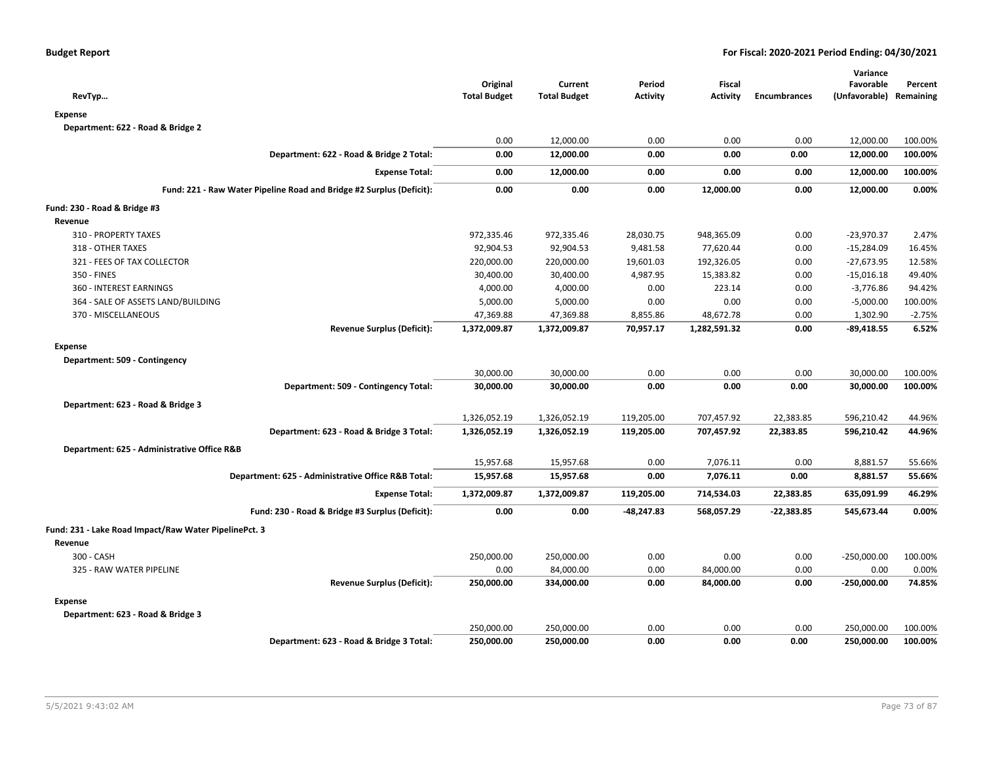| RevTyp                                                               | Original<br><b>Total Budget</b> | Current<br><b>Total Budget</b> | Period<br><b>Activity</b> | Fiscal<br><b>Activity</b> | <b>Encumbrances</b> | Variance<br>Favorable<br>(Unfavorable) Remaining | Percent  |
|----------------------------------------------------------------------|---------------------------------|--------------------------------|---------------------------|---------------------------|---------------------|--------------------------------------------------|----------|
| <b>Expense</b>                                                       |                                 |                                |                           |                           |                     |                                                  |          |
| Department: 622 - Road & Bridge 2                                    |                                 |                                |                           |                           |                     |                                                  |          |
|                                                                      | 0.00                            | 12,000.00                      | 0.00                      | 0.00                      | 0.00                | 12,000.00                                        | 100.00%  |
| Department: 622 - Road & Bridge 2 Total:                             | 0.00                            | 12,000.00                      | 0.00                      | 0.00                      | 0.00                | 12,000.00                                        | 100.00%  |
| <b>Expense Total:</b>                                                | 0.00                            | 12,000.00                      | 0.00                      | 0.00                      | 0.00                | 12,000.00                                        | 100.00%  |
| Fund: 221 - Raw Water Pipeline Road and Bridge #2 Surplus (Deficit): | 0.00                            | 0.00                           | 0.00                      | 12,000.00                 | 0.00                | 12,000.00                                        | 0.00%    |
| Fund: 230 - Road & Bridge #3                                         |                                 |                                |                           |                           |                     |                                                  |          |
| Revenue                                                              |                                 |                                |                           |                           |                     |                                                  |          |
| 310 - PROPERTY TAXES                                                 | 972,335.46                      | 972,335.46                     | 28,030.75                 | 948,365.09                | 0.00                | $-23,970.37$                                     | 2.47%    |
| 318 - OTHER TAXES                                                    | 92,904.53                       | 92,904.53                      | 9,481.58                  | 77,620.44                 | 0.00                | $-15,284.09$                                     | 16.45%   |
| 321 - FEES OF TAX COLLECTOR                                          | 220,000.00                      | 220,000.00                     | 19,601.03                 | 192,326.05                | 0.00                | $-27,673.95$                                     | 12.58%   |
| 350 - FINES                                                          | 30,400.00                       | 30,400.00                      | 4,987.95                  | 15,383.82                 | 0.00                | $-15,016.18$                                     | 49.40%   |
| 360 - INTEREST EARNINGS                                              | 4,000.00                        | 4,000.00                       | 0.00                      | 223.14                    | 0.00                | $-3,776.86$                                      | 94.42%   |
| 364 - SALE OF ASSETS LAND/BUILDING                                   | 5,000.00                        | 5,000.00                       | 0.00                      | 0.00                      | 0.00                | $-5,000.00$                                      | 100.00%  |
| 370 - MISCELLANEOUS                                                  | 47,369.88                       | 47,369.88                      | 8,855.86                  | 48,672.78                 | 0.00                | 1,302.90                                         | $-2.75%$ |
| <b>Revenue Surplus (Deficit):</b>                                    | 1,372,009.87                    | 1,372,009.87                   | 70,957.17                 | 1,282,591.32              | 0.00                | $-89,418.55$                                     | 6.52%    |
| <b>Expense</b>                                                       |                                 |                                |                           |                           |                     |                                                  |          |
| Department: 509 - Contingency                                        |                                 |                                |                           |                           |                     |                                                  |          |
|                                                                      | 30,000.00                       | 30,000.00                      | 0.00                      | 0.00                      | 0.00                | 30,000.00                                        | 100.00%  |
| Department: 509 - Contingency Total:                                 | 30,000.00                       | 30,000.00                      | 0.00                      | 0.00                      | 0.00                | 30,000.00                                        | 100.00%  |
| Department: 623 - Road & Bridge 3                                    |                                 |                                |                           |                           |                     |                                                  |          |
|                                                                      | 1,326,052.19                    | 1,326,052.19                   | 119,205.00                | 707,457.92                | 22,383.85           | 596,210.42                                       | 44.96%   |
| Department: 623 - Road & Bridge 3 Total:                             | 1,326,052.19                    | 1,326,052.19                   | 119,205.00                | 707,457.92                | 22,383.85           | 596,210.42                                       | 44.96%   |
| Department: 625 - Administrative Office R&B                          |                                 |                                |                           |                           |                     |                                                  |          |
|                                                                      | 15,957.68                       | 15,957.68                      | 0.00                      | 7,076.11                  | 0.00                | 8,881.57                                         | 55.66%   |
| Department: 625 - Administrative Office R&B Total:                   | 15,957.68                       | 15,957.68                      | 0.00                      | 7,076.11                  | 0.00                | 8,881.57                                         | 55.66%   |
| <b>Expense Total:</b>                                                | 1,372,009.87                    | 1,372,009.87                   | 119,205.00                | 714,534.03                | 22,383.85           | 635,091.99                                       | 46.29%   |
| Fund: 230 - Road & Bridge #3 Surplus (Deficit):                      | 0.00                            | 0.00                           | -48,247.83                | 568,057.29                | $-22,383.85$        | 545,673.44                                       | 0.00%    |
|                                                                      |                                 |                                |                           |                           |                     |                                                  |          |
| Fund: 231 - Lake Road Impact/Raw Water PipelinePct. 3                |                                 |                                |                           |                           |                     |                                                  |          |
| Revenue                                                              |                                 |                                |                           |                           |                     |                                                  |          |
| 300 - CASH                                                           | 250,000.00                      | 250,000.00                     | 0.00                      | 0.00                      | 0.00                | $-250,000.00$                                    | 100.00%  |
| 325 - RAW WATER PIPELINE                                             | 0.00                            | 84,000.00                      | 0.00                      | 84,000.00                 | 0.00                | 0.00                                             | 0.00%    |
| <b>Revenue Surplus (Deficit):</b>                                    | 250,000.00                      | 334,000.00                     | 0.00                      | 84,000.00                 | 0.00                | $-250,000.00$                                    | 74.85%   |
| <b>Expense</b>                                                       |                                 |                                |                           |                           |                     |                                                  |          |
| Department: 623 - Road & Bridge 3                                    |                                 |                                |                           |                           |                     |                                                  |          |
|                                                                      | 250,000.00                      | 250,000.00                     | 0.00                      | 0.00                      | 0.00                | 250,000.00                                       | 100.00%  |
| Department: 623 - Road & Bridge 3 Total:                             | 250,000.00                      | 250,000.00                     | 0.00                      | 0.00                      | 0.00                | 250,000.00                                       | 100.00%  |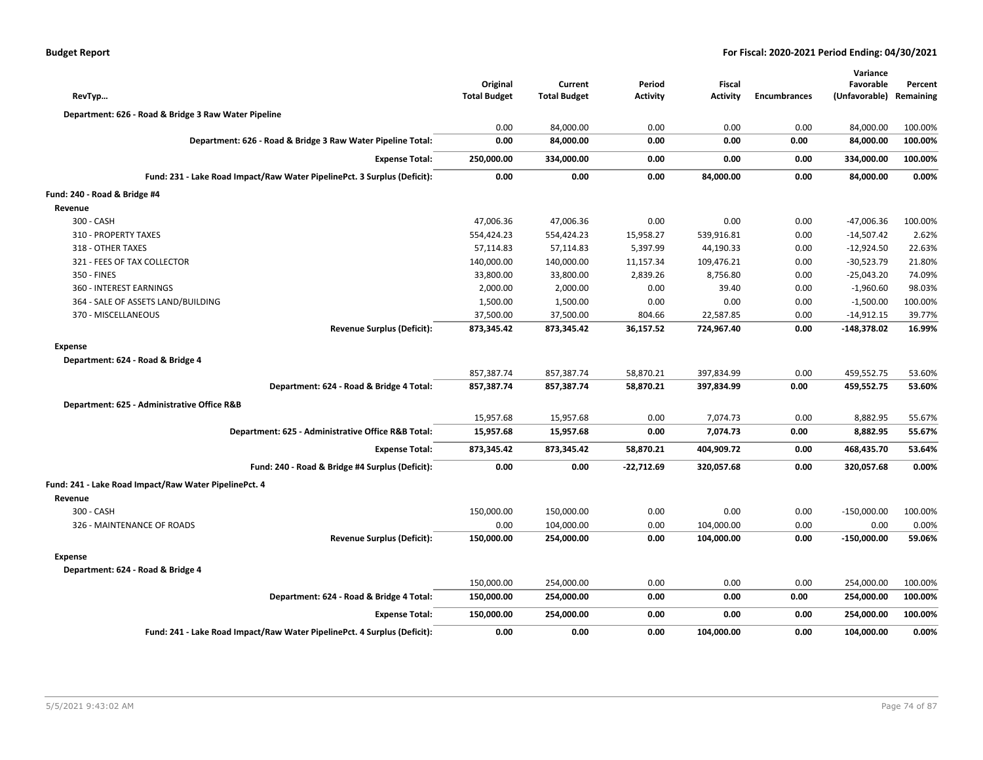| <b>Budget Report</b> |  |
|----------------------|--|
|----------------------|--|

| RevTyp                                                                   | Original<br><b>Total Budget</b> | Current<br><b>Total Budget</b> | Period<br><b>Activity</b> | <b>Fiscal</b><br><b>Activity</b> | <b>Encumbrances</b> | Variance<br>Favorable<br>(Unfavorable) | Percent<br>Remaining |
|--------------------------------------------------------------------------|---------------------------------|--------------------------------|---------------------------|----------------------------------|---------------------|----------------------------------------|----------------------|
| Department: 626 - Road & Bridge 3 Raw Water Pipeline                     |                                 |                                |                           |                                  |                     |                                        |                      |
|                                                                          | 0.00                            | 84,000.00                      | 0.00                      | 0.00                             | 0.00                | 84,000.00                              | 100.00%              |
| Department: 626 - Road & Bridge 3 Raw Water Pipeline Total:              | 0.00                            | 84,000.00                      | 0.00                      | 0.00                             | 0.00                | 84,000.00                              | 100.00%              |
| <b>Expense Total:</b>                                                    | 250,000.00                      | 334,000.00                     | 0.00                      | 0.00                             | 0.00                | 334,000.00                             | 100.00%              |
| Fund: 231 - Lake Road Impact/Raw Water PipelinePct. 3 Surplus (Deficit): | 0.00                            | 0.00                           | 0.00                      | 84,000.00                        | 0.00                | 84,000.00                              | 0.00%                |
| Fund: 240 - Road & Bridge #4                                             |                                 |                                |                           |                                  |                     |                                        |                      |
| Revenue                                                                  |                                 |                                |                           |                                  |                     |                                        |                      |
| 300 - CASH                                                               | 47,006.36                       | 47,006.36                      | 0.00                      | 0.00                             | 0.00                | -47,006.36                             | 100.00%              |
| 310 - PROPERTY TAXES                                                     | 554,424.23                      | 554,424.23                     | 15,958.27                 | 539,916.81                       | 0.00                | $-14,507.42$                           | 2.62%                |
| 318 - OTHER TAXES                                                        | 57,114.83                       | 57,114.83                      | 5,397.99                  | 44,190.33                        | 0.00                | $-12,924.50$                           | 22.63%               |
| 321 - FEES OF TAX COLLECTOR                                              | 140,000.00                      | 140,000.00                     | 11,157.34                 | 109,476.21                       | 0.00                | $-30,523.79$                           | 21.80%               |
| 350 - FINES                                                              | 33,800.00                       | 33,800.00                      | 2,839.26                  | 8,756.80                         | 0.00                | $-25,043.20$                           | 74.09%               |
| 360 - INTEREST EARNINGS                                                  | 2,000.00                        | 2,000.00                       | 0.00                      | 39.40                            | 0.00                | $-1,960.60$                            | 98.03%               |
| 364 - SALE OF ASSETS LAND/BUILDING                                       | 1,500.00                        | 1,500.00                       | 0.00                      | 0.00                             | 0.00                | $-1,500.00$                            | 100.00%              |
| 370 - MISCELLANEOUS                                                      | 37,500.00                       | 37,500.00                      | 804.66                    | 22,587.85                        | 0.00                | $-14,912.15$                           | 39.77%               |
| <b>Revenue Surplus (Deficit):</b>                                        | 873,345.42                      | 873,345.42                     | 36,157.52                 | 724,967.40                       | 0.00                | -148,378.02                            | 16.99%               |
| <b>Expense</b>                                                           |                                 |                                |                           |                                  |                     |                                        |                      |
| Department: 624 - Road & Bridge 4                                        |                                 |                                |                           |                                  |                     |                                        |                      |
|                                                                          | 857,387.74                      | 857,387.74                     | 58,870.21                 | 397,834.99                       | 0.00                | 459,552.75                             | 53.60%               |
| Department: 624 - Road & Bridge 4 Total:                                 | 857,387.74                      | 857,387.74                     | 58,870.21                 | 397,834.99                       | 0.00                | 459,552.75                             | 53.60%               |
| Department: 625 - Administrative Office R&B                              |                                 |                                |                           |                                  |                     |                                        |                      |
|                                                                          | 15,957.68                       | 15,957.68                      | 0.00                      | 7,074.73                         | 0.00                | 8,882.95                               | 55.67%               |
| Department: 625 - Administrative Office R&B Total:                       | 15,957.68                       | 15,957.68                      | 0.00                      | 7,074.73                         | 0.00                | 8,882.95                               | 55.67%               |
| <b>Expense Total:</b>                                                    | 873,345.42                      | 873,345.42                     | 58,870.21                 | 404,909.72                       | 0.00                | 468,435.70                             | 53.64%               |
| Fund: 240 - Road & Bridge #4 Surplus (Deficit):                          | 0.00                            | 0.00                           | $-22,712.69$              | 320,057.68                       | 0.00                | 320,057.68                             | 0.00%                |
| Fund: 241 - Lake Road Impact/Raw Water PipelinePct. 4                    |                                 |                                |                           |                                  |                     |                                        |                      |
| Revenue                                                                  |                                 |                                |                           |                                  |                     |                                        |                      |
| 300 - CASH                                                               | 150,000.00                      | 150,000.00                     | 0.00                      | 0.00                             | 0.00                | $-150,000.00$                          | 100.00%              |
| 326 - MAINTENANCE OF ROADS                                               | 0.00                            | 104,000.00                     | 0.00                      | 104,000.00                       | 0.00                | 0.00                                   | 0.00%                |
| <b>Revenue Surplus (Deficit):</b>                                        | 150,000.00                      | 254,000.00                     | 0.00                      | 104,000.00                       | 0.00                | $-150,000.00$                          | 59.06%               |
| <b>Expense</b>                                                           |                                 |                                |                           |                                  |                     |                                        |                      |
| Department: 624 - Road & Bridge 4                                        |                                 |                                |                           |                                  |                     |                                        |                      |
|                                                                          | 150,000.00                      | 254,000.00                     | 0.00                      | 0.00                             | 0.00                | 254,000.00                             | 100.00%              |
| Department: 624 - Road & Bridge 4 Total:                                 | 150,000.00                      | 254,000.00                     | 0.00                      | 0.00                             | 0.00                | 254,000.00                             | 100.00%              |
| <b>Expense Total:</b>                                                    | 150,000.00                      | 254,000.00                     | 0.00                      | 0.00                             | 0.00                | 254,000.00                             | 100.00%              |
| Fund: 241 - Lake Road Impact/Raw Water PipelinePct. 4 Surplus (Deficit): | 0.00                            | 0.00                           | 0.00                      | 104,000.00                       | 0.00                | 104,000.00                             | 0.00%                |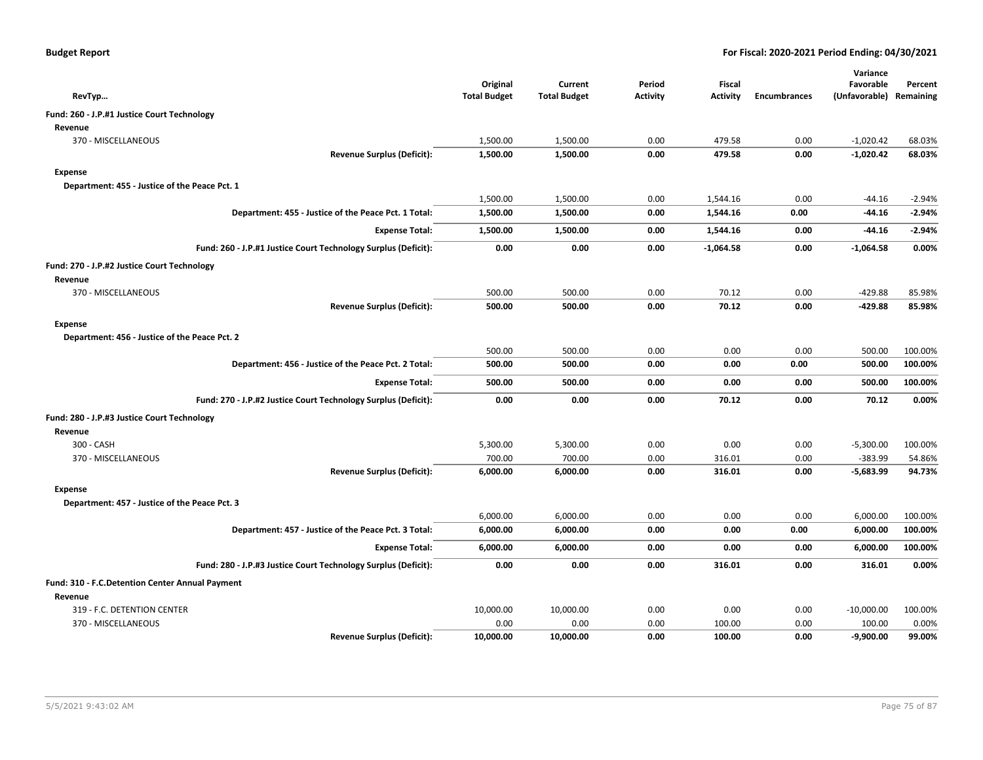| RevTyp                                                         |                                   | Original<br><b>Total Budget</b> | Current<br><b>Total Budget</b> | Period<br><b>Activity</b> | <b>Fiscal</b><br><b>Activity</b> | <b>Encumbrances</b> | Variance<br>Favorable<br>(Unfavorable) Remaining | Percent  |
|----------------------------------------------------------------|-----------------------------------|---------------------------------|--------------------------------|---------------------------|----------------------------------|---------------------|--------------------------------------------------|----------|
| Fund: 260 - J.P.#1 Justice Court Technology                    |                                   |                                 |                                |                           |                                  |                     |                                                  |          |
| Revenue                                                        |                                   |                                 |                                |                           |                                  |                     |                                                  |          |
| 370 - MISCELLANEOUS                                            |                                   | 1,500.00                        | 1,500.00                       | 0.00                      | 479.58                           | 0.00                | $-1,020.42$                                      | 68.03%   |
|                                                                | <b>Revenue Surplus (Deficit):</b> | 1,500.00                        | 1,500.00                       | 0.00                      | 479.58                           | 0.00                | $-1,020.42$                                      | 68.03%   |
| Expense                                                        |                                   |                                 |                                |                           |                                  |                     |                                                  |          |
| Department: 455 - Justice of the Peace Pct. 1                  |                                   |                                 |                                |                           |                                  |                     |                                                  |          |
|                                                                |                                   | 1,500.00                        | 1,500.00                       | 0.00                      | 1,544.16                         | 0.00                | -44.16                                           | $-2.94%$ |
| Department: 455 - Justice of the Peace Pct. 1 Total:           |                                   | 1,500.00                        | 1,500.00                       | 0.00                      | 1,544.16                         | 0.00                | -44.16                                           | $-2.94%$ |
|                                                                | <b>Expense Total:</b>             | 1,500.00                        | 1,500.00                       | 0.00                      | 1,544.16                         | 0.00                | -44.16                                           | $-2.94%$ |
| Fund: 260 - J.P.#1 Justice Court Technology Surplus (Deficit): |                                   | 0.00                            | 0.00                           | 0.00                      | $-1,064.58$                      | 0.00                | $-1,064.58$                                      | 0.00%    |
| Fund: 270 - J.P.#2 Justice Court Technology                    |                                   |                                 |                                |                           |                                  |                     |                                                  |          |
| Revenue                                                        |                                   |                                 |                                |                           |                                  |                     |                                                  |          |
| 370 - MISCELLANEOUS                                            |                                   | 500.00                          | 500.00                         | 0.00                      | 70.12                            | 0.00                | $-429.88$                                        | 85.98%   |
|                                                                | <b>Revenue Surplus (Deficit):</b> | 500.00                          | 500.00                         | 0.00                      | 70.12                            | 0.00                | $-429.88$                                        | 85.98%   |
| Expense                                                        |                                   |                                 |                                |                           |                                  |                     |                                                  |          |
| Department: 456 - Justice of the Peace Pct. 2                  |                                   |                                 |                                |                           |                                  |                     |                                                  |          |
|                                                                |                                   | 500.00                          | 500.00                         | 0.00                      | 0.00                             | 0.00                | 500.00                                           | 100.00%  |
| Department: 456 - Justice of the Peace Pct. 2 Total:           |                                   | 500.00                          | 500.00                         | 0.00                      | 0.00                             | 0.00                | 500.00                                           | 100.00%  |
|                                                                | <b>Expense Total:</b>             | 500.00                          | 500.00                         | 0.00                      | 0.00                             | 0.00                | 500.00                                           | 100.00%  |
| Fund: 270 - J.P.#2 Justice Court Technology Surplus (Deficit): |                                   | 0.00                            | 0.00                           | 0.00                      | 70.12                            | 0.00                | 70.12                                            | 0.00%    |
| Fund: 280 - J.P.#3 Justice Court Technology                    |                                   |                                 |                                |                           |                                  |                     |                                                  |          |
| Revenue                                                        |                                   |                                 |                                |                           |                                  |                     |                                                  |          |
| 300 - CASH                                                     |                                   | 5,300.00                        | 5,300.00                       | 0.00                      | 0.00                             | 0.00                | $-5,300.00$                                      | 100.00%  |
| 370 - MISCELLANEOUS                                            |                                   | 700.00                          | 700.00                         | 0.00                      | 316.01                           | 0.00                | $-383.99$                                        | 54.86%   |
|                                                                | <b>Revenue Surplus (Deficit):</b> | 6,000.00                        | 6,000.00                       | 0.00                      | 316.01                           | 0.00                | $-5,683.99$                                      | 94.73%   |
| <b>Expense</b>                                                 |                                   |                                 |                                |                           |                                  |                     |                                                  |          |
| Department: 457 - Justice of the Peace Pct. 3                  |                                   |                                 |                                |                           |                                  |                     |                                                  |          |
|                                                                |                                   | 6,000.00                        | 6,000.00                       | 0.00                      | 0.00                             | 0.00                | 6,000.00                                         | 100.00%  |
| Department: 457 - Justice of the Peace Pct. 3 Total:           |                                   | 6,000.00                        | 6,000.00                       | 0.00                      | 0.00                             | 0.00                | 6,000.00                                         | 100.00%  |
|                                                                | <b>Expense Total:</b>             | 6,000.00                        | 6,000.00                       | 0.00                      | 0.00                             | 0.00                | 6,000.00                                         | 100.00%  |
| Fund: 280 - J.P.#3 Justice Court Technology Surplus (Deficit): |                                   | 0.00                            | 0.00                           | 0.00                      | 316.01                           | 0.00                | 316.01                                           | 0.00%    |
| Fund: 310 - F.C.Detention Center Annual Payment                |                                   |                                 |                                |                           |                                  |                     |                                                  |          |
| Revenue                                                        |                                   |                                 |                                |                           |                                  |                     |                                                  |          |
| 319 - F.C. DETENTION CENTER                                    |                                   | 10,000.00                       | 10,000.00                      | 0.00                      | 0.00                             | 0.00                | $-10,000.00$                                     | 100.00%  |
| 370 - MISCELLANEOUS                                            |                                   | 0.00                            | 0.00                           | 0.00                      | 100.00                           | 0.00                | 100.00                                           | 0.00%    |
|                                                                | <b>Revenue Surplus (Deficit):</b> | 10,000.00                       | 10,000.00                      | 0.00                      | 100.00                           | 0.00                | $-9,900.00$                                      | 99.00%   |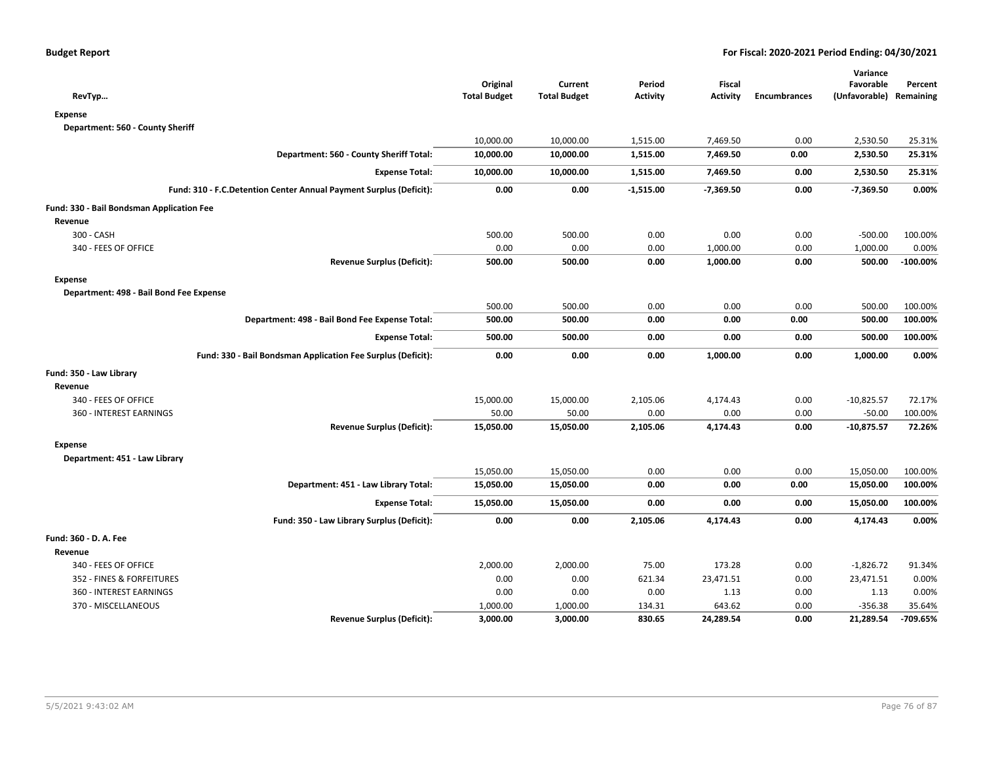| RevTyp                                                             | Original<br><b>Total Budget</b> | Current<br><b>Total Budget</b> | Period<br><b>Activity</b> | <b>Fiscal</b><br><b>Activity</b> | <b>Encumbrances</b> | Variance<br>Favorable<br>(Unfavorable) Remaining | Percent    |
|--------------------------------------------------------------------|---------------------------------|--------------------------------|---------------------------|----------------------------------|---------------------|--------------------------------------------------|------------|
| <b>Expense</b>                                                     |                                 |                                |                           |                                  |                     |                                                  |            |
| Department: 560 - County Sheriff                                   |                                 |                                |                           |                                  |                     |                                                  |            |
|                                                                    | 10,000.00                       | 10,000.00                      | 1,515.00                  | 7,469.50                         | 0.00                | 2,530.50                                         | 25.31%     |
| Department: 560 - County Sheriff Total:                            | 10,000.00                       | 10,000.00                      | 1,515.00                  | 7,469.50                         | 0.00                | 2,530.50                                         | 25.31%     |
| <b>Expense Total:</b>                                              | 10,000.00                       | 10,000.00                      | 1,515.00                  | 7,469.50                         | 0.00                | 2,530.50                                         | 25.31%     |
| Fund: 310 - F.C.Detention Center Annual Payment Surplus (Deficit): | 0.00                            | 0.00                           | $-1,515.00$               | $-7,369.50$                      | 0.00                | $-7,369.50$                                      | 0.00%      |
| Fund: 330 - Bail Bondsman Application Fee                          |                                 |                                |                           |                                  |                     |                                                  |            |
| Revenue                                                            |                                 |                                |                           |                                  |                     |                                                  |            |
| 300 - CASH                                                         | 500.00                          | 500.00                         | 0.00                      | 0.00                             | 0.00                | $-500.00$                                        | 100.00%    |
| 340 - FEES OF OFFICE                                               | 0.00                            | 0.00                           | 0.00                      | 1,000.00                         | 0.00                | 1,000.00                                         | 0.00%      |
| <b>Revenue Surplus (Deficit):</b>                                  | 500.00                          | 500.00                         | 0.00                      | 1,000.00                         | 0.00                | 500.00                                           | $-100.00%$ |
| <b>Expense</b>                                                     |                                 |                                |                           |                                  |                     |                                                  |            |
| Department: 498 - Bail Bond Fee Expense                            |                                 |                                |                           |                                  |                     |                                                  |            |
|                                                                    | 500.00                          | 500.00                         | 0.00                      | 0.00                             | 0.00                | 500.00                                           | 100.00%    |
| Department: 498 - Bail Bond Fee Expense Total:                     | 500.00                          | 500.00                         | 0.00                      | 0.00                             | 0.00                | 500.00                                           | 100.00%    |
| <b>Expense Total:</b>                                              | 500.00                          | 500.00                         | 0.00                      | 0.00                             | 0.00                | 500.00                                           | 100.00%    |
| Fund: 330 - Bail Bondsman Application Fee Surplus (Deficit):       | 0.00                            | 0.00                           | 0.00                      | 1,000.00                         | 0.00                | 1,000.00                                         | 0.00%      |
| Fund: 350 - Law Library                                            |                                 |                                |                           |                                  |                     |                                                  |            |
| Revenue                                                            |                                 |                                |                           |                                  |                     |                                                  |            |
| 340 - FEES OF OFFICE                                               | 15,000.00                       | 15,000.00                      | 2,105.06                  | 4,174.43                         | 0.00                | $-10,825.57$                                     | 72.17%     |
| 360 - INTEREST EARNINGS                                            | 50.00                           | 50.00                          | 0.00                      | 0.00                             | 0.00                | $-50.00$                                         | 100.00%    |
| <b>Revenue Surplus (Deficit):</b>                                  | 15,050.00                       | 15,050.00                      | 2,105.06                  | 4,174.43                         | 0.00                | $-10,875.57$                                     | 72.26%     |
| <b>Expense</b>                                                     |                                 |                                |                           |                                  |                     |                                                  |            |
| Department: 451 - Law Library                                      |                                 |                                |                           |                                  |                     |                                                  |            |
|                                                                    | 15,050.00                       | 15,050.00                      | 0.00                      | 0.00                             | 0.00                | 15,050.00                                        | 100.00%    |
| Department: 451 - Law Library Total:                               | 15,050.00                       | 15,050.00                      | 0.00                      | 0.00                             | 0.00                | 15,050.00                                        | 100.00%    |
| <b>Expense Total:</b>                                              | 15,050.00                       | 15,050.00                      | 0.00                      | 0.00                             | 0.00                | 15,050.00                                        | 100.00%    |
| Fund: 350 - Law Library Surplus (Deficit):                         | 0.00                            | 0.00                           | 2,105.06                  | 4,174.43                         | 0.00                | 4,174.43                                         | 0.00%      |
| Fund: 360 - D. A. Fee                                              |                                 |                                |                           |                                  |                     |                                                  |            |
| Revenue                                                            |                                 |                                |                           |                                  |                     |                                                  |            |
| 340 - FEES OF OFFICE                                               | 2,000.00                        | 2,000.00                       | 75.00                     | 173.28                           | 0.00                | $-1,826.72$                                      | 91.34%     |
| 352 - FINES & FORFEITURES                                          | 0.00                            | 0.00                           | 621.34                    | 23,471.51                        | 0.00                | 23,471.51                                        | 0.00%      |
| 360 - INTEREST EARNINGS                                            | 0.00                            | 0.00                           | 0.00                      | 1.13                             | 0.00                | 1.13                                             | 0.00%      |
| 370 - MISCELLANEOUS                                                | 1,000.00                        | 1,000.00                       | 134.31                    | 643.62                           | 0.00                | $-356.38$                                        | 35.64%     |
| <b>Revenue Surplus (Deficit):</b>                                  | 3,000.00                        | 3,000.00                       | 830.65                    | 24,289.54                        | 0.00                | 21,289.54                                        | -709.65%   |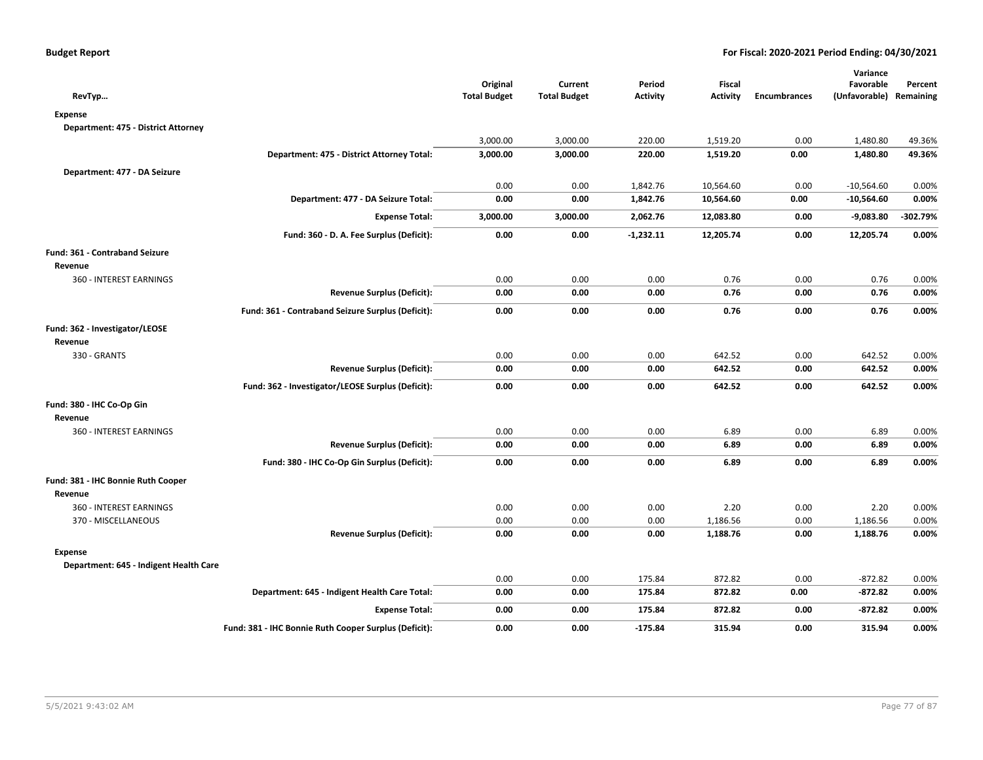| RevTyp                                 |                                                       | Original<br><b>Total Budget</b> | Current<br><b>Total Budget</b> | Period<br><b>Activity</b> | Fiscal<br><b>Activity</b> | <b>Encumbrances</b> | Variance<br>Favorable<br>(Unfavorable) Remaining | Percent    |
|----------------------------------------|-------------------------------------------------------|---------------------------------|--------------------------------|---------------------------|---------------------------|---------------------|--------------------------------------------------|------------|
| <b>Expense</b>                         |                                                       |                                 |                                |                           |                           |                     |                                                  |            |
| Department: 475 - District Attorney    |                                                       |                                 |                                |                           |                           |                     |                                                  |            |
|                                        |                                                       | 3,000.00                        | 3,000.00                       | 220.00                    | 1,519.20                  | 0.00                | 1,480.80                                         | 49.36%     |
|                                        | Department: 475 - District Attorney Total:            | 3,000.00                        | 3,000.00                       | 220.00                    | 1,519.20                  | 0.00                | 1,480.80                                         | 49.36%     |
| Department: 477 - DA Seizure           |                                                       |                                 |                                |                           |                           |                     |                                                  |            |
|                                        |                                                       | 0.00                            | 0.00                           | 1,842.76                  | 10,564.60                 | 0.00                | $-10,564.60$                                     | 0.00%      |
|                                        | Department: 477 - DA Seizure Total:                   | 0.00                            | 0.00                           | 1,842.76                  | 10,564.60                 | 0.00                | $-10,564.60$                                     | 0.00%      |
|                                        | <b>Expense Total:</b>                                 | 3,000.00                        | 3,000.00                       | 2,062.76                  | 12,083.80                 | 0.00                | $-9,083.80$                                      | $-302.79%$ |
|                                        | Fund: 360 - D. A. Fee Surplus (Deficit):              | 0.00                            | 0.00                           | $-1,232.11$               | 12,205.74                 | 0.00                | 12,205.74                                        | 0.00%      |
| Fund: 361 - Contraband Seizure         |                                                       |                                 |                                |                           |                           |                     |                                                  |            |
| Revenue                                |                                                       |                                 |                                |                           |                           |                     |                                                  |            |
| 360 - INTEREST EARNINGS                |                                                       | 0.00                            | 0.00                           | 0.00                      | 0.76                      | 0.00                | 0.76                                             | 0.00%      |
|                                        | <b>Revenue Surplus (Deficit):</b>                     | 0.00                            | 0.00                           | 0.00                      | 0.76                      | 0.00                | 0.76                                             | 0.00%      |
|                                        | Fund: 361 - Contraband Seizure Surplus (Deficit):     | 0.00                            | 0.00                           | 0.00                      | 0.76                      | 0.00                | 0.76                                             | 0.00%      |
| Fund: 362 - Investigator/LEOSE         |                                                       |                                 |                                |                           |                           |                     |                                                  |            |
| Revenue                                |                                                       |                                 |                                |                           |                           |                     |                                                  |            |
| 330 - GRANTS                           |                                                       | 0.00                            | 0.00                           | 0.00                      | 642.52                    | 0.00                | 642.52                                           | 0.00%      |
|                                        | <b>Revenue Surplus (Deficit):</b>                     | 0.00                            | 0.00                           | 0.00                      | 642.52                    | 0.00                | 642.52                                           | 0.00%      |
|                                        | Fund: 362 - Investigator/LEOSE Surplus (Deficit):     | 0.00                            | 0.00                           | 0.00                      | 642.52                    | 0.00                | 642.52                                           | 0.00%      |
| Fund: 380 - IHC Co-Op Gin              |                                                       |                                 |                                |                           |                           |                     |                                                  |            |
| Revenue                                |                                                       |                                 |                                |                           |                           |                     |                                                  |            |
| 360 - INTEREST EARNINGS                |                                                       | 0.00                            | 0.00                           | 0.00                      | 6.89                      | 0.00                | 6.89                                             | 0.00%      |
|                                        | <b>Revenue Surplus (Deficit):</b>                     | 0.00                            | 0.00                           | 0.00                      | 6.89                      | 0.00                | 6.89                                             | 0.00%      |
|                                        | Fund: 380 - IHC Co-Op Gin Surplus (Deficit):          | 0.00                            | 0.00                           | 0.00                      | 6.89                      | 0.00                | 6.89                                             | 0.00%      |
| Fund: 381 - IHC Bonnie Ruth Cooper     |                                                       |                                 |                                |                           |                           |                     |                                                  |            |
| Revenue                                |                                                       |                                 |                                |                           |                           |                     |                                                  |            |
| 360 - INTEREST EARNINGS                |                                                       | 0.00                            | 0.00                           | 0.00                      | 2.20                      | 0.00                | 2.20                                             | 0.00%      |
| 370 - MISCELLANEOUS                    |                                                       | 0.00                            | 0.00                           | 0.00                      | 1,186.56                  | 0.00                | 1,186.56                                         | 0.00%      |
|                                        | <b>Revenue Surplus (Deficit):</b>                     | 0.00                            | 0.00                           | 0.00                      | 1,188.76                  | 0.00                | 1,188.76                                         | 0.00%      |
| <b>Expense</b>                         |                                                       |                                 |                                |                           |                           |                     |                                                  |            |
| Department: 645 - Indigent Health Care |                                                       |                                 |                                |                           |                           |                     |                                                  |            |
|                                        |                                                       | 0.00                            | 0.00                           | 175.84                    | 872.82                    | 0.00                | $-872.82$                                        | 0.00%      |
|                                        | Department: 645 - Indigent Health Care Total:         | 0.00                            | 0.00                           | 175.84                    | 872.82                    | 0.00                | $-872.82$                                        | 0.00%      |
|                                        | <b>Expense Total:</b>                                 | 0.00                            | 0.00                           | 175.84                    | 872.82                    | 0.00                | $-872.82$                                        | 0.00%      |
|                                        | Fund: 381 - IHC Bonnie Ruth Cooper Surplus (Deficit): | 0.00                            | 0.00                           | $-175.84$                 | 315.94                    | 0.00                | 315.94                                           | 0.00%      |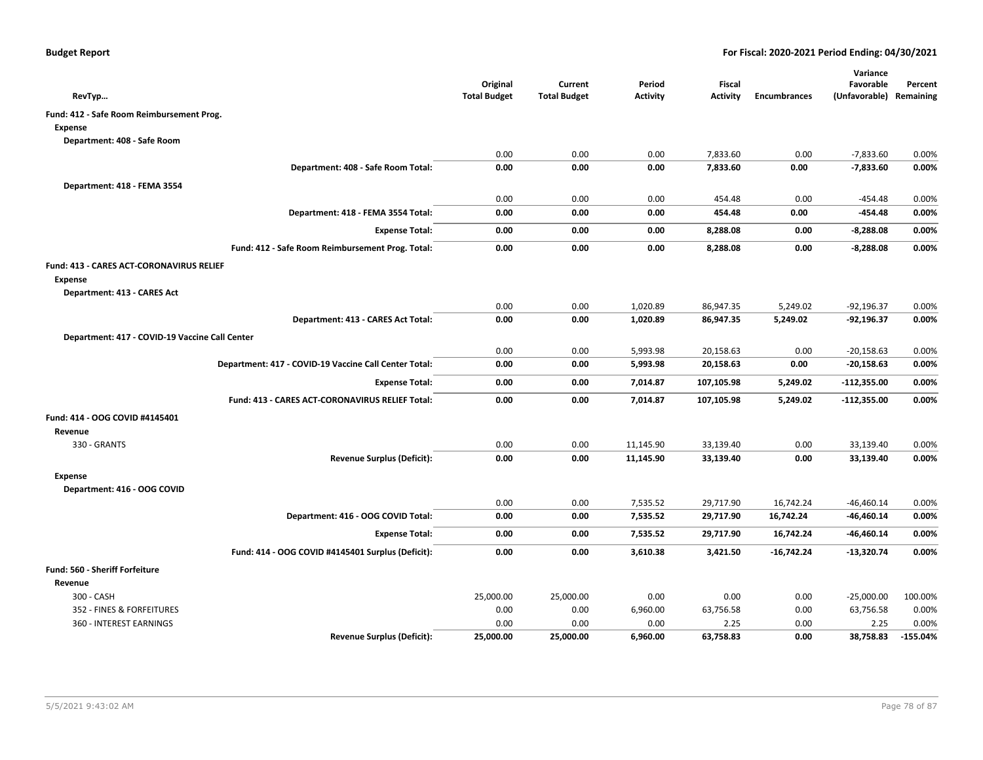| RevTyp                                                 | Original<br><b>Total Budget</b> | Current<br><b>Total Budget</b> | Period<br><b>Activity</b> | <b>Fiscal</b><br>Activity | <b>Encumbrances</b> | Variance<br>Favorable<br>(Unfavorable) Remaining | Percent    |
|--------------------------------------------------------|---------------------------------|--------------------------------|---------------------------|---------------------------|---------------------|--------------------------------------------------|------------|
| Fund: 412 - Safe Room Reimbursement Prog.              |                                 |                                |                           |                           |                     |                                                  |            |
| <b>Expense</b>                                         |                                 |                                |                           |                           |                     |                                                  |            |
| Department: 408 - Safe Room                            |                                 |                                |                           |                           |                     |                                                  |            |
|                                                        | 0.00                            | 0.00                           | 0.00                      | 7,833.60                  | 0.00                | $-7,833.60$                                      | 0.00%      |
| Department: 408 - Safe Room Total:                     | 0.00                            | 0.00                           | 0.00                      | 7,833.60                  | 0.00                | $-7,833.60$                                      | 0.00%      |
| Department: 418 - FEMA 3554                            |                                 |                                |                           |                           |                     |                                                  |            |
|                                                        | 0.00                            | 0.00                           | 0.00                      | 454.48                    | 0.00                | -454.48                                          | 0.00%      |
| Department: 418 - FEMA 3554 Total:                     | 0.00                            | 0.00                           | 0.00                      | 454.48                    | 0.00                | -454.48                                          | 0.00%      |
| <b>Expense Total:</b>                                  | 0.00                            | 0.00                           | 0.00                      | 8,288.08                  | 0.00                | $-8,288.08$                                      | 0.00%      |
| Fund: 412 - Safe Room Reimbursement Prog. Total:       | 0.00                            | 0.00                           | 0.00                      | 8,288.08                  | 0.00                | $-8,288.08$                                      | 0.00%      |
| <b>Fund: 413 - CARES ACT-CORONAVIRUS RELIEF</b>        |                                 |                                |                           |                           |                     |                                                  |            |
| <b>Expense</b>                                         |                                 |                                |                           |                           |                     |                                                  |            |
| Department: 413 - CARES Act                            |                                 |                                |                           |                           |                     |                                                  |            |
|                                                        | 0.00                            | 0.00                           | 1,020.89                  | 86,947.35                 | 5,249.02            | $-92,196.37$                                     | 0.00%      |
| Department: 413 - CARES Act Total:                     | 0.00                            | 0.00                           | 1,020.89                  | 86,947.35                 | 5,249.02            | -92,196.37                                       | 0.00%      |
| Department: 417 - COVID-19 Vaccine Call Center         |                                 |                                |                           |                           |                     |                                                  |            |
|                                                        | 0.00                            | 0.00                           | 5,993.98                  | 20,158.63                 | 0.00                | $-20,158.63$                                     | 0.00%      |
| Department: 417 - COVID-19 Vaccine Call Center Total:  | 0.00                            | 0.00                           | 5,993.98                  | 20,158.63                 | 0.00                | $-20,158.63$                                     | 0.00%      |
| <b>Expense Total:</b>                                  | 0.00                            | 0.00                           | 7,014.87                  | 107,105.98                | 5,249.02            | $-112,355.00$                                    | 0.00%      |
| <b>Fund: 413 - CARES ACT-CORONAVIRUS RELIEF Total:</b> | 0.00                            | 0.00                           | 7,014.87                  | 107,105.98                | 5,249.02            | $-112,355.00$                                    | 0.00%      |
| Fund: 414 - OOG COVID #4145401                         |                                 |                                |                           |                           |                     |                                                  |            |
| Revenue                                                |                                 |                                |                           |                           |                     |                                                  |            |
| 330 - GRANTS                                           | 0.00                            | 0.00                           | 11,145.90                 | 33,139.40                 | 0.00                | 33,139.40                                        | 0.00%      |
| <b>Revenue Surplus (Deficit):</b>                      | 0.00                            | 0.00                           | 11,145.90                 | 33,139.40                 | 0.00                | 33,139.40                                        | 0.00%      |
| Expense                                                |                                 |                                |                           |                           |                     |                                                  |            |
| Department: 416 - OOG COVID                            |                                 |                                |                           |                           |                     |                                                  |            |
|                                                        | 0.00                            | 0.00                           | 7,535.52                  | 29,717.90                 | 16,742.24           | $-46,460.14$                                     | 0.00%      |
| Department: 416 - OOG COVID Total:                     | 0.00                            | 0.00                           | 7,535.52                  | 29,717.90                 | 16,742.24           | -46,460.14                                       | 0.00%      |
| <b>Expense Total:</b>                                  | 0.00                            | 0.00                           | 7,535.52                  | 29,717.90                 | 16,742.24           | $-46,460.14$                                     | 0.00%      |
| Fund: 414 - OOG COVID #4145401 Surplus (Deficit):      | 0.00                            | 0.00                           | 3,610.38                  | 3,421.50                  | $-16,742.24$        | -13,320.74                                       | 0.00%      |
| Fund: 560 - Sheriff Forfeiture                         |                                 |                                |                           |                           |                     |                                                  |            |
| Revenue                                                |                                 |                                |                           |                           |                     |                                                  |            |
| 300 - CASH                                             | 25,000.00                       | 25,000.00                      | 0.00                      | 0.00                      | 0.00                | $-25,000.00$                                     | 100.00%    |
| 352 - FINES & FORFEITURES                              | 0.00                            | 0.00                           | 6,960.00                  | 63,756.58                 | 0.00                | 63,756.58                                        | 0.00%      |
| 360 - INTEREST EARNINGS                                | 0.00                            | 0.00                           | 0.00                      | 2.25                      | 0.00                | 2.25                                             | 0.00%      |
| <b>Revenue Surplus (Deficit):</b>                      | 25,000.00                       | 25,000.00                      | 6,960.00                  | 63,758.83                 | 0.00                | 38,758.83                                        | $-155.04%$ |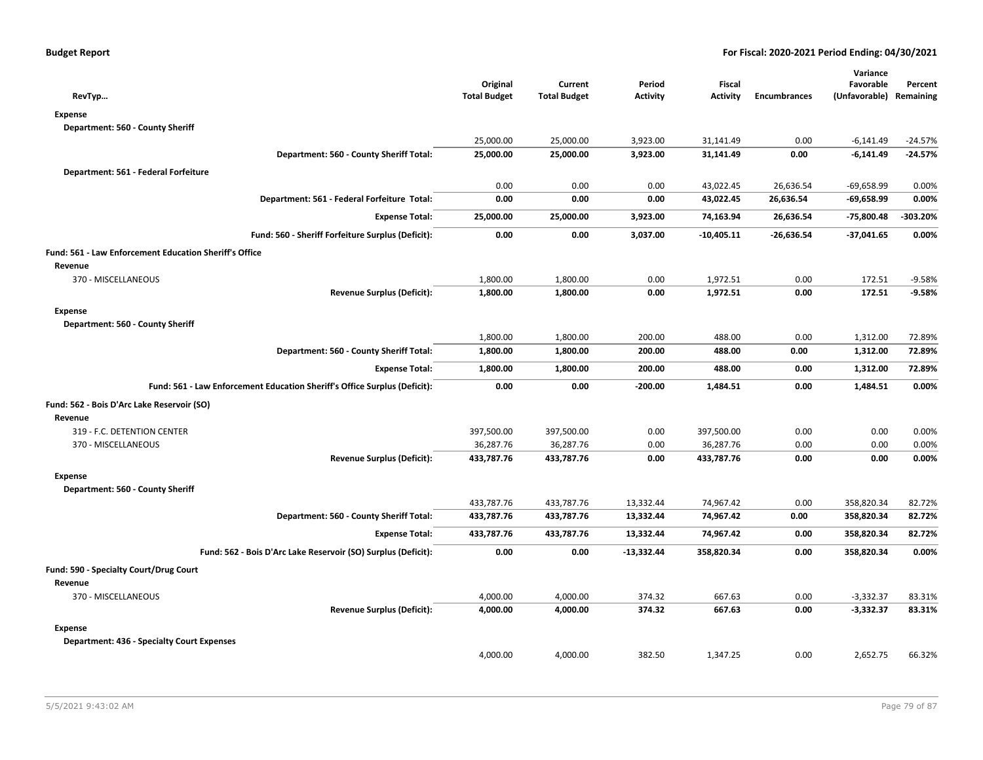| RevTyp                                                                    | Original<br><b>Total Budget</b> | Current<br><b>Total Budget</b> | Period<br><b>Activity</b> | <b>Fiscal</b><br><b>Activity</b> | <b>Encumbrances</b> | Variance<br>Favorable<br>(Unfavorable) Remaining | Percent   |
|---------------------------------------------------------------------------|---------------------------------|--------------------------------|---------------------------|----------------------------------|---------------------|--------------------------------------------------|-----------|
| <b>Expense</b>                                                            |                                 |                                |                           |                                  |                     |                                                  |           |
| Department: 560 - County Sheriff                                          |                                 |                                |                           |                                  |                     |                                                  |           |
|                                                                           | 25,000.00                       | 25,000.00                      | 3,923.00                  | 31,141.49                        | 0.00                | $-6,141.49$                                      | $-24.57%$ |
| Department: 560 - County Sheriff Total:                                   | 25,000.00                       | 25,000.00                      | 3,923.00                  | 31,141.49                        | 0.00                | $-6,141.49$                                      | $-24.57%$ |
| Department: 561 - Federal Forfeiture                                      |                                 |                                |                           |                                  |                     |                                                  |           |
|                                                                           | 0.00                            | 0.00                           | 0.00                      | 43,022.45                        | 26,636.54           | $-69,658.99$                                     | 0.00%     |
| Department: 561 - Federal Forfeiture Total:                               | 0.00                            | 0.00                           | 0.00                      | 43,022.45                        | 26,636.54           | $-69,658.99$                                     | 0.00%     |
| <b>Expense Total:</b>                                                     | 25,000.00                       | 25,000.00                      | 3,923.00                  | 74,163.94                        | 26,636.54           | -75,800.48                                       | -303.20%  |
| Fund: 560 - Sheriff Forfeiture Surplus (Deficit):                         | 0.00                            | 0.00                           | 3,037.00                  | $-10,405.11$                     | $-26,636.54$        | $-37,041.65$                                     | 0.00%     |
| <b>Fund: 561 - Law Enforcement Education Sheriff's Office</b>             |                                 |                                |                           |                                  |                     |                                                  |           |
| Revenue                                                                   |                                 |                                |                           |                                  |                     |                                                  |           |
| 370 - MISCELLANEOUS                                                       | 1,800.00                        | 1,800.00                       | 0.00                      | 1,972.51                         | 0.00                | 172.51                                           | $-9.58%$  |
| <b>Revenue Surplus (Deficit):</b>                                         | 1,800.00                        | 1,800.00                       | 0.00                      | 1,972.51                         | 0.00                | 172.51                                           | $-9.58%$  |
| <b>Expense</b>                                                            |                                 |                                |                           |                                  |                     |                                                  |           |
| Department: 560 - County Sheriff                                          |                                 |                                |                           |                                  |                     |                                                  |           |
|                                                                           | 1,800.00                        | 1,800.00                       | 200.00                    | 488.00                           | 0.00                | 1,312.00                                         | 72.89%    |
| Department: 560 - County Sheriff Total:                                   | 1,800.00                        | 1,800.00                       | 200.00                    | 488.00                           | 0.00                | 1,312.00                                         | 72.89%    |
| <b>Expense Total:</b>                                                     | 1,800.00                        | 1,800.00                       | 200.00                    | 488.00                           | 0.00                | 1,312.00                                         | 72.89%    |
| Fund: 561 - Law Enforcement Education Sheriff's Office Surplus (Deficit): | 0.00                            | 0.00                           | -200.00                   | 1,484.51                         | 0.00                | 1,484.51                                         | 0.00%     |
| Fund: 562 - Bois D'Arc Lake Reservoir (SO)                                |                                 |                                |                           |                                  |                     |                                                  |           |
| Revenue                                                                   |                                 |                                |                           |                                  |                     |                                                  |           |
| 319 - F.C. DETENTION CENTER                                               | 397,500.00                      | 397,500.00                     | 0.00                      | 397,500.00                       | 0.00                | 0.00                                             | 0.00%     |
| 370 - MISCELLANEOUS                                                       | 36,287.76                       | 36,287.76                      | 0.00                      | 36,287.76                        | 0.00                | 0.00                                             | 0.00%     |
| <b>Revenue Surplus (Deficit):</b>                                         | 433,787.76                      | 433,787.76                     | 0.00                      | 433,787.76                       | 0.00                | 0.00                                             | 0.00%     |
| <b>Expense</b>                                                            |                                 |                                |                           |                                  |                     |                                                  |           |
| Department: 560 - County Sheriff                                          |                                 |                                |                           |                                  |                     |                                                  |           |
|                                                                           | 433,787.76                      | 433,787.76                     | 13,332.44                 | 74,967.42                        | 0.00                | 358,820.34                                       | 82.72%    |
| Department: 560 - County Sheriff Total:                                   | 433,787.76                      | 433,787.76                     | 13,332.44                 | 74,967.42                        | 0.00                | 358,820.34                                       | 82.72%    |
| <b>Expense Total:</b>                                                     | 433,787.76                      | 433,787.76                     | 13,332.44                 | 74,967.42                        | 0.00                | 358,820.34                                       | 82.72%    |
| Fund: 562 - Bois D'Arc Lake Reservoir (SO) Surplus (Deficit):             | 0.00                            | 0.00                           | $-13,332.44$              | 358,820.34                       | 0.00                | 358,820.34                                       | 0.00%     |
| Fund: 590 - Specialty Court/Drug Court                                    |                                 |                                |                           |                                  |                     |                                                  |           |
| Revenue                                                                   |                                 |                                |                           |                                  |                     |                                                  |           |
| 370 - MISCELLANEOUS                                                       | 4,000.00                        | 4,000.00                       | 374.32                    | 667.63                           | 0.00                | $-3,332.37$                                      | 83.31%    |
| <b>Revenue Surplus (Deficit):</b>                                         | 4,000.00                        | 4,000.00                       | 374.32                    | 667.63                           | 0.00                | $-3,332.37$                                      | 83.31%    |
| <b>Expense</b>                                                            |                                 |                                |                           |                                  |                     |                                                  |           |
| <b>Department: 436 - Specialty Court Expenses</b>                         |                                 |                                |                           |                                  |                     |                                                  |           |
|                                                                           | 4,000.00                        | 4,000.00                       | 382.50                    | 1,347.25                         | 0.00                | 2,652.75                                         | 66.32%    |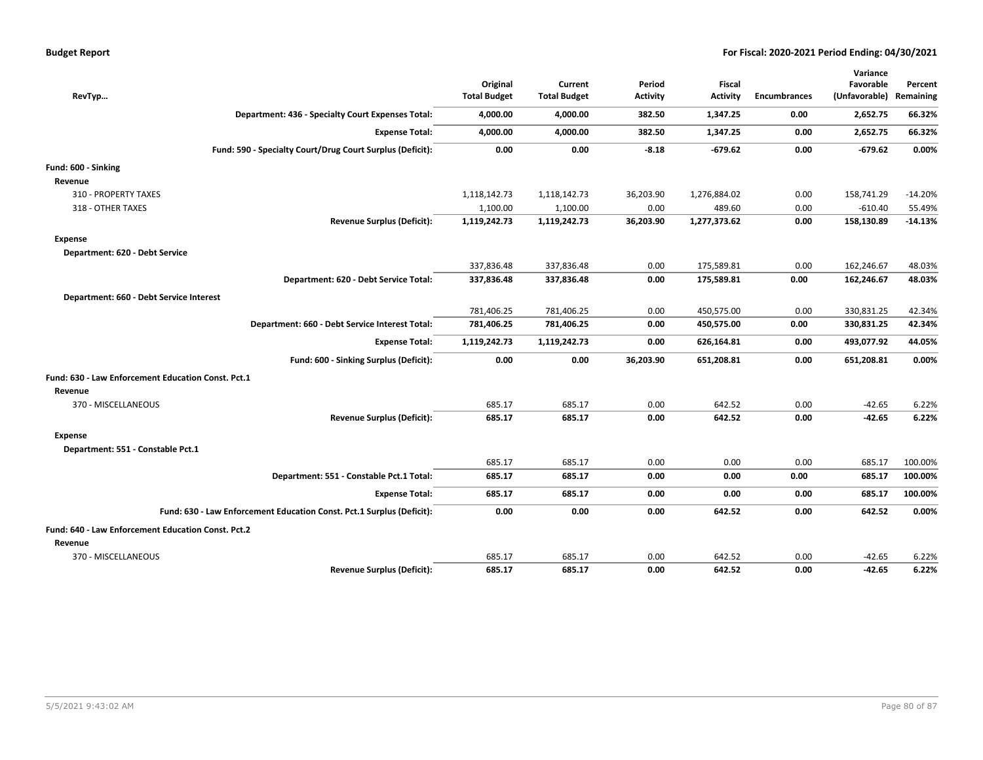| <b>Budget Report</b> |
|----------------------|
|----------------------|

|                                                                       | Original            | Current             | Period          | <b>Fiscal</b> |                     | Variance<br>Favorable | Percent   |
|-----------------------------------------------------------------------|---------------------|---------------------|-----------------|---------------|---------------------|-----------------------|-----------|
| RevTyp                                                                | <b>Total Budget</b> | <b>Total Budget</b> | <b>Activity</b> | Activity      | <b>Encumbrances</b> | (Unfavorable)         | Remaining |
| Department: 436 - Specialty Court Expenses Total:                     | 4,000.00            | 4,000.00            | 382.50          | 1,347.25      | 0.00                | 2,652.75              | 66.32%    |
| <b>Expense Total:</b>                                                 | 4,000.00            | 4,000.00            | 382.50          | 1,347.25      | 0.00                | 2,652.75              | 66.32%    |
| Fund: 590 - Specialty Court/Drug Court Surplus (Deficit):             | 0.00                | 0.00                | $-8.18$         | $-679.62$     | 0.00                | $-679.62$             | 0.00%     |
| Fund: 600 - Sinking                                                   |                     |                     |                 |               |                     |                       |           |
| Revenue                                                               |                     |                     |                 |               |                     |                       |           |
| 310 - PROPERTY TAXES                                                  | 1,118,142.73        | 1,118,142.73        | 36,203.90       | 1,276,884.02  | 0.00                | 158,741.29            | $-14.20%$ |
| 318 - OTHER TAXES                                                     | 1,100.00            | 1,100.00            | 0.00            | 489.60        | 0.00                | $-610.40$             | 55.49%    |
| <b>Revenue Surplus (Deficit):</b>                                     | 1,119,242.73        | 1,119,242.73        | 36,203.90       | 1,277,373.62  | 0.00                | 158,130.89            | $-14.13%$ |
| <b>Expense</b>                                                        |                     |                     |                 |               |                     |                       |           |
| Department: 620 - Debt Service                                        |                     |                     |                 |               |                     |                       |           |
|                                                                       | 337,836.48          | 337,836.48          | 0.00            | 175,589.81    | 0.00                | 162,246.67            | 48.03%    |
| Department: 620 - Debt Service Total:                                 | 337,836.48          | 337,836.48          | 0.00            | 175,589.81    | 0.00                | 162,246.67            | 48.03%    |
| Department: 660 - Debt Service Interest                               |                     |                     |                 |               |                     |                       |           |
|                                                                       | 781,406.25          | 781,406.25          | 0.00            | 450,575.00    | 0.00                | 330,831.25            | 42.34%    |
| Department: 660 - Debt Service Interest Total:                        | 781,406.25          | 781,406.25          | 0.00            | 450,575.00    | 0.00                | 330,831.25            | 42.34%    |
| <b>Expense Total:</b>                                                 | 1,119,242.73        | 1,119,242.73        | 0.00            | 626,164.81    | 0.00                | 493,077.92            | 44.05%    |
| Fund: 600 - Sinking Surplus (Deficit):                                | 0.00                | 0.00                | 36,203.90       | 651,208.81    | 0.00                | 651,208.81            | 0.00%     |
| Fund: 630 - Law Enforcement Education Const. Pct.1                    |                     |                     |                 |               |                     |                       |           |
| Revenue                                                               |                     |                     |                 |               |                     |                       |           |
| 370 - MISCELLANEOUS                                                   | 685.17              | 685.17              | 0.00            | 642.52        | 0.00                | $-42.65$              | 6.22%     |
| <b>Revenue Surplus (Deficit):</b>                                     | 685.17              | 685.17              | 0.00            | 642.52        | 0.00                | $-42.65$              | 6.22%     |
| <b>Expense</b>                                                        |                     |                     |                 |               |                     |                       |           |
| Department: 551 - Constable Pct.1                                     |                     |                     |                 |               |                     |                       |           |
|                                                                       | 685.17              | 685.17              | 0.00            | 0.00          | 0.00                | 685.17                | 100.00%   |
| Department: 551 - Constable Pct.1 Total:                              | 685.17              | 685.17              | 0.00            | 0.00          | 0.00                | 685.17                | 100.00%   |
| <b>Expense Total:</b>                                                 | 685.17              | 685.17              | 0.00            | 0.00          | 0.00                | 685.17                | 100.00%   |
| Fund: 630 - Law Enforcement Education Const. Pct.1 Surplus (Deficit): | 0.00                | 0.00                | 0.00            | 642.52        | 0.00                | 642.52                | 0.00%     |
| Fund: 640 - Law Enforcement Education Const. Pct.2                    |                     |                     |                 |               |                     |                       |           |
| Revenue                                                               |                     |                     |                 |               |                     |                       |           |
| 370 - MISCELLANEOUS                                                   | 685.17              | 685.17              | 0.00            | 642.52        | 0.00                | $-42.65$              | 6.22%     |
| <b>Revenue Surplus (Deficit):</b>                                     | 685.17              | 685.17              | 0.00            | 642.52        | 0.00                | $-42.65$              | 6.22%     |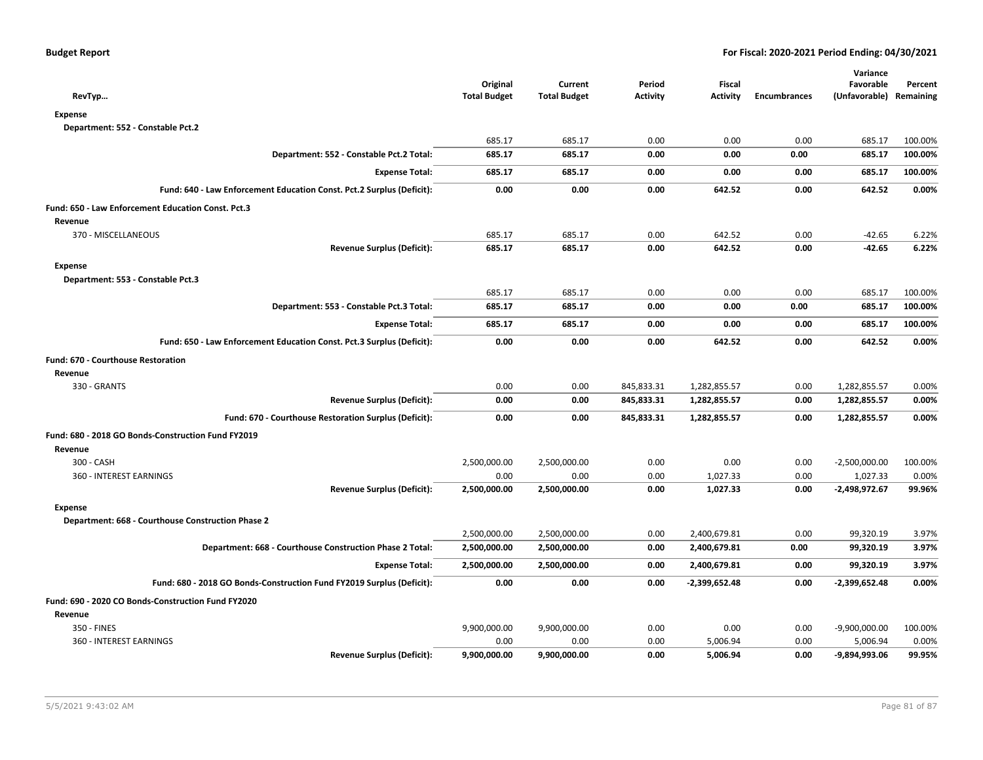| RevTyp                                                                | Original<br><b>Total Budget</b> | Current<br><b>Total Budget</b> | Period<br><b>Activity</b> | <b>Fiscal</b><br><b>Activity</b> | <b>Encumbrances</b> | Variance<br>Favorable<br>(Unfavorable) | Percent<br>Remaining |
|-----------------------------------------------------------------------|---------------------------------|--------------------------------|---------------------------|----------------------------------|---------------------|----------------------------------------|----------------------|
| <b>Expense</b>                                                        |                                 |                                |                           |                                  |                     |                                        |                      |
| Department: 552 - Constable Pct.2                                     |                                 |                                |                           |                                  |                     |                                        |                      |
|                                                                       | 685.17                          | 685.17                         | 0.00                      | 0.00                             | 0.00                | 685.17                                 | 100.00%              |
| Department: 552 - Constable Pct.2 Total:                              | 685.17                          | 685.17                         | 0.00                      | 0.00                             | 0.00                | 685.17                                 | 100.00%              |
| <b>Expense Total:</b>                                                 | 685.17                          | 685.17                         | 0.00                      | 0.00                             | 0.00                | 685.17                                 | 100.00%              |
| Fund: 640 - Law Enforcement Education Const. Pct.2 Surplus (Deficit): | 0.00                            | 0.00                           | 0.00                      | 642.52                           | 0.00                | 642.52                                 | 0.00%                |
| Fund: 650 - Law Enforcement Education Const. Pct.3                    |                                 |                                |                           |                                  |                     |                                        |                      |
| Revenue                                                               |                                 |                                |                           |                                  |                     |                                        |                      |
| 370 - MISCELLANEOUS                                                   | 685.17                          | 685.17                         | 0.00                      | 642.52                           | 0.00                | $-42.65$                               | 6.22%                |
| <b>Revenue Surplus (Deficit):</b>                                     | 685.17                          | 685.17                         | 0.00                      | 642.52                           | 0.00                | $-42.65$                               | 6.22%                |
| <b>Expense</b>                                                        |                                 |                                |                           |                                  |                     |                                        |                      |
| Department: 553 - Constable Pct.3                                     |                                 |                                |                           |                                  |                     |                                        |                      |
|                                                                       | 685.17                          | 685.17                         | 0.00                      | 0.00                             | 0.00                | 685.17                                 | 100.00%              |
| Department: 553 - Constable Pct.3 Total:                              | 685.17                          | 685.17                         | 0.00                      | 0.00                             | 0.00                | 685.17                                 | 100.00%              |
| <b>Expense Total:</b>                                                 | 685.17                          | 685.17                         | 0.00                      | 0.00                             | 0.00                | 685.17                                 | 100.00%              |
| Fund: 650 - Law Enforcement Education Const. Pct.3 Surplus (Deficit): | 0.00                            | 0.00                           | 0.00                      | 642.52                           | 0.00                | 642.52                                 | 0.00%                |
| <b>Fund: 670 - Courthouse Restoration</b>                             |                                 |                                |                           |                                  |                     |                                        |                      |
| Revenue                                                               |                                 |                                |                           |                                  |                     |                                        |                      |
| 330 - GRANTS                                                          | 0.00                            | 0.00                           | 845,833.31                | 1,282,855.57                     | 0.00                | 1,282,855.57                           | 0.00%                |
| <b>Revenue Surplus (Deficit):</b>                                     | 0.00                            | 0.00                           | 845,833.31                | 1,282,855.57                     | 0.00                | 1,282,855.57                           | 0.00%                |
| Fund: 670 - Courthouse Restoration Surplus (Deficit):                 | 0.00                            | 0.00                           | 845,833.31                | 1,282,855.57                     | 0.00                | 1,282,855.57                           | 0.00%                |
| Fund: 680 - 2018 GO Bonds-Construction Fund FY2019                    |                                 |                                |                           |                                  |                     |                                        |                      |
| Revenue                                                               |                                 |                                |                           |                                  |                     |                                        |                      |
| 300 - CASH                                                            | 2,500,000.00                    | 2,500,000.00                   | 0.00                      | 0.00                             | 0.00                | $-2,500,000.00$                        | 100.00%              |
| 360 - INTEREST EARNINGS                                               | 0.00                            | 0.00                           | 0.00                      | 1,027.33                         | 0.00                | 1,027.33                               | 0.00%                |
| <b>Revenue Surplus (Deficit):</b>                                     | 2,500,000.00                    | 2,500,000.00                   | 0.00                      | 1,027.33                         | 0.00                | $-2,498,972.67$                        | 99.96%               |
| <b>Expense</b>                                                        |                                 |                                |                           |                                  |                     |                                        |                      |
| Department: 668 - Courthouse Construction Phase 2                     |                                 |                                |                           |                                  |                     |                                        |                      |
|                                                                       | 2,500,000.00                    | 2,500,000.00                   | 0.00                      | 2,400,679.81                     | 0.00                | 99,320.19                              | 3.97%                |
| Department: 668 - Courthouse Construction Phase 2 Total:              | 2,500,000.00                    | 2,500,000.00                   | 0.00                      | 2,400,679.81                     | 0.00                | 99,320.19                              | 3.97%                |
| <b>Expense Total:</b>                                                 | 2,500,000.00                    | 2,500,000.00                   | 0.00                      | 2,400,679.81                     | 0.00                | 99,320.19                              | 3.97%                |
| Fund: 680 - 2018 GO Bonds-Construction Fund FY2019 Surplus (Deficit): | 0.00                            | 0.00                           | 0.00                      | $-2,399,652.48$                  | 0.00                | $-2,399,652.48$                        | 0.00%                |
| Fund: 690 - 2020 CO Bonds-Construction Fund FY2020                    |                                 |                                |                           |                                  |                     |                                        |                      |
| Revenue                                                               |                                 |                                |                           |                                  |                     |                                        |                      |
| 350 - FINES                                                           | 9,900,000.00                    | 9,900,000.00                   | 0.00                      | 0.00                             | 0.00                | $-9,900,000.00$                        | 100.00%              |
| 360 - INTEREST EARNINGS                                               | 0.00                            | 0.00                           | 0.00                      | 5,006.94                         | 0.00                | 5,006.94                               | 0.00%                |
| <b>Revenue Surplus (Deficit):</b>                                     | 9,900,000.00                    | 9,900,000.00                   | 0.00                      | 5,006.94                         | 0.00                | -9,894,993.06                          | 99.95%               |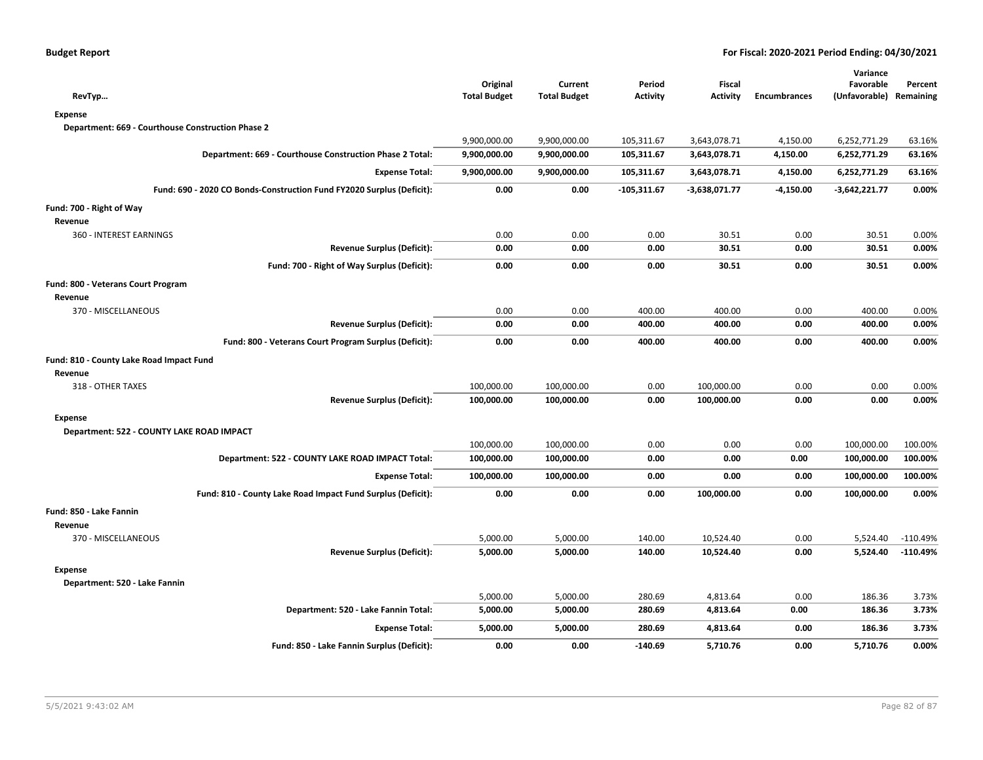| <b>Budget Report</b> |  |
|----------------------|--|
|----------------------|--|

| RevTyp                                                                | Original<br><b>Total Budget</b> | Current<br><b>Total Budget</b> | Period<br><b>Activity</b> | <b>Fiscal</b><br><b>Activity</b> | <b>Encumbrances</b> | Variance<br>Favorable<br>(Unfavorable) | Percent<br>Remaining |
|-----------------------------------------------------------------------|---------------------------------|--------------------------------|---------------------------|----------------------------------|---------------------|----------------------------------------|----------------------|
| <b>Expense</b>                                                        |                                 |                                |                           |                                  |                     |                                        |                      |
| Department: 669 - Courthouse Construction Phase 2                     |                                 |                                |                           |                                  |                     |                                        |                      |
|                                                                       | 9,900,000.00                    | 9,900,000.00                   | 105,311.67                | 3,643,078.71                     | 4,150.00            | 6,252,771.29                           | 63.16%               |
| Department: 669 - Courthouse Construction Phase 2 Total:              | 9,900,000.00                    | 9,900,000.00                   | 105,311.67                | 3,643,078.71                     | 4,150.00            | 6,252,771.29                           | 63.16%               |
| <b>Expense Total:</b>                                                 | 9,900,000.00                    | 9,900,000.00                   | 105,311.67                | 3,643,078.71                     | 4,150.00            | 6,252,771.29                           | 63.16%               |
| Fund: 690 - 2020 CO Bonds-Construction Fund FY2020 Surplus (Deficit): | 0.00                            | 0.00                           | $-105,311.67$             | $-3,638,071.77$                  | $-4,150.00$         | $-3,642,221.77$                        | 0.00%                |
| Fund: 700 - Right of Way                                              |                                 |                                |                           |                                  |                     |                                        |                      |
| Revenue                                                               |                                 |                                |                           |                                  |                     |                                        |                      |
| 360 - INTEREST EARNINGS                                               | 0.00                            | 0.00                           | 0.00                      | 30.51                            | 0.00                | 30.51                                  | 0.00%                |
| <b>Revenue Surplus (Deficit):</b>                                     | 0.00                            | 0.00                           | 0.00                      | 30.51                            | 0.00                | 30.51                                  | 0.00%                |
| Fund: 700 - Right of Way Surplus (Deficit):                           | 0.00                            | 0.00                           | 0.00                      | 30.51                            | 0.00                | 30.51                                  | 0.00%                |
| Fund: 800 - Veterans Court Program                                    |                                 |                                |                           |                                  |                     |                                        |                      |
| Revenue                                                               |                                 |                                |                           |                                  |                     |                                        |                      |
| 370 - MISCELLANEOUS                                                   | 0.00                            | 0.00                           | 400.00                    | 400.00                           | 0.00                | 400.00                                 | 0.00%                |
| <b>Revenue Surplus (Deficit):</b>                                     | 0.00                            | 0.00                           | 400.00                    | 400.00                           | 0.00                | 400.00                                 | 0.00%                |
| Fund: 800 - Veterans Court Program Surplus (Deficit):                 | 0.00                            | 0.00                           | 400.00                    | 400.00                           | 0.00                | 400.00                                 | 0.00%                |
| Fund: 810 - County Lake Road Impact Fund                              |                                 |                                |                           |                                  |                     |                                        |                      |
| Revenue                                                               |                                 |                                |                           |                                  |                     |                                        |                      |
| 318 - OTHER TAXES                                                     | 100,000.00                      | 100,000.00                     | 0.00                      | 100,000.00                       | 0.00                | 0.00                                   | 0.00%                |
| Revenue Surplus (Deficit):                                            | 100,000.00                      | 100,000.00                     | 0.00                      | 100,000.00                       | 0.00                | 0.00                                   | 0.00%                |
| <b>Expense</b>                                                        |                                 |                                |                           |                                  |                     |                                        |                      |
| Department: 522 - COUNTY LAKE ROAD IMPACT                             |                                 |                                |                           |                                  |                     |                                        |                      |
|                                                                       | 100,000.00                      | 100,000.00                     | 0.00                      | 0.00                             | 0.00                | 100,000.00                             | 100.00%              |
| Department: 522 - COUNTY LAKE ROAD IMPACT Total:                      | 100,000.00                      | 100,000.00                     | 0.00                      | 0.00                             | 0.00                | 100,000.00                             | 100.00%              |
| <b>Expense Total:</b>                                                 | 100,000.00                      | 100,000.00                     | 0.00                      | 0.00                             | 0.00                | 100,000.00                             | 100.00%              |
| Fund: 810 - County Lake Road Impact Fund Surplus (Deficit):           | 0.00                            | 0.00                           | 0.00                      | 100,000.00                       | 0.00                | 100,000.00                             | 0.00%                |
| Fund: 850 - Lake Fannin                                               |                                 |                                |                           |                                  |                     |                                        |                      |
| Revenue                                                               |                                 |                                |                           |                                  |                     |                                        |                      |
| 370 - MISCELLANEOUS                                                   | 5,000.00                        | 5,000.00                       | 140.00                    | 10,524.40                        | 0.00                | 5,524.40                               | $-110.49%$           |
| <b>Revenue Surplus (Deficit):</b>                                     | 5,000.00                        | 5,000.00                       | 140.00                    | 10,524.40                        | 0.00                | 5,524.40                               | $-110.49%$           |
| <b>Expense</b>                                                        |                                 |                                |                           |                                  |                     |                                        |                      |
| Department: 520 - Lake Fannin                                         |                                 |                                |                           |                                  |                     |                                        |                      |
|                                                                       | 5,000.00                        | 5,000.00                       | 280.69                    | 4,813.64                         | 0.00                | 186.36                                 | 3.73%                |
| Department: 520 - Lake Fannin Total:                                  | 5,000.00                        | 5,000.00                       | 280.69                    | 4,813.64                         | 0.00                | 186.36                                 | 3.73%                |
| <b>Expense Total:</b>                                                 | 5,000.00                        | 5,000.00                       | 280.69                    | 4,813.64                         | 0.00                | 186.36                                 | 3.73%                |
| Fund: 850 - Lake Fannin Surplus (Deficit):                            | 0.00                            | 0.00                           | $-140.69$                 | 5,710.76                         | 0.00                | 5,710.76                               | 0.00%                |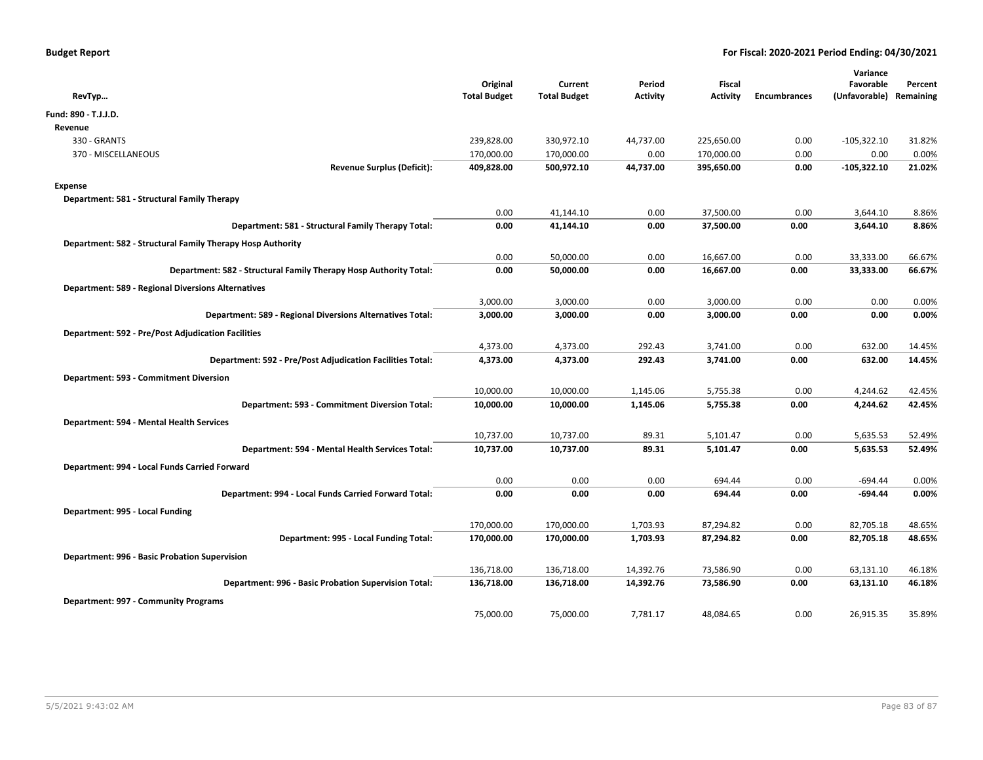| RevTyp                                                            | Original<br><b>Total Budget</b> | Current<br><b>Total Budget</b> | Period<br>Activity | Fiscal<br>Activity | <b>Encumbrances</b> | Variance<br>Favorable<br>(Unfavorable) | Percent<br>Remaining |
|-------------------------------------------------------------------|---------------------------------|--------------------------------|--------------------|--------------------|---------------------|----------------------------------------|----------------------|
| Fund: 890 - T.J.J.D.                                              |                                 |                                |                    |                    |                     |                                        |                      |
| Revenue                                                           |                                 |                                |                    |                    |                     |                                        |                      |
| 330 - GRANTS                                                      | 239,828.00                      | 330,972.10                     | 44,737.00          | 225,650.00         | 0.00                | $-105,322.10$                          | 31.82%               |
| 370 - MISCELLANEOUS                                               | 170,000.00                      | 170,000.00                     | 0.00               | 170,000.00         | 0.00                | 0.00                                   | 0.00%                |
| <b>Revenue Surplus (Deficit):</b>                                 | 409,828.00                      | 500,972.10                     | 44,737.00          | 395,650.00         | 0.00                | -105,322.10                            | 21.02%               |
| <b>Expense</b>                                                    |                                 |                                |                    |                    |                     |                                        |                      |
| Department: 581 - Structural Family Therapy                       |                                 |                                |                    |                    |                     |                                        |                      |
|                                                                   | 0.00                            | 41,144.10                      | 0.00               | 37,500.00          | 0.00                | 3,644.10                               | 8.86%                |
| Department: 581 - Structural Family Therapy Total:                | 0.00                            | 41,144.10                      | 0.00               | 37,500.00          | 0.00                | 3,644.10                               | 8.86%                |
| Department: 582 - Structural Family Therapy Hosp Authority        |                                 |                                |                    |                    |                     |                                        |                      |
|                                                                   | 0.00                            | 50,000.00                      | 0.00               | 16,667.00          | 0.00                | 33,333.00                              | 66.67%               |
| Department: 582 - Structural Family Therapy Hosp Authority Total: | 0.00                            | 50,000.00                      | 0.00               | 16,667.00          | 0.00                | 33,333.00                              | 66.67%               |
| <b>Department: 589 - Regional Diversions Alternatives</b>         |                                 |                                |                    |                    |                     |                                        |                      |
|                                                                   | 3,000.00                        | 3,000.00                       | 0.00               | 3,000.00           | 0.00                | 0.00                                   | 0.00%                |
| Department: 589 - Regional Diversions Alternatives Total:         | 3,000.00                        | 3,000.00                       | 0.00               | 3,000.00           | 0.00                | 0.00                                   | 0.00%                |
| <b>Department: 592 - Pre/Post Adjudication Facilities</b>         |                                 |                                |                    |                    |                     |                                        |                      |
|                                                                   | 4,373.00                        | 4,373.00                       | 292.43             | 3,741.00           | 0.00                | 632.00                                 | 14.45%               |
| Department: 592 - Pre/Post Adjudication Facilities Total:         | 4,373.00                        | 4,373.00                       | 292.43             | 3,741.00           | 0.00                | 632.00                                 | 14.45%               |
| Department: 593 - Commitment Diversion                            |                                 |                                |                    |                    |                     |                                        |                      |
|                                                                   | 10,000.00                       | 10,000.00                      | 1,145.06           | 5,755.38           | 0.00                | 4,244.62                               | 42.45%               |
| Department: 593 - Commitment Diversion Total:                     | 10,000.00                       | 10,000.00                      | 1,145.06           | 5,755.38           | 0.00                | 4,244.62                               | 42.45%               |
| Department: 594 - Mental Health Services                          |                                 |                                |                    |                    |                     |                                        |                      |
|                                                                   | 10,737.00                       | 10,737.00                      | 89.31              | 5,101.47           | 0.00                | 5,635.53                               | 52.49%               |
| Department: 594 - Mental Health Services Total:                   | 10,737.00                       | 10,737.00                      | 89.31              | 5,101.47           | 0.00                | 5,635.53                               | 52.49%               |
| Department: 994 - Local Funds Carried Forward                     |                                 |                                |                    |                    |                     |                                        |                      |
|                                                                   | 0.00                            | 0.00                           | 0.00               | 694.44             | 0.00                | $-694.44$                              | 0.00%                |
| Department: 994 - Local Funds Carried Forward Total:              | 0.00                            | 0.00                           | 0.00               | 694.44             | 0.00                | $-694.44$                              | 0.00%                |
| Department: 995 - Local Funding                                   |                                 |                                |                    |                    |                     |                                        |                      |
|                                                                   | 170,000.00                      | 170,000.00                     | 1,703.93           | 87,294.82          | 0.00                | 82,705.18                              | 48.65%               |
| Department: 995 - Local Funding Total:                            | 170,000.00                      | 170,000.00                     | 1,703.93           | 87,294.82          | 0.00                | 82,705.18                              | 48.65%               |
| Department: 996 - Basic Probation Supervision                     |                                 |                                |                    |                    |                     |                                        |                      |
|                                                                   | 136,718.00                      | 136,718.00                     | 14,392.76          | 73,586.90          | 0.00                | 63,131.10                              | 46.18%               |
| Department: 996 - Basic Probation Supervision Total:              | 136,718.00                      | 136,718.00                     | 14,392.76          | 73,586.90          | 0.00                | 63,131.10                              | 46.18%               |
| Department: 997 - Community Programs                              |                                 |                                |                    |                    |                     |                                        |                      |
|                                                                   | 75,000.00                       | 75,000.00                      | 7,781.17           | 48,084.65          | 0.00                | 26,915.35                              | 35.89%               |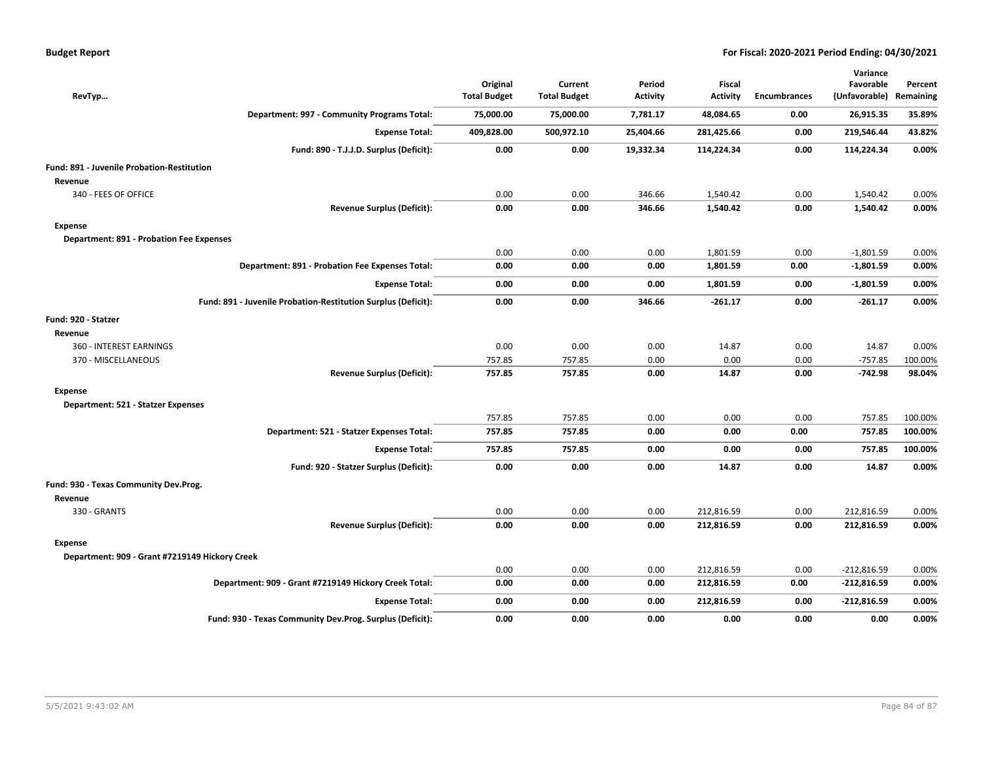| RevTyp                                                        | Original<br><b>Total Budget</b> | Current<br><b>Total Budget</b> | Period<br>Activity | <b>Fiscal</b><br><b>Activity</b> | <b>Encumbrances</b> | Variance<br>Favorable<br>(Unfavorable) | Percent<br>Remaining |
|---------------------------------------------------------------|---------------------------------|--------------------------------|--------------------|----------------------------------|---------------------|----------------------------------------|----------------------|
| Department: 997 - Community Programs Total:                   | 75,000.00                       | 75,000.00                      | 7,781.17           | 48,084.65                        | 0.00                | 26,915.35                              | 35.89%               |
| <b>Expense Total:</b>                                         | 409,828.00                      | 500,972.10                     | 25,404.66          | 281,425.66                       | 0.00                | 219,546.44                             | 43.82%               |
| Fund: 890 - T.J.J.D. Surplus (Deficit):                       | 0.00                            | 0.00                           | 19,332.34          | 114,224.34                       | 0.00                | 114,224.34                             | 0.00%                |
| Fund: 891 - Juvenile Probation-Restitution                    |                                 |                                |                    |                                  |                     |                                        |                      |
| Revenue                                                       |                                 |                                |                    |                                  |                     |                                        |                      |
| 340 - FEES OF OFFICE                                          | 0.00                            | 0.00                           | 346.66             | 1,540.42                         | 0.00                | 1,540.42                               | 0.00%                |
| <b>Revenue Surplus (Deficit):</b>                             | 0.00                            | 0.00                           | 346.66             | 1,540.42                         | 0.00                | 1,540.42                               | 0.00%                |
| Expense                                                       |                                 |                                |                    |                                  |                     |                                        |                      |
| Department: 891 - Probation Fee Expenses                      |                                 |                                |                    |                                  |                     |                                        |                      |
|                                                               | 0.00                            | 0.00                           | 0.00               | 1,801.59                         | 0.00                | $-1,801.59$                            | 0.00%                |
| Department: 891 - Probation Fee Expenses Total:               | 0.00                            | 0.00                           | 0.00               | 1,801.59                         | 0.00                | $-1,801.59$                            | 0.00%                |
| <b>Expense Total:</b>                                         | 0.00                            | 0.00                           | 0.00               | 1,801.59                         | 0.00                | $-1,801.59$                            | 0.00%                |
| Fund: 891 - Juvenile Probation-Restitution Surplus (Deficit): | 0.00                            | 0.00                           | 346.66             | $-261.17$                        | 0.00                | $-261.17$                              | 0.00%                |
| Fund: 920 - Statzer                                           |                                 |                                |                    |                                  |                     |                                        |                      |
| Revenue                                                       |                                 |                                |                    |                                  |                     |                                        |                      |
| 360 - INTEREST EARNINGS                                       | 0.00                            | 0.00                           | 0.00               | 14.87                            | 0.00                | 14.87                                  | 0.00%                |
| 370 - MISCELLANEOUS                                           | 757.85                          | 757.85                         | 0.00               | 0.00                             | 0.00                | $-757.85$                              | 100.00%              |
| <b>Revenue Surplus (Deficit):</b>                             | 757.85                          | 757.85                         | 0.00               | 14.87                            | 0.00                | $-742.98$                              | 98.04%               |
| Expense                                                       |                                 |                                |                    |                                  |                     |                                        |                      |
| Department: 521 - Statzer Expenses                            |                                 |                                |                    |                                  |                     |                                        |                      |
|                                                               | 757.85                          | 757.85                         | 0.00               | 0.00                             | 0.00                | 757.85                                 | 100.00%              |
| Department: 521 - Statzer Expenses Total:                     | 757.85                          | 757.85                         | 0.00               | 0.00                             | 0.00                | 757.85                                 | 100.00%              |
| <b>Expense Total:</b>                                         | 757.85                          | 757.85                         | 0.00               | 0.00                             | 0.00                | 757.85                                 | 100.00%              |
| Fund: 920 - Statzer Surplus (Deficit):                        | 0.00                            | 0.00                           | 0.00               | 14.87                            | 0.00                | 14.87                                  | 0.00%                |
| Fund: 930 - Texas Community Dev.Prog.                         |                                 |                                |                    |                                  |                     |                                        |                      |
| Revenue                                                       |                                 |                                |                    |                                  |                     |                                        |                      |
| 330 - GRANTS                                                  | 0.00                            | 0.00                           | 0.00               | 212,816.59                       | 0.00                | 212,816.59                             | 0.00%                |
| <b>Revenue Surplus (Deficit):</b>                             | 0.00                            | 0.00                           | 0.00               | 212,816.59                       | 0.00                | 212,816.59                             | 0.00%                |
| Expense                                                       |                                 |                                |                    |                                  |                     |                                        |                      |
| Department: 909 - Grant #7219149 Hickory Creek                |                                 |                                |                    |                                  |                     |                                        |                      |
|                                                               | 0.00                            | 0.00                           | 0.00               | 212,816.59                       | 0.00                | $-212,816.59$                          | 0.00%                |
| Department: 909 - Grant #7219149 Hickory Creek Total:         | 0.00                            | 0.00                           | 0.00               | 212,816.59                       | 0.00                | $-212,816.59$                          | 0.00%                |
| <b>Expense Total:</b>                                         | 0.00                            | 0.00                           | 0.00               | 212,816.59                       | 0.00                | $-212,816.59$                          | 0.00%                |
| Fund: 930 - Texas Community Dev.Prog. Surplus (Deficit):      | 0.00                            | 0.00                           | 0.00               | 0.00                             | 0.00                | 0.00                                   | 0.00%                |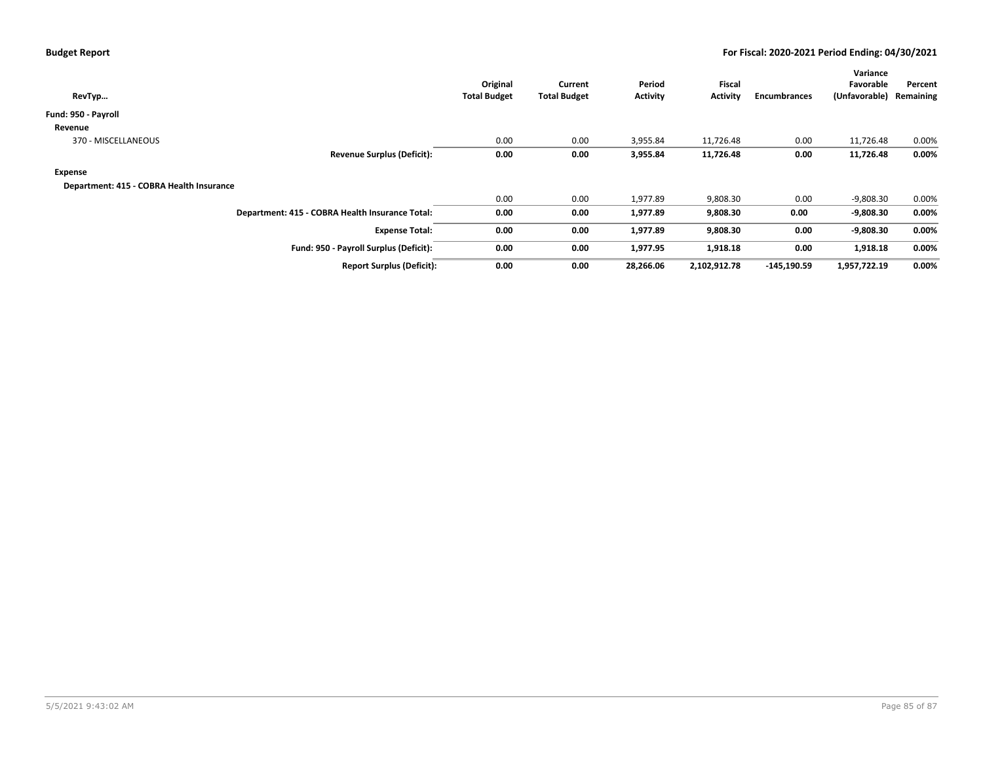| RevTyp                                          | Original<br><b>Total Budget</b> | Current<br><b>Total Budget</b> | Period<br>Activity | Fiscal<br><b>Activity</b> | Encumbrances  | Variance<br>Favorable<br>(Unfavorable) | Percent<br>Remaining |
|-------------------------------------------------|---------------------------------|--------------------------------|--------------------|---------------------------|---------------|----------------------------------------|----------------------|
| Fund: 950 - Payroll                             |                                 |                                |                    |                           |               |                                        |                      |
| Revenue                                         |                                 |                                |                    |                           |               |                                        |                      |
| 370 - MISCELLANEOUS                             | 0.00                            | 0.00                           | 3,955.84           | 11,726.48                 | 0.00          | 11,726.48                              | 0.00%                |
| <b>Revenue Surplus (Deficit):</b>               | 0.00                            | 0.00                           | 3,955.84           | 11,726.48                 | 0.00          | 11,726.48                              | $0.00\%$             |
| Expense                                         |                                 |                                |                    |                           |               |                                        |                      |
| Department: 415 - COBRA Health Insurance        |                                 |                                |                    |                           |               |                                        |                      |
|                                                 | 0.00                            | 0.00                           | 1,977.89           | 9,808.30                  | 0.00          | $-9,808.30$                            | 0.00%                |
| Department: 415 - COBRA Health Insurance Total: | 0.00                            | 0.00                           | 1,977.89           | 9,808.30                  | 0.00          | $-9,808.30$                            | 0.00%                |
| <b>Expense Total:</b>                           | 0.00                            | 0.00                           | 1,977.89           | 9,808.30                  | 0.00          | $-9,808.30$                            | $0.00\%$             |
| Fund: 950 - Payroll Surplus (Deficit):          | 0.00                            | 0.00                           | 1,977.95           | 1,918.18                  | 0.00          | 1,918.18                               | $0.00\%$             |
| <b>Report Surplus (Deficit):</b>                | 0.00                            | 0.00                           | 28,266.06          | 2,102,912.78              | $-145,190.59$ | 1,957,722.19                           | $0.00\%$             |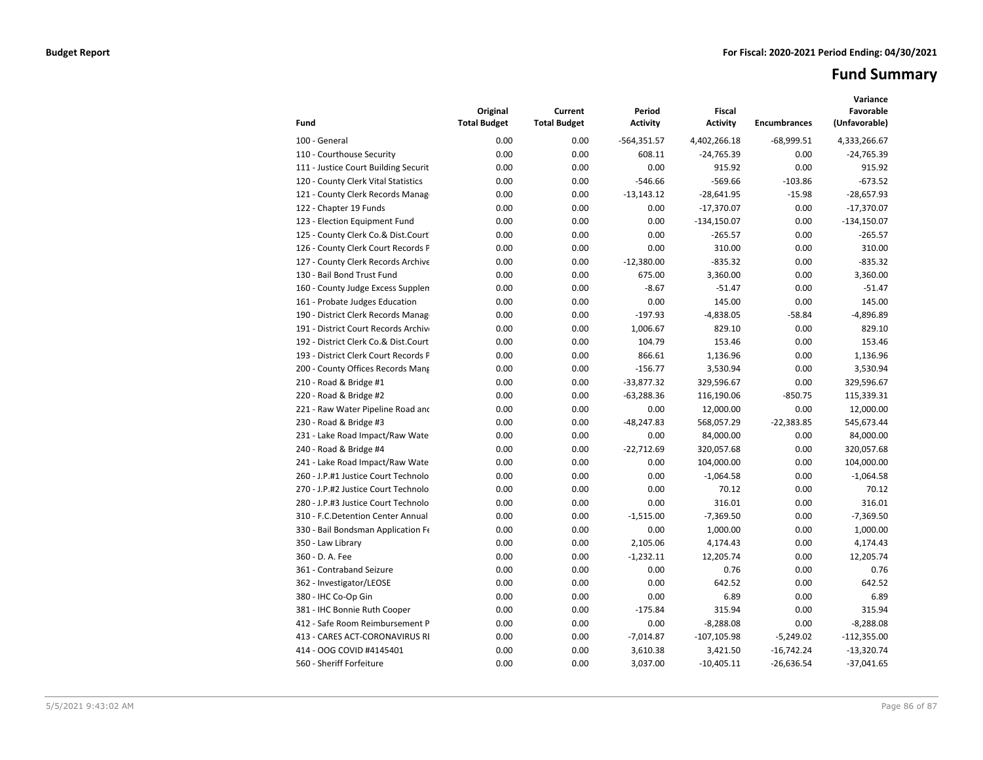# **Fund Summary**

| Fund                                 | Original<br><b>Total Budget</b> | Current<br><b>Total Budget</b> | Period<br><b>Activity</b> | <b>Fiscal</b><br><b>Activity</b> | <b>Encumbrances</b> | Variance<br>Favorable<br>(Unfavorable) |
|--------------------------------------|---------------------------------|--------------------------------|---------------------------|----------------------------------|---------------------|----------------------------------------|
| 100 - General                        | 0.00                            | 0.00                           | $-564,351.57$             | 4,402,266.18                     | $-68,999.51$        | 4,333,266.67                           |
| 110 - Courthouse Security            | 0.00                            | 0.00                           | 608.11                    | $-24,765.39$                     | 0.00                | $-24,765.39$                           |
| 111 - Justice Court Building Securit | 0.00                            | 0.00                           | 0.00                      | 915.92                           | 0.00                | 915.92                                 |
| 120 - County Clerk Vital Statistics  | 0.00                            | 0.00                           | $-546.66$                 | $-569.66$                        | $-103.86$           | $-673.52$                              |
| 121 - County Clerk Records Manag     | 0.00                            | 0.00                           | $-13,143.12$              | $-28,641.95$                     | $-15.98$            | $-28,657.93$                           |
| 122 - Chapter 19 Funds               | 0.00                            | 0.00                           | 0.00                      | $-17,370.07$                     | 0.00                | $-17,370.07$                           |
| 123 - Election Equipment Fund        | 0.00                            | 0.00                           | 0.00                      | $-134,150.07$                    | 0.00                | $-134,150.07$                          |
| 125 - County Clerk Co.& Dist.Court   | 0.00                            | 0.00                           | 0.00                      | $-265.57$                        | 0.00                | $-265.57$                              |
| 126 - County Clerk Court Records P   | 0.00                            | 0.00                           | 0.00                      | 310.00                           | 0.00                | 310.00                                 |
| 127 - County Clerk Records Archive   | 0.00                            | 0.00                           | $-12,380.00$              | $-835.32$                        | 0.00                | $-835.32$                              |
| 130 - Bail Bond Trust Fund           | 0.00                            | 0.00                           | 675.00                    | 3,360.00                         | 0.00                | 3,360.00                               |
| 160 - County Judge Excess Supplen    | 0.00                            | 0.00                           | $-8.67$                   | $-51.47$                         | 0.00                | $-51.47$                               |
| 161 - Probate Judges Education       | 0.00                            | 0.00                           | 0.00                      | 145.00                           | 0.00                | 145.00                                 |
| 190 - District Clerk Records Manag   | 0.00                            | 0.00                           | $-197.93$                 | $-4,838.05$                      | $-58.84$            | $-4,896.89$                            |
| 191 - District Court Records Archive | 0.00                            | 0.00                           | 1,006.67                  | 829.10                           | 0.00                | 829.10                                 |
| 192 - District Clerk Co.& Dist.Court | 0.00                            | 0.00                           | 104.79                    | 153.46                           | 0.00                | 153.46                                 |
| 193 - District Clerk Court Records F | 0.00                            | 0.00                           | 866.61                    | 1,136.96                         | 0.00                | 1,136.96                               |
| 200 - County Offices Records Mang    | 0.00                            | 0.00                           | $-156.77$                 | 3,530.94                         | 0.00                | 3,530.94                               |
| 210 - Road & Bridge #1               | 0.00                            | 0.00                           | $-33,877.32$              | 329,596.67                       | 0.00                | 329,596.67                             |
| 220 - Road & Bridge #2               | 0.00                            | 0.00                           | $-63,288.36$              | 116,190.06                       | $-850.75$           | 115,339.31                             |
| 221 - Raw Water Pipeline Road and    | 0.00                            | 0.00                           | 0.00                      | 12,000.00                        | 0.00                | 12,000.00                              |
| 230 - Road & Bridge #3               | 0.00                            | 0.00                           | $-48,247.83$              | 568,057.29                       | $-22,383.85$        | 545,673.44                             |
| 231 - Lake Road Impact/Raw Wate      | 0.00                            | 0.00                           | 0.00                      | 84,000.00                        | 0.00                | 84,000.00                              |
| 240 - Road & Bridge #4               | 0.00                            | 0.00                           | $-22,712.69$              | 320,057.68                       | 0.00                | 320,057.68                             |
| 241 - Lake Road Impact/Raw Wate      | 0.00                            | 0.00                           | 0.00                      | 104,000.00                       | 0.00                | 104,000.00                             |
| 260 - J.P.#1 Justice Court Technolo  | 0.00                            | 0.00                           | 0.00                      | $-1.064.58$                      | 0.00                | $-1,064.58$                            |
| 270 - J.P.#2 Justice Court Technolo  | 0.00                            | 0.00                           | 0.00                      | 70.12                            | 0.00                | 70.12                                  |
| 280 - J.P.#3 Justice Court Technolo  | 0.00                            | 0.00                           | 0.00                      | 316.01                           | 0.00                | 316.01                                 |
| 310 - F.C.Detention Center Annual    | 0.00                            | 0.00                           | $-1.515.00$               | $-7,369.50$                      | 0.00                | $-7,369.50$                            |
| 330 - Bail Bondsman Application Fe   | 0.00                            | 0.00                           | 0.00                      | 1,000.00                         | 0.00                | 1,000.00                               |
| 350 - Law Library                    | 0.00                            | 0.00                           | 2,105.06                  | 4,174.43                         | 0.00                | 4,174.43                               |
| 360 - D. A. Fee                      | 0.00                            | 0.00                           | $-1,232.11$               | 12,205.74                        | 0.00                | 12,205.74                              |
| 361 - Contraband Seizure             | 0.00                            | 0.00                           | 0.00                      | 0.76                             | 0.00                | 0.76                                   |
| 362 - Investigator/LEOSE             | 0.00                            | 0.00                           | 0.00                      | 642.52                           | 0.00                | 642.52                                 |
| 380 - IHC Co-Op Gin                  | 0.00                            | 0.00                           | 0.00                      | 6.89                             | 0.00                | 6.89                                   |
| 381 - IHC Bonnie Ruth Cooper         | 0.00                            | 0.00                           | $-175.84$                 | 315.94                           | 0.00                | 315.94                                 |
| 412 - Safe Room Reimbursement P      | 0.00                            | 0.00                           | 0.00                      | $-8,288.08$                      | 0.00                | $-8,288.08$                            |
| 413 - CARES ACT-CORONAVIRUS RI       | 0.00                            | 0.00                           | $-7,014.87$               | $-107, 105.98$                   | $-5,249.02$         | $-112,355.00$                          |
| 414 - OOG COVID #4145401             | 0.00                            | 0.00                           | 3,610.38                  | 3,421.50                         | $-16,742.24$        | $-13,320.74$                           |
| 560 - Sheriff Forfeiture             | 0.00                            | 0.00                           | 3,037.00                  | $-10,405.11$                     | $-26,636.54$        | $-37,041.65$                           |